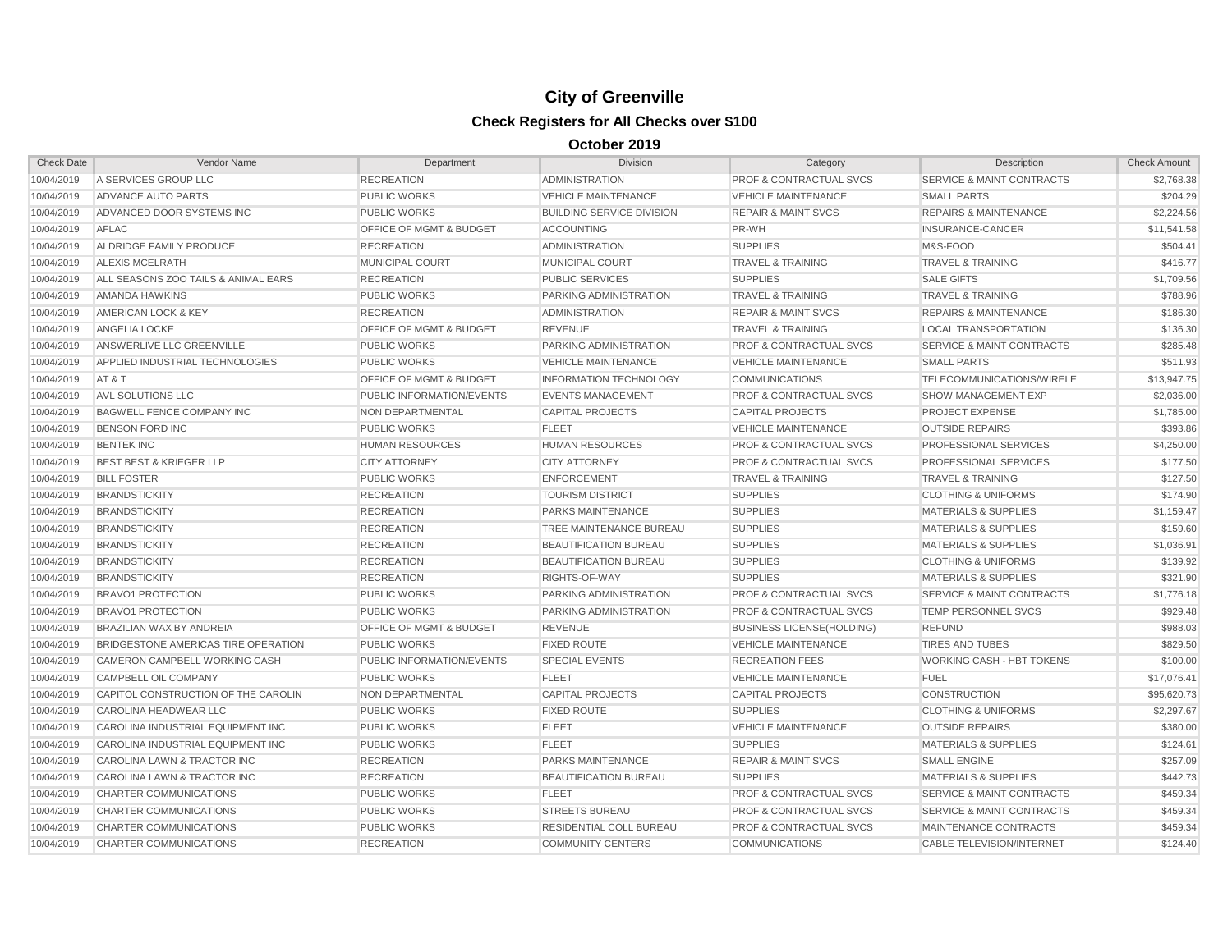| <b>Check Date</b> | Vendor Name                         | Department                         | <b>Division</b>                  | Category                           | Description                          | <b>Check Amount</b> |
|-------------------|-------------------------------------|------------------------------------|----------------------------------|------------------------------------|--------------------------------------|---------------------|
| 10/04/2019        | A SERVICES GROUP LLC                | <b>RECREATION</b>                  | ADMINISTRATION                   | PROF & CONTRACTUAL SVCS            | SERVICE & MAINT CONTRACTS            | \$2,768.38          |
| 10/04/2019        | <b>ADVANCE AUTO PARTS</b>           | <b>PUBLIC WORKS</b>                | <b>VEHICLE MAINTENANCE</b>       | <b>VEHICLE MAINTENANCE</b>         | <b>SMALL PARTS</b>                   | \$204.29            |
| 10/04/2019        | ADVANCED DOOR SYSTEMS INC           | <b>PUBLIC WORKS</b>                | <b>BUILDING SERVICE DIVISION</b> | <b>REPAIR &amp; MAINT SVCS</b>     | <b>REPAIRS &amp; MAINTENANCE</b>     | \$2,224.56          |
| 10/04/2019        | AFLAC                               | OFFICE OF MGMT & BUDGET            | <b>ACCOUNTING</b>                | PR-WH                              | INSURANCE-CANCER                     | \$11,541.58         |
| 10/04/2019        | ALDRIDGE FAMILY PRODUCE             | <b>RECREATION</b>                  | <b>ADMINISTRATION</b>            | <b>SUPPLIES</b>                    | M&S-FOOD                             | \$504.41            |
| 10/04/2019        | <b>ALEXIS MCELRATH</b>              | <b>MUNICIPAL COURT</b>             | <b>MUNICIPAL COURT</b>           | <b>TRAVEL &amp; TRAINING</b>       | <b>TRAVEL &amp; TRAINING</b>         | \$416.77            |
| 10/04/2019        | ALL SEASONS ZOO TAILS & ANIMAL EARS | <b>RECREATION</b>                  | <b>PUBLIC SERVICES</b>           | <b>SUPPLIES</b>                    | <b>SALE GIFTS</b>                    | \$1,709.56          |
| 10/04/2019        | <b>AMANDA HAWKINS</b>               | <b>PUBLIC WORKS</b>                | PARKING ADMINISTRATION           | <b>TRAVEL &amp; TRAINING</b>       | <b>TRAVEL &amp; TRAINING</b>         | \$788.96            |
| 10/04/2019        | AMERICAN LOCK & KEY                 | <b>RECREATION</b>                  | <b>ADMINISTRATION</b>            | <b>REPAIR &amp; MAINT SVCS</b>     | <b>REPAIRS &amp; MAINTENANCE</b>     | \$186.30            |
| 10/04/2019        | <b>ANGELIA LOCKE</b>                | <b>OFFICE OF MGMT &amp; BUDGET</b> | <b>REVENUE</b>                   | <b>TRAVEL &amp; TRAINING</b>       | <b>LOCAL TRANSPORTATION</b>          | \$136.30            |
| 10/04/2019        | ANSWERLIVE LLC GREENVILLE           | <b>PUBLIC WORKS</b>                | PARKING ADMINISTRATION           | <b>PROF &amp; CONTRACTUAL SVCS</b> | <b>SERVICE &amp; MAINT CONTRACTS</b> | \$285.48            |
| 10/04/2019        | APPLIED INDUSTRIAL TECHNOLOGIES     | <b>PUBLIC WORKS</b>                | <b>VEHICLE MAINTENANCE</b>       | <b>VEHICLE MAINTENANCE</b>         | <b>SMALL PARTS</b>                   | \$511.93            |
| 10/04/2019        | AT&T                                | OFFICE OF MGMT & BUDGET            | <b>INFORMATION TECHNOLOGY</b>    | <b>COMMUNICATIONS</b>              | TELECOMMUNICATIONS/WIRELE            | \$13,947.75         |
| 10/04/2019        | <b>AVL SOLUTIONS LLC</b>            | PUBLIC INFORMATION/EVENTS          | <b>EVENTS MANAGEMENT</b>         | <b>PROF &amp; CONTRACTUAL SVCS</b> | <b>SHOW MANAGEMENT EXP</b>           | \$2,036.00          |
| 10/04/2019        | <b>BAGWELL FENCE COMPANY INC</b>    | <b>NON DEPARTMENTAL</b>            | <b>CAPITAL PROJECTS</b>          | <b>CAPITAL PROJECTS</b>            | PROJECT EXPENSE                      | \$1,785.00          |
| 10/04/2019        | <b>BENSON FORD INC</b>              | <b>PUBLIC WORKS</b>                | <b>FLEET</b>                     | <b>VEHICLE MAINTENANCE</b>         | <b>OUTSIDE REPAIRS</b>               | \$393.86            |
| 10/04/2019        | <b>BENTEK INC</b>                   | <b>HUMAN RESOURCES</b>             | <b>HUMAN RESOURCES</b>           | <b>PROF &amp; CONTRACTUAL SVCS</b> | PROFESSIONAL SERVICES                | \$4,250.00          |
| 10/04/2019        | <b>BEST BEST &amp; KRIEGER LLP</b>  | <b>CITY ATTORNEY</b>               | <b>CITY ATTORNEY</b>             | <b>PROF &amp; CONTRACTUAL SVCS</b> | PROFESSIONAL SERVICES                | \$177.50            |
| 10/04/2019        | <b>BILL FOSTER</b>                  | <b>PUBLIC WORKS</b>                | <b>ENFORCEMENT</b>               | <b>TRAVEL &amp; TRAINING</b>       | <b>TRAVEL &amp; TRAINING</b>         | \$127.50            |
| 10/04/2019        | <b>BRANDSTICKITY</b>                | <b>RECREATION</b>                  | <b>TOURISM DISTRICT</b>          | <b>SUPPLIES</b>                    | <b>CLOTHING &amp; UNIFORMS</b>       | \$174.90            |
| 10/04/2019        | <b>BRANDSTICKITY</b>                | <b>RECREATION</b>                  | <b>PARKS MAINTENANCE</b>         | <b>SUPPLIES</b>                    | <b>MATERIALS &amp; SUPPLIES</b>      | \$1,159.47          |
| 10/04/2019        | <b>BRANDSTICKITY</b>                | <b>RECREATION</b>                  | TREE MAINTENANCE BUREAU          | <b>SUPPLIES</b>                    | <b>MATERIALS &amp; SUPPLIES</b>      | \$159.60            |
| 10/04/2019        | <b>BRANDSTICKITY</b>                | <b>RECREATION</b>                  | <b>BEAUTIFICATION BUREAU</b>     | <b>SUPPLIES</b>                    | <b>MATERIALS &amp; SUPPLIES</b>      | \$1,036.91          |
| 10/04/2019        | <b>BRANDSTICKITY</b>                | <b>RECREATION</b>                  | <b>BEAUTIFICATION BUREAU</b>     | <b>SUPPLIES</b>                    | <b>CLOTHING &amp; UNIFORMS</b>       | \$139.92            |
| 10/04/2019        | <b>BRANDSTICKITY</b>                | <b>RECREATION</b>                  | RIGHTS-OF-WAY                    | <b>SUPPLIES</b>                    | <b>MATERIALS &amp; SUPPLIES</b>      | \$321.90            |
| 10/04/2019        | <b>BRAVO1 PROTECTION</b>            | <b>PUBLIC WORKS</b>                | PARKING ADMINISTRATION           | <b>PROF &amp; CONTRACTUAL SVCS</b> | <b>SERVICE &amp; MAINT CONTRACTS</b> | \$1,776.18          |
| 10/04/2019        | <b>BRAVO1 PROTECTION</b>            | <b>PUBLIC WORKS</b>                | PARKING ADMINISTRATION           | <b>PROF &amp; CONTRACTUAL SVCS</b> | TEMP PERSONNEL SVCS                  | \$929.48            |
| 10/04/2019        | BRAZILIAN WAX BY ANDREIA            | OFFICE OF MGMT & BUDGET            | <b>REVENUE</b>                   | <b>BUSINESS LICENSE(HOLDING)</b>   | <b>REFUND</b>                        | \$988.03            |
| 10/04/2019        | BRIDGESTONE AMERICAS TIRE OPERATION | <b>PUBLIC WORKS</b>                | <b>FIXED ROUTE</b>               | <b>VEHICLE MAINTENANCE</b>         | <b>TIRES AND TUBES</b>               | \$829.50            |
| 10/04/2019        | CAMERON CAMPBELL WORKING CASH       | PUBLIC INFORMATION/EVENTS          | <b>SPECIAL EVENTS</b>            | <b>RECREATION FEES</b>             | <b>WORKING CASH - HBT TOKENS</b>     | \$100.00            |
| 10/04/2019        | CAMPBELL OIL COMPANY                | <b>PUBLIC WORKS</b>                | <b>FLEET</b>                     | <b>VEHICLE MAINTENANCE</b>         | <b>FUEL</b>                          | \$17,076.41         |
| 10/04/2019        | CAPITOL CONSTRUCTION OF THE CAROLIN | NON DEPARTMENTAL                   | <b>CAPITAL PROJECTS</b>          | <b>CAPITAL PROJECTS</b>            | <b>CONSTRUCTION</b>                  | \$95,620.73         |
| 10/04/2019        | CAROLINA HEADWEAR LLC               | <b>PUBLIC WORKS</b>                | <b>FIXED ROUTE</b>               | <b>SUPPLIES</b>                    | <b>CLOTHING &amp; UNIFORMS</b>       | \$2,297.67          |
| 10/04/2019        | CAROLINA INDUSTRIAL EQUIPMENT INC   | <b>PUBLIC WORKS</b>                | <b>FLEET</b>                     | <b>VEHICLE MAINTENANCE</b>         | <b>OUTSIDE REPAIRS</b>               | \$380.00            |
| 10/04/2019        | CAROLINA INDUSTRIAL EQUIPMENT INC   | <b>PUBLIC WORKS</b>                | <b>FLEET</b>                     | <b>SUPPLIES</b>                    | <b>MATERIALS &amp; SUPPLIES</b>      | \$124.61            |
| 10/04/2019        | CAROLINA LAWN & TRACTOR INC         | <b>RECREATION</b>                  | PARKS MAINTENANCE                | <b>REPAIR &amp; MAINT SVCS</b>     | <b>SMALL ENGINE</b>                  | \$257.09            |
| 10/04/2019        | CAROLINA LAWN & TRACTOR INC         | <b>RECREATION</b>                  | <b>BEAUTIFICATION BUREAU</b>     | <b>SUPPLIES</b>                    | <b>MATERIALS &amp; SUPPLIES</b>      | \$442.73            |
| 10/04/2019        | <b>CHARTER COMMUNICATIONS</b>       | <b>PUBLIC WORKS</b>                | <b>FLEET</b>                     | <b>PROF &amp; CONTRACTUAL SVCS</b> | <b>SERVICE &amp; MAINT CONTRACTS</b> | \$459.34            |
| 10/04/2019        | CHARTER COMMUNICATIONS              | <b>PUBLIC WORKS</b>                | <b>STREETS BUREAU</b>            | <b>PROF &amp; CONTRACTUAL SVCS</b> | <b>SERVICE &amp; MAINT CONTRACTS</b> | \$459.34            |
| 10/04/2019        | <b>CHARTER COMMUNICATIONS</b>       | <b>PUBLIC WORKS</b>                | RESIDENTIAL COLL BUREAU          | <b>PROF &amp; CONTRACTUAL SVCS</b> | MAINTENANCE CONTRACTS                | \$459.34            |
| 10/04/2019        | <b>CHARTER COMMUNICATIONS</b>       | <b>RECREATION</b>                  | <b>COMMUNITY CENTERS</b>         | <b>COMMUNICATIONS</b>              | <b>CABLE TELEVISION/INTERNET</b>     | \$124.40            |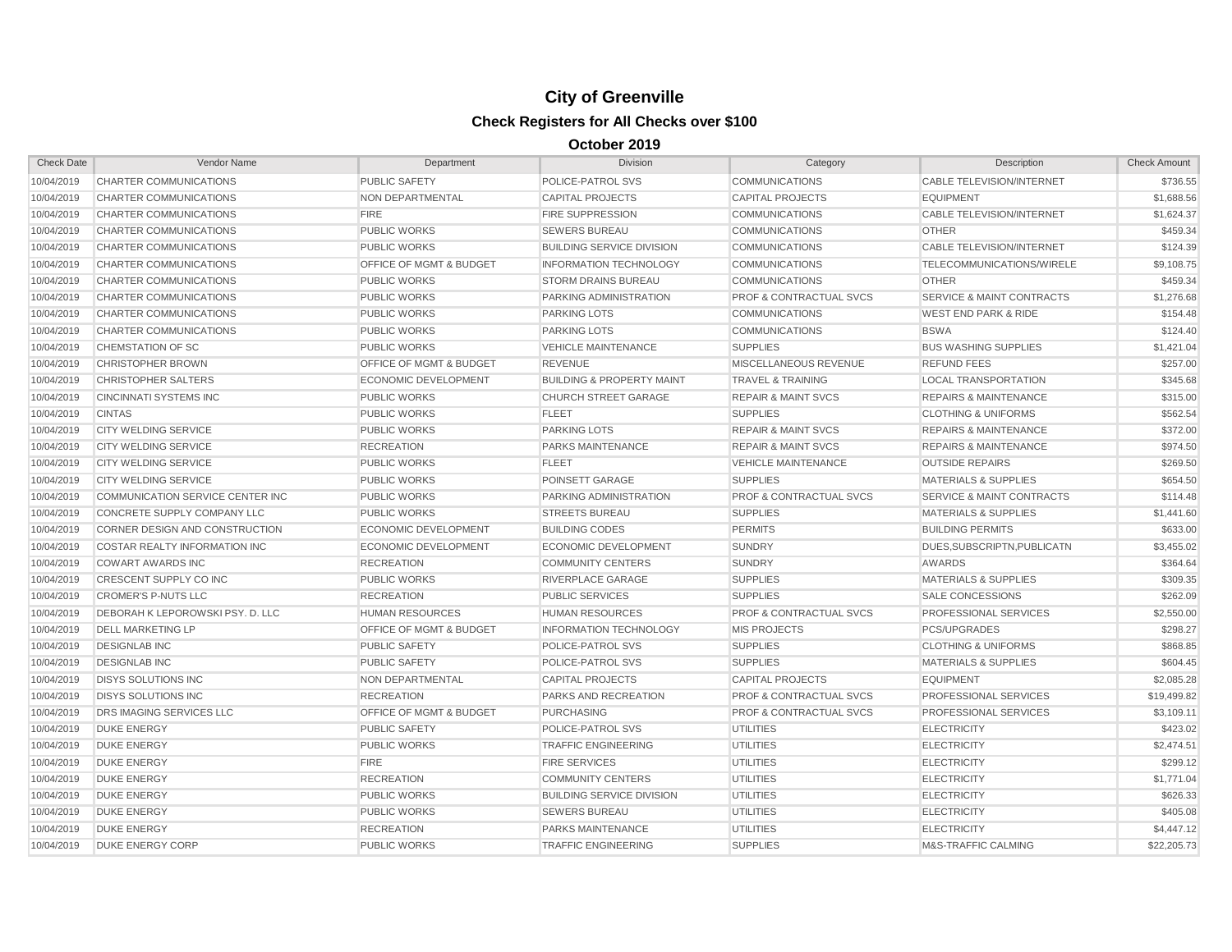| <b>Check Date</b> | <b>Vendor Name</b>                      | Department                         | <b>Division</b>                      | Category                           | Description                          | <b>Check Amount</b> |
|-------------------|-----------------------------------------|------------------------------------|--------------------------------------|------------------------------------|--------------------------------------|---------------------|
| 10/04/2019        | CHARTER COMMUNICATIONS                  | <b>PUBLIC SAFETY</b>               | POLICE-PATROL SVS                    | <b>COMMUNICATIONS</b>              | <b>CABLE TELEVISION/INTERNET</b>     | \$736.55            |
| 10/04/2019        | CHARTER COMMUNICATIONS                  | NON DEPARTMENTAL                   | <b>CAPITAL PROJECTS</b>              | <b>CAPITAL PROJECTS</b>            | <b>EQUIPMENT</b>                     | \$1,688.56          |
| 10/04/2019        | CHARTER COMMUNICATIONS                  | <b>FIRE</b>                        | <b>FIRE SUPPRESSION</b>              | <b>COMMUNICATIONS</b>              | <b>CABLE TELEVISION/INTERNET</b>     | \$1,624.37          |
| 10/04/2019        | CHARTER COMMUNICATIONS                  | <b>PUBLIC WORKS</b>                | <b>SEWERS BUREAU</b>                 | <b>COMMUNICATIONS</b>              | <b>OTHER</b>                         | \$459.34            |
| 10/04/2019        | CHARTER COMMUNICATIONS                  | <b>PUBLIC WORKS</b>                | <b>BUILDING SERVICE DIVISION</b>     | <b>COMMUNICATIONS</b>              | CABLE TELEVISION/INTERNET            | \$124.39            |
| 10/04/2019        | CHARTER COMMUNICATIONS                  | OFFICE OF MGMT & BUDGET            | <b>INFORMATION TECHNOLOGY</b>        | <b>COMMUNICATIONS</b>              | TELECOMMUNICATIONS/WIRELE            | \$9,108.75          |
| 10/04/2019        | CHARTER COMMUNICATIONS                  | <b>PUBLIC WORKS</b>                | <b>STORM DRAINS BUREAU</b>           | <b>COMMUNICATIONS</b>              | <b>OTHER</b>                         | \$459.34            |
| 10/04/2019        | CHARTER COMMUNICATIONS                  | <b>PUBLIC WORKS</b>                | PARKING ADMINISTRATION               | <b>PROF &amp; CONTRACTUAL SVCS</b> | <b>SERVICE &amp; MAINT CONTRACTS</b> | \$1,276.68          |
| 10/04/2019        | CHARTER COMMUNICATIONS                  | <b>PUBLIC WORKS</b>                | <b>PARKING LOTS</b>                  | <b>COMMUNICATIONS</b>              | <b>WEST END PARK &amp; RIDE</b>      | \$154.48            |
| 10/04/2019        | CHARTER COMMUNICATIONS                  | <b>PUBLIC WORKS</b>                | <b>PARKING LOTS</b>                  | <b>COMMUNICATIONS</b>              | <b>BSWA</b>                          | \$124.40            |
| 10/04/2019        | <b>CHEMSTATION OF SC</b>                | <b>PUBLIC WORKS</b>                | <b>VEHICLE MAINTENANCE</b>           | <b>SUPPLIES</b>                    | <b>BUS WASHING SUPPLIES</b>          | \$1,421.04          |
| 10/04/2019        | <b>CHRISTOPHER BROWN</b>                | <b>OFFICE OF MGMT &amp; BUDGET</b> | <b>REVENUE</b>                       | MISCELLANEOUS REVENUE              | <b>REFUND FEES</b>                   | \$257.00            |
| 10/04/2019        | CHRISTOPHER SALTERS                     | <b>ECONOMIC DEVELOPMENT</b>        | <b>BUILDING &amp; PROPERTY MAINT</b> | <b>TRAVEL &amp; TRAINING</b>       | <b>LOCAL TRANSPORTATION</b>          | \$345.68            |
| 10/04/2019        | <b>CINCINNATI SYSTEMS INC</b>           | <b>PUBLIC WORKS</b>                | <b>CHURCH STREET GARAGE</b>          | <b>REPAIR &amp; MAINT SVCS</b>     | <b>REPAIRS &amp; MAINTENANCE</b>     | \$315.00            |
| 10/04/2019        | <b>CINTAS</b>                           | <b>PUBLIC WORKS</b>                | <b>FLEET</b>                         | <b>SUPPLIES</b>                    | <b>CLOTHING &amp; UNIFORMS</b>       | \$562.54            |
| 10/04/2019        | <b>CITY WELDING SERVICE</b>             | <b>PUBLIC WORKS</b>                | <b>PARKING LOTS</b>                  | <b>REPAIR &amp; MAINT SVCS</b>     | <b>REPAIRS &amp; MAINTENANCE</b>     | \$372.00            |
| 10/04/2019        | <b>CITY WELDING SERVICE</b>             | <b>RECREATION</b>                  | PARKS MAINTENANCE                    | <b>REPAIR &amp; MAINT SVCS</b>     | <b>REPAIRS &amp; MAINTENANCE</b>     | \$974.50            |
| 10/04/2019        | <b>CITY WELDING SERVICE</b>             | <b>PUBLIC WORKS</b>                | <b>FLEET</b>                         | <b>VEHICLE MAINTENANCE</b>         | <b>OUTSIDE REPAIRS</b>               | \$269.50            |
| 10/04/2019        | <b>CITY WELDING SERVICE</b>             | <b>PUBLIC WORKS</b>                | POINSETT GARAGE                      | <b>SUPPLIES</b>                    | <b>MATERIALS &amp; SUPPLIES</b>      | \$654.50            |
| 10/04/2019        | COMMUNICATION SERVICE CENTER INC        | <b>PUBLIC WORKS</b>                | PARKING ADMINISTRATION               | PROF & CONTRACTUAL SVCS            | <b>SERVICE &amp; MAINT CONTRACTS</b> | \$114.48            |
| 10/04/2019        | CONCRETE SUPPLY COMPANY LLC             | <b>PUBLIC WORKS</b>                | <b>STREETS BUREAU</b>                | <b>SUPPLIES</b>                    | <b>MATERIALS &amp; SUPPLIES</b>      | \$1,441.60          |
| 10/04/2019        | CORNER DESIGN AND CONSTRUCTION          | <b>ECONOMIC DEVELOPMENT</b>        | <b>BUILDING CODES</b>                | <b>PERMITS</b>                     | <b>BUILDING PERMITS</b>              | \$633.00            |
| 10/04/2019        | <b>COSTAR REALTY INFORMATION INC</b>    | <b>ECONOMIC DEVELOPMENT</b>        | <b>ECONOMIC DEVELOPMENT</b>          | <b>SUNDRY</b>                      | DUES, SUBSCRIPTN, PUBLICATN          | \$3,455.02          |
| 10/04/2019        | <b>COWART AWARDS INC</b>                | <b>RECREATION</b>                  | <b>COMMUNITY CENTERS</b>             | <b>SUNDRY</b>                      | <b>AWARDS</b>                        | \$364.64            |
| 10/04/2019        | CRESCENT SUPPLY CO INC                  | <b>PUBLIC WORKS</b>                | <b>RIVERPLACE GARAGE</b>             | <b>SUPPLIES</b>                    | <b>MATERIALS &amp; SUPPLIES</b>      | \$309.35            |
| 10/04/2019        | <b>CROMER'S P-NUTS LLC</b>              | <b>RECREATION</b>                  | <b>PUBLIC SERVICES</b>               | <b>SUPPLIES</b>                    | <b>SALE CONCESSIONS</b>              | \$262.09            |
| 10/04/2019        | <b>DEBORAH K LEPOROWSKI PSY. D. LLC</b> | <b>HUMAN RESOURCES</b>             | <b>HUMAN RESOURCES</b>               | <b>PROF &amp; CONTRACTUAL SVCS</b> | <b>PROFESSIONAL SERVICES</b>         | \$2,550.00          |
| 10/04/2019        | <b>DELL MARKETING LP</b>                | OFFICE OF MGMT & BUDGET            | <b>INFORMATION TECHNOLOGY</b>        | <b>MIS PROJECTS</b>                | PCS/UPGRADES                         | \$298.27            |
| 10/04/2019        | <b>DESIGNLAB INC</b>                    | <b>PUBLIC SAFETY</b>               | POLICE-PATROL SVS                    | <b>SUPPLIES</b>                    | <b>CLOTHING &amp; UNIFORMS</b>       | \$868.85            |
| 10/04/2019        | <b>DESIGNLAB INC</b>                    | <b>PUBLIC SAFETY</b>               | POLICE-PATROL SVS                    | <b>SUPPLIES</b>                    | <b>MATERIALS &amp; SUPPLIES</b>      | \$604.45            |
| 10/04/2019        | <b>DISYS SOLUTIONS INC</b>              | NON DEPARTMENTAL                   | <b>CAPITAL PROJECTS</b>              | <b>CAPITAL PROJECTS</b>            | <b>EQUIPMENT</b>                     | \$2,085.28          |
| 10/04/2019        | <b>DISYS SOLUTIONS INC</b>              | <b>RECREATION</b>                  | <b>PARKS AND RECREATION</b>          | <b>PROF &amp; CONTRACTUAL SVCS</b> | <b>PROFESSIONAL SERVICES</b>         | \$19,499.82         |
| 10/04/2019        | <b>DRS IMAGING SERVICES LLC</b>         | <b>OFFICE OF MGMT &amp; BUDGET</b> | <b>PURCHASING</b>                    | <b>PROF &amp; CONTRACTUAL SVCS</b> | <b>PROFESSIONAL SERVICES</b>         | \$3,109.11          |
| 10/04/2019        | <b>DUKE ENERGY</b>                      | <b>PUBLIC SAFETY</b>               | POLICE-PATROL SVS                    | <b>UTILITIES</b>                   | <b>ELECTRICITY</b>                   | \$423.02            |
| 10/04/2019        | <b>DUKE ENERGY</b>                      | <b>PUBLIC WORKS</b>                | <b>TRAFFIC ENGINEERING</b>           | <b>UTILITIES</b>                   | <b>ELECTRICITY</b>                   | \$2,474.51          |
| 10/04/2019        | <b>DUKE ENERGY</b>                      | <b>FIRE</b>                        | <b>FIRE SERVICES</b>                 | <b>UTILITIES</b>                   | <b>ELECTRICITY</b>                   | \$299.12            |
| 10/04/2019        | <b>DUKE ENERGY</b>                      | <b>RECREATION</b>                  | <b>COMMUNITY CENTERS</b>             | <b>UTILITIES</b>                   | <b>ELECTRICITY</b>                   | \$1,771.04          |
| 10/04/2019        | <b>DUKE ENERGY</b>                      | <b>PUBLIC WORKS</b>                | <b>BUILDING SERVICE DIVISION</b>     | <b>UTILITIES</b>                   | <b>ELECTRICITY</b>                   | \$626.33            |
| 10/04/2019        | <b>DUKE ENERGY</b>                      | <b>PUBLIC WORKS</b>                | <b>SEWERS BUREAU</b>                 | <b>UTILITIES</b>                   | <b>ELECTRICITY</b>                   | \$405.08            |
| 10/04/2019        | <b>DUKE ENERGY</b>                      | <b>RECREATION</b>                  | <b>PARKS MAINTENANCE</b>             | <b>UTILITIES</b>                   | <b>ELECTRICITY</b>                   | \$4,447.12          |
| 10/04/2019        | <b>DUKE ENERGY CORP</b>                 | <b>PUBLIC WORKS</b>                | <b>TRAFFIC ENGINEERING</b>           | <b>SUPPLIES</b>                    | M&S-TRAFFIC CALMING                  | \$22,205.73         |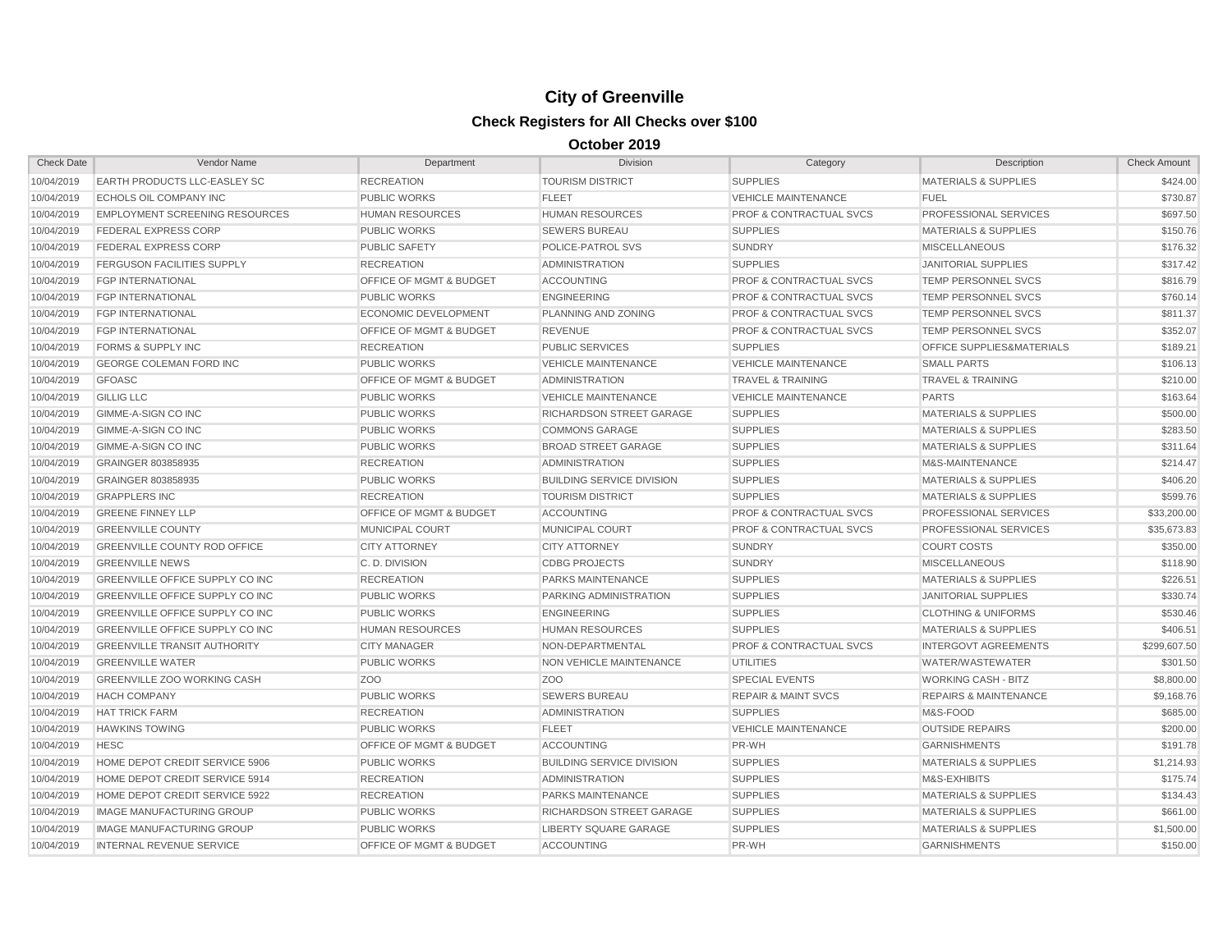| <b>Check Date</b> | Vendor Name                            | Department                         | <b>Division</b>                  | Category                           | Description                          | <b>Check Amount</b> |
|-------------------|----------------------------------------|------------------------------------|----------------------------------|------------------------------------|--------------------------------------|---------------------|
| 10/04/2019        | EARTH PRODUCTS LLC-EASLEY SC           | <b>RECREATION</b>                  | <b>TOURISM DISTRICT</b>          | <b>SUPPLIES</b>                    | <b>MATERIALS &amp; SUPPLIES</b>      | \$424.00            |
| 10/04/2019        | <b>ECHOLS OIL COMPANY INC</b>          | <b>PUBLIC WORKS</b>                | <b>FLEET</b>                     | <b>VEHICLE MAINTENANCE</b>         | <b>FUEL</b>                          | \$730.87            |
| 10/04/2019        | <b>EMPLOYMENT SCREENING RESOURCES</b>  | <b>HUMAN RESOURCES</b>             | <b>HUMAN RESOURCES</b>           | <b>PROF &amp; CONTRACTUAL SVCS</b> | PROFESSIONAL SERVICES                | \$697.50            |
| 10/04/2019        | FEDERAL EXPRESS CORP                   | <b>PUBLIC WORKS</b>                | <b>SEWERS BUREAU</b>             | <b>SUPPLIES</b>                    | <b>MATERIALS &amp; SUPPLIES</b>      | \$150.76            |
| 10/04/2019        | <b>FEDERAL EXPRESS CORP</b>            | <b>PUBLIC SAFETY</b>               | POLICE-PATROL SVS                | <b>SUNDRY</b>                      | <b>MISCELLANEOUS</b>                 | \$176.32            |
| 10/04/2019        | <b>FERGUSON FACILITIES SUPPLY</b>      | <b>RECREATION</b>                  | <b>ADMINISTRATION</b>            | <b>SUPPLIES</b>                    | <b>JANITORIAL SUPPLIES</b>           | \$317.42            |
| 10/04/2019        | <b>FGP INTERNATIONAL</b>               | <b>OFFICE OF MGMT &amp; BUDGET</b> | <b>ACCOUNTING</b>                | PROF & CONTRACTUAL SVCS            | TEMP PERSONNEL SVCS                  | \$816.79            |
| 10/04/2019        | <b>FGP INTERNATIONAL</b>               | <b>PUBLIC WORKS</b>                | <b>ENGINEERING</b>               | PROF & CONTRACTUAL SVCS            | TEMP PERSONNEL SVCS                  | \$760.14            |
| 10/04/2019        | <b>FGP INTERNATIONAL</b>               | <b>ECONOMIC DEVELOPMENT</b>        | PLANNING AND ZONING              | PROF & CONTRACTUAL SVCS            | <b>TEMP PERSONNEL SVCS</b>           | \$811.37            |
| 10/04/2019        | <b>FGP INTERNATIONAL</b>               | <b>OFFICE OF MGMT &amp; BUDGET</b> | <b>REVENUE</b>                   | <b>PROF &amp; CONTRACTUAL SVCS</b> | <b>TEMP PERSONNEL SVCS</b>           | \$352.07            |
| 10/04/2019        | <b>FORMS &amp; SUPPLY INC</b>          | <b>RECREATION</b>                  | <b>PUBLIC SERVICES</b>           | <b>SUPPLIES</b>                    | <b>OFFICE SUPPLIES&amp;MATERIALS</b> | \$189.21            |
| 10/04/2019        | <b>GEORGE COLEMAN FORD INC</b>         | <b>PUBLIC WORKS</b>                | <b>VEHICLE MAINTENANCE</b>       | <b>VEHICLE MAINTENANCE</b>         | <b>SMALL PARTS</b>                   | \$106.13            |
| 10/04/2019        | <b>GFOASC</b>                          | OFFICE OF MGMT & BUDGET            | <b>ADMINISTRATION</b>            | <b>TRAVEL &amp; TRAINING</b>       | <b>TRAVEL &amp; TRAINING</b>         | \$210.00            |
| 10/04/2019        | <b>GILLIG LLC</b>                      | <b>PUBLIC WORKS</b>                | <b>VEHICLE MAINTENANCE</b>       | <b>VEHICLE MAINTENANCE</b>         | <b>PARTS</b>                         | \$163.64            |
| 10/04/2019        | <b>GIMME-A-SIGN CO INC</b>             | <b>PUBLIC WORKS</b>                | RICHARDSON STREET GARAGE         | <b>SUPPLIES</b>                    | <b>MATERIALS &amp; SUPPLIES</b>      | \$500.00            |
| 10/04/2019        | GIMME-A-SIGN CO INC                    | <b>PUBLIC WORKS</b>                | <b>COMMONS GARAGE</b>            | <b>SUPPLIES</b>                    | <b>MATERIALS &amp; SUPPLIES</b>      | \$283.50            |
| 10/04/2019        | GIMME-A-SIGN CO INC                    | <b>PUBLIC WORKS</b>                | <b>BROAD STREET GARAGE</b>       | <b>SUPPLIES</b>                    | <b>MATERIALS &amp; SUPPLIES</b>      | \$311.64            |
| 10/04/2019        | GRAINGER 803858935                     | <b>RECREATION</b>                  | <b>ADMINISTRATION</b>            | <b>SUPPLIES</b>                    | M&S-MAINTENANCE                      | \$214.47            |
| 10/04/2019        | GRAINGER 803858935                     | <b>PUBLIC WORKS</b>                | <b>BUILDING SERVICE DIVISION</b> | <b>SUPPLIES</b>                    | <b>MATERIALS &amp; SUPPLIES</b>      | \$406.20            |
| 10/04/2019        | <b>GRAPPLERS INC</b>                   | <b>RECREATION</b>                  | <b>TOURISM DISTRICT</b>          | <b>SUPPLIES</b>                    | <b>MATERIALS &amp; SUPPLIES</b>      | \$599.76            |
| 10/04/2019        | <b>GREENE FINNEY LLP</b>               | <b>OFFICE OF MGMT &amp; BUDGET</b> | <b>ACCOUNTING</b>                | <b>PROF &amp; CONTRACTUAL SVCS</b> | PROFESSIONAL SERVICES                | \$33,200.00         |
| 10/04/2019        | <b>GREENVILLE COUNTY</b>               | <b>MUNICIPAL COURT</b>             | <b>MUNICIPAL COURT</b>           | <b>PROF &amp; CONTRACTUAL SVCS</b> | <b>PROFESSIONAL SERVICES</b>         | \$35,673.83         |
| 10/04/2019        | <b>GREENVILLE COUNTY ROD OFFICE</b>    | <b>CITY ATTORNEY</b>               | <b>CITY ATTORNEY</b>             | <b>SUNDRY</b>                      | <b>COURT COSTS</b>                   | \$350.00            |
| 10/04/2019        | <b>GREENVILLE NEWS</b>                 | C.D. DIVISION                      | <b>CDBG PROJECTS</b>             | <b>SUNDRY</b>                      | <b>MISCELLANEOUS</b>                 | \$118.90            |
| 10/04/2019        | <b>GREENVILLE OFFICE SUPPLY CO INC</b> | <b>RECREATION</b>                  | <b>PARKS MAINTENANCE</b>         | <b>SUPPLIES</b>                    | <b>MATERIALS &amp; SUPPLIES</b>      | \$226.51            |
| 10/04/2019        | <b>GREENVILLE OFFICE SUPPLY CO INC</b> | <b>PUBLIC WORKS</b>                | PARKING ADMINISTRATION           | <b>SUPPLIES</b>                    | <b>JANITORIAL SUPPLIES</b>           | \$330.74            |
| 10/04/2019        | GREENVILLE OFFICE SUPPLY CO INC        | <b>PUBLIC WORKS</b>                | <b>ENGINEERING</b>               | <b>SUPPLIES</b>                    | <b>CLOTHING &amp; UNIFORMS</b>       | \$530.46            |
| 10/04/2019        | GREENVILLE OFFICE SUPPLY CO INC        | <b>HUMAN RESOURCES</b>             | <b>HUMAN RESOURCES</b>           | <b>SUPPLIES</b>                    | <b>MATERIALS &amp; SUPPLIES</b>      | \$406.51            |
| 10/04/2019        | <b>GREENVILLE TRANSIT AUTHORITY</b>    | <b>CITY MANAGER</b>                | NON-DEPARTMENTAL                 | PROF & CONTRACTUAL SVCS            | <b>INTERGOVT AGREEMENTS</b>          | \$299,607.50        |
| 10/04/2019        | <b>GREENVILLE WATER</b>                | <b>PUBLIC WORKS</b>                | NON VEHICLE MAINTENANCE          | <b>UTILITIES</b>                   | WATER/WASTEWATER                     | \$301.50            |
| 10/04/2019        | GREENVILLE ZOO WORKING CASH            | Z <sub>OO</sub>                    | ZO <sub>O</sub>                  | <b>SPECIAL EVENTS</b>              | <b>WORKING CASH - BITZ</b>           | \$8,800.00          |
| 10/04/2019        | <b>HACH COMPANY</b>                    | <b>PUBLIC WORKS</b>                | <b>SEWERS BUREAU</b>             | <b>REPAIR &amp; MAINT SVCS</b>     | <b>REPAIRS &amp; MAINTENANCE</b>     | \$9,168.76          |
| 10/04/2019        | <b>HAT TRICK FARM</b>                  | <b>RECREATION</b>                  | <b>ADMINISTRATION</b>            | <b>SUPPLIES</b>                    | M&S-FOOD                             | \$685.00            |
| 10/04/2019        | <b>HAWKINS TOWING</b>                  | <b>PUBLIC WORKS</b>                | <b>FLEET</b>                     | <b>VEHICLE MAINTENANCE</b>         | <b>OUTSIDE REPAIRS</b>               | \$200.00            |
| 10/04/2019        | <b>HESC</b>                            | <b>OFFICE OF MGMT &amp; BUDGET</b> | <b>ACCOUNTING</b>                | PR-WH                              | <b>GARNISHMENTS</b>                  | \$191.78            |
| 10/04/2019        | HOME DEPOT CREDIT SERVICE 5906         | <b>PUBLIC WORKS</b>                | <b>BUILDING SERVICE DIVISION</b> | <b>SUPPLIES</b>                    | <b>MATERIALS &amp; SUPPLIES</b>      | \$1,214.93          |
| 10/04/2019        | HOME DEPOT CREDIT SERVICE 5914         | <b>RECREATION</b>                  | <b>ADMINISTRATION</b>            | <b>SUPPLIES</b>                    | M&S-EXHIBITS                         | \$175.74            |
| 10/04/2019        | HOME DEPOT CREDIT SERVICE 5922         | <b>RECREATION</b>                  | <b>PARKS MAINTENANCE</b>         | <b>SUPPLIES</b>                    | <b>MATERIALS &amp; SUPPLIES</b>      | \$134.43            |
| 10/04/2019        | <b>IMAGE MANUFACTURING GROUP</b>       | <b>PUBLIC WORKS</b>                | RICHARDSON STREET GARAGE         | <b>SUPPLIES</b>                    | <b>MATERIALS &amp; SUPPLIES</b>      | \$661.00            |
| 10/04/2019        | <b>IMAGE MANUFACTURING GROUP</b>       | <b>PUBLIC WORKS</b>                | <b>LIBERTY SQUARE GARAGE</b>     | <b>SUPPLIES</b>                    | <b>MATERIALS &amp; SUPPLIES</b>      | \$1,500.00          |
| 10/04/2019        | <b>INTERNAL REVENUE SERVICE</b>        | OFFICE OF MGMT & BUDGET            | <b>ACCOUNTING</b>                | PR-WH                              | <b>GARNISHMENTS</b>                  | \$150.00            |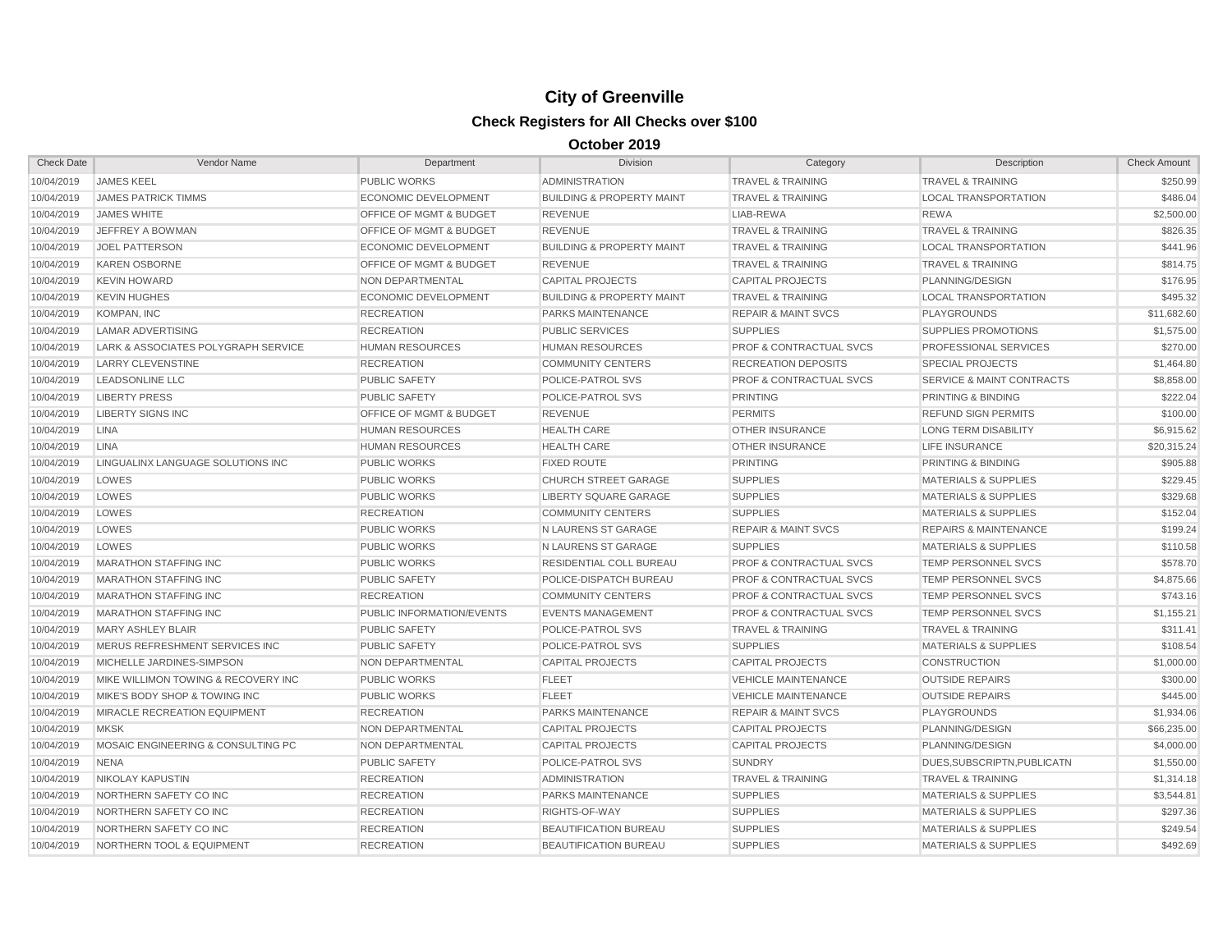| <b>Check Date</b> | Vendor Name                          | Department                         | <b>Division</b>                      | Category                           | Description                          | <b>Check Amount</b> |
|-------------------|--------------------------------------|------------------------------------|--------------------------------------|------------------------------------|--------------------------------------|---------------------|
| 10/04/2019        | <b>JAMES KEEL</b>                    | PUBLIC WORKS                       | <b>ADMINISTRATION</b>                | <b>TRAVEL &amp; TRAINING</b>       | <b>TRAVEL &amp; TRAINING</b>         | \$250.99            |
| 10/04/2019        | <b>JAMES PATRICK TIMMS</b>           | <b>ECONOMIC DEVELOPMENT</b>        | <b>BUILDING &amp; PROPERTY MAINT</b> | <b>TRAVEL &amp; TRAINING</b>       | <b>LOCAL TRANSPORTATION</b>          | \$486.04            |
| 10/04/2019        | <b>JAMES WHITE</b>                   | <b>OFFICE OF MGMT &amp; BUDGET</b> | <b>REVENUE</b>                       | LIAB-REWA                          | <b>REWA</b>                          | \$2,500.00          |
| 10/04/2019        | <b>JEFFREY A BOWMAN</b>              | OFFICE OF MGMT & BUDGET            | <b>REVENUE</b>                       | <b>TRAVEL &amp; TRAINING</b>       | <b>TRAVEL &amp; TRAINING</b>         | \$826.35            |
| 10/04/2019        | <b>JOEL PATTERSON</b>                | ECONOMIC DEVELOPMENT               | <b>BUILDING &amp; PROPERTY MAINT</b> | <b>TRAVEL &amp; TRAINING</b>       | <b>LOCAL TRANSPORTATION</b>          | \$441.96            |
| 10/04/2019        | <b>KAREN OSBORNE</b>                 | OFFICE OF MGMT & BUDGET            | <b>REVENUE</b>                       | <b>TRAVEL &amp; TRAINING</b>       | <b>TRAVEL &amp; TRAINING</b>         | \$814.75            |
| 10/04/2019        | <b>KEVIN HOWARD</b>                  | NON DEPARTMENTAL                   | <b>CAPITAL PROJECTS</b>              | <b>CAPITAL PROJECTS</b>            | PLANNING/DESIGN                      | \$176.95            |
| 10/04/2019        | <b>KEVIN HUGHES</b>                  | <b>ECONOMIC DEVELOPMENT</b>        | <b>BUILDING &amp; PROPERTY MAINT</b> | <b>TRAVEL &amp; TRAINING</b>       | <b>LOCAL TRANSPORTATION</b>          | \$495.32            |
| 10/04/2019        | KOMPAN, INC                          | <b>RECREATION</b>                  | <b>PARKS MAINTENANCE</b>             | <b>REPAIR &amp; MAINT SVCS</b>     | <b>PLAYGROUNDS</b>                   | \$11,682.60         |
| 10/04/2019        | <b>LAMAR ADVERTISING</b>             | <b>RECREATION</b>                  | <b>PUBLIC SERVICES</b>               | <b>SUPPLIES</b>                    | SUPPLIES PROMOTIONS                  | \$1,575.00          |
| 10/04/2019        | LARK & ASSOCIATES POLYGRAPH SERVICE  | <b>HUMAN RESOURCES</b>             | <b>HUMAN RESOURCES</b>               | <b>PROF &amp; CONTRACTUAL SVCS</b> | PROFESSIONAL SERVICES                | \$270.00            |
| 10/04/2019        | <b>LARRY CLEVENSTINE</b>             | <b>RECREATION</b>                  | <b>COMMUNITY CENTERS</b>             | <b>RECREATION DEPOSITS</b>         | <b>SPECIAL PROJECTS</b>              | \$1,464.80          |
| 10/04/2019        | <b>LEADSONLINE LLC</b>               | <b>PUBLIC SAFETY</b>               | POLICE-PATROL SVS                    | <b>PROF &amp; CONTRACTUAL SVCS</b> | <b>SERVICE &amp; MAINT CONTRACTS</b> | \$8,858.00          |
| 10/04/2019        | <b>LIBERTY PRESS</b>                 | <b>PUBLIC SAFETY</b>               | POLICE-PATROL SVS                    | <b>PRINTING</b>                    | PRINTING & BINDING                   | \$222.04            |
| 10/04/2019        | <b>LIBERTY SIGNS INC</b>             | <b>OFFICE OF MGMT &amp; BUDGET</b> | <b>REVENUE</b>                       | <b>PERMITS</b>                     | <b>REFUND SIGN PERMITS</b>           | \$100.00            |
| 10/04/2019        | <b>LINA</b>                          | <b>HUMAN RESOURCES</b>             | <b>HEALTH CARE</b>                   | <b>OTHER INSURANCE</b>             | <b>LONG TERM DISABILITY</b>          | \$6,915.62          |
| 10/04/2019        | <b>LINA</b>                          | <b>HUMAN RESOURCES</b>             | <b>HEALTH CARE</b>                   | <b>OTHER INSURANCE</b>             | LIFE INSURANCE                       | \$20,315.24         |
| 10/04/2019        | LINGUALINX LANGUAGE SOLUTIONS INC    | <b>PUBLIC WORKS</b>                | <b>FIXED ROUTE</b>                   | <b>PRINTING</b>                    | PRINTING & BINDING                   | \$905.88            |
| 10/04/2019        | LOWES                                | <b>PUBLIC WORKS</b>                | <b>CHURCH STREET GARAGE</b>          | <b>SUPPLIES</b>                    | <b>MATERIALS &amp; SUPPLIES</b>      | \$229.45            |
| 10/04/2019        | LOWES                                | <b>PUBLIC WORKS</b>                | <b>LIBERTY SQUARE GARAGE</b>         | <b>SUPPLIES</b>                    | <b>MATERIALS &amp; SUPPLIES</b>      | \$329.68            |
| 10/04/2019        | LOWES                                | <b>RECREATION</b>                  | <b>COMMUNITY CENTERS</b>             | <b>SUPPLIES</b>                    | <b>MATERIALS &amp; SUPPLIES</b>      | \$152.04            |
| 10/04/2019        | LOWES                                | <b>PUBLIC WORKS</b>                | N LAURENS ST GARAGE                  | <b>REPAIR &amp; MAINT SVCS</b>     | <b>REPAIRS &amp; MAINTENANCE</b>     | \$199.24            |
| 10/04/2019        | LOWES                                | <b>PUBLIC WORKS</b>                | N LAURENS ST GARAGE                  | <b>SUPPLIES</b>                    | MATERIALS & SUPPLIES                 | \$110.58            |
| 10/04/2019        | <b>MARATHON STAFFING INC</b>         | <b>PUBLIC WORKS</b>                | <b>RESIDENTIAL COLL BUREAU</b>       | <b>PROF &amp; CONTRACTUAL SVCS</b> | TEMP PERSONNEL SVCS                  | \$578.70            |
| 10/04/2019        | <b>MARATHON STAFFING INC</b>         | <b>PUBLIC SAFETY</b>               | POLICE-DISPATCH BUREAU               | <b>PROF &amp; CONTRACTUAL SVCS</b> | <b>TEMP PERSONNEL SVCS</b>           | \$4,875.66          |
| 10/04/2019        | <b>MARATHON STAFFING INC</b>         | <b>RECREATION</b>                  | <b>COMMUNITY CENTERS</b>             | <b>PROF &amp; CONTRACTUAL SVCS</b> | TEMP PERSONNEL SVCS                  | \$743.16            |
| 10/04/2019        | <b>MARATHON STAFFING INC</b>         | PUBLIC INFORMATION/EVENTS          | <b>EVENTS MANAGEMENT</b>             | <b>PROF &amp; CONTRACTUAL SVCS</b> | TEMP PERSONNEL SVCS                  | \$1,155.21          |
| 10/04/2019        | <b>MARY ASHLEY BLAIR</b>             | <b>PUBLIC SAFETY</b>               | POLICE-PATROL SVS                    | <b>TRAVEL &amp; TRAINING</b>       | <b>TRAVEL &amp; TRAINING</b>         | \$311.41            |
| 10/04/2019        | MERUS REFRESHMENT SERVICES INC       | <b>PUBLIC SAFETY</b>               | POLICE-PATROL SVS                    | <b>SUPPLIES</b>                    | <b>MATERIALS &amp; SUPPLIES</b>      | \$108.54            |
| 10/04/2019        | MICHELLE JARDINES-SIMPSON            | NON DEPARTMENTAL                   | <b>CAPITAL PROJECTS</b>              | <b>CAPITAL PROJECTS</b>            | <b>CONSTRUCTION</b>                  | \$1,000.00          |
| 10/04/2019        | MIKE WILLIMON TOWING & RECOVERY INC  | <b>PUBLIC WORKS</b>                | <b>FLEET</b>                         | <b>VEHICLE MAINTENANCE</b>         | <b>OUTSIDE REPAIRS</b>               | \$300.00            |
| 10/04/2019        | MIKE'S BODY SHOP & TOWING INC        | <b>PUBLIC WORKS</b>                | <b>FLEET</b>                         | <b>VEHICLE MAINTENANCE</b>         | <b>OUTSIDE REPAIRS</b>               | \$445.00            |
| 10/04/2019        | <b>MIRACLE RECREATION EQUIPMENT</b>  | <b>RECREATION</b>                  | <b>PARKS MAINTENANCE</b>             | <b>REPAIR &amp; MAINT SVCS</b>     | <b>PLAYGROUNDS</b>                   | \$1,934.06          |
| 10/04/2019        | <b>MKSK</b>                          | NON DEPARTMENTAL                   | <b>CAPITAL PROJECTS</b>              | <b>CAPITAL PROJECTS</b>            | PLANNING/DESIGN                      | \$66,235.00         |
| 10/04/2019        | MOSAIC ENGINEERING & CONSULTING PC   | NON DEPARTMENTAL                   | <b>CAPITAL PROJECTS</b>              | <b>CAPITAL PROJECTS</b>            | PLANNING/DESIGN                      | \$4,000.00          |
| 10/04/2019        | <b>NENA</b>                          | <b>PUBLIC SAFETY</b>               | POLICE-PATROL SVS                    | <b>SUNDRY</b>                      | DUES, SUBSCRIPTN, PUBLICATN          | \$1,550.00          |
| 10/04/2019        | <b>NIKOLAY KAPUSTIN</b>              | <b>RECREATION</b>                  | <b>ADMINISTRATION</b>                | <b>TRAVEL &amp; TRAINING</b>       | <b>TRAVEL &amp; TRAINING</b>         | \$1,314.18          |
| 10/04/2019        | NORTHERN SAFETY CO INC               | <b>RECREATION</b>                  | <b>PARKS MAINTENANCE</b>             | <b>SUPPLIES</b>                    | <b>MATERIALS &amp; SUPPLIES</b>      | \$3.544.81          |
| 10/04/2019        | NORTHERN SAFETY CO INC               | <b>RECREATION</b>                  | RIGHTS-OF-WAY                        | <b>SUPPLIES</b>                    | <b>MATERIALS &amp; SUPPLIES</b>      | \$297.36            |
| 10/04/2019        | NORTHERN SAFETY CO INC               | <b>RECREATION</b>                  | <b>BEAUTIFICATION BUREAU</b>         | <b>SUPPLIES</b>                    | <b>MATERIALS &amp; SUPPLIES</b>      | \$249.54            |
| 10/04/2019        | <b>NORTHERN TOOL &amp; EQUIPMENT</b> | <b>RECREATION</b>                  | <b>BEAUTIFICATION BUREAU</b>         | <b>SUPPLIES</b>                    | <b>MATERIALS &amp; SUPPLIES</b>      | \$492.69            |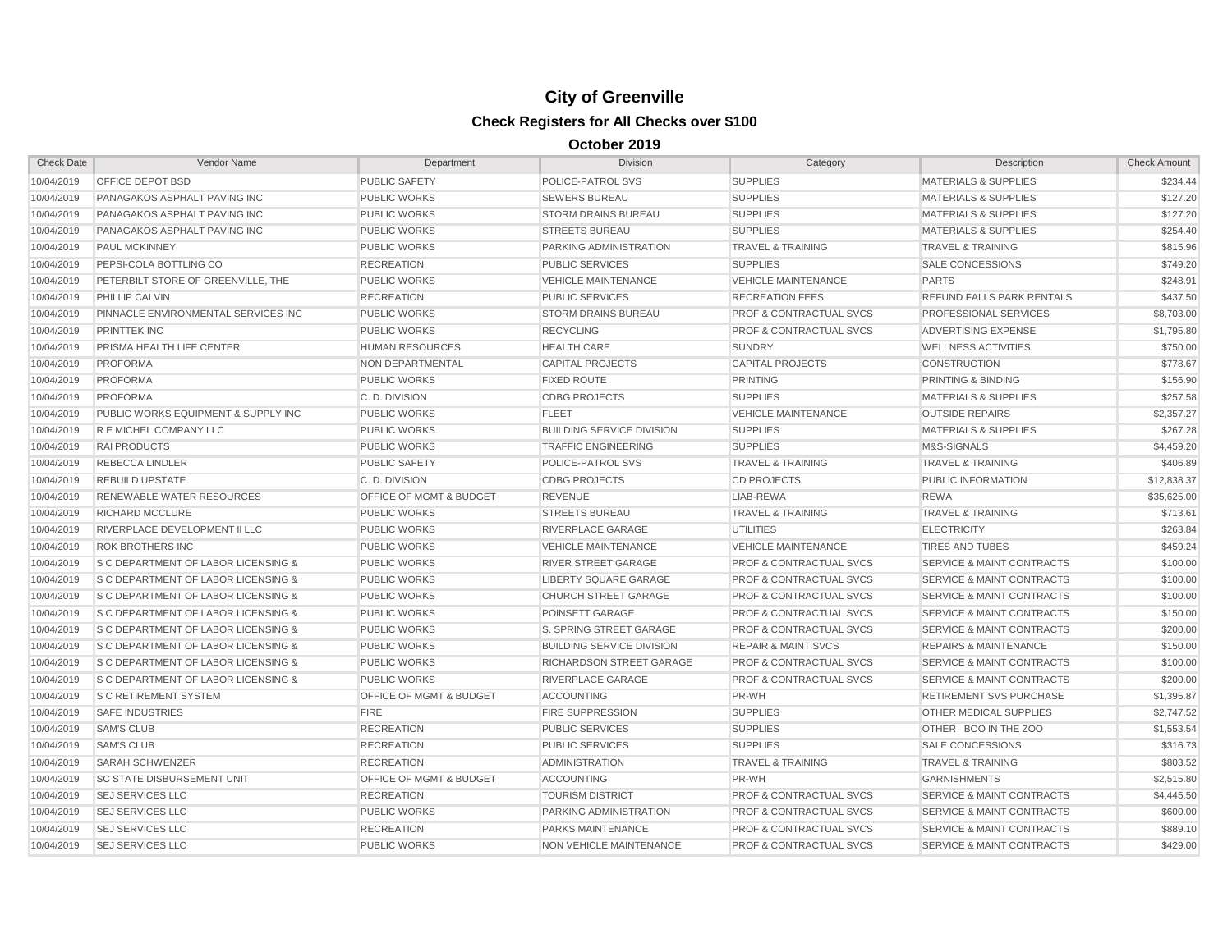| <b>Check Date</b> | Vendor Name                                    | Department                         | <b>Division</b>                  | Category                           | Description                          | <b>Check Amount</b> |
|-------------------|------------------------------------------------|------------------------------------|----------------------------------|------------------------------------|--------------------------------------|---------------------|
| 10/04/2019        | OFFICE DEPOT BSD                               | <b>PUBLIC SAFETY</b>               | POLICE-PATROL SVS                | <b>SUPPLIES</b>                    | <b>MATERIALS &amp; SUPPLIES</b>      | \$234.44            |
| 10/04/2019        | PANAGAKOS ASPHALT PAVING INC                   | <b>PUBLIC WORKS</b>                | <b>SEWERS BUREAU</b>             | <b>SUPPLIES</b>                    | <b>MATERIALS &amp; SUPPLIES</b>      | \$127.20            |
| 10/04/2019        | PANAGAKOS ASPHALT PAVING INC                   | <b>PUBLIC WORKS</b>                | <b>STORM DRAINS BUREAU</b>       | <b>SUPPLIES</b>                    | <b>MATERIALS &amp; SUPPLIES</b>      | \$127.20            |
| 10/04/2019        | <b>PANAGAKOS ASPHALT PAVING INC</b>            | <b>PUBLIC WORKS</b>                | <b>STREETS BUREAU</b>            | <b>SUPPLIES</b>                    | <b>MATERIALS &amp; SUPPLIES</b>      | \$254.40            |
| 10/04/2019        | <b>PAUL MCKINNEY</b>                           | <b>PUBLIC WORKS</b>                | PARKING ADMINISTRATION           | <b>TRAVEL &amp; TRAINING</b>       | <b>TRAVEL &amp; TRAINING</b>         | \$815.96            |
| 10/04/2019        | PEPSI-COLA BOTTLING CO                         | <b>RECREATION</b>                  | <b>PUBLIC SERVICES</b>           | <b>SUPPLIES</b>                    | <b>SALE CONCESSIONS</b>              | \$749.20            |
| 10/04/2019        | PETERBILT STORE OF GREENVILLE, THE             | <b>PUBLIC WORKS</b>                | <b>VEHICLE MAINTENANCE</b>       | <b>VEHICLE MAINTENANCE</b>         | <b>PARTS</b>                         | \$248.91            |
| 10/04/2019        | <b>PHILLIP CALVIN</b>                          | <b>RECREATION</b>                  | <b>PUBLIC SERVICES</b>           | <b>RECREATION FEES</b>             | REFUND FALLS PARK RENTALS            | \$437.50            |
| 10/04/2019        | PINNACLE ENVIRONMENTAL SERVICES INC            | <b>PUBLIC WORKS</b>                | <b>STORM DRAINS BUREAU</b>       | <b>PROF &amp; CONTRACTUAL SVCS</b> | PROFESSIONAL SERVICES                | \$8,703.00          |
| 10/04/2019        | <b>PRINTTEK INC</b>                            | <b>PUBLIC WORKS</b>                | <b>RECYCLING</b>                 | <b>PROF &amp; CONTRACTUAL SVCS</b> | ADVERTISING EXPENSE                  | \$1,795.80          |
| 10/04/2019        | <b>PRISMA HEALTH LIFE CENTER</b>               | <b>HUMAN RESOURCES</b>             | <b>HEALTH CARE</b>               | <b>SUNDRY</b>                      | <b>WELLNESS ACTIVITIES</b>           | \$750.00            |
| 10/04/2019        | <b>PROFORMA</b>                                | <b>NON DEPARTMENTAL</b>            | <b>CAPITAL PROJECTS</b>          | <b>CAPITAL PROJECTS</b>            | <b>CONSTRUCTION</b>                  | \$778.67            |
| 10/04/2019        | PROFORMA                                       | <b>PUBLIC WORKS</b>                | <b>FIXED ROUTE</b>               | <b>PRINTING</b>                    | <b>PRINTING &amp; BINDING</b>        | \$156.90            |
| 10/04/2019        | <b>PROFORMA</b>                                | C.D. DIVISION                      | <b>CDBG PROJECTS</b>             | <b>SUPPLIES</b>                    | <b>MATERIALS &amp; SUPPLIES</b>      | \$257.58            |
| 10/04/2019        | PUBLIC WORKS EQUIPMENT & SUPPLY INC            | <b>PUBLIC WORKS</b>                | <b>FLEET</b>                     | <b>VEHICLE MAINTENANCE</b>         | <b>OUTSIDE REPAIRS</b>               | \$2,357.27          |
| 10/04/2019        | R E MICHEL COMPANY LLC                         | <b>PUBLIC WORKS</b>                | <b>BUILDING SERVICE DIVISION</b> | <b>SUPPLIES</b>                    | <b>MATERIALS &amp; SUPPLIES</b>      | \$267.28            |
| 10/04/2019        | <b>RAI PRODUCTS</b>                            | <b>PUBLIC WORKS</b>                | <b>TRAFFIC ENGINEERING</b>       | <b>SUPPLIES</b>                    | M&S-SIGNALS                          | \$4,459.20          |
| 10/04/2019        | <b>REBECCA LINDLER</b>                         | PUBLIC SAFETY                      | POLICE-PATROL SVS                | <b>TRAVEL &amp; TRAINING</b>       | <b>TRAVEL &amp; TRAINING</b>         | \$406.89            |
| 10/04/2019        | <b>REBUILD UPSTATE</b>                         | C. D. DIVISION                     | <b>CDBG PROJECTS</b>             | <b>CD PROJECTS</b>                 | PUBLIC INFORMATION                   | \$12,838.37         |
| 10/04/2019        | <b>RENEWABLE WATER RESOURCES</b>               | <b>OFFICE OF MGMT &amp; BUDGET</b> | <b>REVENUE</b>                   | LIAB-REWA                          | <b>REWA</b>                          | \$35,625.00         |
| 10/04/2019        | <b>RICHARD MCCLURE</b>                         | <b>PUBLIC WORKS</b>                | <b>STREETS BUREAU</b>            | <b>TRAVEL &amp; TRAINING</b>       | <b>TRAVEL &amp; TRAINING</b>         | \$713.61            |
| 10/04/2019        | RIVERPLACE DEVELOPMENT II LLC                  | <b>PUBLIC WORKS</b>                | RIVERPLACE GARAGE                | <b>UTILITIES</b>                   | <b>ELECTRICITY</b>                   | \$263.84            |
| 10/04/2019        | <b>ROK BROTHERS INC</b>                        | <b>PUBLIC WORKS</b>                | <b>VEHICLE MAINTENANCE</b>       | <b>VEHICLE MAINTENANCE</b>         | <b>TIRES AND TUBES</b>               | \$459.24            |
| 10/04/2019        | <b>S C DEPARTMENT OF LABOR LICENSING &amp;</b> | <b>PUBLIC WORKS</b>                | <b>RIVER STREET GARAGE</b>       | <b>PROF &amp; CONTRACTUAL SVCS</b> | <b>SERVICE &amp; MAINT CONTRACTS</b> | \$100.00            |
| 10/04/2019        | <b>S C DEPARTMENT OF LABOR LICENSING &amp;</b> | <b>PUBLIC WORKS</b>                | <b>LIBERTY SQUARE GARAGE</b>     | <b>PROF &amp; CONTRACTUAL SVCS</b> | <b>SERVICE &amp; MAINT CONTRACTS</b> | \$100.00            |
| 10/04/2019        | <b>S C DEPARTMENT OF LABOR LICENSING &amp;</b> | <b>PUBLIC WORKS</b>                | <b>CHURCH STREET GARAGE</b>      | <b>PROF &amp; CONTRACTUAL SVCS</b> | <b>SERVICE &amp; MAINT CONTRACTS</b> | \$100.00            |
| 10/04/2019        | <b>S C DEPARTMENT OF LABOR LICENSING &amp;</b> | <b>PUBLIC WORKS</b>                | POINSETT GARAGE                  | <b>PROF &amp; CONTRACTUAL SVCS</b> | <b>SERVICE &amp; MAINT CONTRACTS</b> | \$150.00            |
| 10/04/2019        | S C DEPARTMENT OF LABOR LICENSING &            | <b>PUBLIC WORKS</b>                | S. SPRING STREET GARAGE          | <b>PROF &amp; CONTRACTUAL SVCS</b> | <b>SERVICE &amp; MAINT CONTRACTS</b> | \$200.00            |
| 10/04/2019        | <b>S C DEPARTMENT OF LABOR LICENSING &amp;</b> | <b>PUBLIC WORKS</b>                | <b>BUILDING SERVICE DIVISION</b> | <b>REPAIR &amp; MAINT SVCS</b>     | <b>REPAIRS &amp; MAINTENANCE</b>     | \$150.00            |
| 10/04/2019        | <b>S C DEPARTMENT OF LABOR LICENSING &amp;</b> | <b>PUBLIC WORKS</b>                | <b>RICHARDSON STREET GARAGE</b>  | <b>PROF &amp; CONTRACTUAL SVCS</b> | <b>SERVICE &amp; MAINT CONTRACTS</b> | \$100.00            |
| 10/04/2019        | <b>S C DEPARTMENT OF LABOR LICENSING &amp;</b> | <b>PUBLIC WORKS</b>                | <b>RIVERPLACE GARAGE</b>         | <b>PROF &amp; CONTRACTUAL SVCS</b> | <b>SERVICE &amp; MAINT CONTRACTS</b> | \$200.00            |
| 10/04/2019        | <b>S C RETIREMENT SYSTEM</b>                   | OFFICE OF MGMT & BUDGET            | <b>ACCOUNTING</b>                | PR-WH                              | RETIREMENT SVS PURCHASE              | \$1,395.87          |
| 10/04/2019        | <b>SAFE INDUSTRIES</b>                         | <b>FIRE</b>                        | <b>FIRE SUPPRESSION</b>          | <b>SUPPLIES</b>                    | OTHER MEDICAL SUPPLIES               | \$2,747.52          |
| 10/04/2019        | <b>SAM'S CLUB</b>                              | <b>RECREATION</b>                  | <b>PUBLIC SERVICES</b>           | <b>SUPPLIES</b>                    | OTHER BOO IN THE ZOO                 | \$1,553.54          |
| 10/04/2019        | <b>SAM'S CLUB</b>                              | <b>RECREATION</b>                  | <b>PUBLIC SERVICES</b>           | <b>SUPPLIES</b>                    | <b>SALE CONCESSIONS</b>              | \$316.73            |
| 10/04/2019        | <b>SARAH SCHWENZER</b>                         | <b>RECREATION</b>                  | <b>ADMINISTRATION</b>            | <b>TRAVEL &amp; TRAINING</b>       | <b>TRAVEL &amp; TRAINING</b>         | \$803.52            |
| 10/04/2019        | <b>SC STATE DISBURSEMENT UNIT</b>              | OFFICE OF MGMT & BUDGET            | <b>ACCOUNTING</b>                | PR-WH                              | <b>GARNISHMENTS</b>                  | \$2,515.80          |
| 10/04/2019        | <b>SEJ SERVICES LLC</b>                        | <b>RECREATION</b>                  | <b>TOURISM DISTRICT</b>          | <b>PROF &amp; CONTRACTUAL SVCS</b> | <b>SERVICE &amp; MAINT CONTRACTS</b> | \$4,445.50          |
| 10/04/2019        | <b>SEJ SERVICES LLC</b>                        | <b>PUBLIC WORKS</b>                | PARKING ADMINISTRATION           | <b>PROF &amp; CONTRACTUAL SVCS</b> | <b>SERVICE &amp; MAINT CONTRACTS</b> | \$600.00            |
| 10/04/2019        | <b>SEJ SERVICES LLC</b>                        | <b>RECREATION</b>                  | <b>PARKS MAINTENANCE</b>         | <b>PROF &amp; CONTRACTUAL SVCS</b> | <b>SERVICE &amp; MAINT CONTRACTS</b> | \$889.10            |
| 10/04/2019        | <b>SEJ SERVICES LLC</b>                        | <b>PUBLIC WORKS</b>                | <b>NON VEHICLE MAINTENANCE</b>   | <b>PROF &amp; CONTRACTUAL SVCS</b> | <b>SERVICE &amp; MAINT CONTRACTS</b> | \$429.00            |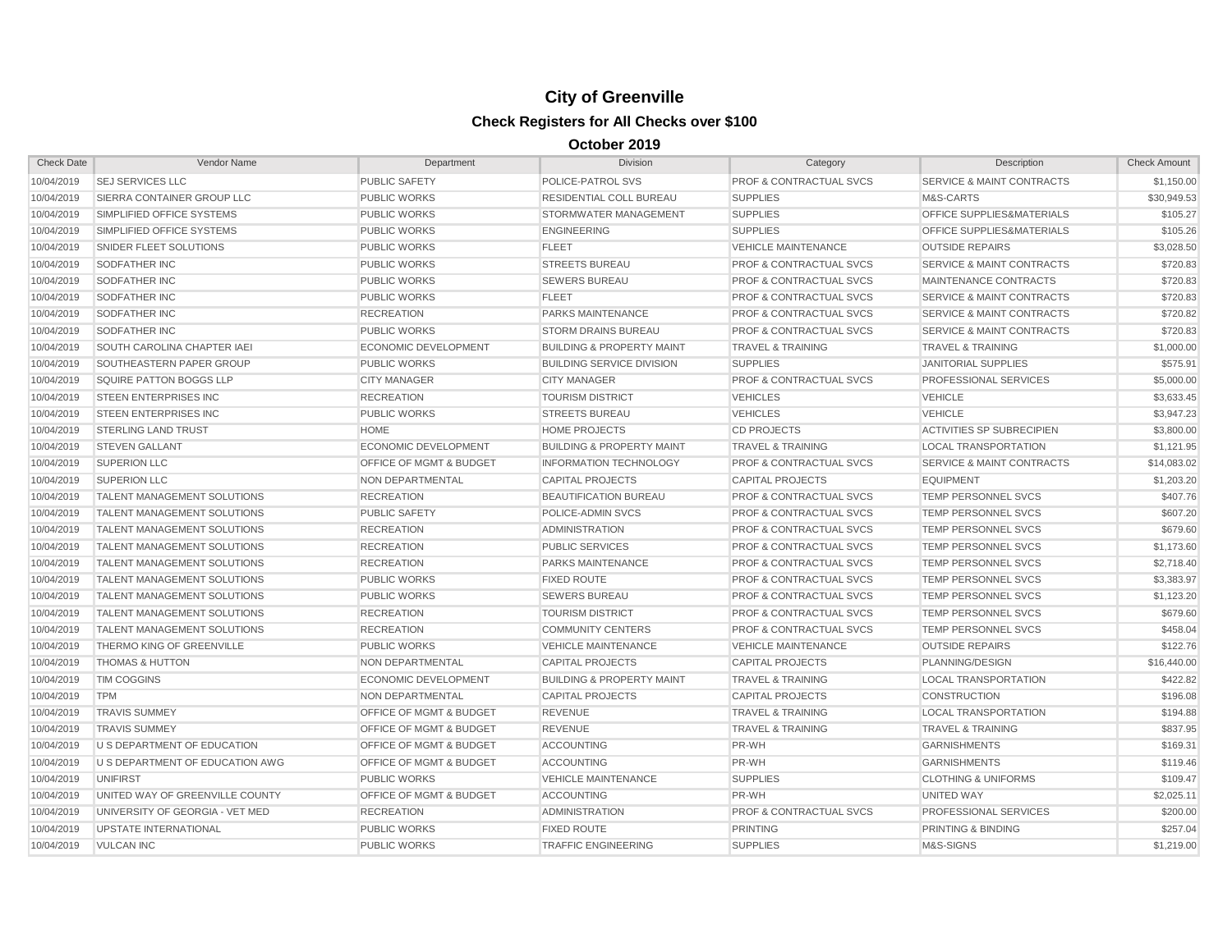| <b>Check Date</b> | Vendor Name                        | Department                         | <b>Division</b>                      | Category                           | Description                          | <b>Check Amount</b> |
|-------------------|------------------------------------|------------------------------------|--------------------------------------|------------------------------------|--------------------------------------|---------------------|
| 10/04/2019        | <b>SEJ SERVICES LLC</b>            | <b>PUBLIC SAFETY</b>               | POLICE-PATROL SVS                    | <b>PROF &amp; CONTRACTUAL SVCS</b> | <b>SERVICE &amp; MAINT CONTRACTS</b> | \$1,150.00          |
| 10/04/2019        | SIERRA CONTAINER GROUP LLC         | <b>PUBLIC WORKS</b>                | <b>RESIDENTIAL COLL BUREAU</b>       | <b>SUPPLIES</b>                    | M&S-CARTS                            | \$30.949.53         |
| 10/04/2019        | SIMPLIFIED OFFICE SYSTEMS          | <b>PUBLIC WORKS</b>                | STORMWATER MANAGEMENT                | <b>SUPPLIES</b>                    | OFFICE SUPPLIES&MATERIALS            | \$105.27            |
| 10/04/2019        | SIMPLIFIED OFFICE SYSTEMS          | <b>PUBLIC WORKS</b>                | <b>ENGINEERING</b>                   | <b>SUPPLIES</b>                    | <b>OFFICE SUPPLIES&amp;MATERIALS</b> | \$105.26            |
| 10/04/2019        | SNIDER FLEET SOLUTIONS             | <b>PUBLIC WORKS</b>                | <b>FLEET</b>                         | <b>VEHICLE MAINTENANCE</b>         | <b>OUTSIDE REPAIRS</b>               | \$3,028.50          |
| 10/04/2019        | <b>SODFATHER INC</b>               | <b>PUBLIC WORKS</b>                | <b>STREETS BUREAU</b>                | <b>PROF &amp; CONTRACTUAL SVCS</b> | <b>SERVICE &amp; MAINT CONTRACTS</b> | \$720.83            |
| 10/04/2019        | <b>SODFATHER INC</b>               | <b>PUBLIC WORKS</b>                | <b>SEWERS BUREAU</b>                 | <b>PROF &amp; CONTRACTUAL SVCS</b> | MAINTENANCE CONTRACTS                | \$720.83            |
| 10/04/2019        | SODFATHER INC                      | <b>PUBLIC WORKS</b>                | <b>FLEET</b>                         | <b>PROF &amp; CONTRACTUAL SVCS</b> | <b>SERVICE &amp; MAINT CONTRACTS</b> | \$720.83            |
| 10/04/2019        | <b>SODFATHER INC</b>               | <b>RECREATION</b>                  | PARKS MAINTENANCE                    | <b>PROF &amp; CONTRACTUAL SVCS</b> | <b>SERVICE &amp; MAINT CONTRACTS</b> | \$720.82            |
| 10/04/2019        | <b>SODFATHER INC</b>               | <b>PUBLIC WORKS</b>                | <b>STORM DRAINS BUREAU</b>           | <b>PROF &amp; CONTRACTUAL SVCS</b> | <b>SERVICE &amp; MAINT CONTRACTS</b> | \$720.83            |
| 10/04/2019        | <b>SOUTH CAROLINA CHAPTER IAEI</b> | <b>ECONOMIC DEVELOPMENT</b>        | <b>BUILDING &amp; PROPERTY MAINT</b> | <b>TRAVEL &amp; TRAINING</b>       | <b>TRAVEL &amp; TRAINING</b>         | \$1,000.00          |
| 10/04/2019        | SOUTHEASTERN PAPER GROUP           | <b>PUBLIC WORKS</b>                | <b>BUILDING SERVICE DIVISION</b>     | <b>SUPPLIES</b>                    | <b>JANITORIAL SUPPLIES</b>           | \$575.91            |
| 10/04/2019        | SQUIRE PATTON BOGGS LLP            | <b>CITY MANAGER</b>                | <b>CITY MANAGER</b>                  | <b>PROF &amp; CONTRACTUAL SVCS</b> | <b>PROFESSIONAL SERVICES</b>         | \$5,000.00          |
| 10/04/2019        | <b>STEEN ENTERPRISES INC</b>       | <b>RECREATION</b>                  | <b>TOURISM DISTRICT</b>              | <b>VEHICLES</b>                    | <b>VEHICLE</b>                       | \$3,633.45          |
| 10/04/2019        | <b>STEEN ENTERPRISES INC</b>       | <b>PUBLIC WORKS</b>                | <b>STREETS BUREAU</b>                | <b>VEHICLES</b>                    | <b>VEHICLE</b>                       | \$3.947.23          |
| 10/04/2019        | <b>STERLING LAND TRUST</b>         | <b>HOME</b>                        | <b>HOME PROJECTS</b>                 | <b>CD PROJECTS</b>                 | <b>ACTIVITIES SP SUBRECIPIEN</b>     | \$3,800.00          |
| 10/04/2019        | <b>STEVEN GALLANT</b>              | <b>ECONOMIC DEVELOPMENT</b>        | <b>BUILDING &amp; PROPERTY MAINT</b> | <b>TRAVEL &amp; TRAINING</b>       | <b>LOCAL TRANSPORTATION</b>          | \$1,121.95          |
| 10/04/2019        | <b>SUPERION LLC</b>                | <b>OFFICE OF MGMT &amp; BUDGET</b> | <b>INFORMATION TECHNOLOGY</b>        | <b>PROF &amp; CONTRACTUAL SVCS</b> | <b>SERVICE &amp; MAINT CONTRACTS</b> | \$14,083.02         |
| 10/04/2019        | <b>SUPERION LLC</b>                | NON DEPARTMENTAL                   | <b>CAPITAL PROJECTS</b>              | <b>CAPITAL PROJECTS</b>            | <b>EQUIPMENT</b>                     | \$1,203.20          |
| 10/04/2019        | <b>TALENT MANAGEMENT SOLUTIONS</b> | <b>RECREATION</b>                  | <b>BEAUTIFICATION BUREAU</b>         | <b>PROF &amp; CONTRACTUAL SVCS</b> | TEMP PERSONNEL SVCS                  | \$407.76            |
| 10/04/2019        | <b>TALENT MANAGEMENT SOLUTIONS</b> | <b>PUBLIC SAFETY</b>               | POLICE-ADMIN SVCS                    | <b>PROF &amp; CONTRACTUAL SVCS</b> | <b>TEMP PERSONNEL SVCS</b>           | \$607.20            |
| 10/04/2019        | <b>TALENT MANAGEMENT SOLUTIONS</b> | <b>RECREATION</b>                  | <b>ADMINISTRATION</b>                | <b>PROF &amp; CONTRACTUAL SVCS</b> | TEMP PERSONNEL SVCS                  | \$679.60            |
| 10/04/2019        | <b>TALENT MANAGEMENT SOLUTIONS</b> | <b>RECREATION</b>                  | <b>PUBLIC SERVICES</b>               | <b>PROF &amp; CONTRACTUAL SVCS</b> | TEMP PERSONNEL SVCS                  | \$1,173.60          |
| 10/04/2019        | TALENT MANAGEMENT SOLUTIONS        | <b>RECREATION</b>                  | <b>PARKS MAINTENANCE</b>             | <b>PROF &amp; CONTRACTUAL SVCS</b> | TEMP PERSONNEL SVCS                  | \$2,718.40          |
| 10/04/2019        | <b>TALENT MANAGEMENT SOLUTIONS</b> | <b>PUBLIC WORKS</b>                | <b>FIXED ROUTE</b>                   | <b>PROF &amp; CONTRACTUAL SVCS</b> | <b>TEMP PERSONNEL SVCS</b>           | \$3,383.97          |
| 10/04/2019        | <b>TALENT MANAGEMENT SOLUTIONS</b> | <b>PUBLIC WORKS</b>                | <b>SEWERS BUREAU</b>                 | <b>PROF &amp; CONTRACTUAL SVCS</b> | <b>TEMP PERSONNEL SVCS</b>           | \$1,123.20          |
| 10/04/2019        | TALENT MANAGEMENT SOLUTIONS        | <b>RECREATION</b>                  | <b>TOURISM DISTRICT</b>              | <b>PROF &amp; CONTRACTUAL SVCS</b> | TEMP PERSONNEL SVCS                  | \$679.60            |
| 10/04/2019        | <b>TALENT MANAGEMENT SOLUTIONS</b> | <b>RECREATION</b>                  | <b>COMMUNITY CENTERS</b>             | PROF & CONTRACTUAL SVCS            | <b>TEMP PERSONNEL SVCS</b>           | \$458.04            |
| 10/04/2019        | THERMO KING OF GREENVILLE          | <b>PUBLIC WORKS</b>                | <b>VEHICLE MAINTENANCE</b>           | <b>VEHICLE MAINTENANCE</b>         | <b>OUTSIDE REPAIRS</b>               | \$122.76            |
| 10/04/2019        | <b>THOMAS &amp; HUTTON</b>         | <b>NON DEPARTMENTAL</b>            | <b>CAPITAL PROJECTS</b>              | <b>CAPITAL PROJECTS</b>            | PLANNING/DESIGN                      | \$16,440.00         |
| 10/04/2019        | <b>TIM COGGINS</b>                 | <b>ECONOMIC DEVELOPMENT</b>        | <b>BUILDING &amp; PROPERTY MAINT</b> | <b>TRAVEL &amp; TRAINING</b>       | <b>LOCAL TRANSPORTATION</b>          | \$422.82            |
| 10/04/2019        | <b>TPM</b>                         | <b>NON DEPARTMENTAL</b>            | <b>CAPITAL PROJECTS</b>              | <b>CAPITAL PROJECTS</b>            | <b>CONSTRUCTION</b>                  | \$196.08            |
| 10/04/2019        | <b>TRAVIS SUMMEY</b>               | OFFICE OF MGMT & BUDGET            | <b>REVENUE</b>                       | <b>TRAVEL &amp; TRAINING</b>       | <b>LOCAL TRANSPORTATION</b>          | \$194.88            |
| 10/04/2019        | <b>TRAVIS SUMMEY</b>               | <b>OFFICE OF MGMT &amp; BUDGET</b> | <b>REVENUE</b>                       | <b>TRAVEL &amp; TRAINING</b>       | <b>TRAVEL &amp; TRAINING</b>         | \$837.95            |
| 10/04/2019        | U S DEPARTMENT OF EDUCATION        | <b>OFFICE OF MGMT &amp; BUDGET</b> | <b>ACCOUNTING</b>                    | PR-WH                              | <b>GARNISHMENTS</b>                  | \$169.31            |
| 10/04/2019        | U S DEPARTMENT OF EDUCATION AWG    | <b>OFFICE OF MGMT &amp; BUDGET</b> | <b>ACCOUNTING</b>                    | PR-WH                              | <b>GARNISHMENTS</b>                  | \$119.46            |
| 10/04/2019        | UNIFIRST                           | <b>PUBLIC WORKS</b>                | <b>VEHICLE MAINTENANCE</b>           | <b>SUPPLIES</b>                    | <b>CLOTHING &amp; UNIFORMS</b>       | \$109.47            |
| 10/04/2019        | UNITED WAY OF GREENVILLE COUNTY    | <b>OFFICE OF MGMT &amp; BUDGET</b> | <b>ACCOUNTING</b>                    | PR-WH                              | UNITED WAY                           | \$2,025.11          |
| 10/04/2019        | UNIVERSITY OF GEORGIA - VET MED    | <b>RECREATION</b>                  | <b>ADMINISTRATION</b>                | <b>PROF &amp; CONTRACTUAL SVCS</b> | PROFESSIONAL SERVICES                | \$200.00            |
| 10/04/2019        | <b>UPSTATE INTERNATIONAL</b>       | <b>PUBLIC WORKS</b>                | <b>FIXED ROUTE</b>                   | <b>PRINTING</b>                    | <b>PRINTING &amp; BINDING</b>        | \$257.04            |
| 10/04/2019        | <b>VULCAN INC</b>                  | <b>PUBLIC WORKS</b>                | <b>TRAFFIC ENGINEERING</b>           | <b>SUPPLIES</b>                    | M&S-SIGNS                            | \$1,219.00          |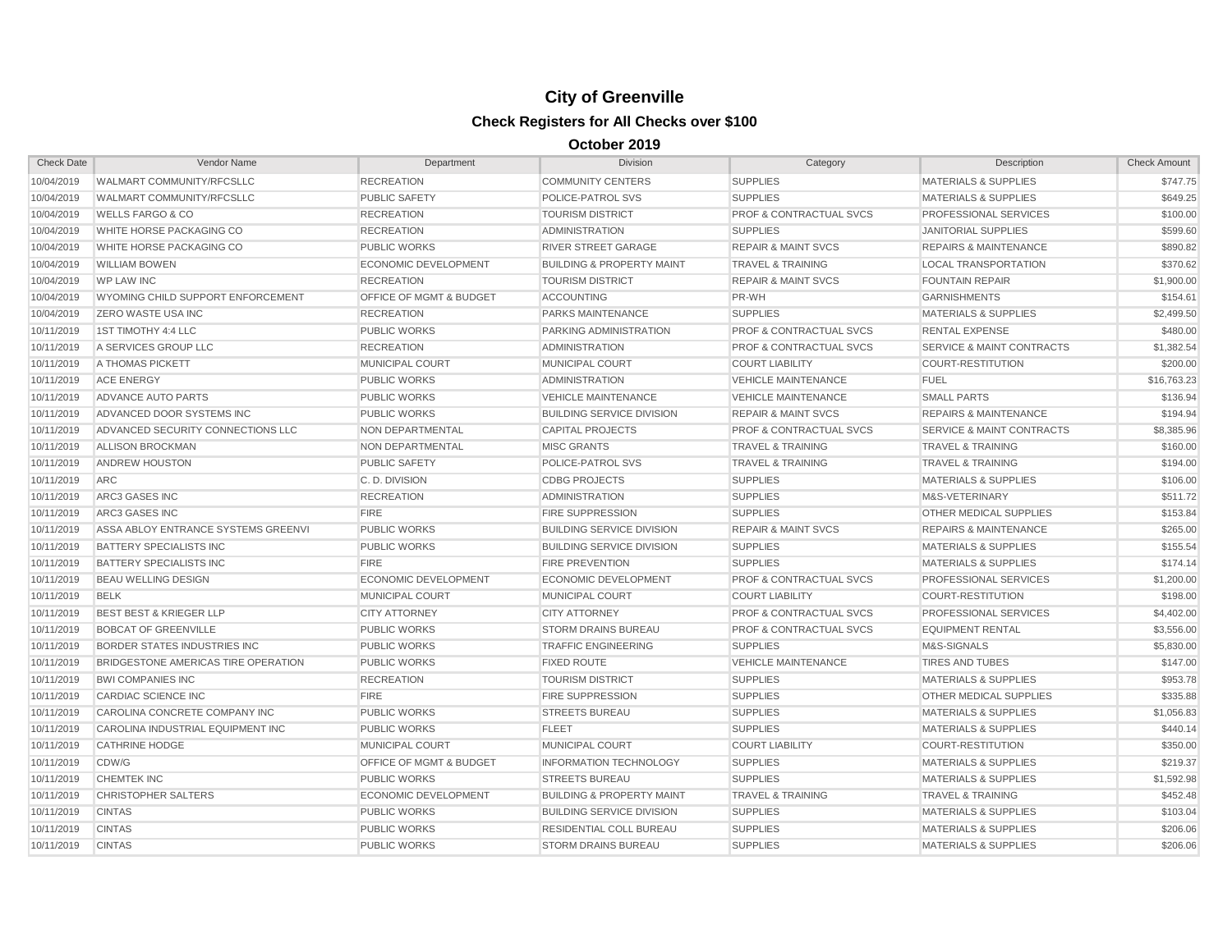| <b>Check Date</b> | Vendor Name                         | Department                  | <b>Division</b>                      | Category                           | Description                          | <b>Check Amount</b> |
|-------------------|-------------------------------------|-----------------------------|--------------------------------------|------------------------------------|--------------------------------------|---------------------|
| 10/04/2019        | WALMART COMMUNITY/RFCSLLC           | <b>RECREATION</b>           | <b>COMMUNITY CENTERS</b>             | <b>SUPPLIES</b>                    | <b>MATERIALS &amp; SUPPLIES</b>      | \$747.75            |
| 10/04/2019        | <b>WALMART COMMUNITY/RFCSLLC</b>    | <b>PUBLIC SAFETY</b>        | POLICE-PATROL SVS                    | <b>SUPPLIES</b>                    | <b>MATERIALS &amp; SUPPLIES</b>      | \$649.25            |
| 10/04/2019        | <b>WELLS FARGO &amp; CO</b>         | <b>RECREATION</b>           | <b>TOURISM DISTRICT</b>              | <b>PROF &amp; CONTRACTUAL SVCS</b> | <b>PROFESSIONAL SERVICES</b>         | \$100.00            |
| 10/04/2019        | WHITE HORSE PACKAGING CO            | <b>RECREATION</b>           | <b>ADMINISTRATION</b>                | <b>SUPPLIES</b>                    | <b>JANITORIAL SUPPLIES</b>           | \$599.60            |
| 10/04/2019        | WHITE HORSE PACKAGING CO            | <b>PUBLIC WORKS</b>         | <b>RIVER STREET GARAGE</b>           | <b>REPAIR &amp; MAINT SVCS</b>     | <b>REPAIRS &amp; MAINTENANCE</b>     | \$890.82            |
| 10/04/2019        | <b>WILLIAM BOWEN</b>                | <b>ECONOMIC DEVELOPMENT</b> | <b>BUILDING &amp; PROPERTY MAINT</b> | <b>TRAVEL &amp; TRAINING</b>       | <b>LOCAL TRANSPORTATION</b>          | \$370.62            |
| 10/04/2019        | <b>WP LAW INC</b>                   | <b>RECREATION</b>           | <b>TOURISM DISTRICT</b>              | <b>REPAIR &amp; MAINT SVCS</b>     | <b>FOUNTAIN REPAIR</b>               | \$1,900.00          |
| 10/04/2019        | WYOMING CHILD SUPPORT ENFORCEMENT   | OFFICE OF MGMT & BUDGET     | <b>ACCOUNTING</b>                    | PR-WH                              | <b>GARNISHMENTS</b>                  | \$154.61            |
| 10/04/2019        | <b>ZERO WASTE USA INC</b>           | <b>RECREATION</b>           | PARKS MAINTENANCE                    | <b>SUPPLIES</b>                    | <b>MATERIALS &amp; SUPPLIES</b>      | \$2,499.50          |
| 10/11/2019        | 1ST TIMOTHY 4:4 LLC                 | <b>PUBLIC WORKS</b>         | PARKING ADMINISTRATION               | <b>PROF &amp; CONTRACTUAL SVCS</b> | <b>RENTAL EXPENSE</b>                | \$480.00            |
| 10/11/2019        | A SERVICES GROUP LLC                | <b>RECREATION</b>           | <b>ADMINISTRATION</b>                | <b>PROF &amp; CONTRACTUAL SVCS</b> | <b>SERVICE &amp; MAINT CONTRACTS</b> | \$1,382.54          |
| 10/11/2019        | <b>A THOMAS PICKETT</b>             | <b>MUNICIPAL COURT</b>      | <b>MUNICIPAL COURT</b>               | <b>COURT LIABILITY</b>             | <b>COURT-RESTITUTION</b>             | \$200.00            |
| 10/11/2019        | <b>ACE ENERGY</b>                   | <b>PUBLIC WORKS</b>         | <b>ADMINISTRATION</b>                | <b>VEHICLE MAINTENANCE</b>         | <b>FUEL</b>                          | \$16,763.23         |
| 10/11/2019        | ADVANCE AUTO PARTS                  | <b>PUBLIC WORKS</b>         | <b>VEHICLE MAINTENANCE</b>           | <b>VEHICLE MAINTENANCE</b>         | <b>SMALL PARTS</b>                   | \$136.94            |
| 10/11/2019        | ADVANCED DOOR SYSTEMS INC           | <b>PUBLIC WORKS</b>         | <b>BUILDING SERVICE DIVISION</b>     | <b>REPAIR &amp; MAINT SVCS</b>     | <b>REPAIRS &amp; MAINTENANCE</b>     | \$194.94            |
| 10/11/2019        | ADVANCED SECURITY CONNECTIONS LLC   | NON DEPARTMENTAL            | <b>CAPITAL PROJECTS</b>              | <b>PROF &amp; CONTRACTUAL SVCS</b> | <b>SERVICE &amp; MAINT CONTRACTS</b> | \$8,385.96          |
| 10/11/2019        | ALLISON BROCKMAN                    | <b>NON DEPARTMENTAL</b>     | <b>MISC GRANTS</b>                   | <b>TRAVEL &amp; TRAINING</b>       | <b>TRAVEL &amp; TRAINING</b>         | \$160.00            |
| 10/11/2019        | <b>ANDREW HOUSTON</b>               | <b>PUBLIC SAFETY</b>        | POLICE-PATROL SVS                    | <b>TRAVEL &amp; TRAINING</b>       | <b>TRAVEL &amp; TRAINING</b>         | \$194.00            |
| 10/11/2019        | <b>ARC</b>                          | C.D. DIVISION               | <b>CDBG PROJECTS</b>                 | <b>SUPPLIES</b>                    | <b>MATERIALS &amp; SUPPLIES</b>      | \$106.00            |
| 10/11/2019        | ARC3 GASES INC                      | <b>RECREATION</b>           | <b>ADMINISTRATION</b>                | <b>SUPPLIES</b>                    | M&S-VETERINARY                       | \$511.72            |
| 10/11/2019        | <b>ARC3 GASES INC</b>               | <b>FIRE</b>                 | <b>FIRE SUPPRESSION</b>              | <b>SUPPLIES</b>                    | <b>OTHER MEDICAL SUPPLIES</b>        | \$153.84            |
| 10/11/2019        | ASSA ABLOY ENTRANCE SYSTEMS GREENVI | <b>PUBLIC WORKS</b>         | <b>BUILDING SERVICE DIVISION</b>     | <b>REPAIR &amp; MAINT SVCS</b>     | <b>REPAIRS &amp; MAINTENANCE</b>     | \$265.00            |
| 10/11/2019        | <b>BATTERY SPECIALISTS INC</b>      | <b>PUBLIC WORKS</b>         | <b>BUILDING SERVICE DIVISION</b>     | <b>SUPPLIES</b>                    | <b>MATERIALS &amp; SUPPLIES</b>      | \$155.54            |
| 10/11/2019        | BATTERY SPECIALISTS INC             | <b>FIRE</b>                 | <b>FIRE PREVENTION</b>               | <b>SUPPLIES</b>                    | <b>MATERIALS &amp; SUPPLIES</b>      | \$174.14            |
| 10/11/2019        | <b>BEAU WELLING DESIGN</b>          | <b>ECONOMIC DEVELOPMENT</b> | ECONOMIC DEVELOPMENT                 | <b>PROF &amp; CONTRACTUAL SVCS</b> | <b>PROFESSIONAL SERVICES</b>         | \$1,200.00          |
| 10/11/2019        | <b>BELK</b>                         | MUNICIPAL COURT             | <b>MUNICIPAL COURT</b>               | <b>COURT LIABILITY</b>             | <b>COURT-RESTITUTION</b>             | \$198.00            |
| 10/11/2019        | <b>BEST BEST &amp; KRIEGER LLP</b>  | <b>CITY ATTORNEY</b>        | <b>CITY ATTORNEY</b>                 | <b>PROF &amp; CONTRACTUAL SVCS</b> | PROFESSIONAL SERVICES                | \$4,402.00          |
| 10/11/2019        | <b>BOBCAT OF GREENVILLE</b>         | <b>PUBLIC WORKS</b>         | <b>STORM DRAINS BUREAU</b>           | <b>PROF &amp; CONTRACTUAL SVCS</b> | <b>EQUIPMENT RENTAL</b>              | \$3,556.00          |
| 10/11/2019        | BORDER STATES INDUSTRIES INC        | <b>PUBLIC WORKS</b>         | <b>TRAFFIC ENGINEERING</b>           | <b>SUPPLIES</b>                    | M&S-SIGNALS                          | \$5,830.00          |
| 10/11/2019        | BRIDGESTONE AMERICAS TIRE OPERATION | <b>PUBLIC WORKS</b>         | <b>FIXED ROUTE</b>                   | <b>VEHICLE MAINTENANCE</b>         | <b>TIRES AND TUBES</b>               | \$147.00            |
| 10/11/2019        | <b>BWI COMPANIES INC</b>            | <b>RECREATION</b>           | <b>TOURISM DISTRICT</b>              | <b>SUPPLIES</b>                    | <b>MATERIALS &amp; SUPPLIES</b>      | \$953.78            |
| 10/11/2019        | <b>CARDIAC SCIENCE INC</b>          | <b>FIRE</b>                 | <b>FIRE SUPPRESSION</b>              | <b>SUPPLIES</b>                    | <b>OTHER MEDICAL SUPPLIES</b>        | \$335.88            |
| 10/11/2019        | CAROLINA CONCRETE COMPANY INC       | <b>PUBLIC WORKS</b>         | <b>STREETS BUREAU</b>                | <b>SUPPLIES</b>                    | <b>MATERIALS &amp; SUPPLIES</b>      | \$1,056.83          |
| 10/11/2019        | CAROLINA INDUSTRIAL EQUIPMENT INC   | <b>PUBLIC WORKS</b>         | <b>FLEET</b>                         | <b>SUPPLIES</b>                    | <b>MATERIALS &amp; SUPPLIES</b>      | \$440.14            |
| 10/11/2019        | <b>CATHRINE HODGE</b>               | <b>MUNICIPAL COURT</b>      | <b>MUNICIPAL COURT</b>               | <b>COURT LIABILITY</b>             | <b>COURT-RESTITUTION</b>             | \$350.00            |
| 10/11/2019        | CDW/G                               | OFFICE OF MGMT & BUDGET     | <b>INFORMATION TECHNOLOGY</b>        | <b>SUPPLIES</b>                    | <b>MATERIALS &amp; SUPPLIES</b>      | \$219.37            |
| 10/11/2019        | <b>CHEMTEK INC</b>                  | <b>PUBLIC WORKS</b>         | <b>STREETS BUREAU</b>                | <b>SUPPLIES</b>                    | <b>MATERIALS &amp; SUPPLIES</b>      | \$1,592.98          |
| 10/11/2019        | <b>CHRISTOPHER SALTERS</b>          | <b>ECONOMIC DEVELOPMENT</b> | <b>BUILDING &amp; PROPERTY MAINT</b> | <b>TRAVEL &amp; TRAINING</b>       | <b>TRAVEL &amp; TRAINING</b>         | \$452.48            |
| 10/11/2019        | <b>CINTAS</b>                       | <b>PUBLIC WORKS</b>         | <b>BUILDING SERVICE DIVISION</b>     | <b>SUPPLIES</b>                    | <b>MATERIALS &amp; SUPPLIES</b>      | \$103.04            |
| 10/11/2019        | <b>CINTAS</b>                       | <b>PUBLIC WORKS</b>         | <b>RESIDENTIAL COLL BUREAU</b>       | <b>SUPPLIES</b>                    | <b>MATERIALS &amp; SUPPLIES</b>      | \$206.06            |
| 10/11/2019        | <b>CINTAS</b>                       | <b>PUBLIC WORKS</b>         | <b>STORM DRAINS BUREAU</b>           | <b>SUPPLIES</b>                    | <b>MATERIALS &amp; SUPPLIES</b>      | \$206.06            |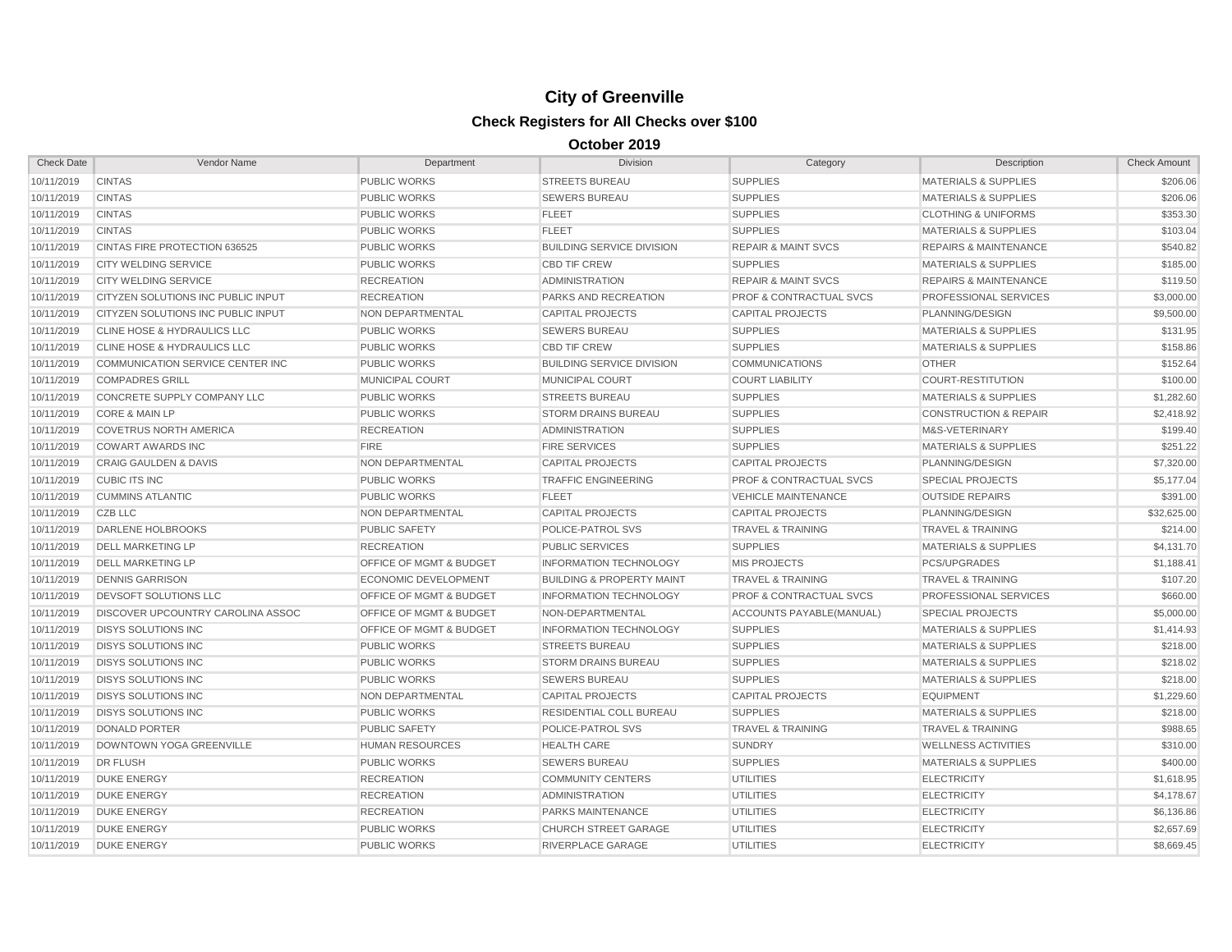| <b>Check Date</b> | Vendor Name                            | Department                         | <b>Division</b>                      | Category                           | Description                      | <b>Check Amount</b> |
|-------------------|----------------------------------------|------------------------------------|--------------------------------------|------------------------------------|----------------------------------|---------------------|
| 10/11/2019        | <b>CINTAS</b>                          | <b>PUBLIC WORKS</b>                | <b>STREETS BUREAU</b>                | <b>SUPPLIES</b>                    | <b>MATERIALS &amp; SUPPLIES</b>  | \$206.06            |
| 10/11/2019        | <b>CINTAS</b>                          | <b>PUBLIC WORKS</b>                | <b>SEWERS BUREAU</b>                 | <b>SUPPLIES</b>                    | <b>MATERIALS &amp; SUPPLIES</b>  | \$206.06            |
| 10/11/2019        | <b>CINTAS</b>                          | <b>PUBLIC WORKS</b>                | <b>FLEET</b>                         | <b>SUPPLIES</b>                    | <b>CLOTHING &amp; UNIFORMS</b>   | \$353.30            |
| 10/11/2019        | <b>CINTAS</b>                          | <b>PUBLIC WORKS</b>                | <b>FLEET</b>                         | <b>SUPPLIES</b>                    | <b>MATERIALS &amp; SUPPLIES</b>  | \$103.04            |
| 10/11/2019        | CINTAS FIRE PROTECTION 636525          | <b>PUBLIC WORKS</b>                | <b>BUILDING SERVICE DIVISION</b>     | <b>REPAIR &amp; MAINT SVCS</b>     | <b>REPAIRS &amp; MAINTENANCE</b> | \$540.82            |
| 10/11/2019        | <b>CITY WELDING SERVICE</b>            | <b>PUBLIC WORKS</b>                | <b>CBD TIF CREW</b>                  | <b>SUPPLIES</b>                    | <b>MATERIALS &amp; SUPPLIES</b>  | \$185.00            |
| 10/11/2019        | <b>CITY WELDING SERVICE</b>            | <b>RECREATION</b>                  | <b>ADMINISTRATION</b>                | <b>REPAIR &amp; MAINT SVCS</b>     | <b>REPAIRS &amp; MAINTENANCE</b> | \$119.50            |
| 10/11/2019        | CITYZEN SOLUTIONS INC PUBLIC INPUT     | <b>RECREATION</b>                  | PARKS AND RECREATION                 | <b>PROF &amp; CONTRACTUAL SVCS</b> | PROFESSIONAL SERVICES            | \$3,000.00          |
| 10/11/2019        | CITYZEN SOLUTIONS INC PUBLIC INPUT     | NON DEPARTMENTAL                   | <b>CAPITAL PROJECTS</b>              | <b>CAPITAL PROJECTS</b>            | PLANNING/DESIGN                  | \$9,500.00          |
| 10/11/2019        | CLINE HOSE & HYDRAULICS LLC            | <b>PUBLIC WORKS</b>                | <b>SEWERS BUREAU</b>                 | <b>SUPPLIES</b>                    | <b>MATERIALS &amp; SUPPLIES</b>  | \$131.95            |
| 10/11/2019        | <b>CLINE HOSE &amp; HYDRAULICS LLC</b> | <b>PUBLIC WORKS</b>                | <b>CBD TIF CREW</b>                  | <b>SUPPLIES</b>                    | <b>MATERIALS &amp; SUPPLIES</b>  | \$158.86            |
| 10/11/2019        | COMMUNICATION SERVICE CENTER INC       | <b>PUBLIC WORKS</b>                | <b>BUILDING SERVICE DIVISION</b>     | <b>COMMUNICATIONS</b>              | <b>OTHER</b>                     | \$152.64            |
| 10/11/2019        | <b>COMPADRES GRILL</b>                 | <b>MUNICIPAL COURT</b>             | <b>MUNICIPAL COURT</b>               | <b>COURT LIABILITY</b>             | <b>COURT-RESTITUTION</b>         | \$100.00            |
| 10/11/2019        | CONCRETE SUPPLY COMPANY LLC            | <b>PUBLIC WORKS</b>                | <b>STREETS BUREAU</b>                | <b>SUPPLIES</b>                    | <b>MATERIALS &amp; SUPPLIES</b>  | \$1,282.60          |
| 10/11/2019        | <b>CORE &amp; MAIN LP</b>              | <b>PUBLIC WORKS</b>                | <b>STORM DRAINS BUREAU</b>           | <b>SUPPLIES</b>                    | <b>CONSTRUCTION &amp; REPAIR</b> | \$2,418.92          |
| 10/11/2019        | <b>COVETRUS NORTH AMERICA</b>          | <b>RECREATION</b>                  | <b>ADMINISTRATION</b>                | <b>SUPPLIES</b>                    | M&S-VETERINARY                   | \$199.40            |
| 10/11/2019        | <b>COWART AWARDS INC</b>               | <b>FIRE</b>                        | <b>FIRE SERVICES</b>                 | <b>SUPPLIES</b>                    | <b>MATERIALS &amp; SUPPLIES</b>  | \$251.22            |
| 10/11/2019        | <b>CRAIG GAULDEN &amp; DAVIS</b>       | NON DEPARTMENTAL                   | <b>CAPITAL PROJECTS</b>              | <b>CAPITAL PROJECTS</b>            | PLANNING/DESIGN                  | \$7,320.00          |
| 10/11/2019        | <b>CUBIC ITS INC</b>                   | <b>PUBLIC WORKS</b>                | <b>TRAFFIC ENGINEERING</b>           | <b>PROF &amp; CONTRACTUAL SVCS</b> | <b>SPECIAL PROJECTS</b>          | \$5,177.04          |
| 10/11/2019        | <b>CUMMINS ATLANTIC</b>                | <b>PUBLIC WORKS</b>                | <b>FLEET</b>                         | <b>VEHICLE MAINTENANCE</b>         | <b>OUTSIDE REPAIRS</b>           | \$391.00            |
| 10/11/2019        | <b>CZB LLC</b>                         | NON DEPARTMENTAL                   | <b>CAPITAL PROJECTS</b>              | <b>CAPITAL PROJECTS</b>            | PLANNING/DESIGN                  | \$32,625.00         |
| 10/11/2019        | <b>DARLENE HOLBROOKS</b>               | <b>PUBLIC SAFETY</b>               | POLICE-PATROL SVS                    | <b>TRAVEL &amp; TRAINING</b>       | <b>TRAVEL &amp; TRAINING</b>     | \$214.00            |
| 10/11/2019        | <b>DELL MARKETING LP</b>               | <b>RECREATION</b>                  | <b>PUBLIC SERVICES</b>               | <b>SUPPLIES</b>                    | <b>MATERIALS &amp; SUPPLIES</b>  | \$4,131.70          |
| 10/11/2019        | <b>DELL MARKETING LP</b>               | OFFICE OF MGMT & BUDGET            | <b>INFORMATION TECHNOLOGY</b>        | <b>MIS PROJECTS</b>                | <b>PCS/UPGRADES</b>              | \$1,188.41          |
| 10/11/2019        | <b>DENNIS GARRISON</b>                 | <b>ECONOMIC DEVELOPMENT</b>        | <b>BUILDING &amp; PROPERTY MAINT</b> | <b>TRAVEL &amp; TRAINING</b>       | <b>TRAVEL &amp; TRAINING</b>     | \$107.20            |
| 10/11/2019        | DEVSOFT SOLUTIONS LLC                  | OFFICE OF MGMT & BUDGET            | <b>INFORMATION TECHNOLOGY</b>        | <b>PROF &amp; CONTRACTUAL SVCS</b> | PROFESSIONAL SERVICES            | \$660.00            |
| 10/11/2019        | DISCOVER UPCOUNTRY CAROLINA ASSOC      | OFFICE OF MGMT & BUDGET            | NON-DEPARTMENTAL                     | ACCOUNTS PAYABLE(MANUAL)           | <b>SPECIAL PROJECTS</b>          | \$5,000.00          |
| 10/11/2019        | <b>DISYS SOLUTIONS INC</b>             | <b>OFFICE OF MGMT &amp; BUDGET</b> | <b>INFORMATION TECHNOLOGY</b>        | <b>SUPPLIES</b>                    | <b>MATERIALS &amp; SUPPLIES</b>  | \$1,414.93          |
| 10/11/2019        | <b>DISYS SOLUTIONS INC</b>             | <b>PUBLIC WORKS</b>                | <b>STREETS BUREAU</b>                | <b>SUPPLIES</b>                    | <b>MATERIALS &amp; SUPPLIES</b>  | \$218.00            |
| 10/11/2019        | <b>DISYS SOLUTIONS INC</b>             | <b>PUBLIC WORKS</b>                | <b>STORM DRAINS BUREAU</b>           | <b>SUPPLIES</b>                    | <b>MATERIALS &amp; SUPPLIES</b>  | \$218.02            |
| 10/11/2019        | <b>DISYS SOLUTIONS INC</b>             | <b>PUBLIC WORKS</b>                | <b>SEWERS BUREAU</b>                 | <b>SUPPLIES</b>                    | <b>MATERIALS &amp; SUPPLIES</b>  | \$218.00            |
| 10/11/2019        | <b>DISYS SOLUTIONS INC</b>             | <b>NON DEPARTMENTAL</b>            | <b>CAPITAL PROJECTS</b>              | <b>CAPITAL PROJECTS</b>            | <b>EQUIPMENT</b>                 | \$1,229.60          |
| 10/11/2019        | <b>DISYS SOLUTIONS INC</b>             | <b>PUBLIC WORKS</b>                | RESIDENTIAL COLL BUREAU              | <b>SUPPLIES</b>                    | <b>MATERIALS &amp; SUPPLIES</b>  | \$218.00            |
| 10/11/2019        | <b>DONALD PORTER</b>                   | <b>PUBLIC SAFETY</b>               | <b>POLICE-PATROL SVS</b>             | <b>TRAVEL &amp; TRAINING</b>       | <b>TRAVEL &amp; TRAINING</b>     | \$988.65            |
| 10/11/2019        | DOWNTOWN YOGA GREENVILLE               | <b>HUMAN RESOURCES</b>             | <b>HEALTH CARE</b>                   | <b>SUNDRY</b>                      | <b>WELLNESS ACTIVITIES</b>       | \$310.00            |
| 10/11/2019        | <b>DR FLUSH</b>                        | <b>PUBLIC WORKS</b>                | <b>SEWERS BUREAU</b>                 | <b>SUPPLIES</b>                    | <b>MATERIALS &amp; SUPPLIES</b>  | \$400.00            |
| 10/11/2019        | <b>DUKE ENERGY</b>                     | <b>RECREATION</b>                  | <b>COMMUNITY CENTERS</b>             | <b>UTILITIES</b>                   | <b>ELECTRICITY</b>               | \$1,618.95          |
| 10/11/2019        | <b>DUKE ENERGY</b>                     | <b>RECREATION</b>                  | <b>ADMINISTRATION</b>                | <b>UTILITIES</b>                   | <b>ELECTRICITY</b>               | \$4,178.67          |
| 10/11/2019        | <b>DUKE ENERGY</b>                     | <b>RECREATION</b>                  | PARKS MAINTENANCE                    | <b>UTILITIES</b>                   | <b>ELECTRICITY</b>               | \$6,136.86          |
| 10/11/2019        | <b>DUKE ENERGY</b>                     | <b>PUBLIC WORKS</b>                | <b>CHURCH STREET GARAGE</b>          | <b>UTILITIES</b>                   | <b>ELECTRICITY</b>               | \$2,657.69          |
| 10/11/2019        | <b>DUKE ENERGY</b>                     | <b>PUBLIC WORKS</b>                | <b>RIVERPLACE GARAGE</b>             | <b>UTILITIES</b>                   | <b>ELECTRICITY</b>               | \$8,669.45          |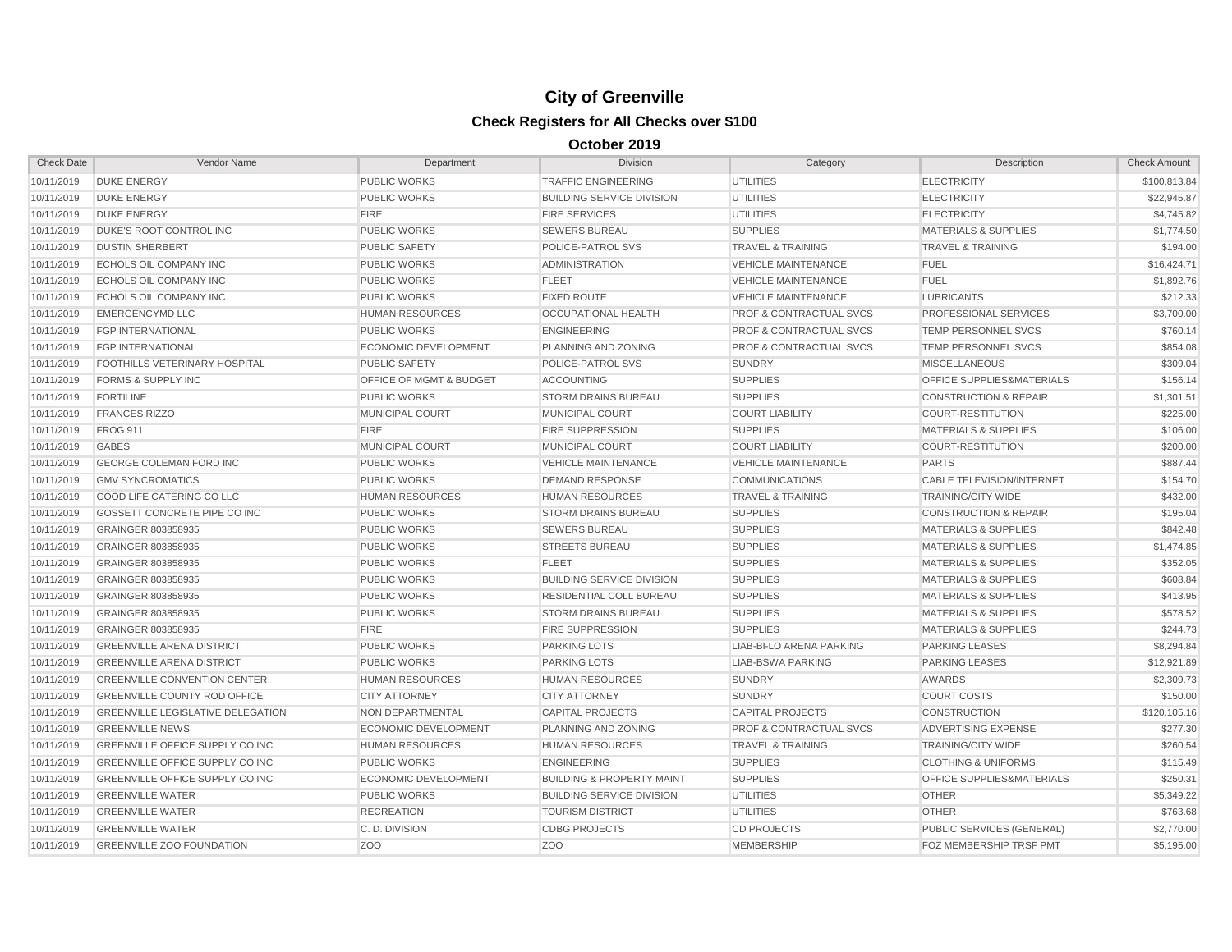| <b>Check Date</b> | Vendor Name                              | Department                  | <b>Division</b>                      | Category                           | Description                      | <b>Check Amount</b> |
|-------------------|------------------------------------------|-----------------------------|--------------------------------------|------------------------------------|----------------------------------|---------------------|
| 10/11/2019        | <b>DUKE ENERGY</b>                       | PUBLIC WORKS                | <b>TRAFFIC ENGINEERING</b>           | <b>UTILITIES</b>                   | <b>ELECTRICITY</b>               | \$100,813.84        |
| 10/11/2019        | <b>DUKE ENERGY</b>                       | <b>PUBLIC WORKS</b>         | <b>BUILDING SERVICE DIVISION</b>     | <b>UTILITIES</b>                   | <b>ELECTRICITY</b>               | \$22,945.87         |
| 10/11/2019        | <b>DUKE ENERGY</b>                       | <b>FIRE</b>                 | <b>FIRE SERVICES</b>                 | <b>UTILITIES</b>                   | <b>ELECTRICITY</b>               | \$4,745.82          |
| 10/11/2019        | <b>DUKE'S ROOT CONTROL INC</b>           | <b>PUBLIC WORKS</b>         | <b>SEWERS BUREAU</b>                 | <b>SUPPLIES</b>                    | <b>MATERIALS &amp; SUPPLIES</b>  | \$1,774.50          |
| 10/11/2019        | <b>DUSTIN SHERBERT</b>                   | <b>PUBLIC SAFETY</b>        | POLICE-PATROL SVS                    | <b>TRAVEL &amp; TRAINING</b>       | <b>TRAVEL &amp; TRAINING</b>     | \$194.00            |
| 10/11/2019        | ECHOLS OIL COMPANY INC                   | <b>PUBLIC WORKS</b>         | <b>ADMINISTRATION</b>                | <b>VEHICLE MAINTENANCE</b>         | <b>FUEL</b>                      | \$16,424.71         |
| 10/11/2019        | ECHOLS OIL COMPANY INC                   | <b>PUBLIC WORKS</b>         | <b>FLEET</b>                         | <b>VEHICLE MAINTENANCE</b>         | <b>FUEL</b>                      | \$1,892.76          |
| 10/11/2019        | ECHOLS OIL COMPANY INC                   | <b>PUBLIC WORKS</b>         | <b>FIXED ROUTE</b>                   | <b>VEHICLE MAINTENANCE</b>         | <b>LUBRICANTS</b>                | \$212.33            |
| 10/11/2019        | <b>EMERGENCYMD LLC</b>                   | <b>HUMAN RESOURCES</b>      | OCCUPATIONAL HEALTH                  | <b>PROF &amp; CONTRACTUAL SVCS</b> | PROFESSIONAL SERVICES            | \$3,700.00          |
| 10/11/2019        | <b>FGP INTERNATIONAL</b>                 | <b>PUBLIC WORKS</b>         | <b>ENGINEERING</b>                   | <b>PROF &amp; CONTRACTUAL SVCS</b> | TEMP PERSONNEL SVCS              | \$760.14            |
| 10/11/2019        | <b>FGP INTERNATIONAL</b>                 | <b>ECONOMIC DEVELOPMENT</b> | PLANNING AND ZONING                  | <b>PROF &amp; CONTRACTUAL SVCS</b> | TEMP PERSONNEL SVCS              | \$854.08            |
| 10/11/2019        | <b>FOOTHILLS VETERINARY HOSPITAL</b>     | <b>PUBLIC SAFETY</b>        | POLICE-PATROL SVS                    | <b>SUNDRY</b>                      | <b>MISCELLANEOUS</b>             | \$309.04            |
| 10/11/2019        | <b>FORMS &amp; SUPPLY INC</b>            | OFFICE OF MGMT & BUDGET     | <b>ACCOUNTING</b>                    | <b>SUPPLIES</b>                    | OFFICE SUPPLIES&MATERIALS        | \$156.14            |
| 10/11/2019        | <b>FORTILINE</b>                         | <b>PUBLIC WORKS</b>         | <b>STORM DRAINS BUREAU</b>           | <b>SUPPLIES</b>                    | <b>CONSTRUCTION &amp; REPAIR</b> | \$1,301.51          |
| 10/11/2019        | <b>FRANCES RIZZO</b>                     | <b>MUNICIPAL COURT</b>      | MUNICIPAL COURT                      | <b>COURT LIABILITY</b>             | <b>COURT-RESTITUTION</b>         | \$225.00            |
| 10/11/2019        | <b>FROG 911</b>                          | <b>FIRE</b>                 | <b>FIRE SUPPRESSION</b>              | <b>SUPPLIES</b>                    | <b>MATERIALS &amp; SUPPLIES</b>  | \$106.00            |
| 10/11/2019        | <b>GABES</b>                             | <b>MUNICIPAL COURT</b>      | MUNICIPAL COURT                      | <b>COURT LIABILITY</b>             | <b>COURT-RESTITUTION</b>         | \$200.00            |
| 10/11/2019        | <b>GEORGE COLEMAN FORD INC</b>           | <b>PUBLIC WORKS</b>         | <b>VEHICLE MAINTENANCE</b>           | <b>VEHICLE MAINTENANCE</b>         | <b>PARTS</b>                     | \$887.44            |
| 10/11/2019        | <b>GMV SYNCROMATICS</b>                  | <b>PUBLIC WORKS</b>         | <b>DEMAND RESPONSE</b>               | <b>COMMUNICATIONS</b>              | <b>CABLE TELEVISION/INTERNET</b> | \$154.70            |
| 10/11/2019        | <b>GOOD LIFE CATERING CO LLC</b>         | <b>HUMAN RESOURCES</b>      | <b>HUMAN RESOURCES</b>               | <b>TRAVEL &amp; TRAINING</b>       | <b>TRAINING/CITY WIDE</b>        | \$432.00            |
| 10/11/2019        | GOSSETT CONCRETE PIPE CO INC             | <b>PUBLIC WORKS</b>         | <b>STORM DRAINS BUREAU</b>           | <b>SUPPLIES</b>                    | <b>CONSTRUCTION &amp; REPAIR</b> | \$195.04            |
| 10/11/2019        | GRAINGER 803858935                       | <b>PUBLIC WORKS</b>         | <b>SEWERS BUREAU</b>                 | <b>SUPPLIES</b>                    | <b>MATERIALS &amp; SUPPLIES</b>  | \$842.48            |
| 10/11/2019        | GRAINGER 803858935                       | <b>PUBLIC WORKS</b>         | <b>STREETS BUREAU</b>                | <b>SUPPLIES</b>                    | <b>MATERIALS &amp; SUPPLIES</b>  | \$1,474.85          |
| 10/11/2019        | GRAINGER 803858935                       | <b>PUBLIC WORKS</b>         | <b>FLEET</b>                         | <b>SUPPLIES</b>                    | <b>MATERIALS &amp; SUPPLIES</b>  | \$352.05            |
| 10/11/2019        | GRAINGER 803858935                       | <b>PUBLIC WORKS</b>         | <b>BUILDING SERVICE DIVISION</b>     | <b>SUPPLIES</b>                    | <b>MATERIALS &amp; SUPPLIES</b>  | \$608.84            |
| 10/11/2019        | GRAINGER 803858935                       | <b>PUBLIC WORKS</b>         | <b>RESIDENTIAL COLL BUREAU</b>       | <b>SUPPLIES</b>                    | <b>MATERIALS &amp; SUPPLIES</b>  | \$413.95            |
| 10/11/2019        | GRAINGER 803858935                       | <b>PUBLIC WORKS</b>         | <b>STORM DRAINS BUREAU</b>           | <b>SUPPLIES</b>                    | <b>MATERIALS &amp; SUPPLIES</b>  | \$578.52            |
| 10/11/2019        | <b>GRAINGER 803858935</b>                | <b>FIRE</b>                 | <b>FIRE SUPPRESSION</b>              | <b>SUPPLIES</b>                    | <b>MATERIALS &amp; SUPPLIES</b>  | \$244.73            |
| 10/11/2019        | <b>GREENVILLE ARENA DISTRICT</b>         | <b>PUBLIC WORKS</b>         | <b>PARKING LOTS</b>                  | LIAB-BI-LO ARENA PARKING           | <b>PARKING LEASES</b>            | \$8,294.84          |
| 10/11/2019        | <b>GREENVILLE ARENA DISTRICT</b>         | <b>PUBLIC WORKS</b>         | <b>PARKING LOTS</b>                  | <b>LIAB-BSWA PARKING</b>           | <b>PARKING LEASES</b>            | \$12,921.89         |
| 10/11/2019        | <b>GREENVILLE CONVENTION CENTER</b>      | <b>HUMAN RESOURCES</b>      | <b>HUMAN RESOURCES</b>               | <b>SUNDRY</b>                      | <b>AWARDS</b>                    | \$2,309.73          |
| 10/11/2019        | <b>GREENVILLE COUNTY ROD OFFICE</b>      | <b>CITY ATTORNEY</b>        | <b>CITY ATTORNEY</b>                 | <b>SUNDRY</b>                      | <b>COURT COSTS</b>               | \$150.00            |
| 10/11/2019        | <b>GREENVILLE LEGISLATIVE DELEGATION</b> | NON DEPARTMENTAL            | <b>CAPITAL PROJECTS</b>              | <b>CAPITAL PROJECTS</b>            | <b>CONSTRUCTION</b>              | \$120,105.16        |
| 10/11/2019        | <b>GREENVILLE NEWS</b>                   | <b>ECONOMIC DEVELOPMENT</b> | PLANNING AND ZONING                  | <b>PROF &amp; CONTRACTUAL SVCS</b> | ADVERTISING EXPENSE              | \$277.30            |
| 10/11/2019        | <b>GREENVILLE OFFICE SUPPLY CO INC</b>   | <b>HUMAN RESOURCES</b>      | <b>HUMAN RESOURCES</b>               | <b>TRAVEL &amp; TRAINING</b>       | <b>TRAINING/CITY WIDE</b>        | \$260.54            |
| 10/11/2019        | GREENVILLE OFFICE SUPPLY CO INC          | <b>PUBLIC WORKS</b>         | <b>ENGINEERING</b>                   | <b>SUPPLIES</b>                    | <b>CLOTHING &amp; UNIFORMS</b>   | \$115.49            |
| 10/11/2019        | GREENVILLE OFFICE SUPPLY CO INC          | <b>ECONOMIC DEVELOPMENT</b> | <b>BUILDING &amp; PROPERTY MAINT</b> | <b>SUPPLIES</b>                    | OFFICE SUPPLIES&MATERIALS        | \$250.31            |
| 10/11/2019        | <b>GREENVILLE WATER</b>                  | <b>PUBLIC WORKS</b>         | <b>BUILDING SERVICE DIVISION</b>     | <b>UTILITIES</b>                   | <b>OTHER</b>                     | \$5,349.22          |
| 10/11/2019        | <b>GREENVILLE WATER</b>                  | <b>RECREATION</b>           | <b>TOURISM DISTRICT</b>              | <b>UTILITIES</b>                   | <b>OTHER</b>                     | \$763.68            |
| 10/11/2019        | <b>GREENVILLE WATER</b>                  | C.D. DIVISION               | <b>CDBG PROJECTS</b>                 | <b>CD PROJECTS</b>                 | PUBLIC SERVICES (GENERAL)        | \$2,770.00          |
| 10/11/2019        | <b>GREENVILLE ZOO FOUNDATION</b>         | Z <sub>O</sub> O            | Z <sub>O</sub> O                     | <b>MEMBERSHIP</b>                  | FOZ MEMBERSHIP TRSF PMT          | \$5,195.00          |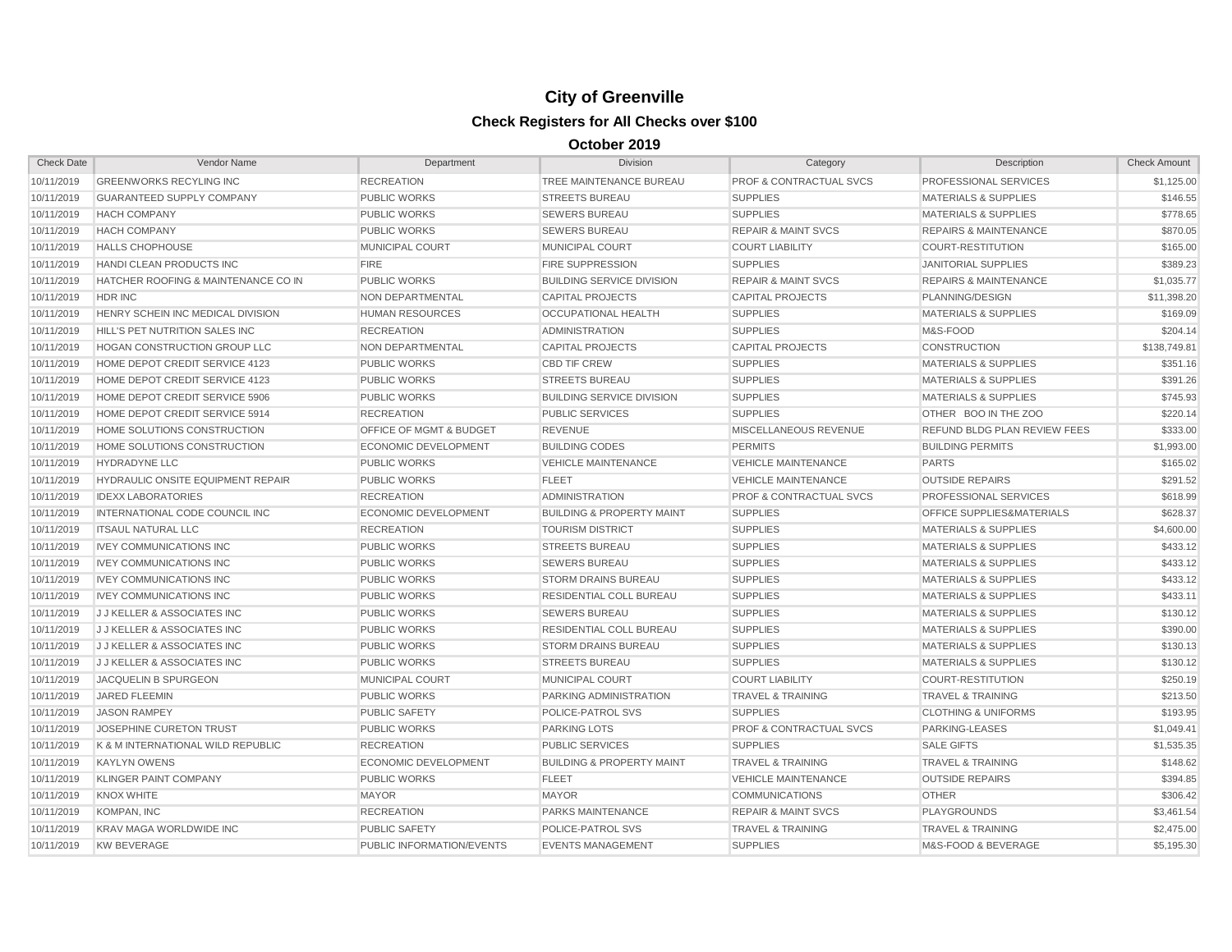| <b>Check Date</b> | Vendor Name                              | Department                         | <b>Division</b>                      | Category                           | Description                          | <b>Check Amount</b> |
|-------------------|------------------------------------------|------------------------------------|--------------------------------------|------------------------------------|--------------------------------------|---------------------|
| 10/11/2019        | <b>GREENWORKS RECYLING INC</b>           | <b>RECREATION</b>                  | TREE MAINTENANCE BUREAU              | <b>PROF &amp; CONTRACTUAL SVCS</b> | PROFESSIONAL SERVICES                | \$1,125.00          |
| 10/11/2019        | <b>GUARANTEED SUPPLY COMPANY</b>         | <b>PUBLIC WORKS</b>                | <b>STREETS BUREAU</b>                | <b>SUPPLIES</b>                    | <b>MATERIALS &amp; SUPPLIES</b>      | \$146.55            |
| 10/11/2019        | <b>HACH COMPANY</b>                      | <b>PUBLIC WORKS</b>                | <b>SEWERS BUREAU</b>                 | <b>SUPPLIES</b>                    | <b>MATERIALS &amp; SUPPLIES</b>      | \$778.65            |
| 10/11/2019        | <b>HACH COMPANY</b>                      | <b>PUBLIC WORKS</b>                | <b>SEWERS BUREAU</b>                 | <b>REPAIR &amp; MAINT SVCS</b>     | <b>REPAIRS &amp; MAINTENANCE</b>     | \$870.05            |
| 10/11/2019        | <b>HALLS CHOPHOUSE</b>                   | MUNICIPAL COURT                    | MUNICIPAL COURT                      | <b>COURT LIABILITY</b>             | <b>COURT-RESTITUTION</b>             | \$165.00            |
| 10/11/2019        | HANDI CLEAN PRODUCTS INC                 | <b>FIRE</b>                        | <b>FIRE SUPPRESSION</b>              | <b>SUPPLIES</b>                    | <b>JANITORIAL SUPPLIES</b>           | \$389.23            |
| 10/11/2019        | HATCHER ROOFING & MAINTENANCE CO IN      | <b>PUBLIC WORKS</b>                | <b>BUILDING SERVICE DIVISION</b>     | <b>REPAIR &amp; MAINT SVCS</b>     | <b>REPAIRS &amp; MAINTENANCE</b>     | \$1,035.77          |
| 10/11/2019        | HDR INC                                  | NON DEPARTMENTAL                   | <b>CAPITAL PROJECTS</b>              | <b>CAPITAL PROJECTS</b>            | PLANNING/DESIGN                      | \$11,398.20         |
| 10/11/2019        | HENRY SCHEIN INC MEDICAL DIVISION        | <b>HUMAN RESOURCES</b>             | <b>OCCUPATIONAL HEALTH</b>           | <b>SUPPLIES</b>                    | <b>MATERIALS &amp; SUPPLIES</b>      | \$169.09            |
| 10/11/2019        | HILL'S PET NUTRITION SALES INC           | <b>RECREATION</b>                  | <b>ADMINISTRATION</b>                | <b>SUPPLIES</b>                    | M&S-FOOD                             | \$204.14            |
| 10/11/2019        | <b>HOGAN CONSTRUCTION GROUP LLC</b>      | <b>NON DEPARTMENTAL</b>            | <b>CAPITAL PROJECTS</b>              | <b>CAPITAL PROJECTS</b>            | <b>CONSTRUCTION</b>                  | \$138,749.81        |
| 10/11/2019        | HOME DEPOT CREDIT SERVICE 4123           | <b>PUBLIC WORKS</b>                | <b>CBD TIF CREW</b>                  | <b>SUPPLIES</b>                    | <b>MATERIALS &amp; SUPPLIES</b>      | \$351.16            |
| 10/11/2019        | HOME DEPOT CREDIT SERVICE 4123           | <b>PUBLIC WORKS</b>                | <b>STREETS BUREAU</b>                | <b>SUPPLIES</b>                    | <b>MATERIALS &amp; SUPPLIES</b>      | \$391.26            |
| 10/11/2019        | HOME DEPOT CREDIT SERVICE 5906           | <b>PUBLIC WORKS</b>                | <b>BUILDING SERVICE DIVISION</b>     | <b>SUPPLIES</b>                    | <b>MATERIALS &amp; SUPPLIES</b>      | \$745.93            |
| 10/11/2019        | HOME DEPOT CREDIT SERVICE 5914           | <b>RECREATION</b>                  | <b>PUBLIC SERVICES</b>               | <b>SUPPLIES</b>                    | OTHER BOO IN THE ZOO                 | \$220.14            |
| 10/11/2019        | HOME SOLUTIONS CONSTRUCTION              | <b>OFFICE OF MGMT &amp; BUDGET</b> | <b>REVENUE</b>                       | MISCELLANEOUS REVENUE              | REFUND BLDG PLAN REVIEW FEES         | \$333.00            |
| 10/11/2019        | HOME SOLUTIONS CONSTRUCTION              | <b>ECONOMIC DEVELOPMENT</b>        | <b>BUILDING CODES</b>                | <b>PERMITS</b>                     | <b>BUILDING PERMITS</b>              | \$1,993.00          |
| 10/11/2019        | HYDRADYNE LLC                            | <b>PUBLIC WORKS</b>                | <b>VEHICLE MAINTENANCE</b>           | <b>VEHICLE MAINTENANCE</b>         | <b>PARTS</b>                         | \$165.02            |
| 10/11/2019        | <b>HYDRAULIC ONSITE EQUIPMENT REPAIR</b> | <b>PUBLIC WORKS</b>                | <b>FLEET</b>                         | <b>VEHICLE MAINTENANCE</b>         | <b>OUTSIDE REPAIRS</b>               | \$291.52            |
| 10/11/2019        | <b>IDEXX LABORATORIES</b>                | <b>RECREATION</b>                  | <b>ADMINISTRATION</b>                | <b>PROF &amp; CONTRACTUAL SVCS</b> | PROFESSIONAL SERVICES                | \$618.99            |
| 10/11/2019        | INTERNATIONAL CODE COUNCIL INC           | <b>ECONOMIC DEVELOPMENT</b>        | <b>BUILDING &amp; PROPERTY MAINT</b> | <b>SUPPLIES</b>                    | <b>OFFICE SUPPLIES&amp;MATERIALS</b> | \$628.37            |
| 10/11/2019        | <b>ITSAUL NATURAL LLC</b>                | <b>RECREATION</b>                  | <b>TOURISM DISTRICT</b>              | <b>SUPPLIES</b>                    | <b>MATERIALS &amp; SUPPLIES</b>      | \$4,600.00          |
| 10/11/2019        | <b>IVEY COMMUNICATIONS INC</b>           | PUBLIC WORKS                       | <b>STREETS BUREAU</b>                | <b>SUPPLIES</b>                    | <b>MATERIALS &amp; SUPPLIES</b>      | \$433.12            |
| 10/11/2019        | <b>IVEY COMMUNICATIONS INC</b>           | <b>PUBLIC WORKS</b>                | <b>SEWERS BUREAU</b>                 | <b>SUPPLIES</b>                    | <b>MATERIALS &amp; SUPPLIES</b>      | \$433.12            |
| 10/11/2019        | <b>IVEY COMMUNICATIONS INC</b>           | <b>PUBLIC WORKS</b>                | <b>STORM DRAINS BUREAU</b>           | <b>SUPPLIES</b>                    | <b>MATERIALS &amp; SUPPLIES</b>      | \$433.12            |
| 10/11/2019        | <b>IVEY COMMUNICATIONS INC</b>           | <b>PUBLIC WORKS</b>                | <b>RESIDENTIAL COLL BUREAU</b>       | <b>SUPPLIES</b>                    | <b>MATERIALS &amp; SUPPLIES</b>      | \$433.11            |
| 10/11/2019        | <b>JJ KELLER &amp; ASSOCIATES INC</b>    | <b>PUBLIC WORKS</b>                | <b>SEWERS BUREAU</b>                 | <b>SUPPLIES</b>                    | <b>MATERIALS &amp; SUPPLIES</b>      | \$130.12            |
| 10/11/2019        | <b>JJ KELLER &amp; ASSOCIATES INC</b>    | <b>PUBLIC WORKS</b>                | RESIDENTIAL COLL BUREAU              | <b>SUPPLIES</b>                    | <b>MATERIALS &amp; SUPPLIES</b>      | \$390.00            |
| 10/11/2019        | <b>JJ KELLER &amp; ASSOCIATES INC</b>    | <b>PUBLIC WORKS</b>                | <b>STORM DRAINS BUREAU</b>           | <b>SUPPLIES</b>                    | <b>MATERIALS &amp; SUPPLIES</b>      | \$130.13            |
| 10/11/2019        | <b>JJ KELLER &amp; ASSOCIATES INC</b>    | <b>PUBLIC WORKS</b>                | <b>STREETS BUREAU</b>                | <b>SUPPLIES</b>                    | <b>MATERIALS &amp; SUPPLIES</b>      | \$130.12            |
| 10/11/2019        | <b>JACQUELIN B SPURGEON</b>              | <b>MUNICIPAL COURT</b>             | <b>MUNICIPAL COURT</b>               | <b>COURT LIABILITY</b>             | <b>COURT-RESTITUTION</b>             | \$250.19            |
| 10/11/2019        | <b>JARED FLEEMIN</b>                     | <b>PUBLIC WORKS</b>                | PARKING ADMINISTRATION               | <b>TRAVEL &amp; TRAINING</b>       | <b>TRAVEL &amp; TRAINING</b>         | \$213.50            |
| 10/11/2019        | <b>JASON RAMPEY</b>                      | <b>PUBLIC SAFETY</b>               | <b>POLICE-PATROL SVS</b>             | <b>SUPPLIES</b>                    | <b>CLOTHING &amp; UNIFORMS</b>       | \$193.95            |
| 10/11/2019        | JOSEPHINE CURETON TRUST                  | <b>PUBLIC WORKS</b>                | <b>PARKING LOTS</b>                  | <b>PROF &amp; CONTRACTUAL SVCS</b> | PARKING-LEASES                       | \$1,049.41          |
| 10/11/2019        | K & M INTERNATIONAL WILD REPUBLIC        | <b>RECREATION</b>                  | <b>PUBLIC SERVICES</b>               | <b>SUPPLIES</b>                    | <b>SALE GIFTS</b>                    | \$1,535.35          |
| 10/11/2019        | <b>KAYLYN OWENS</b>                      | ECONOMIC DEVELOPMENT               | <b>BUILDING &amp; PROPERTY MAINT</b> | <b>TRAVEL &amp; TRAINING</b>       | TRAVEL & TRAINING                    | \$148.62            |
| 10/11/2019        | <b>KLINGER PAINT COMPANY</b>             | <b>PUBLIC WORKS</b>                | <b>FLEET</b>                         | <b>VEHICLE MAINTENANCE</b>         | <b>OUTSIDE REPAIRS</b>               | \$394.85            |
| 10/11/2019        | <b>KNOX WHITE</b>                        | <b>MAYOR</b>                       | <b>MAYOR</b>                         | <b>COMMUNICATIONS</b>              | <b>OTHER</b>                         | \$306.42            |
| 10/11/2019        | <b>KOMPAN, INC</b>                       | <b>RECREATION</b>                  | <b>PARKS MAINTENANCE</b>             | <b>REPAIR &amp; MAINT SVCS</b>     | <b>PLAYGROUNDS</b>                   | \$3,461.54          |
| 10/11/2019        | KRAV MAGA WORLDWIDE INC                  | <b>PUBLIC SAFETY</b>               | POLICE-PATROL SVS                    | <b>TRAVEL &amp; TRAINING</b>       | <b>TRAVEL &amp; TRAINING</b>         | \$2,475.00          |
| 10/11/2019        | <b>KW BEVERAGE</b>                       | PUBLIC INFORMATION/EVENTS          | <b>EVENTS MANAGEMENT</b>             | <b>SUPPLIES</b>                    | M&S-FOOD & BEVERAGE                  | \$5,195,30          |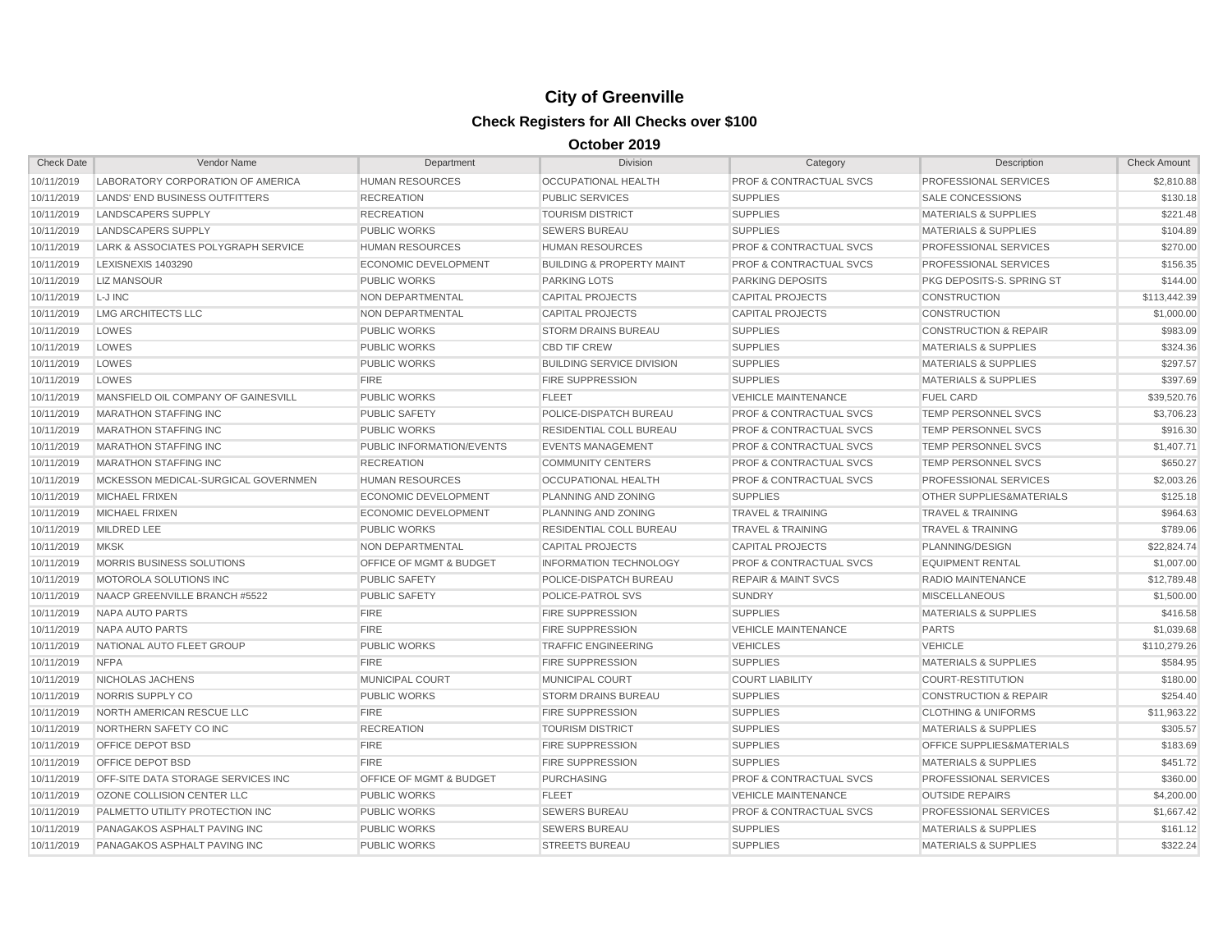| <b>Check Date</b> | Vendor Name                           | Department                         | <b>Division</b>                      | Category                           | Description                          | <b>Check Amount</b> |
|-------------------|---------------------------------------|------------------------------------|--------------------------------------|------------------------------------|--------------------------------------|---------------------|
| 10/11/2019        | LABORATORY CORPORATION OF AMERICA     | <b>HUMAN RESOURCES</b>             | <b>OCCUPATIONAL HEALTH</b>           | <b>PROF &amp; CONTRACTUAL SVCS</b> | PROFESSIONAL SERVICES                | \$2,810.88          |
| 10/11/2019        | <b>LANDS' END BUSINESS OUTFITTERS</b> | <b>RECREATION</b>                  | <b>PUBLIC SERVICES</b>               | <b>SUPPLIES</b>                    | SALE CONCESSIONS                     | \$130.18            |
| 10/11/2019        | LANDSCAPERS SUPPLY                    | <b>RECREATION</b>                  | <b>TOURISM DISTRICT</b>              | <b>SUPPLIES</b>                    | <b>MATERIALS &amp; SUPPLIES</b>      | \$221.48            |
| 10/11/2019        | <b>LANDSCAPERS SUPPLY</b>             | <b>PUBLIC WORKS</b>                | <b>SEWERS BUREAU</b>                 | <b>SUPPLIES</b>                    | <b>MATERIALS &amp; SUPPLIES</b>      | \$104.89            |
| 10/11/2019        | LARK & ASSOCIATES POLYGRAPH SERVICE   | <b>HUMAN RESOURCES</b>             | <b>HUMAN RESOURCES</b>               | <b>PROF &amp; CONTRACTUAL SVCS</b> | PROFESSIONAL SERVICES                | \$270.00            |
| 10/11/2019        | <b>LEXISNEXIS 1403290</b>             | <b>ECONOMIC DEVELOPMENT</b>        | <b>BUILDING &amp; PROPERTY MAINT</b> | <b>PROF &amp; CONTRACTUAL SVCS</b> | PROFESSIONAL SERVICES                | \$156.35            |
| 10/11/2019        | <b>LIZ MANSOUR</b>                    | <b>PUBLIC WORKS</b>                | <b>PARKING LOTS</b>                  | <b>PARKING DEPOSITS</b>            | PKG DEPOSITS-S. SPRING ST            | \$144.00            |
| 10/11/2019        | L-J INC                               | <b>NON DEPARTMENTAL</b>            | <b>CAPITAL PROJECTS</b>              | <b>CAPITAL PROJECTS</b>            | <b>CONSTRUCTION</b>                  | \$113,442.39        |
| 10/11/2019        | <b>LMG ARCHITECTS LLC</b>             | <b>NON DEPARTMENTAL</b>            | <b>CAPITAL PROJECTS</b>              | <b>CAPITAL PROJECTS</b>            | <b>CONSTRUCTION</b>                  | \$1,000.00          |
| 10/11/2019        | LOWES                                 | <b>PUBLIC WORKS</b>                | <b>STORM DRAINS BUREAU</b>           | <b>SUPPLIES</b>                    | <b>CONSTRUCTION &amp; REPAIR</b>     | \$983.09            |
| 10/11/2019        | LOWES                                 | <b>PUBLIC WORKS</b>                | <b>CBD TIF CREW</b>                  | <b>SUPPLIES</b>                    | <b>MATERIALS &amp; SUPPLIES</b>      | \$324.36            |
| 10/11/2019        | LOWES                                 | <b>PUBLIC WORKS</b>                | <b>BUILDING SERVICE DIVISION</b>     | <b>SUPPLIES</b>                    | <b>MATERIALS &amp; SUPPLIES</b>      | \$297.57            |
| 10/11/2019        | LOWES                                 | <b>FIRE</b>                        | <b>FIRE SUPPRESSION</b>              | <b>SUPPLIES</b>                    | <b>MATERIALS &amp; SUPPLIES</b>      | \$397.69            |
| 10/11/2019        | MANSFIELD OIL COMPANY OF GAINESVILL   | <b>PUBLIC WORKS</b>                | <b>FLEET</b>                         | <b>VEHICLE MAINTENANCE</b>         | <b>FUEL CARD</b>                     | \$39,520.76         |
| 10/11/2019        | <b>MARATHON STAFFING INC</b>          | <b>PUBLIC SAFETY</b>               | POLICE-DISPATCH BUREAU               | <b>PROF &amp; CONTRACTUAL SVCS</b> | TEMP PERSONNEL SVCS                  | \$3,706.23          |
| 10/11/2019        | <b>MARATHON STAFFING INC</b>          | <b>PUBLIC WORKS</b>                | RESIDENTIAL COLL BUREAU              | <b>PROF &amp; CONTRACTUAL SVCS</b> | TEMP PERSONNEL SVCS                  | \$916.30            |
| 10/11/2019        | <b>MARATHON STAFFING INC</b>          | PUBLIC INFORMATION/EVENTS          | <b>EVENTS MANAGEMENT</b>             | <b>PROF &amp; CONTRACTUAL SVCS</b> | TEMP PERSONNEL SVCS                  | \$1,407.71          |
| 10/11/2019        | <b>MARATHON STAFFING INC</b>          | <b>RECREATION</b>                  | <b>COMMUNITY CENTERS</b>             | <b>PROF &amp; CONTRACTUAL SVCS</b> | TEMP PERSONNEL SVCS                  | \$650.27            |
| 10/11/2019        | MCKESSON MEDICAL-SURGICAL GOVERNMEN   | <b>HUMAN RESOURCES</b>             | OCCUPATIONAL HEALTH                  | <b>PROF &amp; CONTRACTUAL SVCS</b> | <b>PROFESSIONAL SERVICES</b>         | \$2,003.26          |
| 10/11/2019        | <b>MICHAEL FRIXEN</b>                 | <b>ECONOMIC DEVELOPMENT</b>        | PLANNING AND ZONING                  | <b>SUPPLIES</b>                    | <b>OTHER SUPPLIES&amp;MATERIALS</b>  | \$125.18            |
| 10/11/2019        | <b>MICHAEL FRIXEN</b>                 | <b>ECONOMIC DEVELOPMENT</b>        | PLANNING AND ZONING                  | <b>TRAVEL &amp; TRAINING</b>       | <b>TRAVEL &amp; TRAINING</b>         | \$964.63            |
| 10/11/2019        | <b>MILDRED LEE</b>                    | <b>PUBLIC WORKS</b>                | <b>RESIDENTIAL COLL BUREAU</b>       | <b>TRAVEL &amp; TRAINING</b>       | <b>TRAVEL &amp; TRAINING</b>         | \$789.06            |
| 10/11/2019        | <b>MKSK</b>                           | NON DEPARTMENTAL                   | <b>CAPITAL PROJECTS</b>              | <b>CAPITAL PROJECTS</b>            | PLANNING/DESIGN                      | \$22,824.74         |
| 10/11/2019        | MORRIS BUSINESS SOLUTIONS             | <b>OFFICE OF MGMT &amp; BUDGET</b> | <b>INFORMATION TECHNOLOGY</b>        | <b>PROF &amp; CONTRACTUAL SVCS</b> | <b>EQUIPMENT RENTAL</b>              | \$1,007.00          |
| 10/11/2019        | MOTOROLA SOLUTIONS INC                | <b>PUBLIC SAFETY</b>               | POLICE-DISPATCH BUREAU               | <b>REPAIR &amp; MAINT SVCS</b>     | RADIO MAINTENANCE                    | \$12,789.48         |
| 10/11/2019        | NAACP GREENVILLE BRANCH #5522         | <b>PUBLIC SAFETY</b>               | POLICE-PATROL SVS                    | <b>SUNDRY</b>                      | <b>MISCELLANEOUS</b>                 | \$1,500.00          |
| 10/11/2019        | NAPA AUTO PARTS                       | <b>FIRE</b>                        | <b>FIRE SUPPRESSION</b>              | <b>SUPPLIES</b>                    | <b>MATERIALS &amp; SUPPLIES</b>      | \$416.58            |
| 10/11/2019        | NAPA AUTO PARTS                       | <b>FIRE</b>                        | <b>FIRE SUPPRESSION</b>              | <b>VEHICLE MAINTENANCE</b>         | <b>PARTS</b>                         | \$1,039.68          |
| 10/11/2019        | NATIONAL AUTO FLEET GROUP             | <b>PUBLIC WORKS</b>                | <b>TRAFFIC ENGINEERING</b>           | <b>VEHICLES</b>                    | <b>VEHICLE</b>                       | \$110,279.26        |
| 10/11/2019        | <b>NFPA</b>                           | <b>FIRE</b>                        | <b>FIRE SUPPRESSION</b>              | <b>SUPPLIES</b>                    | <b>MATERIALS &amp; SUPPLIES</b>      | \$584.95            |
| 10/11/2019        | NICHOLAS JACHENS                      | MUNICIPAL COURT                    | MUNICIPAL COURT                      | <b>COURT LIABILITY</b>             | <b>COURT-RESTITUTION</b>             | \$180.00            |
| 10/11/2019        | NORRIS SUPPLY CO                      | <b>PUBLIC WORKS</b>                | <b>STORM DRAINS BUREAU</b>           | <b>SUPPLIES</b>                    | <b>CONSTRUCTION &amp; REPAIR</b>     | \$254.40            |
| 10/11/2019        | NORTH AMERICAN RESCUE LLC             | <b>FIRE</b>                        | <b>FIRE SUPPRESSION</b>              | <b>SUPPLIES</b>                    | <b>CLOTHING &amp; UNIFORMS</b>       | \$11,963.22         |
| 10/11/2019        | NORTHERN SAFETY CO INC                | <b>RECREATION</b>                  | <b>TOURISM DISTRICT</b>              | <b>SUPPLIES</b>                    | <b>MATERIALS &amp; SUPPLIES</b>      | \$305.57            |
| 10/11/2019        | OFFICE DEPOT BSD                      | <b>FIRE</b>                        | <b>FIRE SUPPRESSION</b>              | <b>SUPPLIES</b>                    | <b>OFFICE SUPPLIES&amp;MATERIALS</b> | \$183.69            |
| 10/11/2019        | <b>OFFICE DEPOT BSD</b>               | <b>FIRE</b>                        | <b>FIRE SUPPRESSION</b>              | <b>SUPPLIES</b>                    | <b>MATERIALS &amp; SUPPLIES</b>      | \$451.72            |
| 10/11/2019        | OFF-SITE DATA STORAGE SERVICES INC    | OFFICE OF MGMT & BUDGET            | <b>PURCHASING</b>                    | <b>PROF &amp; CONTRACTUAL SVCS</b> | <b>PROFESSIONAL SERVICES</b>         | \$360.00            |
| 10/11/2019        | OZONE COLLISION CENTER LLC            | <b>PUBLIC WORKS</b>                | <b>FLEET</b>                         | <b>VEHICLE MAINTENANCE</b>         | <b>OUTSIDE REPAIRS</b>               | \$4,200.00          |
| 10/11/2019        | PALMETTO UTILITY PROTECTION INC       | <b>PUBLIC WORKS</b>                | <b>SEWERS BUREAU</b>                 | <b>PROF &amp; CONTRACTUAL SVCS</b> | <b>PROFESSIONAL SERVICES</b>         | \$1,667.42          |
| 10/11/2019        | PANAGAKOS ASPHALT PAVING INC          | <b>PUBLIC WORKS</b>                | <b>SEWERS BUREAU</b>                 | <b>SUPPLIES</b>                    | <b>MATERIALS &amp; SUPPLIES</b>      | \$161.12            |
| 10/11/2019        | PANAGAKOS ASPHALT PAVING INC          | <b>PUBLIC WORKS</b>                | <b>STREETS BUREAU</b>                | <b>SUPPLIES</b>                    | <b>MATERIALS &amp; SUPPLIES</b>      | \$322.24            |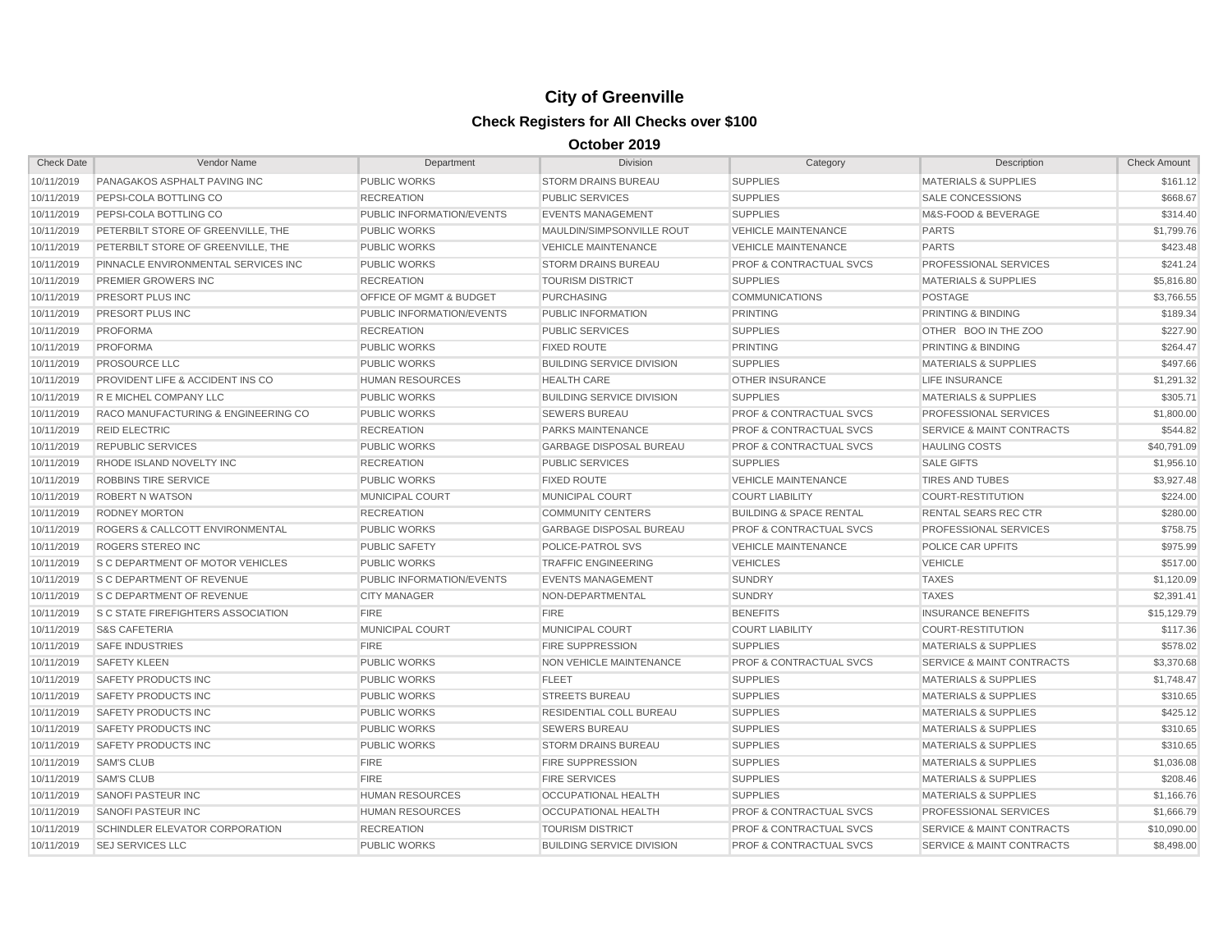| <b>Check Date</b> | Vendor Name                               | Department                         | Division                         | Category                           | Description                          | <b>Check Amount</b> |
|-------------------|-------------------------------------------|------------------------------------|----------------------------------|------------------------------------|--------------------------------------|---------------------|
| 10/11/2019        | PANAGAKOS ASPHALT PAVING INC              | <b>PUBLIC WORKS</b>                | <b>STORM DRAINS BUREAU</b>       | <b>SUPPLIES</b>                    | <b>MATERIALS &amp; SUPPLIES</b>      | \$161.12            |
| 10/11/2019        | <b>PEPSI-COLA BOTTLING CO</b>             | <b>RECREATION</b>                  | <b>PUBLIC SERVICES</b>           | <b>SUPPLIES</b>                    | <b>SALE CONCESSIONS</b>              | \$668.67            |
| 10/11/2019        | PEPSI-COLA BOTTLING CO                    | <b>PUBLIC INFORMATION/EVENTS</b>   | <b>EVENTS MANAGEMENT</b>         | <b>SUPPLIES</b>                    | M&S-FOOD & BEVERAGE                  | \$314.40            |
| 10/11/2019        | PETERBILT STORE OF GREENVILLE, THE        | <b>PUBLIC WORKS</b>                | MAULDIN/SIMPSONVILLE ROUT        | <b>VEHICLE MAINTENANCE</b>         | <b>PARTS</b>                         | \$1,799.76          |
| 10/11/2019        | PETERBILT STORE OF GREENVILLE, THE        | <b>PUBLIC WORKS</b>                | <b>VEHICLE MAINTENANCE</b>       | <b>VEHICLE MAINTENANCE</b>         | <b>PARTS</b>                         | \$423.48            |
| 10/11/2019        | PINNACLE ENVIRONMENTAL SERVICES INC       | <b>PUBLIC WORKS</b>                | <b>STORM DRAINS BUREAU</b>       | <b>PROF &amp; CONTRACTUAL SVCS</b> | PROFESSIONAL SERVICES                | \$241.24            |
| 10/11/2019        | PREMIER GROWERS INC                       | <b>RECREATION</b>                  | <b>TOURISM DISTRICT</b>          | <b>SUPPLIES</b>                    | <b>MATERIALS &amp; SUPPLIES</b>      | \$5,816.80          |
| 10/11/2019        | PRESORT PLUS INC                          | <b>OFFICE OF MGMT &amp; BUDGET</b> | <b>PURCHASING</b>                | <b>COMMUNICATIONS</b>              | <b>POSTAGE</b>                       | \$3,766.55          |
| 10/11/2019        | PRESORT PLUS INC                          | <b>PUBLIC INFORMATION/EVENTS</b>   | PUBLIC INFORMATION               | <b>PRINTING</b>                    | <b>PRINTING &amp; BINDING</b>        | \$189.34            |
| 10/11/2019        | <b>PROFORMA</b>                           | <b>RECREATION</b>                  | <b>PUBLIC SERVICES</b>           | <b>SUPPLIES</b>                    | OTHER BOO IN THE ZOO                 | \$227.90            |
| 10/11/2019        | <b>PROFORMA</b>                           | <b>PUBLIC WORKS</b>                | <b>FIXED ROUTE</b>               | <b>PRINTING</b>                    | <b>PRINTING &amp; BINDING</b>        | \$264.47            |
| 10/11/2019        | <b>PROSOURCE LLC</b>                      | <b>PUBLIC WORKS</b>                | <b>BUILDING SERVICE DIVISION</b> | <b>SUPPLIES</b>                    | <b>MATERIALS &amp; SUPPLIES</b>      | \$497.66            |
| 10/11/2019        | PROVIDENT LIFE & ACCIDENT INS CO          | <b>HUMAN RESOURCES</b>             | <b>HEALTH CARE</b>               | <b>OTHER INSURANCE</b>             | <b>LIFE INSURANCE</b>                | \$1,291.32          |
| 10/11/2019        | R E MICHEL COMPANY LLC                    | <b>PUBLIC WORKS</b>                | <b>BUILDING SERVICE DIVISION</b> | <b>SUPPLIES</b>                    | <b>MATERIALS &amp; SUPPLIES</b>      | \$305.71            |
| 10/11/2019        | RACO MANUFACTURING & ENGINEERING CO       | <b>PUBLIC WORKS</b>                | <b>SEWERS BUREAU</b>             | <b>PROF &amp; CONTRACTUAL SVCS</b> | PROFESSIONAL SERVICES                | \$1,800.00          |
| 10/11/2019        | <b>REID ELECTRIC</b>                      | <b>RECREATION</b>                  | PARKS MAINTENANCE                | <b>PROF &amp; CONTRACTUAL SVCS</b> | <b>SERVICE &amp; MAINT CONTRACTS</b> | \$544.82            |
| 10/11/2019        | <b>REPUBLIC SERVICES</b>                  | <b>PUBLIC WORKS</b>                | <b>GARBAGE DISPOSAL BUREAU</b>   | <b>PROF &amp; CONTRACTUAL SVCS</b> | <b>HAULING COSTS</b>                 | \$40,791.09         |
| 10/11/2019        | RHODE ISLAND NOVELTY INC                  | <b>RECREATION</b>                  | <b>PUBLIC SERVICES</b>           | <b>SUPPLIES</b>                    | <b>SALE GIFTS</b>                    | \$1,956.10          |
| 10/11/2019        | <b>ROBBINS TIRE SERVICE</b>               | <b>PUBLIC WORKS</b>                | <b>FIXED ROUTE</b>               | <b>VEHICLE MAINTENANCE</b>         | <b>TIRES AND TUBES</b>               | \$3,927.48          |
| 10/11/2019        | <b>ROBERT N WATSON</b>                    | <b>MUNICIPAL COURT</b>             | <b>MUNICIPAL COURT</b>           | <b>COURT LIABILITY</b>             | <b>COURT-RESTITUTION</b>             | \$224.00            |
| 10/11/2019        | <b>RODNEY MORTON</b>                      | <b>RECREATION</b>                  | <b>COMMUNITY CENTERS</b>         | <b>BUILDING &amp; SPACE RENTAL</b> | <b>RENTAL SEARS REC CTR</b>          | \$280.00            |
| 10/11/2019        | ROGERS & CALLCOTT ENVIRONMENTAL           | <b>PUBLIC WORKS</b>                | <b>GARBAGE DISPOSAL BUREAU</b>   | <b>PROF &amp; CONTRACTUAL SVCS</b> | <b>PROFESSIONAL SERVICES</b>         | \$758.75            |
| 10/11/2019        | ROGERS STEREO INC                         | <b>PUBLIC SAFETY</b>               | POLICE-PATROL SVS                | <b>VEHICLE MAINTENANCE</b>         | POLICE CAR UPFITS                    | \$975.99            |
| 10/11/2019        | <b>S C DEPARTMENT OF MOTOR VEHICLES</b>   | <b>PUBLIC WORKS</b>                | <b>TRAFFIC ENGINEERING</b>       | <b>VEHICLES</b>                    | <b>VEHICLE</b>                       | \$517.00            |
| 10/11/2019        | <b>S C DEPARTMENT OF REVENUE</b>          | PUBLIC INFORMATION/EVENTS          | <b>EVENTS MANAGEMENT</b>         | <b>SUNDRY</b>                      | <b>TAXES</b>                         | \$1,120.09          |
| 10/11/2019        | <b>S C DEPARTMENT OF REVENUE</b>          | <b>CITY MANAGER</b>                | NON-DEPARTMENTAL                 | <b>SUNDRY</b>                      | <b>TAXES</b>                         | \$2,391.41          |
| 10/11/2019        | <b>S C STATE FIREFIGHTERS ASSOCIATION</b> | <b>FIRE</b>                        | <b>FIRE</b>                      | <b>BENEFITS</b>                    | <b>INSURANCE BENEFITS</b>            | \$15,129.79         |
| 10/11/2019        | <b>S&amp;S CAFETERIA</b>                  | MUNICIPAL COURT                    | <b>MUNICIPAL COURT</b>           | <b>COURT LIABILITY</b>             | <b>COURT-RESTITUTION</b>             | \$117.36            |
| 10/11/2019        | <b>SAFE INDUSTRIES</b>                    | <b>FIRE</b>                        | <b>FIRE SUPPRESSION</b>          | <b>SUPPLIES</b>                    | <b>MATERIALS &amp; SUPPLIES</b>      | \$578.02            |
| 10/11/2019        | <b>SAFETY KLEEN</b>                       | <b>PUBLIC WORKS</b>                | NON VEHICLE MAINTENANCE          | <b>PROF &amp; CONTRACTUAL SVCS</b> | <b>SERVICE &amp; MAINT CONTRACTS</b> | \$3,370.68          |
| 10/11/2019        | SAFETY PRODUCTS INC                       | <b>PUBLIC WORKS</b>                | <b>FLEET</b>                     | <b>SUPPLIES</b>                    | <b>MATERIALS &amp; SUPPLIES</b>      | \$1,748.47          |
| 10/11/2019        | SAFETY PRODUCTS INC                       | <b>PUBLIC WORKS</b>                | <b>STREETS BUREAU</b>            | <b>SUPPLIES</b>                    | <b>MATERIALS &amp; SUPPLIES</b>      | \$310.65            |
| 10/11/2019        | SAFETY PRODUCTS INC                       | <b>PUBLIC WORKS</b>                | <b>RESIDENTIAL COLL BUREAU</b>   | <b>SUPPLIES</b>                    | <b>MATERIALS &amp; SUPPLIES</b>      | \$425.12            |
| 10/11/2019        | SAFETY PRODUCTS INC                       | <b>PUBLIC WORKS</b>                | <b>SEWERS BUREAU</b>             | <b>SUPPLIES</b>                    | <b>MATERIALS &amp; SUPPLIES</b>      | \$310.65            |
| 10/11/2019        | <b>SAFETY PRODUCTS INC</b>                | <b>PUBLIC WORKS</b>                | <b>STORM DRAINS BUREAU</b>       | <b>SUPPLIES</b>                    | <b>MATERIALS &amp; SUPPLIES</b>      | \$310.65            |
| 10/11/2019        | <b>SAM'S CLUB</b>                         | <b>FIRE</b>                        | <b>FIRE SUPPRESSION</b>          | <b>SUPPLIES</b>                    | <b>MATERIALS &amp; SUPPLIES</b>      | \$1,036.08          |
| 10/11/2019        | <b>SAM'S CLUB</b>                         | <b>FIRE</b>                        | <b>FIRE SERVICES</b>             | <b>SUPPLIES</b>                    | <b>MATERIALS &amp; SUPPLIES</b>      | \$208.46            |
| 10/11/2019        | <b>SANOFI PASTEUR INC</b>                 | <b>HUMAN RESOURCES</b>             | <b>OCCUPATIONAL HEALTH</b>       | <b>SUPPLIES</b>                    | <b>MATERIALS &amp; SUPPLIES</b>      | \$1,166.76          |
| 10/11/2019        | <b>SANOFI PASTEUR INC</b>                 | <b>HUMAN RESOURCES</b>             | OCCUPATIONAL HEALTH              | <b>PROF &amp; CONTRACTUAL SVCS</b> | <b>PROFESSIONAL SERVICES</b>         | \$1,666.79          |
| 10/11/2019        | SCHINDLER ELEVATOR CORPORATION            | <b>RECREATION</b>                  | <b>TOURISM DISTRICT</b>          | <b>PROF &amp; CONTRACTUAL SVCS</b> | <b>SERVICE &amp; MAINT CONTRACTS</b> | \$10,090.00         |
| 10/11/2019        | <b>SEJ SERVICES LLC</b>                   | <b>PUBLIC WORKS</b>                | <b>BUILDING SERVICE DIVISION</b> | <b>PROF &amp; CONTRACTUAL SVCS</b> | <b>SERVICE &amp; MAINT CONTRACTS</b> | \$8,498.00          |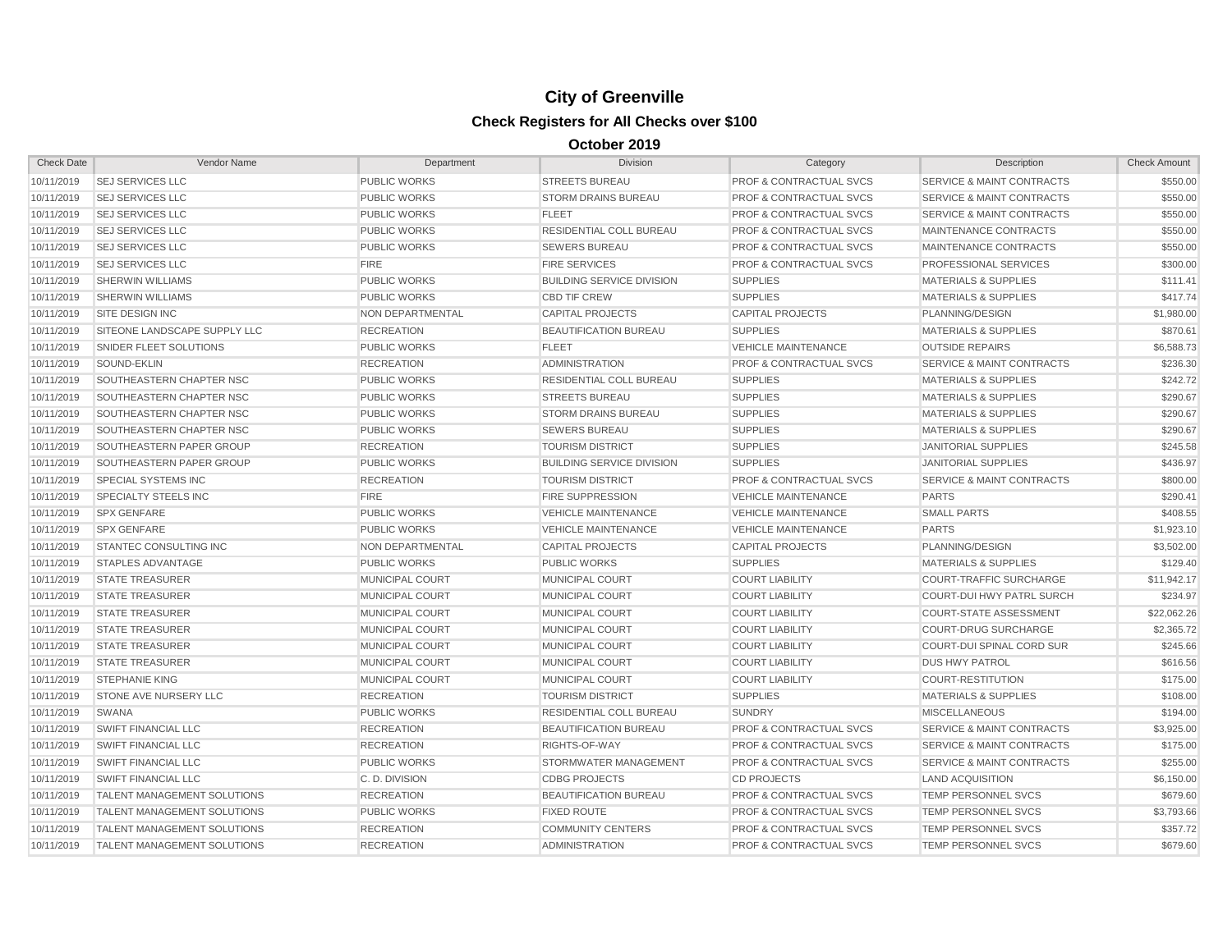| <b>Check Date</b> | Vendor Name                        | Department             | <b>Division</b>                  | Category                           | Description                          | <b>Check Amount</b> |
|-------------------|------------------------------------|------------------------|----------------------------------|------------------------------------|--------------------------------------|---------------------|
| 10/11/2019        | <b>SEJ SERVICES LLC</b>            | <b>PUBLIC WORKS</b>    | <b>STREETS BUREAU</b>            | PROF & CONTRACTUAL SVCS            | SERVICE & MAINT CONTRACTS            | \$550.00            |
| 10/11/2019        | <b>SEJ SERVICES LLC</b>            | <b>PUBLIC WORKS</b>    | <b>STORM DRAINS BUREAU</b>       | <b>PROF &amp; CONTRACTUAL SVCS</b> | <b>SERVICE &amp; MAINT CONTRACTS</b> | \$550.00            |
| 10/11/2019        | <b>SEJ SERVICES LLC</b>            | <b>PUBLIC WORKS</b>    | <b>FLEET</b>                     | <b>PROF &amp; CONTRACTUAL SVCS</b> | <b>SERVICE &amp; MAINT CONTRACTS</b> | \$550.00            |
| 10/11/2019        | <b>SEJ SERVICES LLC</b>            | <b>PUBLIC WORKS</b>    | RESIDENTIAL COLL BUREAU          | <b>PROF &amp; CONTRACTUAL SVCS</b> | MAINTENANCE CONTRACTS                | \$550.00            |
| 10/11/2019        | <b>SEJ SERVICES LLC</b>            | <b>PUBLIC WORKS</b>    | <b>SEWERS BUREAU</b>             | <b>PROF &amp; CONTRACTUAL SVCS</b> | MAINTENANCE CONTRACTS                | \$550.00            |
| 10/11/2019        | <b>SEJ SERVICES LLC</b>            | <b>FIRE</b>            | <b>FIRE SERVICES</b>             | <b>PROF &amp; CONTRACTUAL SVCS</b> | <b>PROFESSIONAL SERVICES</b>         | \$300.00            |
| 10/11/2019        | <b>SHERWIN WILLIAMS</b>            | <b>PUBLIC WORKS</b>    | <b>BUILDING SERVICE DIVISION</b> | <b>SUPPLIES</b>                    | <b>MATERIALS &amp; SUPPLIES</b>      | \$111.41            |
| 10/11/2019        | <b>SHERWIN WILLIAMS</b>            | <b>PUBLIC WORKS</b>    | <b>CBD TIF CREW</b>              | <b>SUPPLIES</b>                    | <b>MATERIALS &amp; SUPPLIES</b>      | \$417.74            |
| 10/11/2019        | SITE DESIGN INC                    | NON DEPARTMENTAL       | <b>CAPITAL PROJECTS</b>          | <b>CAPITAL PROJECTS</b>            | PLANNING/DESIGN                      | \$1,980.00          |
| 10/11/2019        | SITEONE LANDSCAPE SUPPLY LLC       | <b>RECREATION</b>      | <b>BEAUTIFICATION BUREAU</b>     | <b>SUPPLIES</b>                    | <b>MATERIALS &amp; SUPPLIES</b>      | \$870.61            |
| 10/11/2019        | SNIDER FLEET SOLUTIONS             | <b>PUBLIC WORKS</b>    | <b>FLEET</b>                     | <b>VEHICLE MAINTENANCE</b>         | <b>OUTSIDE REPAIRS</b>               | \$6,588.73          |
| 10/11/2019        | SOUND-EKLIN                        | <b>RECREATION</b>      | <b>ADMINISTRATION</b>            | <b>PROF &amp; CONTRACTUAL SVCS</b> | <b>SERVICE &amp; MAINT CONTRACTS</b> | \$236.30            |
| 10/11/2019        | SOUTHEASTERN CHAPTER NSC           | <b>PUBLIC WORKS</b>    | <b>RESIDENTIAL COLL BUREAU</b>   | <b>SUPPLIES</b>                    | <b>MATERIALS &amp; SUPPLIES</b>      | \$242.72            |
| 10/11/2019        | SOUTHEASTERN CHAPTER NSC           | <b>PUBLIC WORKS</b>    | <b>STREETS BUREAU</b>            | <b>SUPPLIES</b>                    | <b>MATERIALS &amp; SUPPLIES</b>      | \$290.67            |
| 10/11/2019        | SOUTHEASTERN CHAPTER NSC           | <b>PUBLIC WORKS</b>    | <b>STORM DRAINS BUREAU</b>       | <b>SUPPLIES</b>                    | <b>MATERIALS &amp; SUPPLIES</b>      | \$290.67            |
| 10/11/2019        | SOUTHEASTERN CHAPTER NSC           | <b>PUBLIC WORKS</b>    | <b>SEWERS BUREAU</b>             | <b>SUPPLIES</b>                    | <b>MATERIALS &amp; SUPPLIES</b>      | \$290.67            |
| 10/11/2019        | SOUTHEASTERN PAPER GROUP           | <b>RECREATION</b>      | <b>TOURISM DISTRICT</b>          | <b>SUPPLIES</b>                    | <b>JANITORIAL SUPPLIES</b>           | \$245.58            |
| 10/11/2019        | SOUTHEASTERN PAPER GROUP           | <b>PUBLIC WORKS</b>    | <b>BUILDING SERVICE DIVISION</b> | <b>SUPPLIES</b>                    | <b>JANITORIAL SUPPLIES</b>           | \$436.97            |
| 10/11/2019        | <b>SPECIAL SYSTEMS INC</b>         | <b>RECREATION</b>      | <b>TOURISM DISTRICT</b>          | <b>PROF &amp; CONTRACTUAL SVCS</b> | <b>SERVICE &amp; MAINT CONTRACTS</b> | \$800.00            |
| 10/11/2019        | <b>SPECIALTY STEELS INC</b>        | <b>FIRE</b>            | <b>FIRE SUPPRESSION</b>          | <b>VEHICLE MAINTENANCE</b>         | <b>PARTS</b>                         | \$290.41            |
| 10/11/2019        | <b>SPX GENFARE</b>                 | <b>PUBLIC WORKS</b>    | <b>VEHICLE MAINTENANCE</b>       | <b>VEHICLE MAINTENANCE</b>         | <b>SMALL PARTS</b>                   | \$408.55            |
| 10/11/2019        | <b>SPX GENFARE</b>                 | <b>PUBLIC WORKS</b>    | <b>VEHICLE MAINTENANCE</b>       | <b>VEHICLE MAINTENANCE</b>         | <b>PARTS</b>                         | \$1,923.10          |
| 10/11/2019        | STANTEC CONSULTING INC             | NON DEPARTMENTAL       | <b>CAPITAL PROJECTS</b>          | <b>CAPITAL PROJECTS</b>            | PLANNING/DESIGN                      | \$3,502.00          |
| 10/11/2019        | <b>STAPLES ADVANTAGE</b>           | <b>PUBLIC WORKS</b>    | <b>PUBLIC WORKS</b>              | <b>SUPPLIES</b>                    | <b>MATERIALS &amp; SUPPLIES</b>      | \$129.40            |
| 10/11/2019        | <b>STATE TREASURER</b>             | <b>MUNICIPAL COURT</b> | MUNICIPAL COURT                  | <b>COURT LIABILITY</b>             | <b>COURT-TRAFFIC SURCHARGE</b>       | \$11,942.17         |
| 10/11/2019        | <b>STATE TREASURER</b>             | <b>MUNICIPAL COURT</b> | MUNICIPAL COURT                  | <b>COURT LIABILITY</b>             | <b>COURT-DUI HWY PATRL SURCH</b>     | \$234.97            |
| 10/11/2019        | <b>STATE TREASURER</b>             | <b>MUNICIPAL COURT</b> | MUNICIPAL COURT                  | <b>COURT LIABILITY</b>             | <b>COURT-STATE ASSESSMENT</b>        | \$22,062.26         |
| 10/11/2019        | <b>STATE TREASURER</b>             | MUNICIPAL COURT        | MUNICIPAL COURT                  | <b>COURT LIABILITY</b>             | <b>COURT-DRUG SURCHARGE</b>          | \$2,365.72          |
| 10/11/2019        | <b>STATE TREASURER</b>             | <b>MUNICIPAL COURT</b> | MUNICIPAL COURT                  | <b>COURT LIABILITY</b>             | <b>COURT-DUI SPINAL CORD SUR</b>     | \$245.66            |
| 10/11/2019        | <b>STATE TREASURER</b>             | <b>MUNICIPAL COURT</b> | <b>MUNICIPAL COURT</b>           | <b>COURT LIABILITY</b>             | <b>DUS HWY PATROL</b>                | \$616.56            |
| 10/11/2019        | <b>STEPHANIE KING</b>              | <b>MUNICIPAL COURT</b> | <b>MUNICIPAL COURT</b>           | <b>COURT LIABILITY</b>             | <b>COURT-RESTITUTION</b>             | \$175.00            |
| 10/11/2019        | STONE AVE NURSERY LLC              | <b>RECREATION</b>      | <b>TOURISM DISTRICT</b>          | <b>SUPPLIES</b>                    | <b>MATERIALS &amp; SUPPLIES</b>      | \$108.00            |
| 10/11/2019        | SWANA                              | <b>PUBLIC WORKS</b>    | <b>RESIDENTIAL COLL BUREAU</b>   | <b>SUNDRY</b>                      | <b>MISCELLANEOUS</b>                 | \$194.00            |
| 10/11/2019        | <b>SWIFT FINANCIAL LLC</b>         | <b>RECREATION</b>      | <b>BEAUTIFICATION BUREAU</b>     | <b>PROF &amp; CONTRACTUAL SVCS</b> | <b>SERVICE &amp; MAINT CONTRACTS</b> | \$3,925.00          |
| 10/11/2019        | <b>SWIFT FINANCIAL LLC</b>         | <b>RECREATION</b>      | RIGHTS-OF-WAY                    | <b>PROF &amp; CONTRACTUAL SVCS</b> | <b>SERVICE &amp; MAINT CONTRACTS</b> | \$175.00            |
| 10/11/2019        | <b>SWIFT FINANCIAL LLC</b>         | <b>PUBLIC WORKS</b>    | STORMWATER MANAGEMENT            | <b>PROF &amp; CONTRACTUAL SVCS</b> | <b>SERVICE &amp; MAINT CONTRACTS</b> | \$255.00            |
| 10/11/2019        | <b>SWIFT FINANCIAL LLC</b>         | C.D. DIVISION          | <b>CDBG PROJECTS</b>             | <b>CD PROJECTS</b>                 | <b>LAND ACQUISITION</b>              | \$6,150.00          |
| 10/11/2019        | <b>TALENT MANAGEMENT SOLUTIONS</b> | <b>RECREATION</b>      | <b>BEAUTIFICATION BUREAU</b>     | <b>PROF &amp; CONTRACTUAL SVCS</b> | TEMP PERSONNEL SVCS                  | \$679.60            |
| 10/11/2019        | <b>TALENT MANAGEMENT SOLUTIONS</b> | <b>PUBLIC WORKS</b>    | <b>FIXED ROUTE</b>               | <b>PROF &amp; CONTRACTUAL SVCS</b> | TEMP PERSONNEL SVCS                  | \$3,793.66          |
| 10/11/2019        | <b>TALENT MANAGEMENT SOLUTIONS</b> | <b>RECREATION</b>      | <b>COMMUNITY CENTERS</b>         | <b>PROF &amp; CONTRACTUAL SVCS</b> | TEMP PERSONNEL SVCS                  | \$357.72            |
| 10/11/2019        | <b>TALENT MANAGEMENT SOLUTIONS</b> | <b>RECREATION</b>      | <b>ADMINISTRATION</b>            | <b>PROF &amp; CONTRACTUAL SVCS</b> | TEMP PERSONNEL SVCS                  | \$679.60            |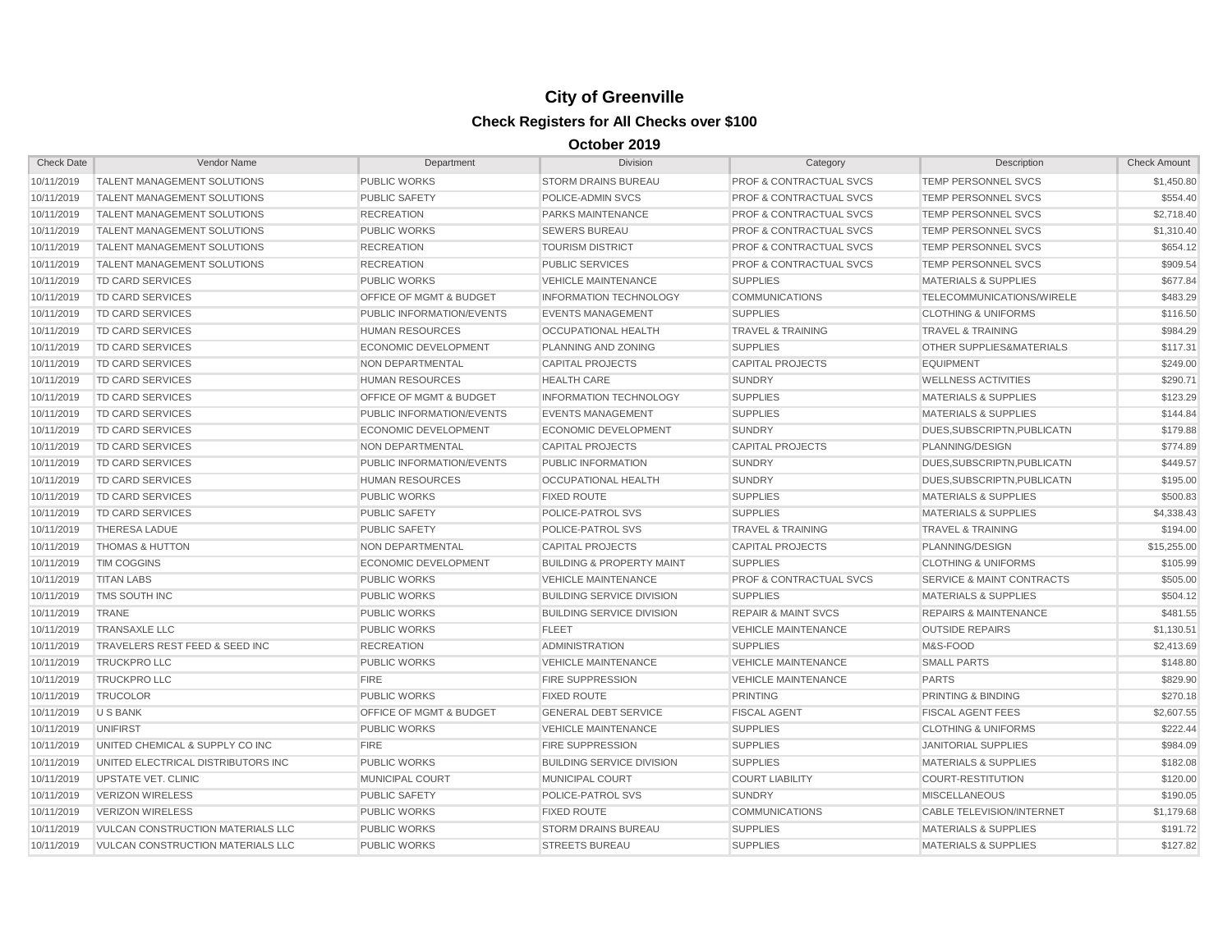| <b>Check Date</b> | Vendor Name                              | Department                         | <b>Division</b>                      | Category                           | Description                          | <b>Check Amount</b> |
|-------------------|------------------------------------------|------------------------------------|--------------------------------------|------------------------------------|--------------------------------------|---------------------|
| 10/11/2019        | <b>TALENT MANAGEMENT SOLUTIONS</b>       | <b>PUBLIC WORKS</b>                | <b>STORM DRAINS BUREAU</b>           | <b>PROF &amp; CONTRACTUAL SVCS</b> | TEMP PERSONNEL SVCS                  | \$1,450.80          |
| 10/11/2019        | <b>TALENT MANAGEMENT SOLUTIONS</b>       | <b>PUBLIC SAFETY</b>               | POLICE-ADMIN SVCS                    | <b>PROF &amp; CONTRACTUAL SVCS</b> | <b>TEMP PERSONNEL SVCS</b>           | \$554.40            |
| 10/11/2019        | <b>TALENT MANAGEMENT SOLUTIONS</b>       | <b>RECREATION</b>                  | <b>PARKS MAINTENANCE</b>             | <b>PROF &amp; CONTRACTUAL SVCS</b> | <b>TEMP PERSONNEL SVCS</b>           | \$2,718.40          |
| 10/11/2019        | <b>TALENT MANAGEMENT SOLUTIONS</b>       | <b>PUBLIC WORKS</b>                | <b>SEWERS BUREAU</b>                 | <b>PROF &amp; CONTRACTUAL SVCS</b> | <b>TEMP PERSONNEL SVCS</b>           | \$1,310.40          |
| 10/11/2019        | <b>TALENT MANAGEMENT SOLUTIONS</b>       | <b>RECREATION</b>                  | <b>TOURISM DISTRICT</b>              | <b>PROF &amp; CONTRACTUAL SVCS</b> | TEMP PERSONNEL SVCS                  | \$654.12            |
| 10/11/2019        | <b>TALENT MANAGEMENT SOLUTIONS</b>       | <b>RECREATION</b>                  | <b>PUBLIC SERVICES</b>               | <b>PROF &amp; CONTRACTUAL SVCS</b> | TEMP PERSONNEL SVCS                  | \$909.54            |
| 10/11/2019        | <b>TD CARD SERVICES</b>                  | <b>PUBLIC WORKS</b>                | <b>VEHICLE MAINTENANCE</b>           | <b>SUPPLIES</b>                    | <b>MATERIALS &amp; SUPPLIES</b>      | \$677.84            |
| 10/11/2019        | <b>TD CARD SERVICES</b>                  | OFFICE OF MGMT & BUDGET            | <b>INFORMATION TECHNOLOGY</b>        | <b>COMMUNICATIONS</b>              | TELECOMMUNICATIONS/WIRELE            | \$483.29            |
| 10/11/2019        | <b>TD CARD SERVICES</b>                  | PUBLIC INFORMATION/EVENTS          | <b>EVENTS MANAGEMENT</b>             | <b>SUPPLIES</b>                    | <b>CLOTHING &amp; UNIFORMS</b>       | \$116.50            |
| 10/11/2019        | <b>TD CARD SERVICES</b>                  | <b>HUMAN RESOURCES</b>             | <b>OCCUPATIONAL HEALTH</b>           | <b>TRAVEL &amp; TRAINING</b>       | <b>TRAVEL &amp; TRAINING</b>         | \$984.29            |
| 10/11/2019        | <b>TD CARD SERVICES</b>                  | <b>ECONOMIC DEVELOPMENT</b>        | PLANNING AND ZONING                  | <b>SUPPLIES</b>                    | <b>OTHER SUPPLIES&amp;MATERIALS</b>  | \$117.31            |
| 10/11/2019        | <b>TD CARD SERVICES</b>                  | <b>NON DEPARTMENTAL</b>            | <b>CAPITAL PROJECTS</b>              | <b>CAPITAL PROJECTS</b>            | <b>EQUIPMENT</b>                     | \$249.00            |
| 10/11/2019        | <b>TD CARD SERVICES</b>                  | <b>HUMAN RESOURCES</b>             | <b>HEALTH CARE</b>                   | <b>SUNDRY</b>                      | <b>WELLNESS ACTIVITIES</b>           | \$290.71            |
| 10/11/2019        | <b>TD CARD SERVICES</b>                  | <b>OFFICE OF MGMT &amp; BUDGET</b> | <b>INFORMATION TECHNOLOGY</b>        | <b>SUPPLIES</b>                    | <b>MATERIALS &amp; SUPPLIES</b>      | \$123.29            |
| 10/11/2019        | <b>TD CARD SERVICES</b>                  | PUBLIC INFORMATION/EVENTS          | <b>EVENTS MANAGEMENT</b>             | <b>SUPPLIES</b>                    | <b>MATERIALS &amp; SUPPLIES</b>      | \$144.84            |
| 10/11/2019        | <b>TD CARD SERVICES</b>                  | <b>ECONOMIC DEVELOPMENT</b>        | ECONOMIC DEVELOPMENT                 | <b>SUNDRY</b>                      | DUES, SUBSCRIPTN, PUBLICATN          | \$179.88            |
| 10/11/2019        | <b>TD CARD SERVICES</b>                  | <b>NON DEPARTMENTAL</b>            | <b>CAPITAL PROJECTS</b>              | <b>CAPITAL PROJECTS</b>            | PLANNING/DESIGN                      | \$774.89            |
| 10/11/2019        | <b>TD CARD SERVICES</b>                  | PUBLIC INFORMATION/EVENTS          | PUBLIC INFORMATION                   | <b>SUNDRY</b>                      | DUES, SUBSCRIPTN, PUBLICATN          | \$449.57            |
| 10/11/2019        | <b>TD CARD SERVICES</b>                  | <b>HUMAN RESOURCES</b>             | OCCUPATIONAL HEALTH                  | <b>SUNDRY</b>                      | DUES, SUBSCRIPTN, PUBLICATN          | \$195.00            |
| 10/11/2019        | <b>TD CARD SERVICES</b>                  | <b>PUBLIC WORKS</b>                | <b>FIXED ROUTE</b>                   | <b>SUPPLIES</b>                    | <b>MATERIALS &amp; SUPPLIES</b>      | \$500.83            |
| 10/11/2019        | <b>TD CARD SERVICES</b>                  | <b>PUBLIC SAFETY</b>               | POLICE-PATROL SVS                    | <b>SUPPLIES</b>                    | <b>MATERIALS &amp; SUPPLIES</b>      | \$4,338.43          |
| 10/11/2019        | <b>THERESA LADUE</b>                     | <b>PUBLIC SAFETY</b>               | POLICE-PATROL SVS                    | <b>TRAVEL &amp; TRAINING</b>       | <b>TRAVEL &amp; TRAINING</b>         | \$194.00            |
| 10/11/2019        | <b>THOMAS &amp; HUTTON</b>               | NON DEPARTMENTAL                   | <b>CAPITAL PROJECTS</b>              | <b>CAPITAL PROJECTS</b>            | PLANNING/DESIGN                      | \$15,255.00         |
| 10/11/2019        | <b>TIM COGGINS</b>                       | <b>ECONOMIC DEVELOPMENT</b>        | <b>BUILDING &amp; PROPERTY MAINT</b> | <b>SUPPLIES</b>                    | <b>CLOTHING &amp; UNIFORMS</b>       | \$105.99            |
| 10/11/2019        | <b>TITAN LABS</b>                        | <b>PUBLIC WORKS</b>                | <b>VEHICLE MAINTENANCE</b>           | <b>PROF &amp; CONTRACTUAL SVCS</b> | <b>SERVICE &amp; MAINT CONTRACTS</b> | \$505.00            |
| 10/11/2019        | TMS SOUTH INC                            | <b>PUBLIC WORKS</b>                | <b>BUILDING SERVICE DIVISION</b>     | <b>SUPPLIES</b>                    | <b>MATERIALS &amp; SUPPLIES</b>      | \$504.12            |
| 10/11/2019        | <b>TRANE</b>                             | <b>PUBLIC WORKS</b>                | <b>BUILDING SERVICE DIVISION</b>     | <b>REPAIR &amp; MAINT SVCS</b>     | <b>REPAIRS &amp; MAINTENANCE</b>     | \$481.55            |
| 10/11/2019        | <b>TRANSAXLE LLC</b>                     | <b>PUBLIC WORKS</b>                | <b>FLEET</b>                         | <b>VEHICLE MAINTENANCE</b>         | <b>OUTSIDE REPAIRS</b>               | \$1,130.51          |
| 10/11/2019        | TRAVELERS REST FEED & SEED INC           | <b>RECREATION</b>                  | <b>ADMINISTRATION</b>                | <b>SUPPLIES</b>                    | M&S-FOOD                             | \$2,413.69          |
| 10/11/2019        | <b>TRUCKPRO LLC</b>                      | <b>PUBLIC WORKS</b>                | <b>VEHICLE MAINTENANCE</b>           | <b>VEHICLE MAINTENANCE</b>         | <b>SMALL PARTS</b>                   | \$148.80            |
| 10/11/2019        | <b>TRUCKPRO LLC</b>                      | <b>FIRE</b>                        | <b>FIRE SUPPRESSION</b>              | <b>VEHICLE MAINTENANCE</b>         | <b>PARTS</b>                         | \$829.90            |
| 10/11/2019        | <b>TRUCOLOR</b>                          | <b>PUBLIC WORKS</b>                | <b>FIXED ROUTE</b>                   | <b>PRINTING</b>                    | <b>PRINTING &amp; BINDING</b>        | \$270.18            |
| 10/11/2019        | U S BANK                                 | <b>OFFICE OF MGMT &amp; BUDGET</b> | <b>GENERAL DEBT SERVICE</b>          | <b>FISCAL AGENT</b>                | <b>FISCAL AGENT FEES</b>             | \$2,607.55          |
| 10/11/2019        | <b>UNIFIRST</b>                          | <b>PUBLIC WORKS</b>                | <b>VEHICLE MAINTENANCE</b>           | <b>SUPPLIES</b>                    | <b>CLOTHING &amp; UNIFORMS</b>       | \$222.44            |
| 10/11/2019        | UNITED CHEMICAL & SUPPLY CO INC          | <b>FIRE</b>                        | <b>FIRE SUPPRESSION</b>              | <b>SUPPLIES</b>                    | <b>JANITORIAL SUPPLIES</b>           | \$984.09            |
| 10/11/2019        | UNITED ELECTRICAL DISTRIBUTORS INC       | <b>PUBLIC WORKS</b>                | <b>BUILDING SERVICE DIVISION</b>     | <b>SUPPLIES</b>                    | <b>MATERIALS &amp; SUPPLIES</b>      | \$182.08            |
| 10/11/2019        | UPSTATE VET. CLINIC                      | <b>MUNICIPAL COURT</b>             | <b>MUNICIPAL COURT</b>               | <b>COURT LIABILITY</b>             | <b>COURT-RESTITUTION</b>             | \$120.00            |
| 10/11/2019        | <b>VERIZON WIRELESS</b>                  | <b>PUBLIC SAFETY</b>               | POLICE-PATROL SVS                    | <b>SUNDRY</b>                      | <b>MISCELLANEOUS</b>                 | \$190.05            |
| 10/11/2019        | <b>VERIZON WIRELESS</b>                  | <b>PUBLIC WORKS</b>                | <b>FIXED ROUTE</b>                   | <b>COMMUNICATIONS</b>              | <b>CABLE TELEVISION/INTERNET</b>     | \$1,179.68          |
| 10/11/2019        | <b>VULCAN CONSTRUCTION MATERIALS LLC</b> | <b>PUBLIC WORKS</b>                | <b>STORM DRAINS BUREAU</b>           | <b>SUPPLIES</b>                    | <b>MATERIALS &amp; SUPPLIES</b>      | \$191.72            |
| 10/11/2019        | <b>VULCAN CONSTRUCTION MATERIALS LLC</b> | <b>PUBLIC WORKS</b>                | <b>STREETS BUREAU</b>                | <b>SUPPLIES</b>                    | <b>MATERIALS &amp; SUPPLIES</b>      | \$127.82            |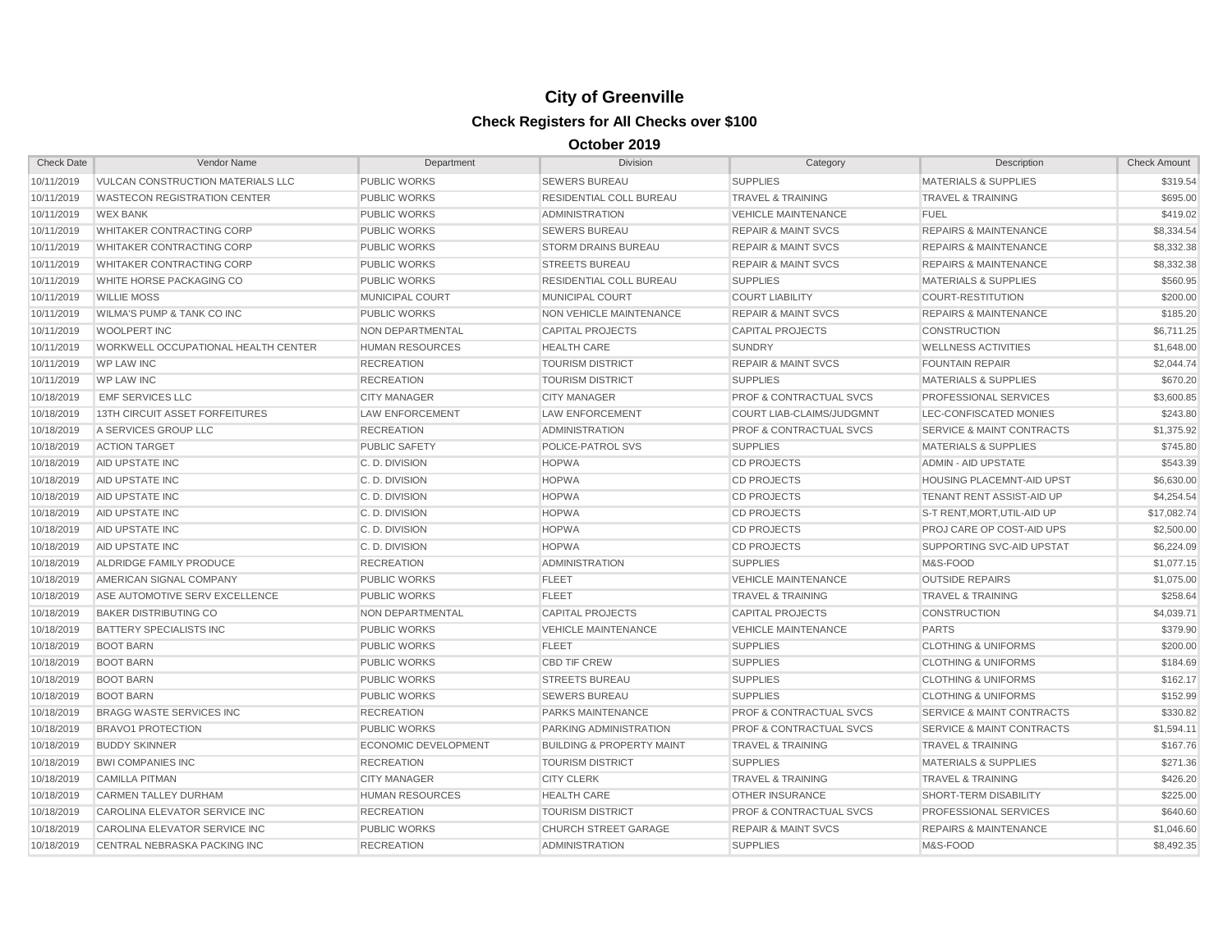| <b>Check Date</b> | Vendor Name                                | Department                  | <b>Division</b>                      | Category                           | Description                          | <b>Check Amount</b> |
|-------------------|--------------------------------------------|-----------------------------|--------------------------------------|------------------------------------|--------------------------------------|---------------------|
| 10/11/2019        | VULCAN CONSTRUCTION MATERIALS LLC          | <b>PUBLIC WORKS</b>         | <b>SEWERS BUREAU</b>                 | <b>SUPPLIES</b>                    | <b>MATERIALS &amp; SUPPLIES</b>      | \$319.54            |
| 10/11/2019        | <b>WASTECON REGISTRATION CENTER</b>        | <b>PUBLIC WORKS</b>         | RESIDENTIAL COLL BUREAU              | <b>TRAVEL &amp; TRAINING</b>       | <b>TRAVEL &amp; TRAINING</b>         | \$695.00            |
| 10/11/2019        | <b>WEX BANK</b>                            | <b>PUBLIC WORKS</b>         | <b>ADMINISTRATION</b>                | <b>VEHICLE MAINTENANCE</b>         | <b>FUEL</b>                          | \$419.02            |
| 10/11/2019        | <b>WHITAKER CONTRACTING CORP</b>           | <b>PUBLIC WORKS</b>         | <b>SEWERS BUREAU</b>                 | <b>REPAIR &amp; MAINT SVCS</b>     | <b>REPAIRS &amp; MAINTENANCE</b>     | \$8,334.54          |
| 10/11/2019        | WHITAKER CONTRACTING CORP                  | <b>PUBLIC WORKS</b>         | <b>STORM DRAINS BUREAU</b>           | <b>REPAIR &amp; MAINT SVCS</b>     | <b>REPAIRS &amp; MAINTENANCE</b>     | \$8,332.38          |
| 10/11/2019        | <b>WHITAKER CONTRACTING CORP</b>           | <b>PUBLIC WORKS</b>         | <b>STREETS BUREAU</b>                | <b>REPAIR &amp; MAINT SVCS</b>     | <b>REPAIRS &amp; MAINTENANCE</b>     | \$8,332.38          |
| 10/11/2019        | WHITE HORSE PACKAGING CO                   | <b>PUBLIC WORKS</b>         | RESIDENTIAL COLL BUREAU              | <b>SUPPLIES</b>                    | <b>MATERIALS &amp; SUPPLIES</b>      | \$560.95            |
| 10/11/2019        | <b>WILLIE MOSS</b>                         | <b>MUNICIPAL COURT</b>      | <b>MUNICIPAL COURT</b>               | <b>COURT LIABILITY</b>             | <b>COURT-RESTITUTION</b>             | \$200.00            |
| 10/11/2019        | <b>WILMA'S PUMP &amp; TANK CO INC</b>      | <b>PUBLIC WORKS</b>         | NON VEHICLE MAINTENANCE              | <b>REPAIR &amp; MAINT SVCS</b>     | <b>REPAIRS &amp; MAINTENANCE</b>     | \$185.20            |
| 10/11/2019        | <b>WOOLPERT INC</b>                        | <b>NON DEPARTMENTAL</b>     | <b>CAPITAL PROJECTS</b>              | <b>CAPITAL PROJECTS</b>            | <b>CONSTRUCTION</b>                  | \$6,711.25          |
| 10/11/2019        | <b>WORKWELL OCCUPATIONAL HEALTH CENTER</b> | <b>HUMAN RESOURCES</b>      | <b>HEALTH CARE</b>                   | <b>SUNDRY</b>                      | <b>WELLNESS ACTIVITIES</b>           | \$1,648.00          |
| 10/11/2019        | <b>WP LAW INC</b>                          | <b>RECREATION</b>           | <b>TOURISM DISTRICT</b>              | <b>REPAIR &amp; MAINT SVCS</b>     | <b>FOUNTAIN REPAIR</b>               | \$2,044.74          |
| 10/11/2019        | <b>WP LAW INC</b>                          | <b>RECREATION</b>           | <b>TOURISM DISTRICT</b>              | <b>SUPPLIES</b>                    | <b>MATERIALS &amp; SUPPLIES</b>      | \$670.20            |
| 10/18/2019        | <b>EMF SERVICES LLC</b>                    | <b>CITY MANAGER</b>         | <b>CITY MANAGER</b>                  | PROF & CONTRACTUAL SVCS            | PROFESSIONAL SERVICES                | \$3,600.85          |
| 10/18/2019        | <b>13TH CIRCUIT ASSET FORFEITURES</b>      | <b>LAW ENFORCEMENT</b>      | <b>LAW ENFORCEMENT</b>               | <b>COURT LIAB-CLAIMS/JUDGMNT</b>   | LEC-CONFISCATED MONIES               | \$243.80            |
| 10/18/2019        | A SERVICES GROUP LLC                       | <b>RECREATION</b>           | <b>ADMINISTRATION</b>                | <b>PROF &amp; CONTRACTUAL SVCS</b> | <b>SERVICE &amp; MAINT CONTRACTS</b> | \$1,375.92          |
| 10/18/2019        | <b>ACTION TARGET</b>                       | <b>PUBLIC SAFETY</b>        | POLICE-PATROL SVS                    | <b>SUPPLIES</b>                    | <b>MATERIALS &amp; SUPPLIES</b>      | \$745.80            |
| 10/18/2019        | <b>AID UPSTATE INC</b>                     | C.D. DIVISION               | <b>HOPWA</b>                         | <b>CD PROJECTS</b>                 | <b>ADMIN - AID UPSTATE</b>           | \$543.39            |
| 10/18/2019        | <b>AID UPSTATE INC</b>                     | C.D. DIVISION               | <b>HOPWA</b>                         | <b>CD PROJECTS</b>                 | HOUSING PLACEMNT-AID UPST            | \$6,630.00          |
| 10/18/2019        | AID UPSTATE INC                            | C.D. DIVISION               | <b>HOPWA</b>                         | <b>CD PROJECTS</b>                 | TENANT RENT ASSIST-AID UP            | \$4,254.54          |
| 10/18/2019        | <b>AID UPSTATE INC</b>                     | C.D. DIVISION               | <b>HOPWA</b>                         | <b>CD PROJECTS</b>                 | S-T RENT, MORT, UTIL-AID UP          | \$17,082.74         |
| 10/18/2019        | <b>AID UPSTATE INC</b>                     | C.D. DIVISION               | <b>HOPWA</b>                         | <b>CD PROJECTS</b>                 | <b>PROJ CARE OP COST-AID UPS</b>     | \$2,500.00          |
| 10/18/2019        | <b>AID UPSTATE INC</b>                     | C.D. DIVISION               | <b>HOPWA</b>                         | <b>CD PROJECTS</b>                 | SUPPORTING SVC-AID UPSTAT            | \$6,224.09          |
| 10/18/2019        | ALDRIDGE FAMILY PRODUCE                    | <b>RECREATION</b>           | <b>ADMINISTRATION</b>                | <b>SUPPLIES</b>                    | M&S-FOOD                             | \$1,077.15          |
| 10/18/2019        | AMERICAN SIGNAL COMPANY                    | <b>PUBLIC WORKS</b>         | <b>FLEET</b>                         | <b>VEHICLE MAINTENANCE</b>         | <b>OUTSIDE REPAIRS</b>               | \$1,075.00          |
| 10/18/2019        | ASE AUTOMOTIVE SERV EXCELLENCE             | <b>PUBLIC WORKS</b>         | <b>FLEET</b>                         | <b>TRAVEL &amp; TRAINING</b>       | <b>TRAVEL &amp; TRAINING</b>         | \$258.64            |
| 10/18/2019        | <b>BAKER DISTRIBUTING CO</b>               | <b>NON DEPARTMENTAL</b>     | <b>CAPITAL PROJECTS</b>              | <b>CAPITAL PROJECTS</b>            | <b>CONSTRUCTION</b>                  | \$4,039.71          |
| 10/18/2019        | <b>BATTERY SPECIALISTS INC</b>             | <b>PUBLIC WORKS</b>         | <b>VEHICLE MAINTENANCE</b>           | <b>VEHICLE MAINTENANCE</b>         | <b>PARTS</b>                         | \$379.90            |
| 10/18/2019        | <b>BOOT BARN</b>                           | <b>PUBLIC WORKS</b>         | <b>FLEET</b>                         | <b>SUPPLIES</b>                    | <b>CLOTHING &amp; UNIFORMS</b>       | \$200.00            |
| 10/18/2019        | <b>BOOT BARN</b>                           | <b>PUBLIC WORKS</b>         | <b>CBD TIF CREW</b>                  | <b>SUPPLIES</b>                    | <b>CLOTHING &amp; UNIFORMS</b>       | \$184.69            |
| 10/18/2019        | <b>BOOT BARN</b>                           | <b>PUBLIC WORKS</b>         | <b>STREETS BUREAU</b>                | <b>SUPPLIES</b>                    | <b>CLOTHING &amp; UNIFORMS</b>       | \$162.17            |
| 10/18/2019        | <b>BOOT BARN</b>                           | <b>PUBLIC WORKS</b>         | <b>SEWERS BUREAU</b>                 | <b>SUPPLIES</b>                    | <b>CLOTHING &amp; UNIFORMS</b>       | \$152.99            |
| 10/18/2019        | BRAGG WASTE SERVICES INC.                  | <b>RECREATION</b>           | <b>PARKS MAINTENANCE</b>             | <b>PROF &amp; CONTRACTUAL SVCS</b> | <b>SERVICE &amp; MAINT CONTRACTS</b> | \$330.82            |
| 10/18/2019        | <b>BRAVO1 PROTECTION</b>                   | <b>PUBLIC WORKS</b>         | PARKING ADMINISTRATION               | <b>PROF &amp; CONTRACTUAL SVCS</b> | <b>SERVICE &amp; MAINT CONTRACTS</b> | \$1,594.11          |
| 10/18/2019        | <b>BUDDY SKINNER</b>                       | <b>ECONOMIC DEVELOPMENT</b> | <b>BUILDING &amp; PROPERTY MAINT</b> | <b>TRAVEL &amp; TRAINING</b>       | <b>TRAVEL &amp; TRAINING</b>         | \$167.76            |
| 10/18/2019        | <b>BWI COMPANIES INC</b>                   | <b>RECREATION</b>           | <b>TOURISM DISTRICT</b>              | <b>SUPPLIES</b>                    | <b>MATERIALS &amp; SUPPLIES</b>      | \$271.36            |
| 10/18/2019        | <b>CAMILLA PITMAN</b>                      | <b>CITY MANAGER</b>         | <b>CITY CLERK</b>                    | <b>TRAVEL &amp; TRAINING</b>       | <b>TRAVEL &amp; TRAINING</b>         | \$426.20            |
| 10/18/2019        | <b>CARMEN TALLEY DURHAM</b>                | <b>HUMAN RESOURCES</b>      | <b>HEALTH CARE</b>                   | <b>OTHER INSURANCE</b>             | SHORT-TERM DISABILITY                | \$225.00            |
| 10/18/2019        | CAROLINA ELEVATOR SERVICE INC              | <b>RECREATION</b>           | <b>TOURISM DISTRICT</b>              | <b>PROF &amp; CONTRACTUAL SVCS</b> | <b>PROFESSIONAL SERVICES</b>         | \$640.60            |
| 10/18/2019        | CAROLINA ELEVATOR SERVICE INC              | <b>PUBLIC WORKS</b>         | <b>CHURCH STREET GARAGE</b>          | <b>REPAIR &amp; MAINT SVCS</b>     | <b>REPAIRS &amp; MAINTENANCE</b>     | \$1,046.60          |
| 10/18/2019        | CENTRAL NEBRASKA PACKING INC               | <b>RECREATION</b>           | <b>ADMINISTRATION</b>                | <b>SUPPLIES</b>                    | M&S-FOOD                             | \$8,492.35          |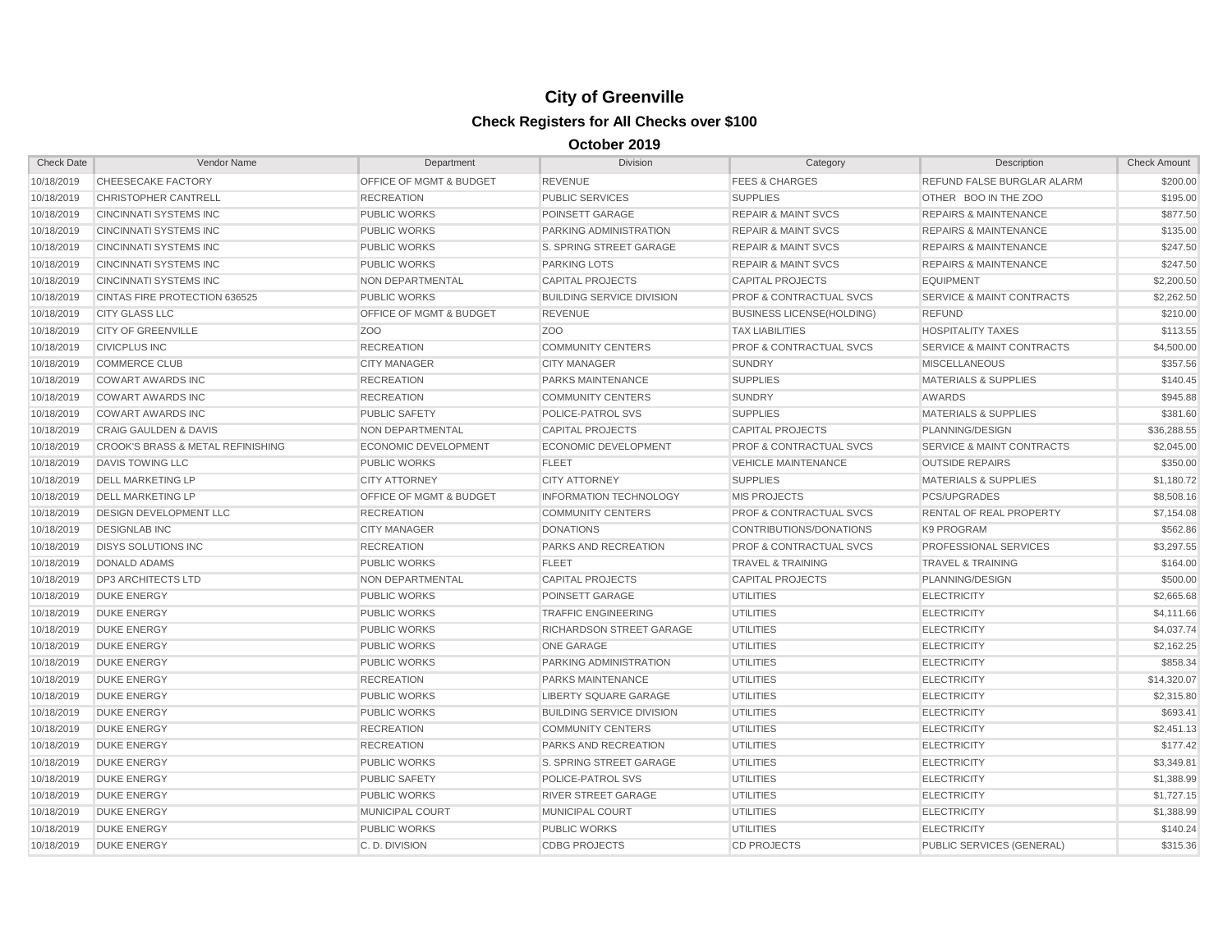| <b>Check Date</b> | Vendor Name                                  | Department                         | <b>Division</b>                  | Category                           | Description                          | <b>Check Amount</b> |
|-------------------|----------------------------------------------|------------------------------------|----------------------------------|------------------------------------|--------------------------------------|---------------------|
| 10/18/2019        | CHEESECAKE FACTORY                           | OFFICE OF MGMT & BUDGET            | <b>REVENUE</b>                   | <b>FEES &amp; CHARGES</b>          | REFUND FALSE BURGLAR ALARM           | \$200.00            |
| 10/18/2019        | <b>CHRISTOPHER CANTRELL</b>                  | <b>RECREATION</b>                  | <b>PUBLIC SERVICES</b>           | <b>SUPPLIES</b>                    | OTHER BOO IN THE ZOO                 | \$195.00            |
| 10/18/2019        | <b>CINCINNATI SYSTEMS INC</b>                | <b>PUBLIC WORKS</b>                | POINSETT GARAGE                  | <b>REPAIR &amp; MAINT SVCS</b>     | <b>REPAIRS &amp; MAINTENANCE</b>     | \$877.50            |
| 10/18/2019        | <b>CINCINNATI SYSTEMS INC</b>                | <b>PUBLIC WORKS</b>                | PARKING ADMINISTRATION           | <b>REPAIR &amp; MAINT SVCS</b>     | <b>REPAIRS &amp; MAINTENANCE</b>     | \$135.00            |
| 10/18/2019        | <b>CINCINNATI SYSTEMS INC</b>                | <b>PUBLIC WORKS</b>                | S. SPRING STREET GARAGE          | <b>REPAIR &amp; MAINT SVCS</b>     | <b>REPAIRS &amp; MAINTENANCE</b>     | \$247.50            |
| 10/18/2019        | <b>CINCINNATI SYSTEMS INC</b>                | <b>PUBLIC WORKS</b>                | <b>PARKING LOTS</b>              | <b>REPAIR &amp; MAINT SVCS</b>     | <b>REPAIRS &amp; MAINTENANCE</b>     | \$247.50            |
| 10/18/2019        | <b>CINCINNATI SYSTEMS INC</b>                | NON DEPARTMENTAL                   | <b>CAPITAL PROJECTS</b>          | <b>CAPITAL PROJECTS</b>            | <b>EQUIPMENT</b>                     | \$2,200.50          |
| 10/18/2019        | CINTAS FIRE PROTECTION 636525                | <b>PUBLIC WORKS</b>                | <b>BUILDING SERVICE DIVISION</b> | <b>PROF &amp; CONTRACTUAL SVCS</b> | <b>SERVICE &amp; MAINT CONTRACTS</b> | \$2,262.50          |
| 10/18/2019        | <b>CITY GLASS LLC</b>                        | <b>OFFICE OF MGMT &amp; BUDGET</b> | <b>REVENUE</b>                   | <b>BUSINESS LICENSE(HOLDING)</b>   | <b>REFUND</b>                        | \$210.00            |
| 10/18/2019        | <b>CITY OF GREENVILLE</b>                    | Z <sub>OO</sub>                    | Z <sub>OO</sub>                  | <b>TAX LIABILITIES</b>             | <b>HOSPITALITY TAXES</b>             | \$113.55            |
| 10/18/2019        | <b>CIVICPLUS INC</b>                         | <b>RECREATION</b>                  | <b>COMMUNITY CENTERS</b>         | <b>PROF &amp; CONTRACTUAL SVCS</b> | <b>SERVICE &amp; MAINT CONTRACTS</b> | \$4,500.00          |
| 10/18/2019        | <b>COMMERCE CLUB</b>                         | <b>CITY MANAGER</b>                | <b>CITY MANAGER</b>              | <b>SUNDRY</b>                      | <b>MISCELLANEOUS</b>                 | \$357.56            |
| 10/18/2019        | <b>COWART AWARDS INC</b>                     | <b>RECREATION</b>                  | <b>PARKS MAINTENANCE</b>         | <b>SUPPLIES</b>                    | <b>MATERIALS &amp; SUPPLIES</b>      | \$140.45            |
| 10/18/2019        | <b>COWART AWARDS INC</b>                     | <b>RECREATION</b>                  | <b>COMMUNITY CENTERS</b>         | <b>SUNDRY</b>                      | <b>AWARDS</b>                        | \$945.88            |
| 10/18/2019        | <b>COWART AWARDS INC</b>                     | <b>PUBLIC SAFETY</b>               | POLICE-PATROL SVS                | <b>SUPPLIES</b>                    | <b>MATERIALS &amp; SUPPLIES</b>      | \$381.60            |
| 10/18/2019        | <b>CRAIG GAULDEN &amp; DAVIS</b>             | <b>NON DEPARTMENTAL</b>            | <b>CAPITAL PROJECTS</b>          | <b>CAPITAL PROJECTS</b>            | PLANNING/DESIGN                      | \$36,288.55         |
| 10/18/2019        | <b>CROOK'S BRASS &amp; METAL REFINISHING</b> | <b>ECONOMIC DEVELOPMENT</b>        | <b>ECONOMIC DEVELOPMENT</b>      | <b>PROF &amp; CONTRACTUAL SVCS</b> | <b>SERVICE &amp; MAINT CONTRACTS</b> | \$2,045.00          |
| 10/18/2019        | <b>DAVIS TOWING LLC</b>                      | <b>PUBLIC WORKS</b>                | <b>FLEET</b>                     | <b>VEHICLE MAINTENANCE</b>         | <b>OUTSIDE REPAIRS</b>               | \$350.00            |
| 10/18/2019        | <b>DELL MARKETING LP</b>                     | <b>CITY ATTORNEY</b>               | <b>CITY ATTORNEY</b>             | <b>SUPPLIES</b>                    | <b>MATERIALS &amp; SUPPLIES</b>      | \$1,180.72          |
| 10/18/2019        | <b>DELL MARKETING LP</b>                     | <b>OFFICE OF MGMT &amp; BUDGET</b> | <b>INFORMATION TECHNOLOGY</b>    | <b>MIS PROJECTS</b>                | <b>PCS/UPGRADES</b>                  | \$8,508.16          |
| 10/18/2019        | <b>DESIGN DEVELOPMENT LLC</b>                | <b>RECREATION</b>                  | <b>COMMUNITY CENTERS</b>         | <b>PROF &amp; CONTRACTUAL SVCS</b> | <b>RENTAL OF REAL PROPERTY</b>       | \$7,154.08          |
| 10/18/2019        | <b>DESIGNLAB INC</b>                         | <b>CITY MANAGER</b>                | <b>DONATIONS</b>                 | CONTRIBUTIONS/DONATIONS            | K9 PROGRAM                           | \$562.86            |
| 10/18/2019        | <b>DISYS SOLUTIONS INC</b>                   | <b>RECREATION</b>                  | PARKS AND RECREATION             | <b>PROF &amp; CONTRACTUAL SVCS</b> | <b>PROFESSIONAL SERVICES</b>         | \$3,297.55          |
| 10/18/2019        | <b>DONALD ADAMS</b>                          | <b>PUBLIC WORKS</b>                | <b>FLEET</b>                     | <b>TRAVEL &amp; TRAINING</b>       | TRAVEL & TRAINING                    | \$164.00            |
| 10/18/2019        | <b>DP3 ARCHITECTS LTD</b>                    | NON DEPARTMENTAL                   | <b>CAPITAL PROJECTS</b>          | <b>CAPITAL PROJECTS</b>            | PLANNING/DESIGN                      | \$500.00            |
| 10/18/2019        | <b>DUKE ENERGY</b>                           | <b>PUBLIC WORKS</b>                | POINSETT GARAGE                  | <b>UTILITIES</b>                   | <b>ELECTRICITY</b>                   | \$2,665.68          |
| 10/18/2019        | <b>DUKE ENERGY</b>                           | <b>PUBLIC WORKS</b>                | <b>TRAFFIC ENGINEERING</b>       | <b>UTILITIES</b>                   | <b>ELECTRICITY</b>                   | \$4,111.66          |
| 10/18/2019        | <b>DUKE ENERGY</b>                           | <b>PUBLIC WORKS</b>                | RICHARDSON STREET GARAGE         | <b>UTILITIES</b>                   | <b>ELECTRICITY</b>                   | \$4,037.74          |
| 10/18/2019        | <b>DUKE ENERGY</b>                           | <b>PUBLIC WORKS</b>                | <b>ONE GARAGE</b>                | <b>UTILITIES</b>                   | <b>ELECTRICITY</b>                   | \$2,162.25          |
| 10/18/2019        | <b>DUKE ENERGY</b>                           | <b>PUBLIC WORKS</b>                | PARKING ADMINISTRATION           | <b>UTILITIES</b>                   | <b>ELECTRICITY</b>                   | \$858.34            |
| 10/18/2019        | <b>DUKE ENERGY</b>                           | <b>RECREATION</b>                  | <b>PARKS MAINTENANCE</b>         | <b>UTILITIES</b>                   | <b>ELECTRICITY</b>                   | \$14,320.07         |
| 10/18/2019        | <b>DUKE ENERGY</b>                           | <b>PUBLIC WORKS</b>                | <b>LIBERTY SQUARE GARAGE</b>     | <b>UTILITIES</b>                   | <b>ELECTRICITY</b>                   | \$2,315.80          |
| 10/18/2019        | <b>DUKE ENERGY</b>                           | <b>PUBLIC WORKS</b>                | <b>BUILDING SERVICE DIVISION</b> | <b>UTILITIES</b>                   | <b>ELECTRICITY</b>                   | \$693.41            |
| 10/18/2019        | <b>DUKE ENERGY</b>                           | <b>RECREATION</b>                  | <b>COMMUNITY CENTERS</b>         | <b>UTILITIES</b>                   | <b>ELECTRICITY</b>                   | \$2,451.13          |
| 10/18/2019        | <b>DUKE ENERGY</b>                           | <b>RECREATION</b>                  | PARKS AND RECREATION             | <b>UTILITIES</b>                   | <b>ELECTRICITY</b>                   | \$177.42            |
| 10/18/2019        | <b>DUKE ENERGY</b>                           | <b>PUBLIC WORKS</b>                | S. SPRING STREET GARAGE          | <b>UTILITIES</b>                   | <b>ELECTRICITY</b>                   | \$3,349.81          |
| 10/18/2019        | <b>DUKE ENERGY</b>                           | <b>PUBLIC SAFETY</b>               | POLICE-PATROL SVS                | <b>UTILITIES</b>                   | <b>ELECTRICITY</b>                   | \$1,388.99          |
| 10/18/2019        | <b>DUKE ENERGY</b>                           | <b>PUBLIC WORKS</b>                | <b>RIVER STREET GARAGE</b>       | <b>UTILITIES</b>                   | <b>ELECTRICITY</b>                   | \$1,727.15          |
| 10/18/2019        | <b>DUKE ENERGY</b>                           | <b>MUNICIPAL COURT</b>             | <b>MUNICIPAL COURT</b>           | <b>UTILITIES</b>                   | <b>ELECTRICITY</b>                   | \$1,388.99          |
| 10/18/2019        | <b>DUKE ENERGY</b>                           | <b>PUBLIC WORKS</b>                | <b>PUBLIC WORKS</b>              | <b>UTILITIES</b>                   | <b>ELECTRICITY</b>                   | \$140.24            |
| 10/18/2019        | <b>DUKE ENERGY</b>                           | C.D. DIVISION                      | <b>CDBG PROJECTS</b>             | <b>CD PROJECTS</b>                 | PUBLIC SERVICES (GENERAL)            | \$315.36            |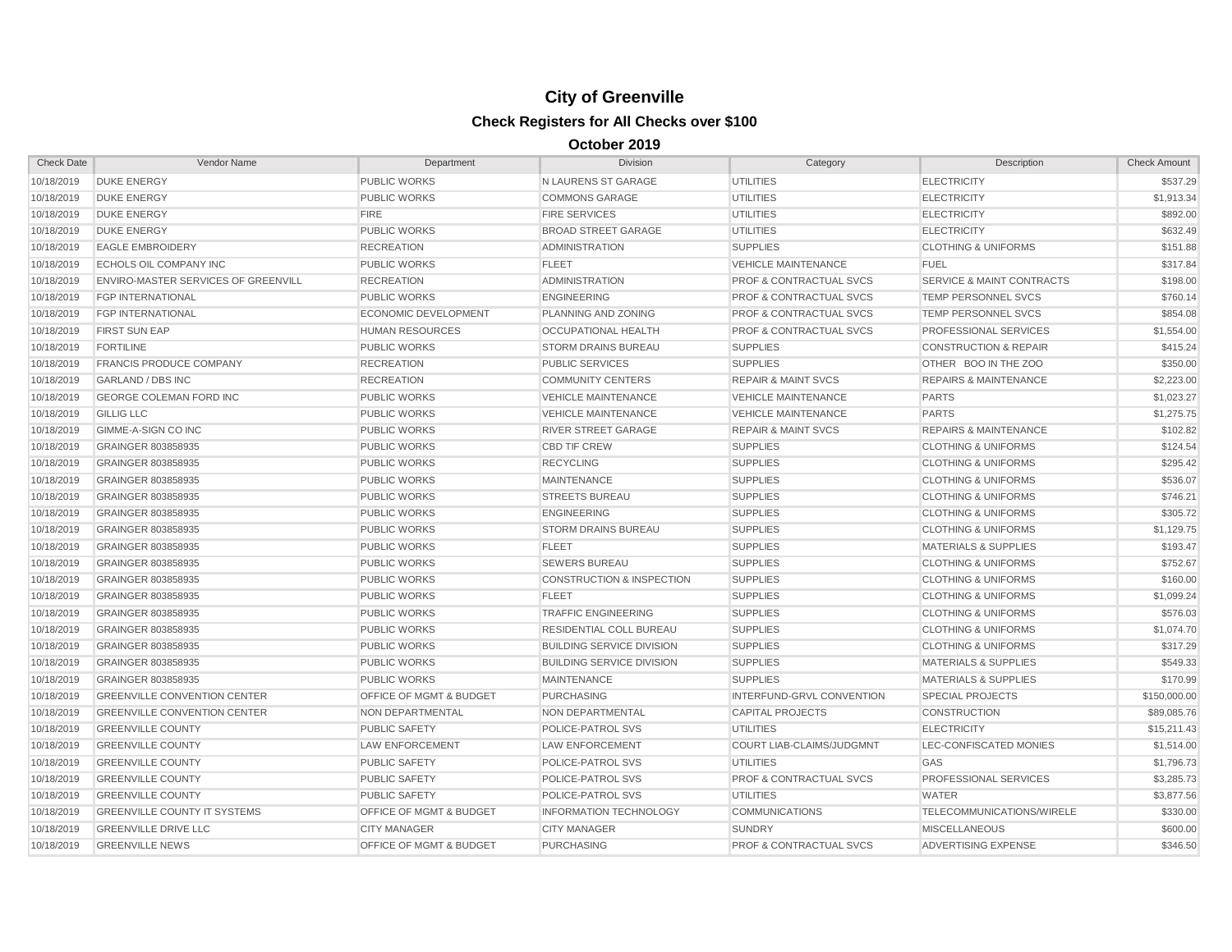| <b>Check Date</b> | Vendor Name                         | Department                         | <b>Division</b>                      | Category                           | Description                          | <b>Check Amount</b> |
|-------------------|-------------------------------------|------------------------------------|--------------------------------------|------------------------------------|--------------------------------------|---------------------|
| 10/18/2019        | <b>DUKE ENERGY</b>                  | <b>PUBLIC WORKS</b>                | N LAURENS ST GARAGE                  | UTILITIES                          | <b>ELECTRICITY</b>                   | \$537.29            |
| 10/18/2019        | <b>DUKE ENERGY</b>                  | <b>PUBLIC WORKS</b>                | <b>COMMONS GARAGE</b>                | UTILITIES                          | <b>ELECTRICITY</b>                   | \$1,913.34          |
| 10/18/2019        | <b>DUKE ENERGY</b>                  | <b>FIRE</b>                        | <b>FIRE SERVICES</b>                 | <b>UTILITIES</b>                   | <b>ELECTRICITY</b>                   | \$892.00            |
| 10/18/2019        | <b>DUKE ENERGY</b>                  | <b>PUBLIC WORKS</b>                | <b>BROAD STREET GARAGE</b>           | <b>UTILITIES</b>                   | <b>ELECTRICITY</b>                   | \$632.49            |
| 10/18/2019        | <b>EAGLE EMBROIDERY</b>             | <b>RECREATION</b>                  | <b>ADMINISTRATION</b>                | <b>SUPPLIES</b>                    | <b>CLOTHING &amp; UNIFORMS</b>       | \$151.88            |
| 10/18/2019        | ECHOLS OIL COMPANY INC              | <b>PUBLIC WORKS</b>                | <b>FLEET</b>                         | <b>VEHICLE MAINTENANCE</b>         | <b>FUEL</b>                          | \$317.84            |
| 10/18/2019        | ENVIRO-MASTER SERVICES OF GREENVILL | <b>RECREATION</b>                  | <b>ADMINISTRATION</b>                | <b>PROF &amp; CONTRACTUAL SVCS</b> | <b>SERVICE &amp; MAINT CONTRACTS</b> | \$198.00            |
| 10/18/2019        | <b>FGP INTERNATIONAL</b>            | <b>PUBLIC WORKS</b>                | <b>ENGINEERING</b>                   | <b>PROF &amp; CONTRACTUAL SVCS</b> | TEMP PERSONNEL SVCS                  | \$760.14            |
| 10/18/2019        | <b>FGP INTERNATIONAL</b>            | <b>ECONOMIC DEVELOPMENT</b>        | PLANNING AND ZONING                  | <b>PROF &amp; CONTRACTUAL SVCS</b> | TEMP PERSONNEL SVCS                  | \$854.08            |
| 10/18/2019        | <b>FIRST SUN EAP</b>                | <b>HUMAN RESOURCES</b>             | OCCUPATIONAL HEALTH                  | <b>PROF &amp; CONTRACTUAL SVCS</b> | PROFESSIONAL SERVICES                | \$1,554.00          |
| 10/18/2019        | <b>FORTILINE</b>                    | <b>PUBLIC WORKS</b>                | <b>STORM DRAINS BUREAU</b>           | <b>SUPPLIES</b>                    | <b>CONSTRUCTION &amp; REPAIR</b>     | \$415.24            |
| 10/18/2019        | <b>FRANCIS PRODUCE COMPANY</b>      | <b>RECREATION</b>                  | <b>PUBLIC SERVICES</b>               | <b>SUPPLIES</b>                    | OTHER BOO IN THE ZOO                 | \$350.00            |
| 10/18/2019        | <b>GARLAND / DBS INC</b>            | <b>RECREATION</b>                  | <b>COMMUNITY CENTERS</b>             | <b>REPAIR &amp; MAINT SVCS</b>     | <b>REPAIRS &amp; MAINTENANCE</b>     | \$2,223.00          |
| 10/18/2019        | <b>GEORGE COLEMAN FORD INC</b>      | <b>PUBLIC WORKS</b>                | <b>VEHICLE MAINTENANCE</b>           | <b>VEHICLE MAINTENANCE</b>         | <b>PARTS</b>                         | \$1,023.27          |
| 10/18/2019        | <b>GILLIG LLC</b>                   | <b>PUBLIC WORKS</b>                | <b>VEHICLE MAINTENANCE</b>           | <b>VEHICLE MAINTENANCE</b>         | <b>PARTS</b>                         | \$1,275.75          |
| 10/18/2019        | GIMME-A-SIGN CO INC                 | <b>PUBLIC WORKS</b>                | <b>RIVER STREET GARAGE</b>           | <b>REPAIR &amp; MAINT SVCS</b>     | <b>REPAIRS &amp; MAINTENANCE</b>     | \$102.82            |
| 10/18/2019        | GRAINGER 803858935                  | <b>PUBLIC WORKS</b>                | <b>CBD TIF CREW</b>                  | <b>SUPPLIES</b>                    | <b>CLOTHING &amp; UNIFORMS</b>       | \$124.54            |
| 10/18/2019        | GRAINGER 803858935                  | <b>PUBLIC WORKS</b>                | <b>RECYCLING</b>                     | <b>SUPPLIES</b>                    | <b>CLOTHING &amp; UNIFORMS</b>       | \$295.42            |
| 10/18/2019        | GRAINGER 803858935                  | <b>PUBLIC WORKS</b>                | <b>MAINTENANCE</b>                   | <b>SUPPLIES</b>                    | <b>CLOTHING &amp; UNIFORMS</b>       | \$536.07            |
| 10/18/2019        | GRAINGER 803858935                  | <b>PUBLIC WORKS</b>                | <b>STREETS BUREAU</b>                | <b>SUPPLIES</b>                    | <b>CLOTHING &amp; UNIFORMS</b>       | \$746.21            |
| 10/18/2019        | GRAINGER 803858935                  | <b>PUBLIC WORKS</b>                | <b>ENGINEERING</b>                   | <b>SUPPLIES</b>                    | <b>CLOTHING &amp; UNIFORMS</b>       | \$305.72            |
| 10/18/2019        | GRAINGER 803858935                  | <b>PUBLIC WORKS</b>                | <b>STORM DRAINS BUREAU</b>           | <b>SUPPLIES</b>                    | <b>CLOTHING &amp; UNIFORMS</b>       | \$1,129.75          |
| 10/18/2019        | GRAINGER 803858935                  | <b>PUBLIC WORKS</b>                | <b>FLEET</b>                         | <b>SUPPLIES</b>                    | <b>MATERIALS &amp; SUPPLIES</b>      | \$193.47            |
| 10/18/2019        | GRAINGER 803858935                  | <b>PUBLIC WORKS</b>                | <b>SEWERS BUREAU</b>                 | <b>SUPPLIES</b>                    | <b>CLOTHING &amp; UNIFORMS</b>       | \$752.67            |
| 10/18/2019        | GRAINGER 803858935                  | <b>PUBLIC WORKS</b>                | <b>CONSTRUCTION &amp; INSPECTION</b> | <b>SUPPLIES</b>                    | <b>CLOTHING &amp; UNIFORMS</b>       | \$160.00            |
| 10/18/2019        | GRAINGER 803858935                  | <b>PUBLIC WORKS</b>                | <b>FLEET</b>                         | <b>SUPPLIES</b>                    | <b>CLOTHING &amp; UNIFORMS</b>       | \$1,099.24          |
| 10/18/2019        | GRAINGER 803858935                  | <b>PUBLIC WORKS</b>                | <b>TRAFFIC ENGINEERING</b>           | <b>SUPPLIES</b>                    | <b>CLOTHING &amp; UNIFORMS</b>       | \$576.03            |
| 10/18/2019        | GRAINGER 803858935                  | <b>PUBLIC WORKS</b>                | RESIDENTIAL COLL BUREAU              | <b>SUPPLIES</b>                    | <b>CLOTHING &amp; UNIFORMS</b>       | \$1,074.70          |
| 10/18/2019        | GRAINGER 803858935                  | <b>PUBLIC WORKS</b>                | <b>BUILDING SERVICE DIVISION</b>     | <b>SUPPLIES</b>                    | <b>CLOTHING &amp; UNIFORMS</b>       | \$317.29            |
| 10/18/2019        | GRAINGER 803858935                  | <b>PUBLIC WORKS</b>                | <b>BUILDING SERVICE DIVISION</b>     | <b>SUPPLIES</b>                    | <b>MATERIALS &amp; SUPPLIES</b>      | \$549.33            |
| 10/18/2019        | <b>GRAINGER 803858935</b>           | <b>PUBLIC WORKS</b>                | <b>MAINTENANCE</b>                   | <b>SUPPLIES</b>                    | <b>MATERIALS &amp; SUPPLIES</b>      | \$170.99            |
| 10/18/2019        | <b>GREENVILLE CONVENTION CENTER</b> | <b>OFFICE OF MGMT &amp; BUDGET</b> | <b>PURCHASING</b>                    | INTERFUND-GRVL CONVENTION          | <b>SPECIAL PROJECTS</b>              | \$150,000.00        |
| 10/18/2019        | <b>GREENVILLE CONVENTION CENTER</b> | <b>NON DEPARTMENTAL</b>            | <b>NON DEPARTMENTAL</b>              | <b>CAPITAL PROJECTS</b>            | <b>CONSTRUCTION</b>                  | \$89,085.76         |
| 10/18/2019        | <b>GREENVILLE COUNTY</b>            | <b>PUBLIC SAFETY</b>               | POLICE-PATROL SVS                    | <b>UTILITIES</b>                   | <b>ELECTRICITY</b>                   | \$15,211.43         |
| 10/18/2019        | <b>GREENVILLE COUNTY</b>            | <b>LAW ENFORCEMENT</b>             | <b>LAW ENFORCEMENT</b>               | COURT LIAB-CLAIMS/JUDGMNT          | LEC-CONFISCATED MONIES               | \$1,514.00          |
| 10/18/2019        | <b>GREENVILLE COUNTY</b>            | PUBLIC SAFETY                      | POLICE-PATROL SVS                    | <b>UTILITIES</b>                   | GAS                                  | \$1,796.73          |
| 10/18/2019        | <b>GREENVILLE COUNTY</b>            | <b>PUBLIC SAFETY</b>               | POLICE-PATROL SVS                    | <b>PROF &amp; CONTRACTUAL SVCS</b> | PROFESSIONAL SERVICES                | \$3,285.73          |
| 10/18/2019        | <b>GREENVILLE COUNTY</b>            | <b>PUBLIC SAFETY</b>               | POLICE-PATROL SVS                    | <b>UTILITIES</b>                   | <b>WATER</b>                         | \$3,877.56          |
| 10/18/2019        | <b>GREENVILLE COUNTY IT SYSTEMS</b> | <b>OFFICE OF MGMT &amp; BUDGET</b> | <b>INFORMATION TECHNOLOGY</b>        | <b>COMMUNICATIONS</b>              | TELECOMMUNICATIONS/WIRELE            | \$330.00            |
| 10/18/2019        | <b>GREENVILLE DRIVE LLC</b>         | <b>CITY MANAGER</b>                | <b>CITY MANAGER</b>                  | <b>SUNDRY</b>                      | <b>MISCELLANEOUS</b>                 | \$600.00            |
| 10/18/2019        | <b>GREENVILLE NEWS</b>              | OFFICE OF MGMT & BUDGET            | <b>PURCHASING</b>                    | <b>PROF &amp; CONTRACTUAL SVCS</b> | <b>ADVERTISING EXPENSE</b>           | \$346.50            |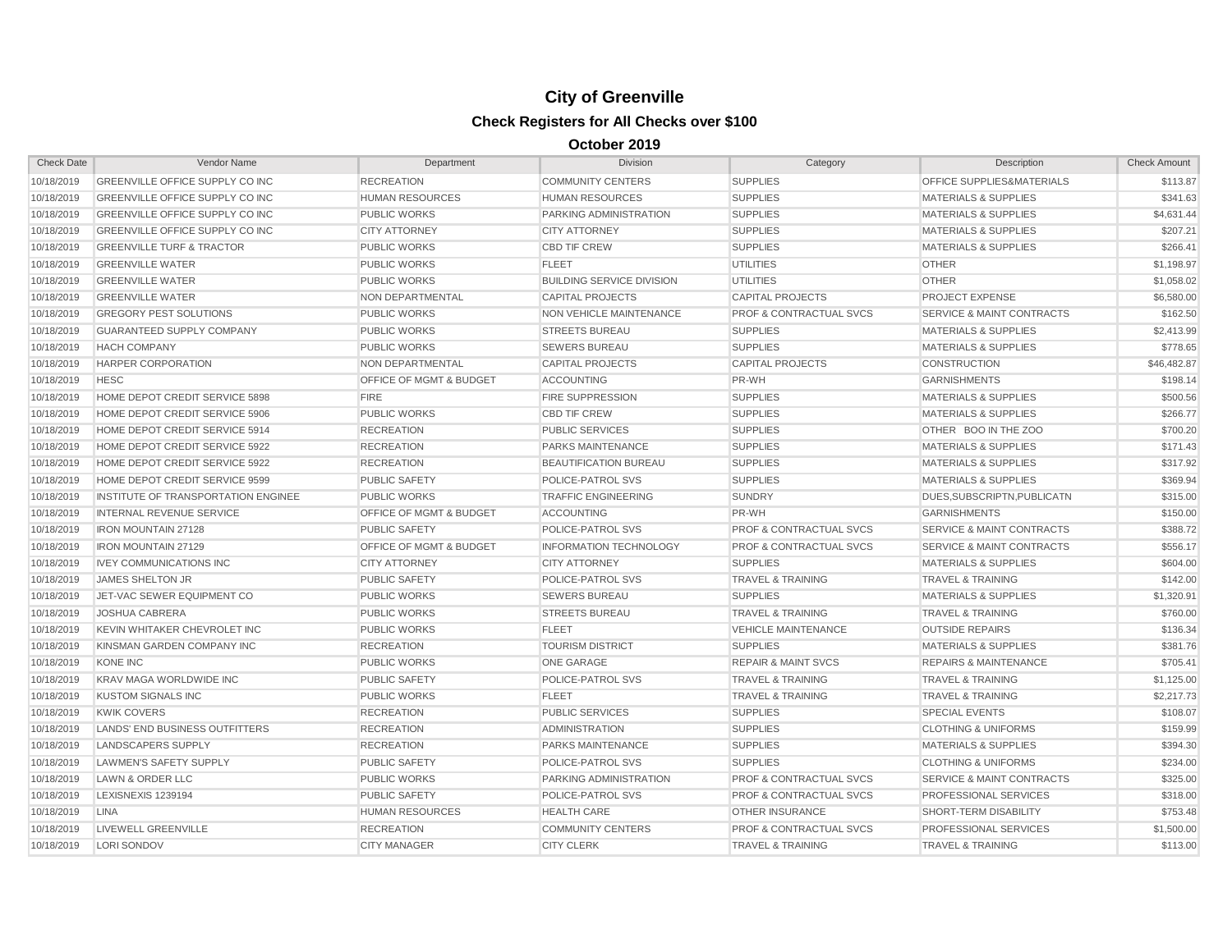| <b>Check Date</b> | Vendor Name                          | Department                         | <b>Division</b>                  | Category                           | Description                          | <b>Check Amount</b> |
|-------------------|--------------------------------------|------------------------------------|----------------------------------|------------------------------------|--------------------------------------|---------------------|
| 10/18/2019        | GREENVILLE OFFICE SUPPLY CO INC      | <b>RECREATION</b>                  | <b>COMMUNITY CENTERS</b>         | <b>SUPPLIES</b>                    | OFFICE SUPPLIES&MATERIALS            | \$113.87            |
| 10/18/2019        | GREENVILLE OFFICE SUPPLY CO INC      | <b>HUMAN RESOURCES</b>             | <b>HUMAN RESOURCES</b>           | <b>SUPPLIES</b>                    | <b>MATERIALS &amp; SUPPLIES</b>      | \$341.63            |
| 10/18/2019        | GREENVILLE OFFICE SUPPLY CO INC      | <b>PUBLIC WORKS</b>                | PARKING ADMINISTRATION           | <b>SUPPLIES</b>                    | <b>MATERIALS &amp; SUPPLIES</b>      | \$4,631.44          |
| 10/18/2019        | GREENVILLE OFFICE SUPPLY CO INC      | <b>CITY ATTORNEY</b>               | <b>CITY ATTORNEY</b>             | <b>SUPPLIES</b>                    | <b>MATERIALS &amp; SUPPLIES</b>      | \$207.21            |
| 10/18/2019        | <b>GREENVILLE TURF &amp; TRACTOR</b> | <b>PUBLIC WORKS</b>                | <b>CBD TIF CREW</b>              | <b>SUPPLIES</b>                    | <b>MATERIALS &amp; SUPPLIES</b>      | \$266.41            |
| 10/18/2019        | <b>GREENVILLE WATER</b>              | <b>PUBLIC WORKS</b>                | <b>FLEET</b>                     | <b>UTILITIES</b>                   | <b>OTHER</b>                         | \$1,198.97          |
| 10/18/2019        | <b>GREENVILLE WATER</b>              | <b>PUBLIC WORKS</b>                | <b>BUILDING SERVICE DIVISION</b> | <b>UTILITIES</b>                   | <b>OTHER</b>                         | \$1,058.02          |
| 10/18/2019        | <b>GREENVILLE WATER</b>              | NON DEPARTMENTAL                   | <b>CAPITAL PROJECTS</b>          | <b>CAPITAL PROJECTS</b>            | <b>PROJECT EXPENSE</b>               | \$6,580.00          |
| 10/18/2019        | <b>GREGORY PEST SOLUTIONS</b>        | <b>PUBLIC WORKS</b>                | <b>NON VEHICLE MAINTENANCE</b>   | <b>PROF &amp; CONTRACTUAL SVCS</b> | <b>SERVICE &amp; MAINT CONTRACTS</b> | \$162.50            |
| 10/18/2019        | <b>GUARANTEED SUPPLY COMPANY</b>     | <b>PUBLIC WORKS</b>                | <b>STREETS BUREAU</b>            | <b>SUPPLIES</b>                    | <b>MATERIALS &amp; SUPPLIES</b>      | \$2,413.99          |
| 10/18/2019        | <b>HACH COMPANY</b>                  | <b>PUBLIC WORKS</b>                | <b>SEWERS BUREAU</b>             | <b>SUPPLIES</b>                    | <b>MATERIALS &amp; SUPPLIES</b>      | \$778.65            |
| 10/18/2019        | <b>HARPER CORPORATION</b>            | <b>NON DEPARTMENTAL</b>            | <b>CAPITAL PROJECTS</b>          | <b>CAPITAL PROJECTS</b>            | <b>CONSTRUCTION</b>                  | \$46,482.87         |
| 10/18/2019        | <b>HESC</b>                          | <b>OFFICE OF MGMT &amp; BUDGET</b> | <b>ACCOUNTING</b>                | PR-WH                              | <b>GARNISHMENTS</b>                  | \$198.14            |
| 10/18/2019        | HOME DEPOT CREDIT SERVICE 5898       | <b>FIRE</b>                        | <b>FIRE SUPPRESSION</b>          | <b>SUPPLIES</b>                    | <b>MATERIALS &amp; SUPPLIES</b>      | \$500.56            |
| 10/18/2019        | HOME DEPOT CREDIT SERVICE 5906       | <b>PUBLIC WORKS</b>                | <b>CBD TIF CREW</b>              | <b>SUPPLIES</b>                    | <b>MATERIALS &amp; SUPPLIES</b>      | \$266.77            |
| 10/18/2019        | HOME DEPOT CREDIT SERVICE 5914       | <b>RECREATION</b>                  | <b>PUBLIC SERVICES</b>           | <b>SUPPLIES</b>                    | OTHER BOO IN THE ZOO                 | \$700.20            |
| 10/18/2019        | HOME DEPOT CREDIT SERVICE 5922       | <b>RECREATION</b>                  | PARKS MAINTENANCE                | <b>SUPPLIES</b>                    | <b>MATERIALS &amp; SUPPLIES</b>      | \$171.43            |
| 10/18/2019        | HOME DEPOT CREDIT SERVICE 5922       | <b>RECREATION</b>                  | BEAUTIFICATION BUREAU            | <b>SUPPLIES</b>                    | <b>MATERIALS &amp; SUPPLIES</b>      | \$317.92            |
| 10/18/2019        | HOME DEPOT CREDIT SERVICE 9599       | <b>PUBLIC SAFETY</b>               | POLICE-PATROL SVS                | <b>SUPPLIES</b>                    | <b>MATERIALS &amp; SUPPLIES</b>      | \$369.94            |
| 10/18/2019        | INSTITUTE OF TRANSPORTATION ENGINEE  | <b>PUBLIC WORKS</b>                | <b>TRAFFIC ENGINEERING</b>       | <b>SUNDRY</b>                      | DUES.SUBSCRIPTN.PUBLICATN            | \$315.00            |
| 10/18/2019        | <b>INTERNAL REVENUE SERVICE</b>      | <b>OFFICE OF MGMT &amp; BUDGET</b> | <b>ACCOUNTING</b>                | PR-WH                              | <b>GARNISHMENTS</b>                  | \$150.00            |
| 10/18/2019        | <b>IRON MOUNTAIN 27128</b>           | <b>PUBLIC SAFETY</b>               | <b>POLICE-PATROL SVS</b>         | <b>PROF &amp; CONTRACTUAL SVCS</b> | <b>SERVICE &amp; MAINT CONTRACTS</b> | \$388.72            |
| 10/18/2019        | <b>IRON MOUNTAIN 27129</b>           | OFFICE OF MGMT & BUDGET            | <b>INFORMATION TECHNOLOGY</b>    | <b>PROF &amp; CONTRACTUAL SVCS</b> | <b>SERVICE &amp; MAINT CONTRACTS</b> | \$556.17            |
| 10/18/2019        | <b>IVEY COMMUNICATIONS INC</b>       | <b>CITY ATTORNEY</b>               | <b>CITY ATTORNEY</b>             | <b>SUPPLIES</b>                    | <b>MATERIALS &amp; SUPPLIES</b>      | \$604.00            |
| 10/18/2019        | <b>JAMES SHELTON JR</b>              | <b>PUBLIC SAFETY</b>               | POLICE-PATROL SVS                | <b>TRAVEL &amp; TRAINING</b>       | <b>TRAVEL &amp; TRAINING</b>         | \$142.00            |
| 10/18/2019        | JET-VAC SEWER EQUIPMENT CO           | <b>PUBLIC WORKS</b>                | <b>SEWERS BUREAU</b>             | <b>SUPPLIES</b>                    | <b>MATERIALS &amp; SUPPLIES</b>      | \$1,320.91          |
| 10/18/2019        | <b>JOSHUA CABRERA</b>                | <b>PUBLIC WORKS</b>                | <b>STREETS BUREAU</b>            | <b>TRAVEL &amp; TRAINING</b>       | <b>TRAVEL &amp; TRAINING</b>         | \$760.00            |
| 10/18/2019        | KEVIN WHITAKER CHEVROLET INC         | <b>PUBLIC WORKS</b>                | <b>FLEET</b>                     | <b>VEHICLE MAINTENANCE</b>         | <b>OUTSIDE REPAIRS</b>               | \$136.34            |
| 10/18/2019        | KINSMAN GARDEN COMPANY INC           | <b>RECREATION</b>                  | <b>TOURISM DISTRICT</b>          | <b>SUPPLIES</b>                    | <b>MATERIALS &amp; SUPPLIES</b>      | \$381.76            |
| 10/18/2019        | <b>KONE INC</b>                      | <b>PUBLIC WORKS</b>                | <b>ONE GARAGE</b>                | <b>REPAIR &amp; MAINT SVCS</b>     | <b>REPAIRS &amp; MAINTENANCE</b>     | \$705.41            |
| 10/18/2019        | <b>KRAV MAGA WORLDWIDE INC</b>       | <b>PUBLIC SAFETY</b>               | <b>POLICE-PATROL SVS</b>         | <b>TRAVEL &amp; TRAINING</b>       | <b>TRAVEL &amp; TRAINING</b>         | \$1,125.00          |
| 10/18/2019        | <b>KUSTOM SIGNALS INC</b>            | <b>PUBLIC WORKS</b>                | <b>FLEET</b>                     | <b>TRAVEL &amp; TRAINING</b>       | <b>TRAVEL &amp; TRAINING</b>         | \$2,217.73          |
| 10/18/2019        | <b>KWIK COVERS</b>                   | <b>RECREATION</b>                  | <b>PUBLIC SERVICES</b>           | <b>SUPPLIES</b>                    | <b>SPECIAL EVENTS</b>                | \$108.07            |
| 10/18/2019        | LANDS' END BUSINESS OUTFITTERS       | <b>RECREATION</b>                  | <b>ADMINISTRATION</b>            | <b>SUPPLIES</b>                    | <b>CLOTHING &amp; UNIFORMS</b>       | \$159.99            |
| 10/18/2019        | LANDSCAPERS SUPPLY                   | <b>RECREATION</b>                  | PARKS MAINTENANCE                | <b>SUPPLIES</b>                    | <b>MATERIALS &amp; SUPPLIES</b>      | \$394.30            |
| 10/18/2019        | LAWMEN'S SAFETY SUPPLY               | <b>PUBLIC SAFETY</b>               | POLICE-PATROL SVS                | <b>SUPPLIES</b>                    | <b>CLOTHING &amp; UNIFORMS</b>       | \$234.00            |
| 10/18/2019        | <b>LAWN &amp; ORDER LLC</b>          | <b>PUBLIC WORKS</b>                | <b>PARKING ADMINISTRATION</b>    | <b>PROF &amp; CONTRACTUAL SVCS</b> | <b>SERVICE &amp; MAINT CONTRACTS</b> | \$325.00            |
| 10/18/2019        | LEXISNEXIS 1239194                   | <b>PUBLIC SAFETY</b>               | POLICE-PATROL SVS                | <b>PROF &amp; CONTRACTUAL SVCS</b> | <b>PROFESSIONAL SERVICES</b>         | \$318.00            |
| 10/18/2019        | <b>LINA</b>                          | <b>HUMAN RESOURCES</b>             | <b>HEALTH CARE</b>               | <b>OTHER INSURANCE</b>             | <b>SHORT-TERM DISABILITY</b>         | \$753.48            |
| 10/18/2019        | LIVEWELL GREENVILLE                  | <b>RECREATION</b>                  | <b>COMMUNITY CENTERS</b>         | <b>PROF &amp; CONTRACTUAL SVCS</b> | <b>PROFESSIONAL SERVICES</b>         | \$1,500.00          |
| 10/18/2019        | LORI SONDOV                          | <b>CITY MANAGER</b>                | <b>CITY CLERK</b>                | <b>TRAVEL &amp; TRAINING</b>       | <b>TRAVEL &amp; TRAINING</b>         | \$113.00            |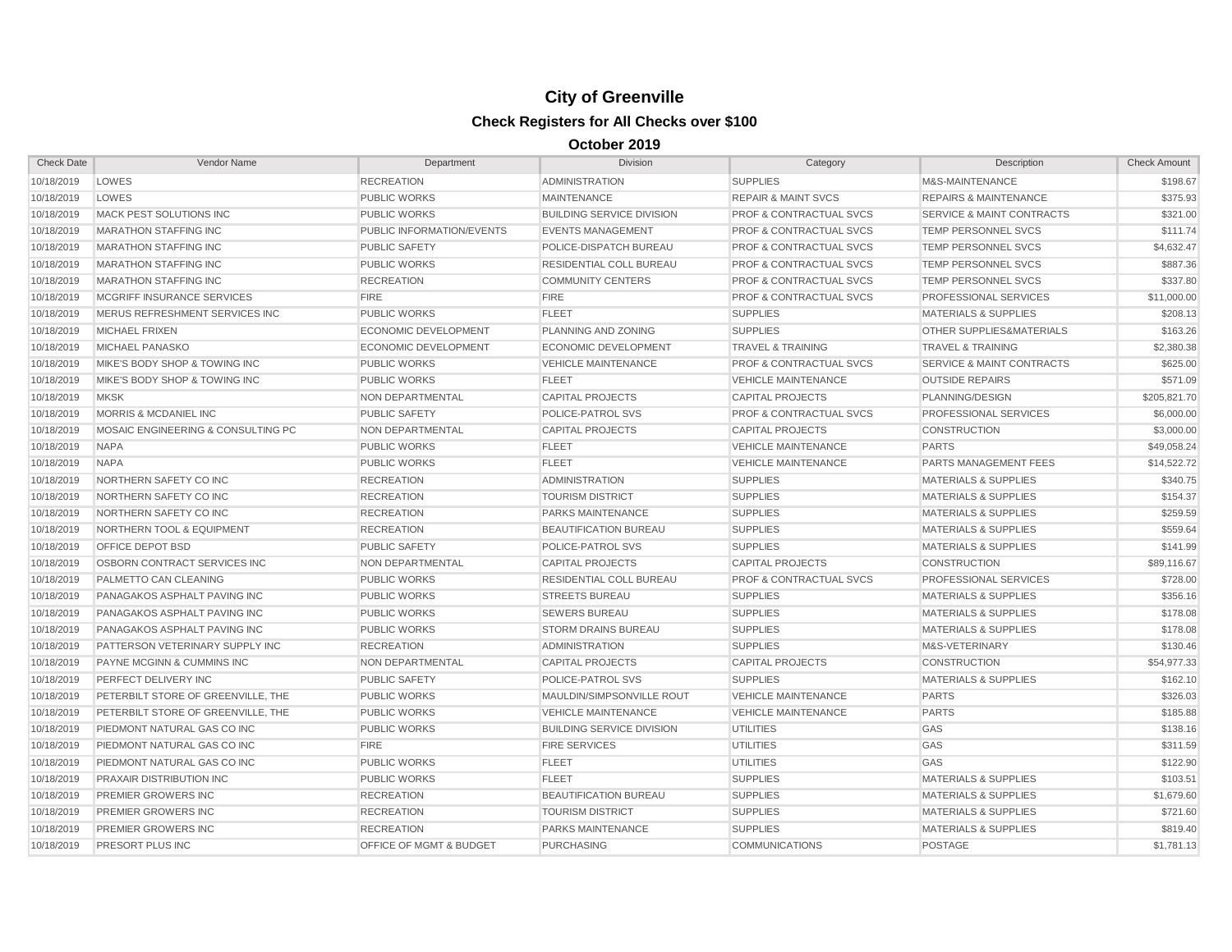| <b>Check Date</b> | Vendor Name                          | Department                       | <b>Division</b>                  | Category                           | Description                          | <b>Check Amount</b> |
|-------------------|--------------------------------------|----------------------------------|----------------------------------|------------------------------------|--------------------------------------|---------------------|
| 10/18/2019        | LOWES                                | <b>RECREATION</b>                | <b>ADMINISTRATION</b>            | <b>SUPPLIES</b>                    | M&S-MAINTENANCE                      | \$198.67            |
| 10/18/2019        | LOWES                                | <b>PUBLIC WORKS</b>              | <b>MAINTENANCE</b>               | <b>REPAIR &amp; MAINT SVCS</b>     | <b>REPAIRS &amp; MAINTENANCE</b>     | \$375.93            |
| 10/18/2019        | <b>MACK PEST SOLUTIONS INC</b>       | <b>PUBLIC WORKS</b>              | <b>BUILDING SERVICE DIVISION</b> | <b>PROF &amp; CONTRACTUAL SVCS</b> | <b>SERVICE &amp; MAINT CONTRACTS</b> | \$321.00            |
| 10/18/2019        | MARATHON STAFFING INC                | <b>PUBLIC INFORMATION/EVENTS</b> | <b>EVENTS MANAGEMENT</b>         | <b>PROF &amp; CONTRACTUAL SVCS</b> | TEMP PERSONNEL SVCS                  | \$111.74            |
| 10/18/2019        | <b>MARATHON STAFFING INC</b>         | <b>PUBLIC SAFETY</b>             | POLICE-DISPATCH BUREAU           | <b>PROF &amp; CONTRACTUAL SVCS</b> | TEMP PERSONNEL SVCS                  | \$4,632.47          |
| 10/18/2019        | <b>MARATHON STAFFING INC</b>         | <b>PUBLIC WORKS</b>              | RESIDENTIAL COLL BUREAU          | <b>PROF &amp; CONTRACTUAL SVCS</b> | TEMP PERSONNEL SVCS                  | \$887.36            |
| 10/18/2019        | <b>MARATHON STAFFING INC</b>         | <b>RECREATION</b>                | <b>COMMUNITY CENTERS</b>         | <b>PROF &amp; CONTRACTUAL SVCS</b> | TEMP PERSONNEL SVCS                  | \$337.80            |
| 10/18/2019        | MCGRIFF INSURANCE SERVICES           | <b>FIRE</b>                      | <b>FIRE</b>                      | PROF & CONTRACTUAL SVCS            | PROFESSIONAL SERVICES                | \$11,000.00         |
| 10/18/2019        | MERUS REFRESHMENT SERVICES INC       | <b>PUBLIC WORKS</b>              | <b>FLEET</b>                     | <b>SUPPLIES</b>                    | <b>MATERIALS &amp; SUPPLIES</b>      | \$208.13            |
| 10/18/2019        | <b>MICHAEL FRIXEN</b>                | <b>ECONOMIC DEVELOPMENT</b>      | PLANNING AND ZONING              | <b>SUPPLIES</b>                    | OTHER SUPPLIES&MATERIALS             | \$163.26            |
| 10/18/2019        | MICHAEL PANASKO                      | <b>ECONOMIC DEVELOPMENT</b>      | <b>ECONOMIC DEVELOPMENT</b>      | <b>TRAVEL &amp; TRAINING</b>       | <b>TRAVEL &amp; TRAINING</b>         | \$2,380.38          |
| 10/18/2019        | MIKE'S BODY SHOP & TOWING INC        | <b>PUBLIC WORKS</b>              | <b>VEHICLE MAINTENANCE</b>       | <b>PROF &amp; CONTRACTUAL SVCS</b> | <b>SERVICE &amp; MAINT CONTRACTS</b> | \$625.00            |
| 10/18/2019        | MIKE'S BODY SHOP & TOWING INC        | <b>PUBLIC WORKS</b>              | <b>FLEET</b>                     | <b>VEHICLE MAINTENANCE</b>         | <b>OUTSIDE REPAIRS</b>               | \$571.09            |
| 10/18/2019        | <b>MKSK</b>                          | NON DEPARTMENTAL                 | <b>CAPITAL PROJECTS</b>          | <b>CAPITAL PROJECTS</b>            | PLANNING/DESIGN                      | \$205,821.70        |
| 10/18/2019        | MORRIS & MCDANIEL INC                | <b>PUBLIC SAFETY</b>             | POLICE-PATROL SVS                | <b>PROF &amp; CONTRACTUAL SVCS</b> | <b>PROFESSIONAL SERVICES</b>         | \$6,000.00          |
| 10/18/2019        | MOSAIC ENGINEERING & CONSULTING PC   | NON DEPARTMENTAL                 | <b>CAPITAL PROJECTS</b>          | <b>CAPITAL PROJECTS</b>            | <b>CONSTRUCTION</b>                  | \$3,000.00          |
| 10/18/2019        | <b>NAPA</b>                          | <b>PUBLIC WORKS</b>              | <b>FLEET</b>                     | <b>VEHICLE MAINTENANCE</b>         | <b>PARTS</b>                         | \$49,058.24         |
| 10/18/2019        | <b>NAPA</b>                          | <b>PUBLIC WORKS</b>              | <b>FLEET</b>                     | <b>VEHICLE MAINTENANCE</b>         | <b>PARTS MANAGEMENT FEES</b>         | \$14,522.72         |
| 10/18/2019        | NORTHERN SAFETY CO INC               | <b>RECREATION</b>                | <b>ADMINISTRATION</b>            | <b>SUPPLIES</b>                    | <b>MATERIALS &amp; SUPPLIES</b>      | \$340.75            |
| 10/18/2019        | NORTHERN SAFETY CO INC               | <b>RECREATION</b>                | <b>TOURISM DISTRICT</b>          | <b>SUPPLIES</b>                    | <b>MATERIALS &amp; SUPPLIES</b>      | \$154.37            |
| 10/18/2019        | NORTHERN SAFETY CO INC               | <b>RECREATION</b>                | PARKS MAINTENANCE                | <b>SUPPLIES</b>                    | <b>MATERIALS &amp; SUPPLIES</b>      | \$259.59            |
| 10/18/2019        | <b>NORTHERN TOOL &amp; EQUIPMENT</b> | <b>RECREATION</b>                | BEAUTIFICATION BUREAU            | <b>SUPPLIES</b>                    | <b>MATERIALS &amp; SUPPLIES</b>      | \$559.64            |
| 10/18/2019        | OFFICE DEPOT BSD                     | <b>PUBLIC SAFETY</b>             | POLICE-PATROL SVS                | <b>SUPPLIES</b>                    | <b>MATERIALS &amp; SUPPLIES</b>      | \$141.99            |
| 10/18/2019        | OSBORN CONTRACT SERVICES INC         | NON DEPARTMENTAL                 | <b>CAPITAL PROJECTS</b>          | <b>CAPITAL PROJECTS</b>            | <b>CONSTRUCTION</b>                  | \$89,116.67         |
| 10/18/2019        | PALMETTO CAN CLEANING                | <b>PUBLIC WORKS</b>              | RESIDENTIAL COLL BUREAU          | <b>PROF &amp; CONTRACTUAL SVCS</b> | <b>PROFESSIONAL SERVICES</b>         | \$728.00            |
| 10/18/2019        | PANAGAKOS ASPHALT PAVING INC         | <b>PUBLIC WORKS</b>              | <b>STREETS BUREAU</b>            | <b>SUPPLIES</b>                    | <b>MATERIALS &amp; SUPPLIES</b>      | \$356.16            |
| 10/18/2019        | PANAGAKOS ASPHALT PAVING INC         | <b>PUBLIC WORKS</b>              | <b>SEWERS BUREAU</b>             | <b>SUPPLIES</b>                    | <b>MATERIALS &amp; SUPPLIES</b>      | \$178.08            |
| 10/18/2019        | PANAGAKOS ASPHALT PAVING INC         | <b>PUBLIC WORKS</b>              | <b>STORM DRAINS BUREAU</b>       | <b>SUPPLIES</b>                    | <b>MATERIALS &amp; SUPPLIES</b>      | \$178.08            |
| 10/18/2019        | PATTERSON VETERINARY SUPPLY INC      | <b>RECREATION</b>                | <b>ADMINISTRATION</b>            | <b>SUPPLIES</b>                    | M&S-VETERINARY                       | \$130.46            |
| 10/18/2019        | PAYNE MCGINN & CUMMINS INC           | NON DEPARTMENTAL                 | <b>CAPITAL PROJECTS</b>          | <b>CAPITAL PROJECTS</b>            | <b>CONSTRUCTION</b>                  | \$54,977.33         |
| 10/18/2019        | PERFECT DELIVERY INC                 | <b>PUBLIC SAFETY</b>             | POLICE-PATROL SVS                | <b>SUPPLIES</b>                    | <b>MATERIALS &amp; SUPPLIES</b>      | \$162.10            |
| 10/18/2019        | PETERBILT STORE OF GREENVILLE, THE   | <b>PUBLIC WORKS</b>              | MAULDIN/SIMPSONVILLE ROUT        | <b>VEHICLE MAINTENANCE</b>         | <b>PARTS</b>                         | \$326.03            |
| 10/18/2019        | PETERBILT STORE OF GREENVILLE, THE   | <b>PUBLIC WORKS</b>              | <b>VEHICLE MAINTENANCE</b>       | <b>VEHICLE MAINTENANCE</b>         | <b>PARTS</b>                         | \$185.88            |
| 10/18/2019        | PIEDMONT NATURAL GAS CO INC          | <b>PUBLIC WORKS</b>              | <b>BUILDING SERVICE DIVISION</b> | <b>UTILITIES</b>                   | GAS                                  | \$138.16            |
| 10/18/2019        | PIEDMONT NATURAL GAS CO INC          | <b>FIRE</b>                      | <b>FIRE SERVICES</b>             | <b>UTILITIES</b>                   | GAS                                  | \$311.59            |
| 10/18/2019        | PIEDMONT NATURAL GAS CO INC          | <b>PUBLIC WORKS</b>              | <b>FLEET</b>                     | <b>UTILITIES</b>                   | GAS                                  | \$122.90            |
| 10/18/2019        | <b>PRAXAIR DISTRIBUTION INC</b>      | <b>PUBLIC WORKS</b>              | <b>FLEET</b>                     | <b>SUPPLIES</b>                    | <b>MATERIALS &amp; SUPPLIES</b>      | \$103.51            |
| 10/18/2019        | <b>PREMIER GROWERS INC</b>           | <b>RECREATION</b>                | <b>BEAUTIFICATION BUREAU</b>     | <b>SUPPLIES</b>                    | <b>MATERIALS &amp; SUPPLIES</b>      | \$1,679.60          |
| 10/18/2019        | PREMIER GROWERS INC                  | <b>RECREATION</b>                | <b>TOURISM DISTRICT</b>          | <b>SUPPLIES</b>                    | <b>MATERIALS &amp; SUPPLIES</b>      | \$721.60            |
| 10/18/2019        | PREMIER GROWERS INC                  | <b>RECREATION</b>                | <b>PARKS MAINTENANCE</b>         | <b>SUPPLIES</b>                    | <b>MATERIALS &amp; SUPPLIES</b>      | \$819.40            |
| 10/18/2019        | <b>PRESORT PLUS INC</b>              | OFFICE OF MGMT & BUDGET          | <b>PURCHASING</b>                | <b>COMMUNICATIONS</b>              | <b>POSTAGE</b>                       | \$1,781.13          |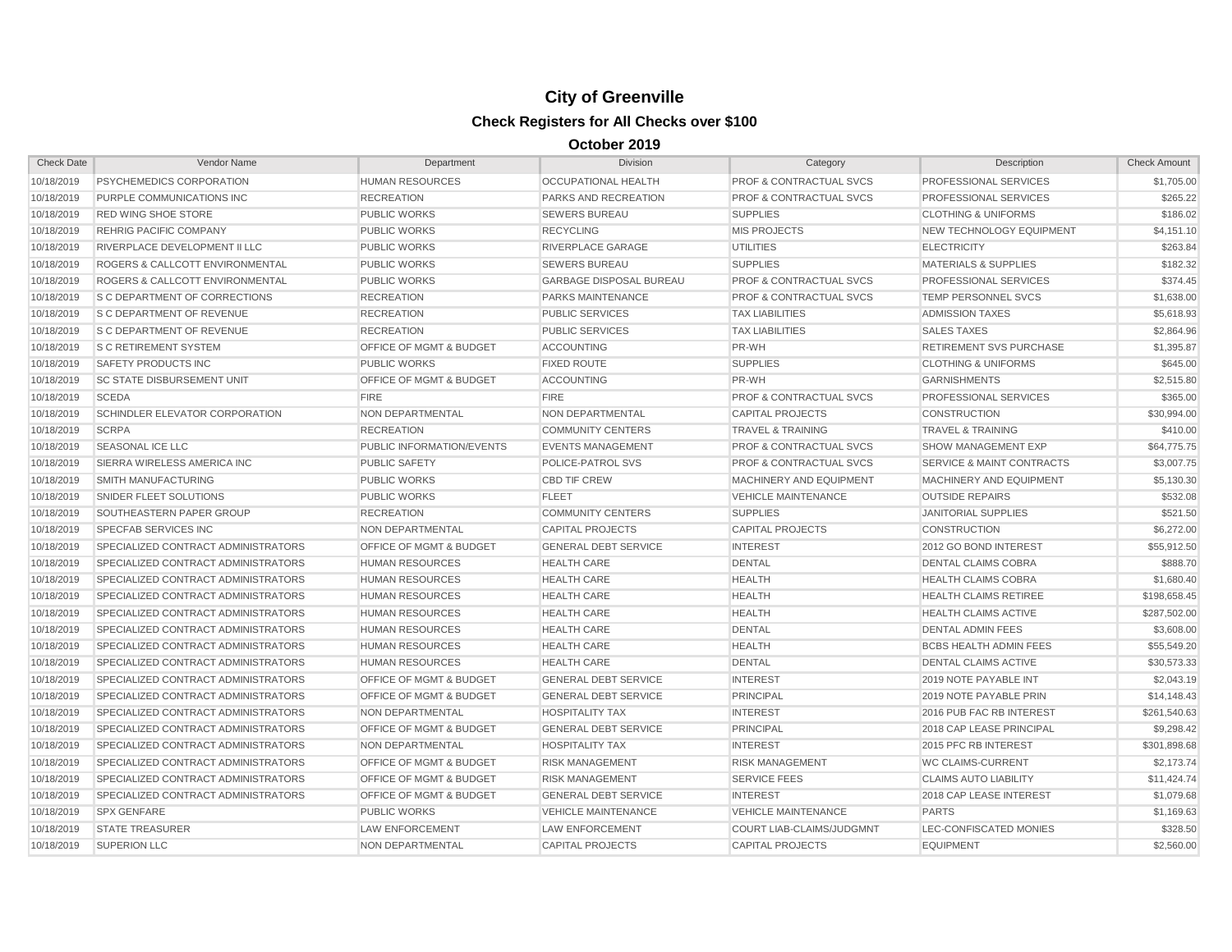| <b>Check Date</b> | Vendor Name                                | Department                         | <b>Division</b>                | Category                           | Description                          | <b>Check Amount</b> |
|-------------------|--------------------------------------------|------------------------------------|--------------------------------|------------------------------------|--------------------------------------|---------------------|
| 10/18/2019        | PSYCHEMEDICS CORPORATION                   | <b>HUMAN RESOURCES</b>             | <b>OCCUPATIONAL HEALTH</b>     | <b>PROF &amp; CONTRACTUAL SVCS</b> | PROFESSIONAL SERVICES                | \$1,705.00          |
| 10/18/2019        | PURPLE COMMUNICATIONS INC                  | <b>RECREATION</b>                  | <b>PARKS AND RECREATION</b>    | <b>PROF &amp; CONTRACTUAL SVCS</b> | <b>PROFESSIONAL SERVICES</b>         | \$265.22            |
| 10/18/2019        | <b>RED WING SHOE STORE</b>                 | <b>PUBLIC WORKS</b>                | <b>SEWERS BUREAU</b>           | <b>SUPPLIES</b>                    | <b>CLOTHING &amp; UNIFORMS</b>       | \$186.02            |
| 10/18/2019        | <b>REHRIG PACIFIC COMPANY</b>              | <b>PUBLIC WORKS</b>                | <b>RECYCLING</b>               | <b>MIS PROJECTS</b>                | NEW TECHNOLOGY EQUIPMENT             | \$4,151.10          |
| 10/18/2019        | RIVERPLACE DEVELOPMENT II LLC              | <b>PUBLIC WORKS</b>                | RIVERPLACE GARAGE              | UTILITIES                          | <b>ELECTRICITY</b>                   | \$263.84            |
| 10/18/2019        | ROGERS & CALLCOTT ENVIRONMENTAL            | <b>PUBLIC WORKS</b>                | <b>SEWERS BUREAU</b>           | <b>SUPPLIES</b>                    | <b>MATERIALS &amp; SUPPLIES</b>      | \$182.32            |
| 10/18/2019        | <b>ROGERS &amp; CALLCOTT ENVIRONMENTAL</b> | <b>PUBLIC WORKS</b>                | <b>GARBAGE DISPOSAL BUREAU</b> | <b>PROF &amp; CONTRACTUAL SVCS</b> | <b>PROFESSIONAL SERVICES</b>         | \$374.45            |
| 10/18/2019        | <b>S C DEPARTMENT OF CORRECTIONS</b>       | <b>RECREATION</b>                  | <b>PARKS MAINTENANCE</b>       | <b>PROF &amp; CONTRACTUAL SVCS</b> | <b>TEMP PERSONNEL SVCS</b>           | \$1,638.00          |
| 10/18/2019        | <b>S C DEPARTMENT OF REVENUE</b>           | <b>RECREATION</b>                  | <b>PUBLIC SERVICES</b>         | <b>TAX LIABILITIES</b>             | <b>ADMISSION TAXES</b>               | \$5,618.93          |
| 10/18/2019        | <b>S C DEPARTMENT OF REVENUE</b>           | <b>RECREATION</b>                  | <b>PUBLIC SERVICES</b>         | <b>TAX LIABILITIES</b>             | <b>SALES TAXES</b>                   | \$2,864.96          |
| 10/18/2019        | <b>S C RETIREMENT SYSTEM</b>               | <b>OFFICE OF MGMT &amp; BUDGET</b> | <b>ACCOUNTING</b>              | PR-WH                              | <b>RETIREMENT SVS PURCHASE</b>       | \$1,395.87          |
| 10/18/2019        | <b>SAFETY PRODUCTS INC</b>                 | <b>PUBLIC WORKS</b>                | <b>FIXED ROUTE</b>             | <b>SUPPLIES</b>                    | <b>CLOTHING &amp; UNIFORMS</b>       | \$645.00            |
| 10/18/2019        | <b>SC STATE DISBURSEMENT UNIT</b>          | <b>OFFICE OF MGMT &amp; BUDGET</b> | <b>ACCOUNTING</b>              | PR-WH                              | <b>GARNISHMENTS</b>                  | \$2,515.80          |
| 10/18/2019        | <b>SCEDA</b>                               | <b>FIRE</b>                        | <b>FIRE</b>                    | <b>PROF &amp; CONTRACTUAL SVCS</b> | PROFESSIONAL SERVICES                | \$365.00            |
| 10/18/2019        | SCHINDLER ELEVATOR CORPORATION             | <b>NON DEPARTMENTAL</b>            | NON DEPARTMENTAL               | <b>CAPITAL PROJECTS</b>            | <b>CONSTRUCTION</b>                  | \$30,994.00         |
| 10/18/2019        | <b>SCRPA</b>                               | <b>RECREATION</b>                  | <b>COMMUNITY CENTERS</b>       | <b>TRAVEL &amp; TRAINING</b>       | TRAVEL & TRAINING                    | \$410.00            |
| 10/18/2019        | <b>SEASONAL ICE LLC</b>                    | <b>PUBLIC INFORMATION/EVENTS</b>   | <b>EVENTS MANAGEMENT</b>       | <b>PROF &amp; CONTRACTUAL SVCS</b> | SHOW MANAGEMENT EXP                  | \$64,775.75         |
| 10/18/2019        | SIERRA WIRELESS AMERICA INC                | <b>PUBLIC SAFETY</b>               | POLICE-PATROL SVS              | <b>PROF &amp; CONTRACTUAL SVCS</b> | <b>SERVICE &amp; MAINT CONTRACTS</b> | \$3,007.75          |
| 10/18/2019        | SMITH MANUFACTURING                        | <b>PUBLIC WORKS</b>                | <b>CBD TIF CREW</b>            | MACHINERY AND EQUIPMENT            | MACHINERY AND EQUIPMENT              | \$5,130.30          |
| 10/18/2019        | SNIDER FLEET SOLUTIONS                     | <b>PUBLIC WORKS</b>                | <b>FLEET</b>                   | <b>VEHICLE MAINTENANCE</b>         | <b>OUTSIDE REPAIRS</b>               | \$532.08            |
| 10/18/2019        | SOUTHEASTERN PAPER GROUP                   | <b>RECREATION</b>                  | <b>COMMUNITY CENTERS</b>       | <b>SUPPLIES</b>                    | <b>JANITORIAL SUPPLIES</b>           | \$521.50            |
| 10/18/2019        | <b>SPECFAB SERVICES INC</b>                | <b>NON DEPARTMENTAL</b>            | <b>CAPITAL PROJECTS</b>        | <b>CAPITAL PROJECTS</b>            | <b>CONSTRUCTION</b>                  | \$6,272.00          |
| 10/18/2019        | SPECIALIZED CONTRACT ADMINISTRATORS        | <b>OFFICE OF MGMT &amp; BUDGET</b> | <b>GENERAL DEBT SERVICE</b>    | <b>INTEREST</b>                    | 2012 GO BOND INTEREST                | \$55,912.50         |
| 10/18/2019        | SPECIALIZED CONTRACT ADMINISTRATORS        | <b>HUMAN RESOURCES</b>             | <b>HEALTH CARE</b>             | <b>DENTAL</b>                      | <b>DENTAL CLAIMS COBRA</b>           | \$888.70            |
| 10/18/2019        | SPECIALIZED CONTRACT ADMINISTRATORS        | <b>HUMAN RESOURCES</b>             | <b>HEALTH CARE</b>             | <b>HEALTH</b>                      | <b>HEALTH CLAIMS COBRA</b>           | \$1,680.40          |
| 10/18/2019        | SPECIALIZED CONTRACT ADMINISTRATORS        | <b>HUMAN RESOURCES</b>             | <b>HEALTH CARE</b>             | <b>HEALTH</b>                      | <b>HEALTH CLAIMS RETIREE</b>         | \$198,658.45        |
| 10/18/2019        | SPECIALIZED CONTRACT ADMINISTRATORS        | <b>HUMAN RESOURCES</b>             | <b>HEALTH CARE</b>             | <b>HEALTH</b>                      | <b>HEALTH CLAIMS ACTIVE</b>          | \$287,502.00        |
| 10/18/2019        | SPECIALIZED CONTRACT ADMINISTRATORS        | <b>HUMAN RESOURCES</b>             | <b>HEALTH CARE</b>             | <b>DENTAL</b>                      | <b>DENTAL ADMIN FEES</b>             | \$3,608.00          |
| 10/18/2019        | SPECIALIZED CONTRACT ADMINISTRATORS        | <b>HUMAN RESOURCES</b>             | <b>HEALTH CARE</b>             | <b>HEALTH</b>                      | <b>BCBS HEALTH ADMIN FEES</b>        | \$55,549.20         |
| 10/18/2019        | SPECIALIZED CONTRACT ADMINISTRATORS        | <b>HUMAN RESOURCES</b>             | <b>HEALTH CARE</b>             | <b>DENTAL</b>                      | <b>DENTAL CLAIMS ACTIVE</b>          | \$30,573.33         |
| 10/18/2019        | SPECIALIZED CONTRACT ADMINISTRATORS        | <b>OFFICE OF MGMT &amp; BUDGET</b> | <b>GENERAL DEBT SERVICE</b>    | <b>INTEREST</b>                    | 2019 NOTE PAYABLE INT                | \$2,043.19          |
| 10/18/2019        | SPECIALIZED CONTRACT ADMINISTRATORS        | <b>OFFICE OF MGMT &amp; BUDGET</b> | <b>GENERAL DEBT SERVICE</b>    | <b>PRINCIPAL</b>                   | 2019 NOTE PAYABLE PRIN               | \$14,148.43         |
| 10/18/2019        | SPECIALIZED CONTRACT ADMINISTRATORS        | <b>NON DEPARTMENTAL</b>            | <b>HOSPITALITY TAX</b>         | <b>INTEREST</b>                    | 2016 PUB FAC RB INTEREST             | \$261,540.63        |
| 10/18/2019        | SPECIALIZED CONTRACT ADMINISTRATORS        | <b>OFFICE OF MGMT &amp; BUDGET</b> | <b>GENERAL DEBT SERVICE</b>    | <b>PRINCIPAL</b>                   | 2018 CAP LEASE PRINCIPAL             | \$9,298.42          |
| 10/18/2019        | SPECIALIZED CONTRACT ADMINISTRATORS        | <b>NON DEPARTMENTAL</b>            | <b>HOSPITALITY TAX</b>         | <b>INTEREST</b>                    | 2015 PFC RB INTEREST                 | \$301,898.68        |
| 10/18/2019        | SPECIALIZED CONTRACT ADMINISTRATORS        | OFFICE OF MGMT & BUDGET            | <b>RISK MANAGEMENT</b>         | <b>RISK MANAGEMENT</b>             | <b>WC CLAIMS-CURRENT</b>             | \$2,173.74          |
| 10/18/2019        | <b>SPECIALIZED CONTRACT ADMINISTRATORS</b> | OFFICE OF MGMT & BUDGET            | <b>RISK MANAGEMENT</b>         | <b>SERVICE FEES</b>                | <b>CLAIMS AUTO LIABILITY</b>         | \$11,424.74         |
| 10/18/2019        | <b>SPECIALIZED CONTRACT ADMINISTRATORS</b> | <b>OFFICE OF MGMT &amp; BUDGET</b> | <b>GENERAL DEBT SERVICE</b>    | <b>INTEREST</b>                    | 2018 CAP LEASE INTEREST              | \$1,079.68          |
| 10/18/2019        | <b>SPX GENFARE</b>                         | <b>PUBLIC WORKS</b>                | <b>VEHICLE MAINTENANCE</b>     | <b>VEHICLE MAINTENANCE</b>         | <b>PARTS</b>                         | \$1,169.63          |
| 10/18/2019        | <b>STATE TREASURER</b>                     | <b>LAW ENFORCEMENT</b>             | <b>LAW ENFORCEMENT</b>         | COURT LIAB-CLAIMS/JUDGMNT          | LEC-CONFISCATED MONIES               | \$328.50            |
| 10/18/2019        | <b>SUPERION LLC</b>                        | NON DEPARTMENTAL                   | <b>CAPITAL PROJECTS</b>        | <b>CAPITAL PROJECTS</b>            | <b>EQUIPMENT</b>                     | \$2,560.00          |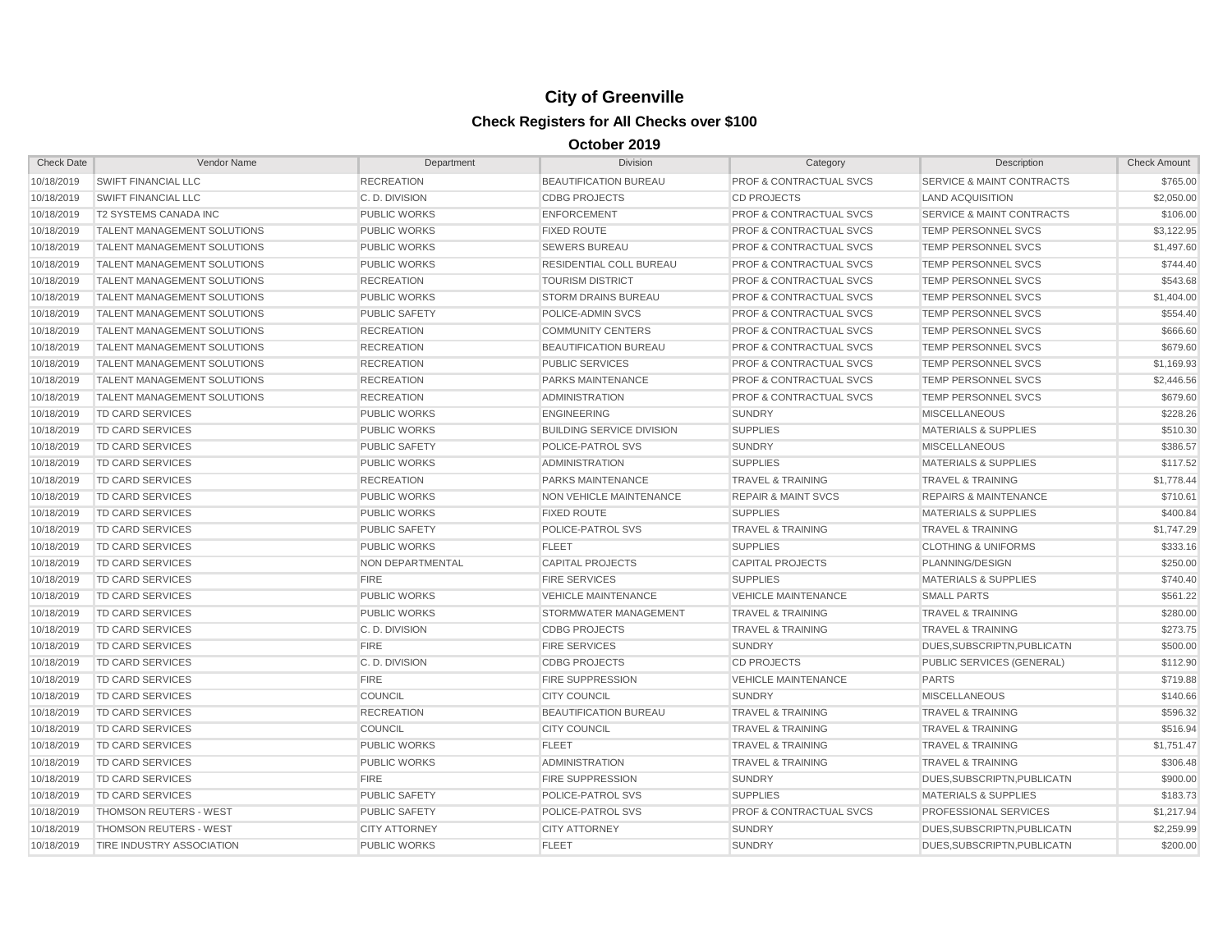| <b>Check Date</b> | Vendor Name                        | Department           | <b>Division</b>                  | Category                           | Description                          | <b>Check Amount</b> |
|-------------------|------------------------------------|----------------------|----------------------------------|------------------------------------|--------------------------------------|---------------------|
| 10/18/2019        | <b>SWIFT FINANCIAL LLC</b>         | <b>RECREATION</b>    | <b>BEAUTIFICATION BUREAU</b>     | PROF & CONTRACTUAL SVCS            | <b>SERVICE &amp; MAINT CONTRACTS</b> | \$765.00            |
| 10/18/2019        | <b>SWIFT FINANCIAL LLC</b>         | C.D. DIVISION        | <b>CDBG PROJECTS</b>             | <b>CD PROJECTS</b>                 | <b>LAND ACQUISITION</b>              | \$2,050.00          |
| 10/18/2019        | <b>T2 SYSTEMS CANADA INC</b>       | <b>PUBLIC WORKS</b>  | <b>ENFORCEMENT</b>               | <b>PROF &amp; CONTRACTUAL SVCS</b> | <b>SERVICE &amp; MAINT CONTRACTS</b> | \$106.00            |
| 10/18/2019        | <b>TALENT MANAGEMENT SOLUTIONS</b> | <b>PUBLIC WORKS</b>  | <b>FIXED ROUTE</b>               | <b>PROF &amp; CONTRACTUAL SVCS</b> | TEMP PERSONNEL SVCS                  | \$3,122.95          |
| 10/18/2019        | <b>TALENT MANAGEMENT SOLUTIONS</b> | <b>PUBLIC WORKS</b>  | <b>SEWERS BUREAU</b>             | <b>PROF &amp; CONTRACTUAL SVCS</b> | TEMP PERSONNEL SVCS                  | \$1,497.60          |
| 10/18/2019        | <b>TALENT MANAGEMENT SOLUTIONS</b> | <b>PUBLIC WORKS</b>  | <b>RESIDENTIAL COLL BUREAU</b>   | <b>PROF &amp; CONTRACTUAL SVCS</b> | <b>TEMP PERSONNEL SVCS</b>           | \$744.40            |
| 10/18/2019        | <b>TALENT MANAGEMENT SOLUTIONS</b> | <b>RECREATION</b>    | <b>TOURISM DISTRICT</b>          | <b>PROF &amp; CONTRACTUAL SVCS</b> | <b>TEMP PERSONNEL SVCS</b>           | \$543.68            |
| 10/18/2019        | <b>TALENT MANAGEMENT SOLUTIONS</b> | <b>PUBLIC WORKS</b>  | <b>STORM DRAINS BUREAU</b>       | <b>PROF &amp; CONTRACTUAL SVCS</b> | <b>TEMP PERSONNEL SVCS</b>           | \$1,404.00          |
| 10/18/2019        | <b>TALENT MANAGEMENT SOLUTIONS</b> | <b>PUBLIC SAFETY</b> | POLICE-ADMIN SVCS                | <b>PROF &amp; CONTRACTUAL SVCS</b> | <b>TEMP PERSONNEL SVCS</b>           | \$554.40            |
| 10/18/2019        | <b>TALENT MANAGEMENT SOLUTIONS</b> | <b>RECREATION</b>    | <b>COMMUNITY CENTERS</b>         | <b>PROF &amp; CONTRACTUAL SVCS</b> | TEMP PERSONNEL SVCS                  | \$666.60            |
| 10/18/2019        | <b>TALENT MANAGEMENT SOLUTIONS</b> | <b>RECREATION</b>    | <b>BEAUTIFICATION BUREAU</b>     | <b>PROF &amp; CONTRACTUAL SVCS</b> | TEMP PERSONNEL SVCS                  | \$679.60            |
| 10/18/2019        | <b>TALENT MANAGEMENT SOLUTIONS</b> | <b>RECREATION</b>    | <b>PUBLIC SERVICES</b>           | <b>PROF &amp; CONTRACTUAL SVCS</b> | TEMP PERSONNEL SVCS                  | \$1,169.93          |
| 10/18/2019        | <b>TALENT MANAGEMENT SOLUTIONS</b> | <b>RECREATION</b>    | <b>PARKS MAINTENANCE</b>         | <b>PROF &amp; CONTRACTUAL SVCS</b> | <b>TEMP PERSONNEL SVCS</b>           | \$2,446.56          |
| 10/18/2019        | <b>TALENT MANAGEMENT SOLUTIONS</b> | <b>RECREATION</b>    | <b>ADMINISTRATION</b>            | <b>PROF &amp; CONTRACTUAL SVCS</b> | <b>TEMP PERSONNEL SVCS</b>           | \$679.60            |
| 10/18/2019        | <b>TD CARD SERVICES</b>            | <b>PUBLIC WORKS</b>  | <b>ENGINEERING</b>               | <b>SUNDRY</b>                      | <b>MISCELLANEOUS</b>                 | \$228.26            |
| 10/18/2019        | <b>TD CARD SERVICES</b>            | <b>PUBLIC WORKS</b>  | <b>BUILDING SERVICE DIVISION</b> | <b>SUPPLIES</b>                    | <b>MATERIALS &amp; SUPPLIES</b>      | \$510.30            |
| 10/18/2019        | <b>TD CARD SERVICES</b>            | <b>PUBLIC SAFETY</b> | POLICE-PATROL SVS                | <b>SUNDRY</b>                      | <b>MISCELLANEOUS</b>                 | \$386.57            |
| 10/18/2019        | <b>TD CARD SERVICES</b>            | <b>PUBLIC WORKS</b>  | <b>ADMINISTRATION</b>            | <b>SUPPLIES</b>                    | <b>MATERIALS &amp; SUPPLIES</b>      | \$117.52            |
| 10/18/2019        | <b>TD CARD SERVICES</b>            | <b>RECREATION</b>    | <b>PARKS MAINTENANCE</b>         | <b>TRAVEL &amp; TRAINING</b>       | <b>TRAVEL &amp; TRAINING</b>         | \$1,778.44          |
| 10/18/2019        | <b>TD CARD SERVICES</b>            | <b>PUBLIC WORKS</b>  | <b>NON VEHICLE MAINTENANCE</b>   | <b>REPAIR &amp; MAINT SVCS</b>     | <b>REPAIRS &amp; MAINTENANCE</b>     | \$710.61            |
| 10/18/2019        | <b>TD CARD SERVICES</b>            | <b>PUBLIC WORKS</b>  | <b>FIXED ROUTE</b>               | <b>SUPPLIES</b>                    | <b>MATERIALS &amp; SUPPLIES</b>      | \$400.84            |
| 10/18/2019        | <b>TD CARD SERVICES</b>            | <b>PUBLIC SAFETY</b> | POLICE-PATROL SVS                | <b>TRAVEL &amp; TRAINING</b>       | TRAVEL & TRAINING                    | \$1,747.29          |
| 10/18/2019        | <b>TD CARD SERVICES</b>            | <b>PUBLIC WORKS</b>  | <b>FLEET</b>                     | <b>SUPPLIES</b>                    | <b>CLOTHING &amp; UNIFORMS</b>       | \$333.16            |
| 10/18/2019        | <b>TD CARD SERVICES</b>            | NON DEPARTMENTAL     | <b>CAPITAL PROJECTS</b>          | <b>CAPITAL PROJECTS</b>            | PLANNING/DESIGN                      | \$250.00            |
| 10/18/2019        | <b>TD CARD SERVICES</b>            | <b>FIRE</b>          | <b>FIRE SERVICES</b>             | <b>SUPPLIES</b>                    | <b>MATERIALS &amp; SUPPLIES</b>      | \$740.40            |
| 10/18/2019        | <b>TD CARD SERVICES</b>            | <b>PUBLIC WORKS</b>  | <b>VEHICLE MAINTENANCE</b>       | <b>VEHICLE MAINTENANCE</b>         | <b>SMALL PARTS</b>                   | \$561.22            |
| 10/18/2019        | <b>TD CARD SERVICES</b>            | <b>PUBLIC WORKS</b>  | STORMWATER MANAGEMENT            | <b>TRAVEL &amp; TRAINING</b>       | TRAVEL & TRAINING                    | \$280.00            |
| 10/18/2019        | <b>TD CARD SERVICES</b>            | C.D. DIVISION        | <b>CDBG PROJECTS</b>             | <b>TRAVEL &amp; TRAINING</b>       | <b>TRAVEL &amp; TRAINING</b>         | \$273.75            |
| 10/18/2019        | <b>TD CARD SERVICES</b>            | <b>FIRE</b>          | <b>FIRE SERVICES</b>             | <b>SUNDRY</b>                      | DUES, SUBSCRIPTN, PUBLICATN          | \$500.00            |
| 10/18/2019        | <b>TD CARD SERVICES</b>            | C. D. DIVISION       | <b>CDBG PROJECTS</b>             | <b>CD PROJECTS</b>                 | PUBLIC SERVICES (GENERAL)            | \$112.90            |
| 10/18/2019        | <b>TD CARD SERVICES</b>            | <b>FIRE</b>          | <b>FIRE SUPPRESSION</b>          | <b>VEHICLE MAINTENANCE</b>         | <b>PARTS</b>                         | \$719.88            |
| 10/18/2019        | <b>TD CARD SERVICES</b>            | COUNCIL              | <b>CITY COUNCIL</b>              | <b>SUNDRY</b>                      | <b>MISCELLANEOUS</b>                 | \$140.66            |
| 10/18/2019        | <b>TD CARD SERVICES</b>            | <b>RECREATION</b>    | <b>BEAUTIFICATION BUREAU</b>     | <b>TRAVEL &amp; TRAINING</b>       | <b>TRAVEL &amp; TRAINING</b>         | \$596.32            |
| 10/18/2019        | <b>TD CARD SERVICES</b>            | COUNCIL              | <b>CITY COUNCIL</b>              | <b>TRAVEL &amp; TRAINING</b>       | <b>TRAVEL &amp; TRAINING</b>         | \$516.94            |
| 10/18/2019        | <b>TD CARD SERVICES</b>            | <b>PUBLIC WORKS</b>  | <b>FLEET</b>                     | <b>TRAVEL &amp; TRAINING</b>       | <b>TRAVEL &amp; TRAINING</b>         | \$1,751.47          |
| 10/18/2019        | <b>TD CARD SERVICES</b>            | <b>PUBLIC WORKS</b>  | <b>ADMINISTRATION</b>            | <b>TRAVEL &amp; TRAINING</b>       | <b>TRAVEL &amp; TRAINING</b>         | \$306.48            |
| 10/18/2019        | <b>TD CARD SERVICES</b>            | <b>FIRE</b>          | <b>FIRE SUPPRESSION</b>          | <b>SUNDRY</b>                      | DUES, SUBSCRIPTN, PUBLICATN          | \$900.00            |
| 10/18/2019        | <b>TD CARD SERVICES</b>            | <b>PUBLIC SAFETY</b> | POLICE-PATROL SVS                | <b>SUPPLIES</b>                    | <b>MATERIALS &amp; SUPPLIES</b>      | \$183.73            |
| 10/18/2019        | <b>THOMSON REUTERS - WEST</b>      | <b>PUBLIC SAFETY</b> | POLICE-PATROL SVS                | <b>PROF &amp; CONTRACTUAL SVCS</b> | PROFESSIONAL SERVICES                | \$1,217.94          |
| 10/18/2019        | <b>THOMSON REUTERS - WEST</b>      | <b>CITY ATTORNEY</b> | <b>CITY ATTORNEY</b>             | <b>SUNDRY</b>                      | DUES, SUBSCRIPTN, PUBLICATN          | \$2,259.99          |
| 10/18/2019        | <b>TIRE INDUSTRY ASSOCIATION</b>   | <b>PUBLIC WORKS</b>  | <b>FLEET</b>                     | <b>SUNDRY</b>                      | DUES.SUBSCRIPTN.PUBLICATN            | \$200.00            |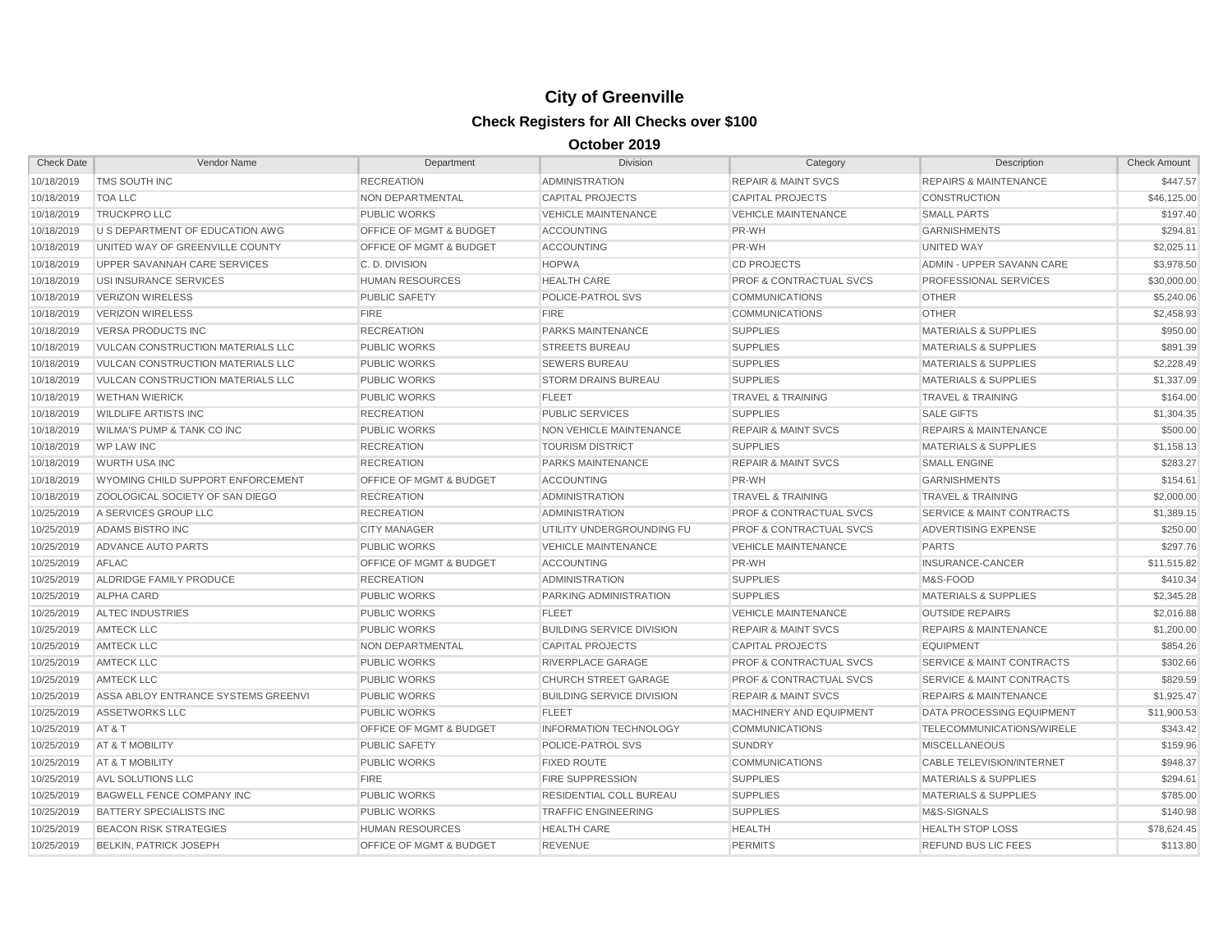| <b>Check Date</b> | Vendor Name                              | Department                         | Division                         | Category                           | Description                          | <b>Check Amount</b> |
|-------------------|------------------------------------------|------------------------------------|----------------------------------|------------------------------------|--------------------------------------|---------------------|
| 10/18/2019        | <b>TMS SOUTH INC</b>                     | <b>RECREATION</b>                  | <b>ADMINISTRATION</b>            | <b>REPAIR &amp; MAINT SVCS</b>     | <b>REPAIRS &amp; MAINTENANCE</b>     | \$447.57            |
| 10/18/2019        | <b>TOA LLC</b>                           | NON DEPARTMENTAL                   | <b>CAPITAL PROJECTS</b>          | <b>CAPITAL PROJECTS</b>            | <b>CONSTRUCTION</b>                  | \$46,125.00         |
| 10/18/2019        | <b>TRUCKPRO LLC</b>                      | <b>PUBLIC WORKS</b>                | <b>VEHICLE MAINTENANCE</b>       | <b>VEHICLE MAINTENANCE</b>         | <b>SMALL PARTS</b>                   | \$197.40            |
| 10/18/2019        | U S DEPARTMENT OF EDUCATION AWG          | OFFICE OF MGMT & BUDGET            | <b>ACCOUNTING</b>                | PR-WH                              | <b>GARNISHMENTS</b>                  | \$294.81            |
| 10/18/2019        | UNITED WAY OF GREENVILLE COUNTY          | OFFICE OF MGMT & BUDGET            | <b>ACCOUNTING</b>                | PR-WH                              | UNITED WAY                           | \$2,025.11          |
| 10/18/2019        | UPPER SAVANNAH CARE SERVICES             | C.D. DIVISION                      | <b>HOPWA</b>                     | <b>CD PROJECTS</b>                 | ADMIN - UPPER SAVANN CARE            | \$3,978.50          |
| 10/18/2019        | USI INSURANCE SERVICES                   | <b>HUMAN RESOURCES</b>             | <b>HEALTH CARE</b>               | <b>PROF &amp; CONTRACTUAL SVCS</b> | <b>PROFESSIONAL SERVICES</b>         | \$30,000.00         |
| 10/18/2019        | <b>VERIZON WIRELESS</b>                  | <b>PUBLIC SAFETY</b>               | POLICE-PATROL SVS                | <b>COMMUNICATIONS</b>              | <b>OTHER</b>                         | \$5,240.06          |
| 10/18/2019        | <b>VERIZON WIRELESS</b>                  | <b>FIRE</b>                        | <b>FIRE</b>                      | <b>COMMUNICATIONS</b>              | <b>OTHER</b>                         | \$2,458.93          |
| 10/18/2019        | <b>VERSA PRODUCTS INC</b>                | <b>RECREATION</b>                  | PARKS MAINTENANCE                | <b>SUPPLIES</b>                    | <b>MATERIALS &amp; SUPPLIES</b>      | \$950.00            |
| 10/18/2019        | VULCAN CONSTRUCTION MATERIALS LLC        | <b>PUBLIC WORKS</b>                | <b>STREETS BUREAU</b>            | <b>SUPPLIES</b>                    | <b>MATERIALS &amp; SUPPLIES</b>      | \$891.39            |
| 10/18/2019        | <b>VULCAN CONSTRUCTION MATERIALS LLC</b> | <b>PUBLIC WORKS</b>                | <b>SEWERS BUREAU</b>             | <b>SUPPLIES</b>                    | <b>MATERIALS &amp; SUPPLIES</b>      | \$2,228.49          |
| 10/18/2019        | <b>VULCAN CONSTRUCTION MATERIALS LLC</b> | <b>PUBLIC WORKS</b>                | <b>STORM DRAINS BUREAU</b>       | <b>SUPPLIES</b>                    | <b>MATERIALS &amp; SUPPLIES</b>      | \$1,337.09          |
| 10/18/2019        | <b>WETHAN WIERICK</b>                    | <b>PUBLIC WORKS</b>                | <b>FLEET</b>                     | <b>TRAVEL &amp; TRAINING</b>       | <b>TRAVEL &amp; TRAINING</b>         | \$164.00            |
| 10/18/2019        | <b>WILDLIFE ARTISTS INC</b>              | <b>RECREATION</b>                  | <b>PUBLIC SERVICES</b>           | <b>SUPPLIES</b>                    | <b>SALE GIFTS</b>                    | \$1,304.35          |
| 10/18/2019        | <b>WILMA'S PUMP &amp; TANK CO INC</b>    | <b>PUBLIC WORKS</b>                | NON VEHICLE MAINTENANCE          | <b>REPAIR &amp; MAINT SVCS</b>     | <b>REPAIRS &amp; MAINTENANCE</b>     | \$500.00            |
| 10/18/2019        | <b>WP LAW INC</b>                        | <b>RECREATION</b>                  | <b>TOURISM DISTRICT</b>          | <b>SUPPLIES</b>                    | <b>MATERIALS &amp; SUPPLIES</b>      | \$1,158.13          |
| 10/18/2019        | <b>WURTH USA INC</b>                     | <b>RECREATION</b>                  | PARKS MAINTENANCE                | <b>REPAIR &amp; MAINT SVCS</b>     | <b>SMALL ENGINE</b>                  | \$283.27            |
| 10/18/2019        | WYOMING CHILD SUPPORT ENFORCEMENT        | OFFICE OF MGMT & BUDGET            | <b>ACCOUNTING</b>                | PR-WH                              | <b>GARNISHMENTS</b>                  | \$154.61            |
| 10/18/2019        | ZOOLOGICAL SOCIETY OF SAN DIEGO          | <b>RECREATION</b>                  | <b>ADMINISTRATION</b>            | <b>TRAVEL &amp; TRAINING</b>       | <b>TRAVEL &amp; TRAINING</b>         | \$2,000.00          |
| 10/25/2019        | A SERVICES GROUP LLC                     | <b>RECREATION</b>                  | ADMINISTRATION                   | <b>PROF &amp; CONTRACTUAL SVCS</b> | <b>SERVICE &amp; MAINT CONTRACTS</b> | \$1,389.15          |
| 10/25/2019        | ADAMS BISTRO INC                         | <b>CITY MANAGER</b>                | UTILITY UNDERGROUNDING FU        | <b>PROF &amp; CONTRACTUAL SVCS</b> | ADVERTISING EXPENSE                  | \$250.00            |
| 10/25/2019        | ADVANCE AUTO PARTS                       | <b>PUBLIC WORKS</b>                | <b>VEHICLE MAINTENANCE</b>       | <b>VEHICLE MAINTENANCE</b>         | <b>PARTS</b>                         | \$297.76            |
| 10/25/2019        | AFLAC                                    | OFFICE OF MGMT & BUDGET            | <b>ACCOUNTING</b>                | PR-WH                              | INSURANCE-CANCER                     | \$11,515.82         |
| 10/25/2019        | ALDRIDGE FAMILY PRODUCE                  | <b>RECREATION</b>                  | <b>ADMINISTRATION</b>            | <b>SUPPLIES</b>                    | M&S-FOOD                             | \$410.34            |
| 10/25/2019        | ALPHA CARD                               | <b>PUBLIC WORKS</b>                | PARKING ADMINISTRATION           | <b>SUPPLIES</b>                    | <b>MATERIALS &amp; SUPPLIES</b>      | \$2,345.28          |
| 10/25/2019        | <b>ALTEC INDUSTRIES</b>                  | <b>PUBLIC WORKS</b>                | <b>FLEET</b>                     | <b>VEHICLE MAINTENANCE</b>         | <b>OUTSIDE REPAIRS</b>               | \$2,016.88          |
| 10/25/2019        | <b>AMTECK LLC</b>                        | <b>PUBLIC WORKS</b>                | <b>BUILDING SERVICE DIVISION</b> | <b>REPAIR &amp; MAINT SVCS</b>     | <b>REPAIRS &amp; MAINTENANCE</b>     | \$1,200.00          |
| 10/25/2019        | <b>AMTECK LLC</b>                        | <b>NON DEPARTMENTAL</b>            | <b>CAPITAL PROJECTS</b>          | <b>CAPITAL PROJECTS</b>            | <b>EQUIPMENT</b>                     | \$854.26            |
| 10/25/2019        | <b>AMTECK LLC</b>                        | <b>PUBLIC WORKS</b>                | RIVERPLACE GARAGE                | <b>PROF &amp; CONTRACTUAL SVCS</b> | <b>SERVICE &amp; MAINT CONTRACTS</b> | \$302.66            |
| 10/25/2019        | <b>AMTECK LLC</b>                        | <b>PUBLIC WORKS</b>                | <b>CHURCH STREET GARAGE</b>      | <b>PROF &amp; CONTRACTUAL SVCS</b> | <b>SERVICE &amp; MAINT CONTRACTS</b> | \$829.59            |
| 10/25/2019        | ASSA ABLOY ENTRANCE SYSTEMS GREENVI      | <b>PUBLIC WORKS</b>                | <b>BUILDING SERVICE DIVISION</b> | <b>REPAIR &amp; MAINT SVCS</b>     | <b>REPAIRS &amp; MAINTENANCE</b>     | \$1,925.47          |
| 10/25/2019        | ASSETWORKS LLC                           | <b>PUBLIC WORKS</b>                | <b>FLEET</b>                     | MACHINERY AND EQUIPMENT            | DATA PROCESSING EQUIPMENT            | \$11,900.53         |
| 10/25/2019        | AT&T                                     | <b>OFFICE OF MGMT &amp; BUDGET</b> | <b>INFORMATION TECHNOLOGY</b>    | <b>COMMUNICATIONS</b>              | TELECOMMUNICATIONS/WIRELE            | \$343.42            |
| 10/25/2019        | AT & T MOBILITY                          | <b>PUBLIC SAFETY</b>               | POLICE-PATROL SVS                | <b>SUNDRY</b>                      | <b>MISCELLANEOUS</b>                 | \$159.96            |
| 10/25/2019        | AT & T MOBILITY                          | <b>PUBLIC WORKS</b>                | <b>FIXED ROUTE</b>               | <b>COMMUNICATIONS</b>              | <b>CABLE TELEVISION/INTERNET</b>     | \$948.37            |
| 10/25/2019        | <b>AVL SOLUTIONS LLC</b>                 | <b>FIRE</b>                        | <b>FIRE SUPPRESSION</b>          | <b>SUPPLIES</b>                    | <b>MATERIALS &amp; SUPPLIES</b>      | \$294.61            |
| 10/25/2019        | <b>BAGWELL FENCE COMPANY INC</b>         | <b>PUBLIC WORKS</b>                | <b>RESIDENTIAL COLL BUREAU</b>   | <b>SUPPLIES</b>                    | <b>MATERIALS &amp; SUPPLIES</b>      | \$785.00            |
| 10/25/2019        | BATTERY SPECIALISTS INC                  | <b>PUBLIC WORKS</b>                | <b>TRAFFIC ENGINEERING</b>       | <b>SUPPLIES</b>                    | M&S-SIGNALS                          | \$140.98            |
| 10/25/2019        | <b>BEACON RISK STRATEGIES</b>            | <b>HUMAN RESOURCES</b>             | <b>HEALTH CARE</b>               | <b>HEALTH</b>                      | <b>HEALTH STOP LOSS</b>              | \$78,624.45         |
| 10/25/2019        | <b>BELKIN, PATRICK JOSEPH</b>            | OFFICE OF MGMT & BUDGET            | <b>REVENUE</b>                   | <b>PERMITS</b>                     | REFUND BUS LIC FEES                  | \$113.80            |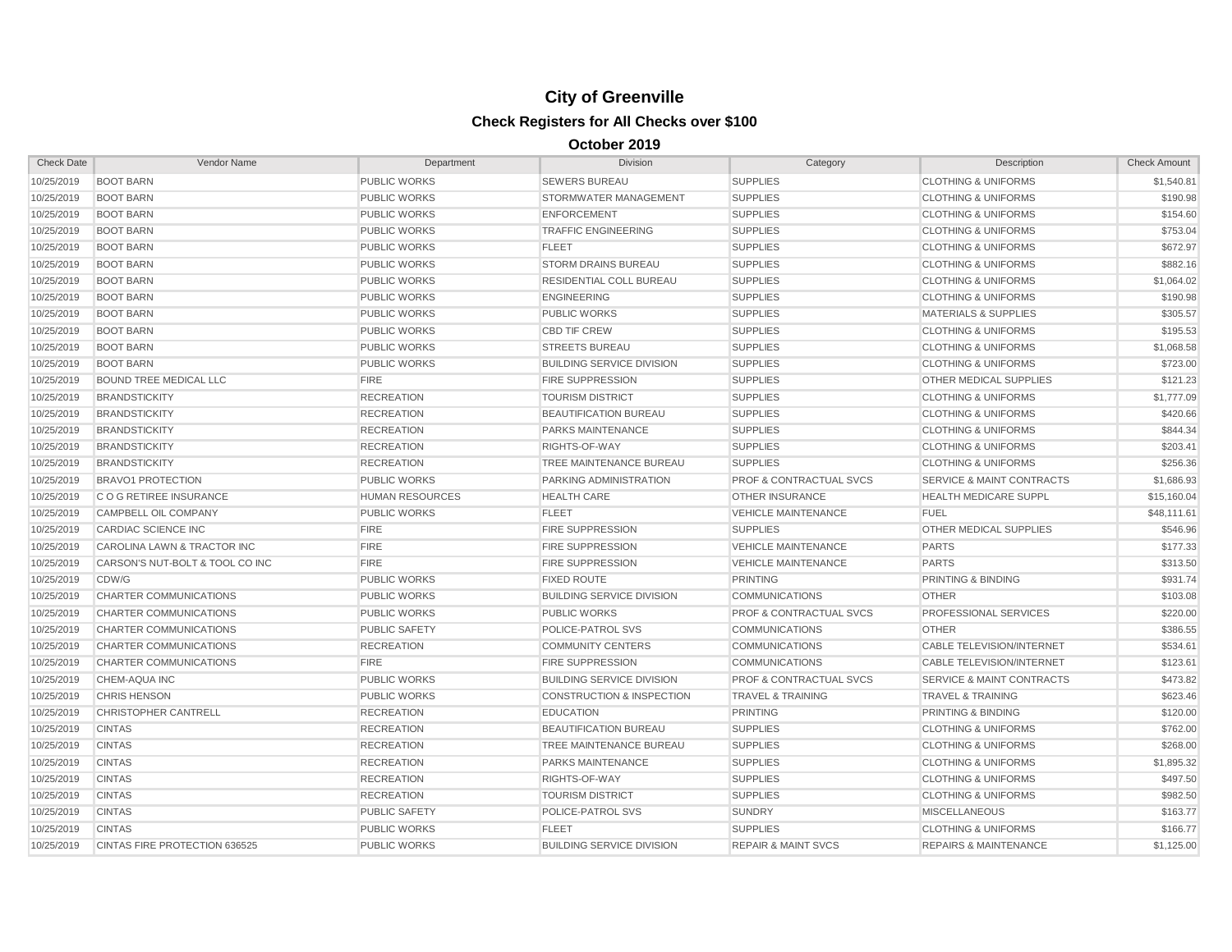| <b>Check Date</b> | Vendor Name                     | Department             | <b>Division</b>                      | Category                           | Description                          | <b>Check Amount</b> |
|-------------------|---------------------------------|------------------------|--------------------------------------|------------------------------------|--------------------------------------|---------------------|
| 10/25/2019        | <b>BOOT BARN</b>                | <b>PUBLIC WORKS</b>    | <b>SEWERS BUREAU</b>                 | <b>SUPPLIES</b>                    | <b>CLOTHING &amp; UNIFORMS</b>       | \$1,540.81          |
| 10/25/2019        | <b>BOOT BARN</b>                | <b>PUBLIC WORKS</b>    | STORMWATER MANAGEMENT                | <b>SUPPLIES</b>                    | <b>CLOTHING &amp; UNIFORMS</b>       | \$190.98            |
| 10/25/2019        | <b>BOOT BARN</b>                | <b>PUBLIC WORKS</b>    | <b>ENFORCEMENT</b>                   | <b>SUPPLIES</b>                    | <b>CLOTHING &amp; UNIFORMS</b>       | \$154.60            |
| 10/25/2019        | <b>BOOT BARN</b>                | <b>PUBLIC WORKS</b>    | <b>TRAFFIC ENGINEERING</b>           | <b>SUPPLIES</b>                    | <b>CLOTHING &amp; UNIFORMS</b>       | \$753.04            |
| 10/25/2019        | <b>BOOT BARN</b>                | <b>PUBLIC WORKS</b>    | <b>FLEET</b>                         | <b>SUPPLIES</b>                    | <b>CLOTHING &amp; UNIFORMS</b>       | \$672.97            |
| 10/25/2019        | <b>BOOT BARN</b>                | <b>PUBLIC WORKS</b>    | <b>STORM DRAINS BUREAU</b>           | <b>SUPPLIES</b>                    | <b>CLOTHING &amp; UNIFORMS</b>       | \$882.16            |
| 10/25/2019        | <b>BOOT BARN</b>                | <b>PUBLIC WORKS</b>    | <b>RESIDENTIAL COLL BUREAU</b>       | <b>SUPPLIES</b>                    | <b>CLOTHING &amp; UNIFORMS</b>       | \$1,064.02          |
| 10/25/2019        | <b>BOOT BARN</b>                | <b>PUBLIC WORKS</b>    | <b>ENGINEERING</b>                   | <b>SUPPLIES</b>                    | <b>CLOTHING &amp; UNIFORMS</b>       | \$190.98            |
| 10/25/2019        | <b>BOOT BARN</b>                | <b>PUBLIC WORKS</b>    | <b>PUBLIC WORKS</b>                  | <b>SUPPLIES</b>                    | <b>MATERIALS &amp; SUPPLIES</b>      | \$305.57            |
| 10/25/2019        | <b>BOOT BARN</b>                | <b>PUBLIC WORKS</b>    | <b>CBD TIF CREW</b>                  | <b>SUPPLIES</b>                    | <b>CLOTHING &amp; UNIFORMS</b>       | \$195.53            |
| 10/25/2019        | <b>BOOT BARN</b>                | <b>PUBLIC WORKS</b>    | <b>STREETS BUREAU</b>                | <b>SUPPLIES</b>                    | <b>CLOTHING &amp; UNIFORMS</b>       | \$1,068.58          |
| 10/25/2019        | <b>BOOT BARN</b>                | <b>PUBLIC WORKS</b>    | <b>BUILDING SERVICE DIVISION</b>     | <b>SUPPLIES</b>                    | <b>CLOTHING &amp; UNIFORMS</b>       | \$723.00            |
| 10/25/2019        | <b>BOUND TREE MEDICAL LLC</b>   | <b>FIRE</b>            | <b>FIRE SUPPRESSION</b>              | <b>SUPPLIES</b>                    | OTHER MEDICAL SUPPLIES               | \$121.23            |
| 10/25/2019        | <b>BRANDSTICKITY</b>            | <b>RECREATION</b>      | <b>TOURISM DISTRICT</b>              | <b>SUPPLIES</b>                    | <b>CLOTHING &amp; UNIFORMS</b>       | \$1,777.09          |
| 10/25/2019        | <b>BRANDSTICKITY</b>            | <b>RECREATION</b>      | <b>BEAUTIFICATION BUREAU</b>         | <b>SUPPLIES</b>                    | <b>CLOTHING &amp; UNIFORMS</b>       | \$420.66            |
| 10/25/2019        | <b>BRANDSTICKITY</b>            | <b>RECREATION</b>      | <b>PARKS MAINTENANCE</b>             | <b>SUPPLIES</b>                    | <b>CLOTHING &amp; UNIFORMS</b>       | \$844.34            |
| 10/25/2019        | <b>BRANDSTICKITY</b>            | <b>RECREATION</b>      | RIGHTS-OF-WAY                        | <b>SUPPLIES</b>                    | <b>CLOTHING &amp; UNIFORMS</b>       | \$203.41            |
| 10/25/2019        | <b>BRANDSTICKITY</b>            | <b>RECREATION</b>      | TREE MAINTENANCE BUREAU              | <b>SUPPLIES</b>                    | <b>CLOTHING &amp; UNIFORMS</b>       | \$256.36            |
| 10/25/2019        | <b>BRAVO1 PROTECTION</b>        | <b>PUBLIC WORKS</b>    | PARKING ADMINISTRATION               | <b>PROF &amp; CONTRACTUAL SVCS</b> | <b>SERVICE &amp; MAINT CONTRACTS</b> | \$1,686.93          |
| 10/25/2019        | <b>CO G RETIREE INSURANCE</b>   | <b>HUMAN RESOURCES</b> | <b>HEALTH CARE</b>                   | <b>OTHER INSURANCE</b>             | <b>HEALTH MEDICARE SUPPL</b>         | \$15,160.04         |
| 10/25/2019        | CAMPBELL OIL COMPANY            | <b>PUBLIC WORKS</b>    | <b>FLEET</b>                         | <b>VEHICLE MAINTENANCE</b>         | <b>FUEL</b>                          | \$48,111.61         |
| 10/25/2019        | CARDIAC SCIENCE INC             | <b>FIRE</b>            | <b>FIRE SUPPRESSION</b>              | <b>SUPPLIES</b>                    | OTHER MEDICAL SUPPLIES               | \$546.96            |
| 10/25/2019        | CAROLINA LAWN & TRACTOR INC     | <b>FIRE</b>            | <b>FIRE SUPPRESSION</b>              | <b>VEHICLE MAINTENANCE</b>         | <b>PARTS</b>                         | \$177.33            |
| 10/25/2019        | CARSON'S NUT-BOLT & TOOL CO INC | <b>FIRE</b>            | <b>FIRE SUPPRESSION</b>              | <b>VEHICLE MAINTENANCE</b>         | <b>PARTS</b>                         | \$313.50            |
| 10/25/2019        | CDW/G                           | <b>PUBLIC WORKS</b>    | <b>FIXED ROUTE</b>                   | <b>PRINTING</b>                    | PRINTING & BINDING                   | \$931.74            |
| 10/25/2019        | CHARTER COMMUNICATIONS          | <b>PUBLIC WORKS</b>    | <b>BUILDING SERVICE DIVISION</b>     | <b>COMMUNICATIONS</b>              | <b>OTHER</b>                         | \$103.08            |
| 10/25/2019        | CHARTER COMMUNICATIONS          | <b>PUBLIC WORKS</b>    | <b>PUBLIC WORKS</b>                  | <b>PROF &amp; CONTRACTUAL SVCS</b> | PROFESSIONAL SERVICES                | \$220.00            |
| 10/25/2019        | CHARTER COMMUNICATIONS          | <b>PUBLIC SAFETY</b>   | POLICE-PATROL SVS                    | <b>COMMUNICATIONS</b>              | <b>OTHER</b>                         | \$386.55            |
| 10/25/2019        | CHARTER COMMUNICATIONS          | <b>RECREATION</b>      | <b>COMMUNITY CENTERS</b>             | <b>COMMUNICATIONS</b>              | CABLE TELEVISION/INTERNET            | \$534.61            |
| 10/25/2019        | CHARTER COMMUNICATIONS          | <b>FIRE</b>            | <b>FIRE SUPPRESSION</b>              | <b>COMMUNICATIONS</b>              | CABLE TELEVISION/INTERNET            | \$123.61            |
| 10/25/2019        | CHEM-AQUA INC                   | <b>PUBLIC WORKS</b>    | <b>BUILDING SERVICE DIVISION</b>     | <b>PROF &amp; CONTRACTUAL SVCS</b> | <b>SERVICE &amp; MAINT CONTRACTS</b> | \$473.82            |
| 10/25/2019        | <b>CHRIS HENSON</b>             | <b>PUBLIC WORKS</b>    | <b>CONSTRUCTION &amp; INSPECTION</b> | <b>TRAVEL &amp; TRAINING</b>       | <b>TRAVEL &amp; TRAINING</b>         | \$623.46            |
| 10/25/2019        | <b>CHRISTOPHER CANTRELL</b>     | <b>RECREATION</b>      | <b>EDUCATION</b>                     | <b>PRINTING</b>                    | PRINTING & BINDING                   | \$120.00            |
| 10/25/2019        | <b>CINTAS</b>                   | <b>RECREATION</b>      | <b>BEAUTIFICATION BUREAU</b>         | <b>SUPPLIES</b>                    | <b>CLOTHING &amp; UNIFORMS</b>       | \$762.00            |
| 10/25/2019        | <b>CINTAS</b>                   | <b>RECREATION</b>      | TREE MAINTENANCE BUREAU              | <b>SUPPLIES</b>                    | <b>CLOTHING &amp; UNIFORMS</b>       | \$268.00            |
| 10/25/2019        | <b>CINTAS</b>                   | <b>RECREATION</b>      | PARKS MAINTENANCE                    | <b>SUPPLIES</b>                    | <b>CLOTHING &amp; UNIFORMS</b>       | \$1,895.32          |
| 10/25/2019        | <b>CINTAS</b>                   | <b>RECREATION</b>      | RIGHTS-OF-WAY                        | <b>SUPPLIES</b>                    | <b>CLOTHING &amp; UNIFORMS</b>       | \$497.50            |
| 10/25/2019        | <b>CINTAS</b>                   | <b>RECREATION</b>      | <b>TOURISM DISTRICT</b>              | <b>SUPPLIES</b>                    | <b>CLOTHING &amp; UNIFORMS</b>       | \$982.50            |
| 10/25/2019        | <b>CINTAS</b>                   | <b>PUBLIC SAFETY</b>   | POLICE-PATROL SVS                    | <b>SUNDRY</b>                      | <b>MISCELLANEOUS</b>                 | \$163.77            |
| 10/25/2019        | <b>CINTAS</b>                   | <b>PUBLIC WORKS</b>    | <b>FLEET</b>                         | <b>SUPPLIES</b>                    | <b>CLOTHING &amp; UNIFORMS</b>       | \$166.77            |
| 10/25/2019        | CINTAS FIRE PROTECTION 636525   | <b>PUBLIC WORKS</b>    | <b>BUILDING SERVICE DIVISION</b>     | <b>REPAIR &amp; MAINT SVCS</b>     | <b>REPAIRS &amp; MAINTENANCE</b>     | \$1,125.00          |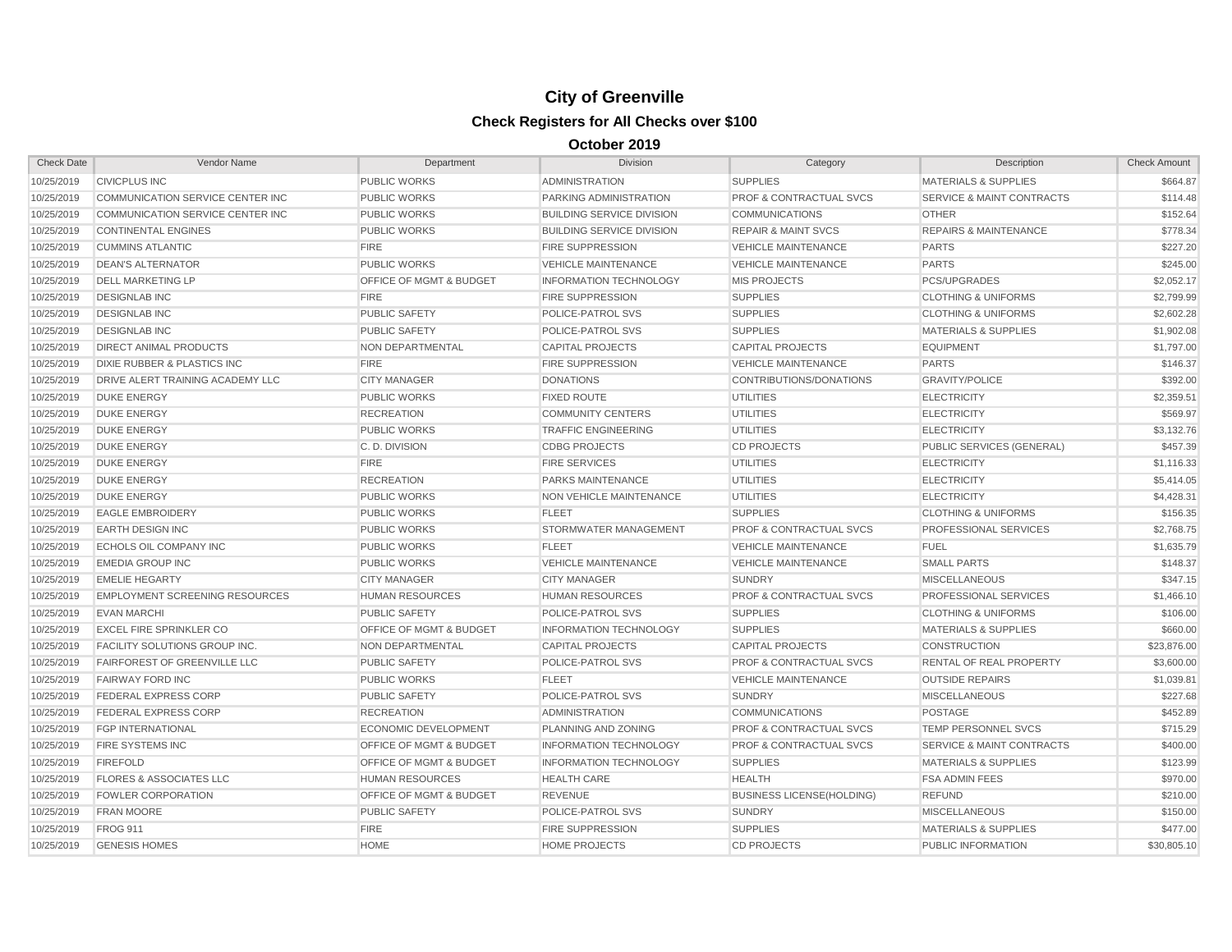| <b>Check Date</b> | Vendor Name                           | Department                         | <b>Division</b>                  | Category                           | Description                          | <b>Check Amount</b> |
|-------------------|---------------------------------------|------------------------------------|----------------------------------|------------------------------------|--------------------------------------|---------------------|
| 10/25/2019        | <b>CIVICPLUS INC</b>                  | <b>PUBLIC WORKS</b>                | <b>ADMINISTRATION</b>            | <b>SUPPLIES</b>                    | <b>MATERIALS &amp; SUPPLIES</b>      | \$664.87            |
| 10/25/2019        | COMMUNICATION SERVICE CENTER INC      | <b>PUBLIC WORKS</b>                | PARKING ADMINISTRATION           | PROF & CONTRACTUAL SVCS            | <b>SERVICE &amp; MAINT CONTRACTS</b> | \$114.48            |
| 10/25/2019        | COMMUNICATION SERVICE CENTER INC      | <b>PUBLIC WORKS</b>                | <b>BUILDING SERVICE DIVISION</b> | <b>COMMUNICATIONS</b>              | <b>OTHER</b>                         | \$152.64            |
| 10/25/2019        | <b>CONTINENTAL ENGINES</b>            | <b>PUBLIC WORKS</b>                | <b>BUILDING SERVICE DIVISION</b> | <b>REPAIR &amp; MAINT SVCS</b>     | <b>REPAIRS &amp; MAINTENANCE</b>     | \$778.34            |
| 10/25/2019        | <b>CUMMINS ATLANTIC</b>               | <b>FIRE</b>                        | <b>FIRE SUPPRESSION</b>          | <b>VEHICLE MAINTENANCE</b>         | <b>PARTS</b>                         | \$227.20            |
| 10/25/2019        | <b>DEAN'S ALTERNATOR</b>              | <b>PUBLIC WORKS</b>                | <b>VEHICLE MAINTENANCE</b>       | <b>VEHICLE MAINTENANCE</b>         | <b>PARTS</b>                         | \$245.00            |
| 10/25/2019        | <b>DELL MARKETING LP</b>              | <b>OFFICE OF MGMT &amp; BUDGET</b> | <b>INFORMATION TECHNOLOGY</b>    | <b>MIS PROJECTS</b>                | <b>PCS/UPGRADES</b>                  | \$2,052.17          |
| 10/25/2019        | <b>DESIGNLAB INC</b>                  | <b>FIRE</b>                        | <b>FIRE SUPPRESSION</b>          | <b>SUPPLIES</b>                    | <b>CLOTHING &amp; UNIFORMS</b>       | \$2,799.99          |
| 10/25/2019        | <b>DESIGNLAB INC</b>                  | <b>PUBLIC SAFETY</b>               | POLICE-PATROL SVS                | <b>SUPPLIES</b>                    | <b>CLOTHING &amp; UNIFORMS</b>       | \$2,602.28          |
| 10/25/2019        | <b>DESIGNLAB INC</b>                  | <b>PUBLIC SAFETY</b>               | POLICE-PATROL SVS                | <b>SUPPLIES</b>                    | <b>MATERIALS &amp; SUPPLIES</b>      | \$1,902.08          |
| 10/25/2019        | <b>DIRECT ANIMAL PRODUCTS</b>         | <b>NON DEPARTMENTAL</b>            | <b>CAPITAL PROJECTS</b>          | <b>CAPITAL PROJECTS</b>            | <b>EQUIPMENT</b>                     | \$1,797.00          |
| 10/25/2019        | DIXIE RUBBER & PLASTICS INC           | <b>FIRE</b>                        | <b>FIRE SUPPRESSION</b>          | <b>VEHICLE MAINTENANCE</b>         | <b>PARTS</b>                         | \$146.37            |
| 10/25/2019        | DRIVE ALERT TRAINING ACADEMY LLC      | <b>CITY MANAGER</b>                | <b>DONATIONS</b>                 | CONTRIBUTIONS/DONATIONS            | <b>GRAVITY/POLICE</b>                | \$392.00            |
| 10/25/2019        | <b>DUKE ENERGY</b>                    | <b>PUBLIC WORKS</b>                | <b>FIXED ROUTE</b>               | <b>UTILITIES</b>                   | <b>ELECTRICITY</b>                   | \$2,359.51          |
| 10/25/2019        | <b>DUKE ENERGY</b>                    | <b>RECREATION</b>                  | <b>COMMUNITY CENTERS</b>         | <b>UTILITIES</b>                   | <b>ELECTRICITY</b>                   | \$569.97            |
| 10/25/2019        | <b>DUKE ENERGY</b>                    | <b>PUBLIC WORKS</b>                | <b>TRAFFIC ENGINEERING</b>       | UTILITIES                          | <b>ELECTRICITY</b>                   | \$3,132.76          |
| 10/25/2019        | <b>DUKE ENERGY</b>                    | C.D. DIVISION                      | <b>CDBG PROJECTS</b>             | <b>CD PROJECTS</b>                 | PUBLIC SERVICES (GENERAL)            | \$457.39            |
| 10/25/2019        | <b>DUKE ENERGY</b>                    | <b>FIRE</b>                        | <b>FIRE SERVICES</b>             | <b>UTILITIES</b>                   | <b>ELECTRICITY</b>                   | \$1,116.33          |
| 10/25/2019        | <b>DUKE ENERGY</b>                    | <b>RECREATION</b>                  | PARKS MAINTENANCE                | <b>UTILITIES</b>                   | <b>ELECTRICITY</b>                   | \$5,414.05          |
| 10/25/2019        | <b>DUKE ENERGY</b>                    | <b>PUBLIC WORKS</b>                | <b>NON VEHICLE MAINTENANCE</b>   | <b>UTILITIES</b>                   | <b>ELECTRICITY</b>                   | \$4,428.31          |
| 10/25/2019        | <b>EAGLE EMBROIDERY</b>               | <b>PUBLIC WORKS</b>                | <b>FLEET</b>                     | <b>SUPPLIES</b>                    | <b>CLOTHING &amp; UNIFORMS</b>       | \$156.35            |
| 10/25/2019        | <b>EARTH DESIGN INC</b>               | <b>PUBLIC WORKS</b>                | STORMWATER MANAGEMENT            | <b>PROF &amp; CONTRACTUAL SVCS</b> | <b>PROFESSIONAL SERVICES</b>         | \$2,768.75          |
| 10/25/2019        | ECHOLS OIL COMPANY INC                | <b>PUBLIC WORKS</b>                | <b>FLEET</b>                     | <b>VEHICLE MAINTENANCE</b>         | <b>FUEL</b>                          | \$1,635.79          |
| 10/25/2019        | <b>EMEDIA GROUP INC</b>               | <b>PUBLIC WORKS</b>                | <b>VEHICLE MAINTENANCE</b>       | <b>VEHICLE MAINTENANCE</b>         | <b>SMALL PARTS</b>                   | \$148.37            |
| 10/25/2019        | <b>EMELIE HEGARTY</b>                 | <b>CITY MANAGER</b>                | <b>CITY MANAGER</b>              | <b>SUNDRY</b>                      | <b>MISCELLANEOUS</b>                 | \$347.15            |
| 10/25/2019        | <b>EMPLOYMENT SCREENING RESOURCES</b> | <b>HUMAN RESOURCES</b>             | <b>HUMAN RESOURCES</b>           | PROF & CONTRACTUAL SVCS            | PROFESSIONAL SERVICES                | \$1,466.10          |
| 10/25/2019        | <b>EVAN MARCHI</b>                    | <b>PUBLIC SAFETY</b>               | POLICE-PATROL SVS                | <b>SUPPLIES</b>                    | <b>CLOTHING &amp; UNIFORMS</b>       | \$106.00            |
| 10/25/2019        | <b>EXCEL FIRE SPRINKLER CO</b>        | OFFICE OF MGMT & BUDGET            | <b>INFORMATION TECHNOLOGY</b>    | <b>SUPPLIES</b>                    | <b>MATERIALS &amp; SUPPLIES</b>      | \$660.00            |
| 10/25/2019        | <b>FACILITY SOLUTIONS GROUP INC.</b>  | NON DEPARTMENTAL                   | <b>CAPITAL PROJECTS</b>          | <b>CAPITAL PROJECTS</b>            | <b>CONSTRUCTION</b>                  | \$23,876.00         |
| 10/25/2019        | <b>FAIRFOREST OF GREENVILLE LLC</b>   | <b>PUBLIC SAFETY</b>               | POLICE-PATROL SVS                | <b>PROF &amp; CONTRACTUAL SVCS</b> | <b>RENTAL OF REAL PROPERTY</b>       | \$3,600.00          |
| 10/25/2019        | <b>FAIRWAY FORD INC</b>               | <b>PUBLIC WORKS</b>                | <b>FLEET</b>                     | <b>VEHICLE MAINTENANCE</b>         | <b>OUTSIDE REPAIRS</b>               | \$1,039.81          |
| 10/25/2019        | FEDERAL EXPRESS CORP                  | <b>PUBLIC SAFETY</b>               | POLICE-PATROL SVS                | <b>SUNDRY</b>                      | <b>MISCELLANEOUS</b>                 | \$227.68            |
| 10/25/2019        | <b>FEDERAL EXPRESS CORP</b>           | <b>RECREATION</b>                  | <b>ADMINISTRATION</b>            | <b>COMMUNICATIONS</b>              | <b>POSTAGE</b>                       | \$452.89            |
| 10/25/2019        | <b>FGP INTERNATIONAL</b>              | <b>ECONOMIC DEVELOPMENT</b>        | PLANNING AND ZONING              | <b>PROF &amp; CONTRACTUAL SVCS</b> | TEMP PERSONNEL SVCS                  | \$715.29            |
| 10/25/2019        | <b>FIRE SYSTEMS INC</b>               | <b>OFFICE OF MGMT &amp; BUDGET</b> | <b>INFORMATION TECHNOLOGY</b>    | <b>PROF &amp; CONTRACTUAL SVCS</b> | <b>SERVICE &amp; MAINT CONTRACTS</b> | \$400.00            |
| 10/25/2019        | <b>FIREFOLD</b>                       | OFFICE OF MGMT & BUDGET            | <b>INFORMATION TECHNOLOGY</b>    | <b>SUPPLIES</b>                    | <b>MATERIALS &amp; SUPPLIES</b>      | \$123.99            |
| 10/25/2019        | <b>FLORES &amp; ASSOCIATES LLC</b>    | <b>HUMAN RESOURCES</b>             | <b>HEALTH CARE</b>               | <b>HEALTH</b>                      | <b>FSA ADMIN FEES</b>                | \$970.00            |
| 10/25/2019        | <b>FOWLER CORPORATION</b>             | <b>OFFICE OF MGMT &amp; BUDGET</b> | <b>REVENUE</b>                   | <b>BUSINESS LICENSE(HOLDING)</b>   | <b>REFUND</b>                        | \$210.00            |
| 10/25/2019        | <b>FRAN MOORE</b>                     | <b>PUBLIC SAFETY</b>               | POLICE-PATROL SVS                | <b>SUNDRY</b>                      | <b>MISCELLANEOUS</b>                 | \$150.00            |
| 10/25/2019        | <b>FROG 911</b>                       | <b>FIRE</b>                        | <b>FIRE SUPPRESSION</b>          | <b>SUPPLIES</b>                    | <b>MATERIALS &amp; SUPPLIES</b>      | \$477.00            |
| 10/25/2019        | <b>GENESIS HOMES</b>                  | <b>HOME</b>                        | <b>HOME PROJECTS</b>             | <b>CD PROJECTS</b>                 | PUBLIC INFORMATION                   | \$30,805.10         |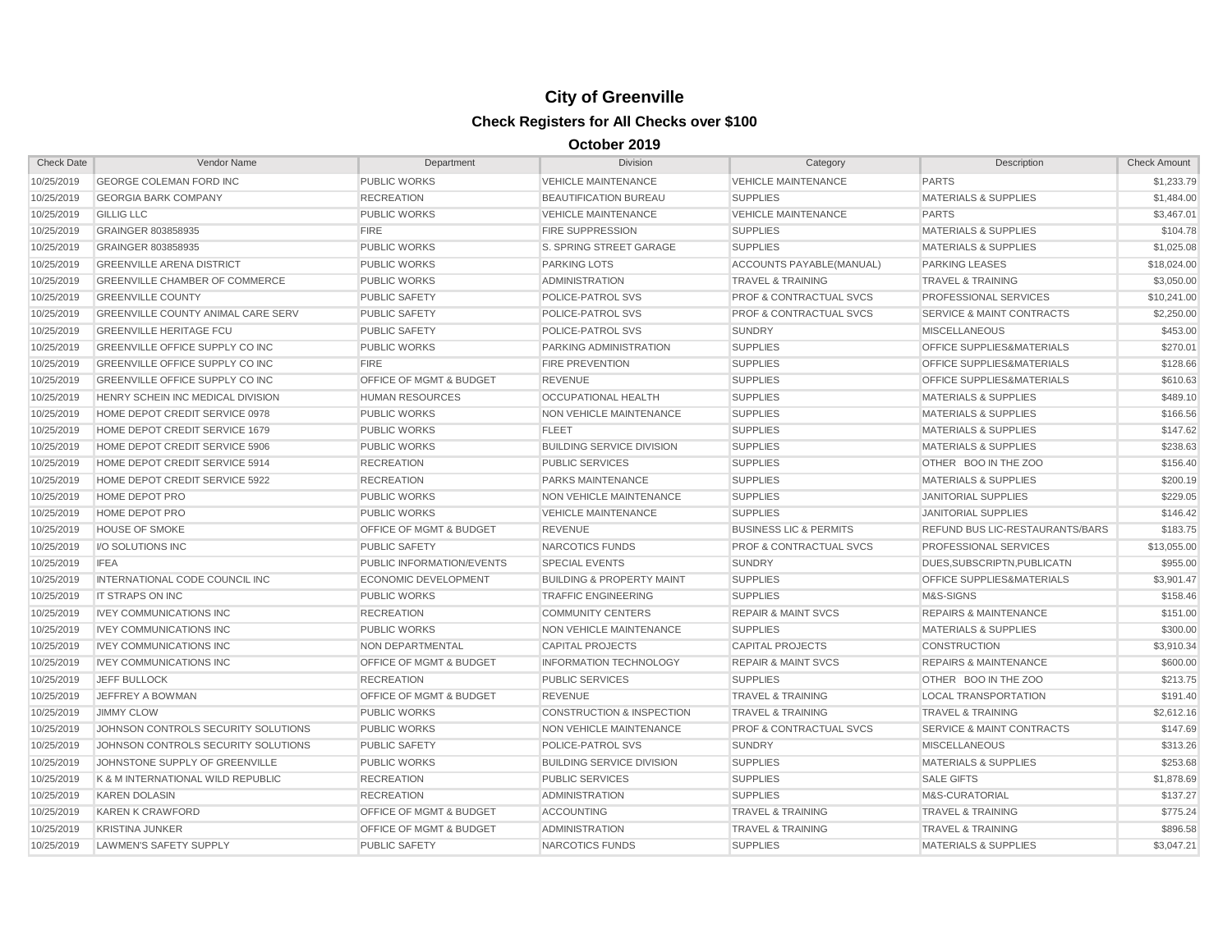| <b>Check Date</b> | Vendor Name                               | Department                         | <b>Division</b>                      | Category                           | Description                            | <b>Check Amount</b> |
|-------------------|-------------------------------------------|------------------------------------|--------------------------------------|------------------------------------|----------------------------------------|---------------------|
| 10/25/2019        | <b>GEORGE COLEMAN FORD INC</b>            | <b>PUBLIC WORKS</b>                | <b>VEHICLE MAINTENANCE</b>           | <b>VEHICLE MAINTENANCE</b>         | <b>PARTS</b>                           | \$1,233.79          |
| 10/25/2019        | <b>GEORGIA BARK COMPANY</b>               | <b>RECREATION</b>                  | <b>BEAUTIFICATION BUREAU</b>         | <b>SUPPLIES</b>                    | <b>MATERIALS &amp; SUPPLIES</b>        | \$1,484.00          |
| 10/25/2019        | <b>GILLIG LLC</b>                         | <b>PUBLIC WORKS</b>                | <b>VEHICLE MAINTENANCE</b>           | <b>VEHICLE MAINTENANCE</b>         | <b>PARTS</b>                           | \$3,467.01          |
| 10/25/2019        | GRAINGER 803858935                        | <b>FIRE</b>                        | <b>FIRE SUPPRESSION</b>              | <b>SUPPLIES</b>                    | <b>MATERIALS &amp; SUPPLIES</b>        | \$104.78            |
| 10/25/2019        | GRAINGER 803858935                        | <b>PUBLIC WORKS</b>                | <b>S. SPRING STREET GARAGE</b>       | <b>SUPPLIES</b>                    | <b>MATERIALS &amp; SUPPLIES</b>        | \$1,025.08          |
| 10/25/2019        | <b>GREENVILLE ARENA DISTRICT</b>          | <b>PUBLIC WORKS</b>                | <b>PARKING LOTS</b>                  | ACCOUNTS PAYABLE(MANUAL)           | <b>PARKING LEASES</b>                  | \$18,024.00         |
| 10/25/2019        | <b>GREENVILLE CHAMBER OF COMMERCE</b>     | <b>PUBLIC WORKS</b>                | <b>ADMINISTRATION</b>                | <b>TRAVEL &amp; TRAINING</b>       | <b>TRAVEL &amp; TRAINING</b>           | \$3,050.00          |
| 10/25/2019        | <b>GREENVILLE COUNTY</b>                  | <b>PUBLIC SAFETY</b>               | POLICE-PATROL SVS                    | <b>PROF &amp; CONTRACTUAL SVCS</b> | PROFESSIONAL SERVICES                  | \$10,241.00         |
| 10/25/2019        | <b>GREENVILLE COUNTY ANIMAL CARE SERV</b> | <b>PUBLIC SAFETY</b>               | POLICE-PATROL SVS                    | <b>PROF &amp; CONTRACTUAL SVCS</b> | <b>SERVICE &amp; MAINT CONTRACTS</b>   | \$2,250.00          |
| 10/25/2019        | <b>GREENVILLE HERITAGE FCU</b>            | <b>PUBLIC SAFETY</b>               | POLICE-PATROL SVS                    | <b>SUNDRY</b>                      | <b>MISCELLANEOUS</b>                   | \$453.00            |
| 10/25/2019        | <b>GREENVILLE OFFICE SUPPLY CO INC</b>    | <b>PUBLIC WORKS</b>                | <b>PARKING ADMINISTRATION</b>        | <b>SUPPLIES</b>                    | <b>OFFICE SUPPLIES&amp;MATERIALS</b>   | \$270.01            |
| 10/25/2019        | <b>GREENVILLE OFFICE SUPPLY CO INC</b>    | <b>FIRE</b>                        | <b>FIRE PREVENTION</b>               | <b>SUPPLIES</b>                    | <b>OFFICE SUPPLIES&amp;MATERIALS</b>   | \$128.66            |
| 10/25/2019        | <b>GREENVILLE OFFICE SUPPLY CO INC</b>    | <b>OFFICE OF MGMT &amp; BUDGET</b> | <b>REVENUE</b>                       | <b>SUPPLIES</b>                    | OFFICE SUPPLIES&MATERIALS              | \$610.63            |
| 10/25/2019        | HENRY SCHEIN INC MEDICAL DIVISION         | <b>HUMAN RESOURCES</b>             | OCCUPATIONAL HEALTH                  | <b>SUPPLIES</b>                    | <b>MATERIALS &amp; SUPPLIES</b>        | \$489.10            |
| 10/25/2019        | HOME DEPOT CREDIT SERVICE 0978            | <b>PUBLIC WORKS</b>                | NON VEHICLE MAINTENANCE              | <b>SUPPLIES</b>                    | <b>MATERIALS &amp; SUPPLIES</b>        | \$166.56            |
| 10/25/2019        | HOME DEPOT CREDIT SERVICE 1679            | <b>PUBLIC WORKS</b>                | <b>FLEET</b>                         | <b>SUPPLIES</b>                    | <b>MATERIALS &amp; SUPPLIES</b>        | \$147.62            |
| 10/25/2019        | HOME DEPOT CREDIT SERVICE 5906            | <b>PUBLIC WORKS</b>                | <b>BUILDING SERVICE DIVISION</b>     | <b>SUPPLIES</b>                    | <b>MATERIALS &amp; SUPPLIES</b>        | \$238.63            |
| 10/25/2019        | HOME DEPOT CREDIT SERVICE 5914            | <b>RECREATION</b>                  | <b>PUBLIC SERVICES</b>               | <b>SUPPLIES</b>                    | OTHER BOO IN THE ZOO                   | \$156.40            |
| 10/25/2019        | HOME DEPOT CREDIT SERVICE 5922            | <b>RECREATION</b>                  | <b>PARKS MAINTENANCE</b>             | <b>SUPPLIES</b>                    | <b>MATERIALS &amp; SUPPLIES</b>        | \$200.19            |
| 10/25/2019        | HOME DEPOT PRO                            | <b>PUBLIC WORKS</b>                | NON VEHICLE MAINTENANCE              | <b>SUPPLIES</b>                    | <b>JANITORIAL SUPPLIES</b>             | \$229.05            |
| 10/25/2019        | <b>HOME DEPOT PRO</b>                     | <b>PUBLIC WORKS</b>                | <b>VEHICLE MAINTENANCE</b>           | <b>SUPPLIES</b>                    | <b>JANITORIAL SUPPLIES</b>             | \$146.42            |
| 10/25/2019        | <b>HOUSE OF SMOKE</b>                     | <b>OFFICE OF MGMT &amp; BUDGET</b> | <b>REVENUE</b>                       | <b>BUSINESS LIC &amp; PERMITS</b>  | <b>REFUND BUS LIC-RESTAURANTS/BARS</b> | \$183.75            |
| 10/25/2019        | I/O SOLUTIONS INC                         | <b>PUBLIC SAFETY</b>               | NARCOTICS FUNDS                      | <b>PROF &amp; CONTRACTUAL SVCS</b> | PROFESSIONAL SERVICES                  | \$13,055.00         |
| 10/25/2019        | <b>IFEA</b>                               | PUBLIC INFORMATION/EVENTS          | <b>SPECIAL EVENTS</b>                | <b>SUNDRY</b>                      | DUES, SUBSCRIPTN, PUBLICATN            | \$955.00            |
| 10/25/2019        | INTERNATIONAL CODE COUNCIL INC            | <b>ECONOMIC DEVELOPMENT</b>        | <b>BUILDING &amp; PROPERTY MAINT</b> | <b>SUPPLIES</b>                    | <b>OFFICE SUPPLIES&amp;MATERIALS</b>   | \$3,901.47          |
| 10/25/2019        | <b>IT STRAPS ON INC</b>                   | <b>PUBLIC WORKS</b>                | <b>TRAFFIC ENGINEERING</b>           | <b>SUPPLIES</b>                    | M&S-SIGNS                              | \$158.46            |
| 10/25/2019        | <b>IVEY COMMUNICATIONS INC</b>            | <b>RECREATION</b>                  | <b>COMMUNITY CENTERS</b>             | <b>REPAIR &amp; MAINT SVCS</b>     | <b>REPAIRS &amp; MAINTENANCE</b>       | \$151.00            |
| 10/25/2019        | <b>IVEY COMMUNICATIONS INC</b>            | <b>PUBLIC WORKS</b>                | NON VEHICLE MAINTENANCE              | <b>SUPPLIES</b>                    | <b>MATERIALS &amp; SUPPLIES</b>        | \$300.00            |
| 10/25/2019        | <b>IVEY COMMUNICATIONS INC</b>            | <b>NON DEPARTMENTAL</b>            | <b>CAPITAL PROJECTS</b>              | <b>CAPITAL PROJECTS</b>            | <b>CONSTRUCTION</b>                    | \$3,910.34          |
| 10/25/2019        | <b>IVEY COMMUNICATIONS INC</b>            | <b>OFFICE OF MGMT &amp; BUDGET</b> | <b>INFORMATION TECHNOLOGY</b>        | <b>REPAIR &amp; MAINT SVCS</b>     | <b>REPAIRS &amp; MAINTENANCE</b>       | \$600.00            |
| 10/25/2019        | JEFF BULLOCK                              | <b>RECREATION</b>                  | <b>PUBLIC SERVICES</b>               | <b>SUPPLIES</b>                    | OTHER BOO IN THE ZOO                   | \$213.75            |
| 10/25/2019        | <b>JEFFREY A BOWMAN</b>                   | OFFICE OF MGMT & BUDGET            | <b>REVENUE</b>                       | <b>TRAVEL &amp; TRAINING</b>       | <b>LOCAL TRANSPORTATION</b>            | \$191.40            |
| 10/25/2019        | <b>JIMMY CLOW</b>                         | <b>PUBLIC WORKS</b>                | <b>CONSTRUCTION &amp; INSPECTION</b> | <b>TRAVEL &amp; TRAINING</b>       | <b>TRAVEL &amp; TRAINING</b>           | \$2,612.16          |
| 10/25/2019        | JOHNSON CONTROLS SECURITY SOLUTIONS       | <b>PUBLIC WORKS</b>                | NON VEHICLE MAINTENANCE              | <b>PROF &amp; CONTRACTUAL SVCS</b> | SERVICE & MAINT CONTRACTS              | \$147.69            |
| 10/25/2019        | JOHNSON CONTROLS SECURITY SOLUTIONS       | <b>PUBLIC SAFETY</b>               | POLICE-PATROL SVS                    | <b>SUNDRY</b>                      | <b>MISCELLANEOUS</b>                   | \$313.26            |
| 10/25/2019        | JOHNSTONE SUPPLY OF GREENVILLE            | <b>PUBLIC WORKS</b>                | <b>BUILDING SERVICE DIVISION</b>     | <b>SUPPLIES</b>                    | <b>MATERIALS &amp; SUPPLIES</b>        | \$253.68            |
| 10/25/2019        | K & M INTERNATIONAL WILD REPUBLIC         | <b>RECREATION</b>                  | <b>PUBLIC SERVICES</b>               | <b>SUPPLIES</b>                    | <b>SALE GIFTS</b>                      | \$1,878.69          |
| 10/25/2019        | <b>KAREN DOLASIN</b>                      | <b>RECREATION</b>                  | <b>ADMINISTRATION</b>                | <b>SUPPLIES</b>                    | M&S-CURATORIAL                         | \$137.27            |
| 10/25/2019        | <b>KAREN K CRAWFORD</b>                   | <b>OFFICE OF MGMT &amp; BUDGET</b> | <b>ACCOUNTING</b>                    | <b>TRAVEL &amp; TRAINING</b>       | TRAVEL & TRAINING                      | \$775.24            |
| 10/25/2019        | <b>KRISTINA JUNKER</b>                    | <b>OFFICE OF MGMT &amp; BUDGET</b> | <b>ADMINISTRATION</b>                | <b>TRAVEL &amp; TRAINING</b>       | <b>TRAVEL &amp; TRAINING</b>           | \$896.58            |
| 10/25/2019        | LAWMEN'S SAFETY SUPPLY                    | <b>PUBLIC SAFETY</b>               | NARCOTICS FUNDS                      | <b>SUPPLIES</b>                    | <b>MATERIALS &amp; SUPPLIES</b>        | \$3.047.21          |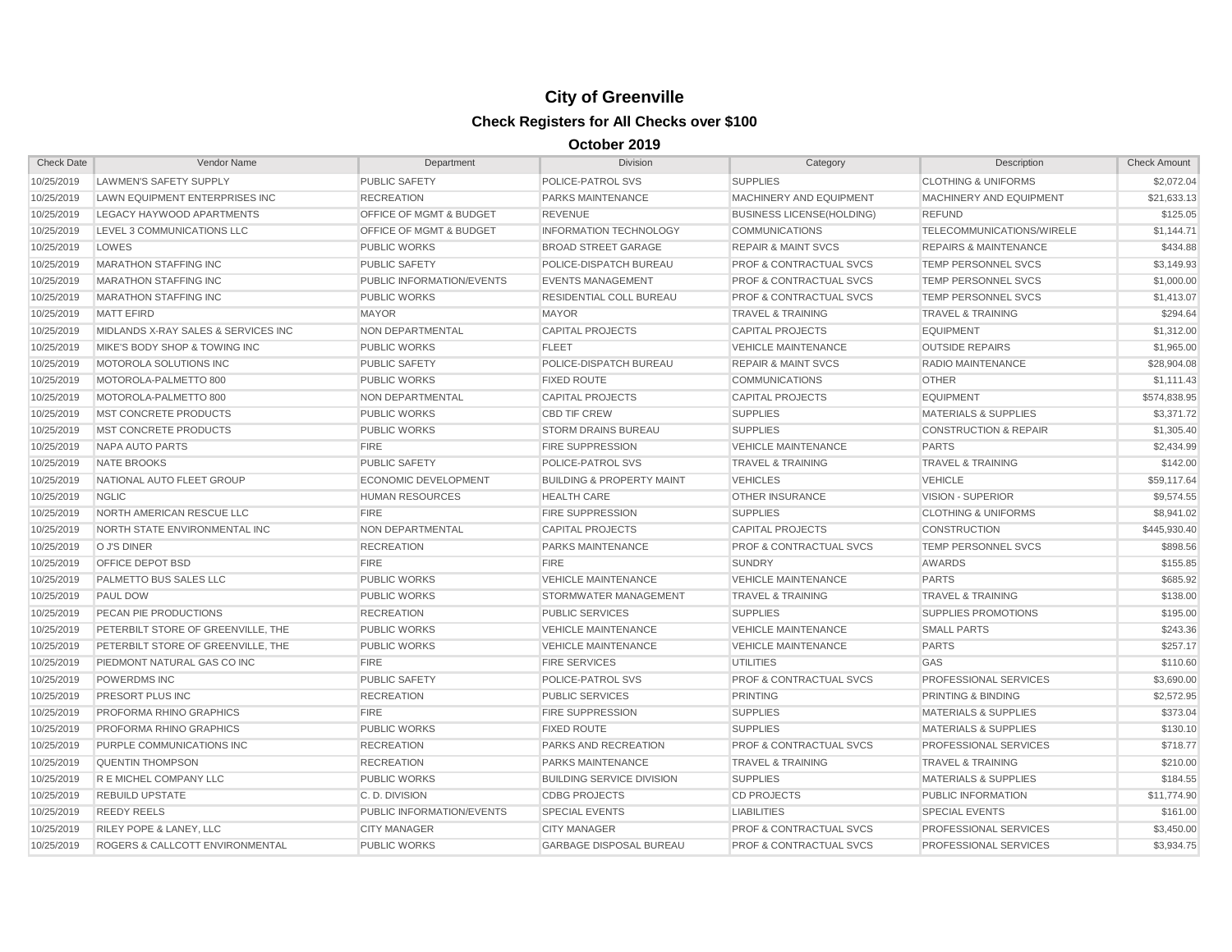| <b>Check Date</b> | Vendor Name                         | Department                         | Division                             | Category                           | Description                      | <b>Check Amount</b> |
|-------------------|-------------------------------------|------------------------------------|--------------------------------------|------------------------------------|----------------------------------|---------------------|
| 10/25/2019        | <b>LAWMEN'S SAFETY SUPPLY</b>       | <b>PUBLIC SAFETY</b>               | POLICE-PATROL SVS                    | <b>SUPPLIES</b>                    | <b>CLOTHING &amp; UNIFORMS</b>   | \$2,072.04          |
| 10/25/2019        | LAWN EQUIPMENT ENTERPRISES INC      | <b>RECREATION</b>                  | PARKS MAINTENANCE                    | <b>MACHINERY AND EQUIPMENT</b>     | MACHINERY AND EQUIPMENT          | \$21,633.13         |
| 10/25/2019        | LEGACY HAYWOOD APARTMENTS           | OFFICE OF MGMT & BUDGET            | <b>REVENUE</b>                       | <b>BUSINESS LICENSE(HOLDING)</b>   | <b>REFUND</b>                    | \$125.05            |
| 10/25/2019        | LEVEL 3 COMMUNICATIONS LLC          | <b>OFFICE OF MGMT &amp; BUDGET</b> | <b>INFORMATION TECHNOLOGY</b>        | <b>COMMUNICATIONS</b>              | TELECOMMUNICATIONS/WIRELE        | \$1,144.71          |
| 10/25/2019        | LOWES                               | <b>PUBLIC WORKS</b>                | <b>BROAD STREET GARAGE</b>           | <b>REPAIR &amp; MAINT SVCS</b>     | <b>REPAIRS &amp; MAINTENANCE</b> | \$434.88            |
| 10/25/2019        | <b>MARATHON STAFFING INC</b>        | <b>PUBLIC SAFETY</b>               | POLICE-DISPATCH BUREAU               | <b>PROF &amp; CONTRACTUAL SVCS</b> | TEMP PERSONNEL SVCS              | \$3,149.93          |
| 10/25/2019        | <b>MARATHON STAFFING INC</b>        | <b>PUBLIC INFORMATION/EVENTS</b>   | <b>EVENTS MANAGEMENT</b>             | <b>PROF &amp; CONTRACTUAL SVCS</b> | TEMP PERSONNEL SVCS              | \$1,000.00          |
| 10/25/2019        | <b>MARATHON STAFFING INC</b>        | <b>PUBLIC WORKS</b>                | RESIDENTIAL COLL BUREAU              | <b>PROF &amp; CONTRACTUAL SVCS</b> | TEMP PERSONNEL SVCS              | \$1,413.07          |
| 10/25/2019        | <b>MATT EFIRD</b>                   | <b>MAYOR</b>                       | <b>MAYOR</b>                         | <b>TRAVEL &amp; TRAINING</b>       | TRAVEL & TRAINING                | \$294.64            |
| 10/25/2019        | MIDLANDS X-RAY SALES & SERVICES INC | <b>NON DEPARTMENTAL</b>            | <b>CAPITAL PROJECTS</b>              | <b>CAPITAL PROJECTS</b>            | <b>EQUIPMENT</b>                 | \$1,312.00          |
| 10/25/2019        | MIKE'S BODY SHOP & TOWING INC       | <b>PUBLIC WORKS</b>                | <b>FLEET</b>                         | <b>VEHICLE MAINTENANCE</b>         | <b>OUTSIDE REPAIRS</b>           | \$1,965.00          |
| 10/25/2019        | MOTOROLA SOLUTIONS INC              | <b>PUBLIC SAFETY</b>               | POLICE-DISPATCH BUREAU               | <b>REPAIR &amp; MAINT SVCS</b>     | <b>RADIO MAINTENANCE</b>         | \$28,904.08         |
| 10/25/2019        | MOTOROLA-PALMETTO 800               | <b>PUBLIC WORKS</b>                | <b>FIXED ROUTE</b>                   | <b>COMMUNICATIONS</b>              | <b>OTHER</b>                     | \$1,111.43          |
| 10/25/2019        | MOTOROLA-PALMETTO 800               | <b>NON DEPARTMENTAL</b>            | <b>CAPITAL PROJECTS</b>              | <b>CAPITAL PROJECTS</b>            | <b>EQUIPMENT</b>                 | \$574,838.95        |
| 10/25/2019        | <b>MST CONCRETE PRODUCTS</b>        | <b>PUBLIC WORKS</b>                | <b>CBD TIF CREW</b>                  | <b>SUPPLIES</b>                    | <b>MATERIALS &amp; SUPPLIES</b>  | \$3,371.72          |
| 10/25/2019        | <b>MST CONCRETE PRODUCTS</b>        | <b>PUBLIC WORKS</b>                | <b>STORM DRAINS BUREAU</b>           | <b>SUPPLIES</b>                    | <b>CONSTRUCTION &amp; REPAIR</b> | \$1,305.40          |
| 10/25/2019        | NAPA AUTO PARTS                     | <b>FIRE</b>                        | <b>FIRE SUPPRESSION</b>              | <b>VEHICLE MAINTENANCE</b>         | <b>PARTS</b>                     | \$2,434.99          |
| 10/25/2019        | <b>NATE BROOKS</b>                  | <b>PUBLIC SAFETY</b>               | POLICE-PATROL SVS                    | <b>TRAVEL &amp; TRAINING</b>       | TRAVEL & TRAINING                | \$142.00            |
| 10/25/2019        | NATIONAL AUTO FLEET GROUP           | <b>ECONOMIC DEVELOPMENT</b>        | <b>BUILDING &amp; PROPERTY MAINT</b> | <b>VEHICLES</b>                    | <b>VEHICLE</b>                   | \$59,117.64         |
| 10/25/2019        | <b>NGLIC</b>                        | <b>HUMAN RESOURCES</b>             | <b>HEALTH CARE</b>                   | <b>OTHER INSURANCE</b>             | VISION - SUPERIOR                | \$9,574.55          |
| 10/25/2019        | NORTH AMERICAN RESCUE LLC           | <b>FIRE</b>                        | <b>FIRE SUPPRESSION</b>              | <b>SUPPLIES</b>                    | <b>CLOTHING &amp; UNIFORMS</b>   | \$8,941.02          |
| 10/25/2019        | NORTH STATE ENVIRONMENTAL INC       | <b>NON DEPARTMENTAL</b>            | <b>CAPITAL PROJECTS</b>              | <b>CAPITAL PROJECTS</b>            | <b>CONSTRUCTION</b>              | \$445,930.40        |
| 10/25/2019        | O J'S DINER                         | <b>RECREATION</b>                  | PARKS MAINTENANCE                    | <b>PROF &amp; CONTRACTUAL SVCS</b> | TEMP PERSONNEL SVCS              | \$898.56            |
| 10/25/2019        | <b>OFFICE DEPOT BSD</b>             | <b>FIRE</b>                        | <b>FIRE</b>                          | <b>SUNDRY</b>                      | <b>AWARDS</b>                    | \$155.85            |
| 10/25/2019        | PALMETTO BUS SALES LLC              | <b>PUBLIC WORKS</b>                | <b>VEHICLE MAINTENANCE</b>           | <b>VEHICLE MAINTENANCE</b>         | <b>PARTS</b>                     | \$685.92            |
| 10/25/2019        | <b>PAUL DOW</b>                     | <b>PUBLIC WORKS</b>                | STORMWATER MANAGEMENT                | <b>TRAVEL &amp; TRAINING</b>       | <b>TRAVEL &amp; TRAINING</b>     | \$138.00            |
| 10/25/2019        | PECAN PIE PRODUCTIONS               | <b>RECREATION</b>                  | <b>PUBLIC SERVICES</b>               | <b>SUPPLIES</b>                    | SUPPLIES PROMOTIONS              | \$195.00            |
| 10/25/2019        | PETERBILT STORE OF GREENVILLE, THE  | <b>PUBLIC WORKS</b>                | <b>VEHICLE MAINTENANCE</b>           | <b>VEHICLE MAINTENANCE</b>         | <b>SMALL PARTS</b>               | \$243.36            |
| 10/25/2019        | PETERBILT STORE OF GREENVILLE. THE  | <b>PUBLIC WORKS</b>                | <b>VEHICLE MAINTENANCE</b>           | <b>VEHICLE MAINTENANCE</b>         | <b>PARTS</b>                     | \$257.17            |
| 10/25/2019        | <b>PIEDMONT NATURAL GAS CO INC</b>  | <b>FIRE</b>                        | <b>FIRE SERVICES</b>                 | UTILITIES                          | GAS                              | \$110.60            |
| 10/25/2019        | <b>POWERDMS INC</b>                 | <b>PUBLIC SAFETY</b>               | <b>POLICE-PATROL SVS</b>             | <b>PROF &amp; CONTRACTUAL SVCS</b> | <b>PROFESSIONAL SERVICES</b>     | \$3,690.00          |
| 10/25/2019        | PRESORT PLUS INC                    | <b>RECREATION</b>                  | <b>PUBLIC SERVICES</b>               | <b>PRINTING</b>                    | <b>PRINTING &amp; BINDING</b>    | \$2,572.95          |
| 10/25/2019        | PROFORMA RHINO GRAPHICS             | <b>FIRE</b>                        | <b>FIRE SUPPRESSION</b>              | <b>SUPPLIES</b>                    | <b>MATERIALS &amp; SUPPLIES</b>  | \$373.04            |
| 10/25/2019        | <b>PROFORMA RHINO GRAPHICS</b>      | <b>PUBLIC WORKS</b>                | <b>FIXED ROUTE</b>                   | <b>SUPPLIES</b>                    | <b>MATERIALS &amp; SUPPLIES</b>  | \$130.10            |
| 10/25/2019        | PURPLE COMMUNICATIONS INC           | <b>RECREATION</b>                  | PARKS AND RECREATION                 | <b>PROF &amp; CONTRACTUAL SVCS</b> | <b>PROFESSIONAL SERVICES</b>     | \$718.77            |
| 10/25/2019        | <b>QUENTIN THOMPSON</b>             | <b>RECREATION</b>                  | <b>PARKS MAINTENANCE</b>             | <b>TRAVEL &amp; TRAINING</b>       | <b>TRAVEL &amp; TRAINING</b>     | \$210.00            |
| 10/25/2019        | R E MICHEL COMPANY LLC              | <b>PUBLIC WORKS</b>                | <b>BUILDING SERVICE DIVISION</b>     | <b>SUPPLIES</b>                    | <b>MATERIALS &amp; SUPPLIES</b>  | \$184.55            |
| 10/25/2019        | <b>REBUILD UPSTATE</b>              | C.D. DIVISION                      | <b>CDBG PROJECTS</b>                 | <b>CD PROJECTS</b>                 | <b>PUBLIC INFORMATION</b>        | \$11,774.90         |
| 10/25/2019        | <b>REEDY REELS</b>                  | <b>PUBLIC INFORMATION/EVENTS</b>   | <b>SPECIAL EVENTS</b>                | <b>LIABILITIES</b>                 | <b>SPECIAL EVENTS</b>            | \$161.00            |
| 10/25/2019        | <b>RILEY POPE &amp; LANEY, LLC</b>  | <b>CITY MANAGER</b>                | <b>CITY MANAGER</b>                  | <b>PROF &amp; CONTRACTUAL SVCS</b> | PROFESSIONAL SERVICES            | \$3,450.00          |
| 10/25/2019        | ROGERS & CALLCOTT ENVIRONMENTAL     | <b>PUBLIC WORKS</b>                | <b>GARBAGE DISPOSAL BUREAU</b>       | <b>PROF &amp; CONTRACTUAL SVCS</b> | <b>PROFESSIONAL SERVICES</b>     | \$3,934.75          |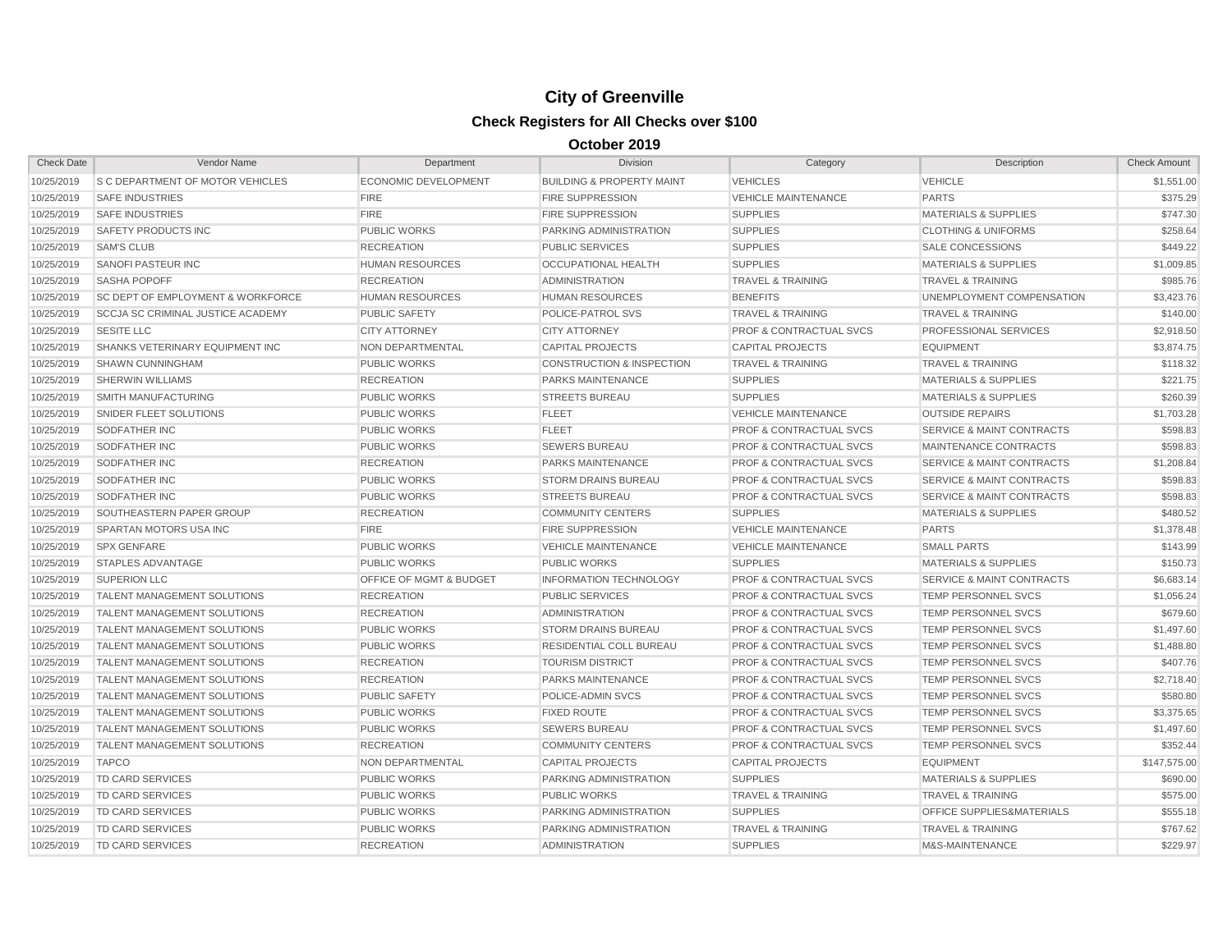| <b>Check Date</b> | Vendor Name                                  | Department                         | Division                             | Category                           | Description                          | <b>Check Amount</b> |
|-------------------|----------------------------------------------|------------------------------------|--------------------------------------|------------------------------------|--------------------------------------|---------------------|
| 10/25/2019        | S C DEPARTMENT OF MOTOR VEHICLES             | <b>ECONOMIC DEVELOPMENT</b>        | <b>BUILDING &amp; PROPERTY MAINT</b> | <b>VEHICLES</b>                    | <b>VEHICLE</b>                       | \$1,551.00          |
| 10/25/2019        | <b>SAFE INDUSTRIES</b>                       | <b>FIRE</b>                        | <b>FIRE SUPPRESSION</b>              | <b>VEHICLE MAINTENANCE</b>         | <b>PARTS</b>                         | \$375.29            |
| 10/25/2019        | <b>SAFE INDUSTRIES</b>                       | <b>FIRE</b>                        | <b>FIRE SUPPRESSION</b>              | <b>SUPPLIES</b>                    | <b>MATERIALS &amp; SUPPLIES</b>      | \$747.30            |
| 10/25/2019        | SAFETY PRODUCTS INC                          | <b>PUBLIC WORKS</b>                | PARKING ADMINISTRATION               | <b>SUPPLIES</b>                    | <b>CLOTHING &amp; UNIFORMS</b>       | \$258.64            |
| 10/25/2019        | <b>SAM'S CLUB</b>                            | <b>RECREATION</b>                  | <b>PUBLIC SERVICES</b>               | <b>SUPPLIES</b>                    | <b>SALE CONCESSIONS</b>              | \$449.22            |
| 10/25/2019        | <b>SANOFI PASTEUR INC</b>                    | <b>HUMAN RESOURCES</b>             | <b>OCCUPATIONAL HEALTH</b>           | <b>SUPPLIES</b>                    | <b>MATERIALS &amp; SUPPLIES</b>      | \$1,009.85          |
| 10/25/2019        | <b>SASHA POPOFF</b>                          | <b>RECREATION</b>                  | <b>ADMINISTRATION</b>                | <b>TRAVEL &amp; TRAINING</b>       | <b>TRAVEL &amp; TRAINING</b>         | \$985.76            |
| 10/25/2019        | <b>SC DEPT OF EMPLOYMENT &amp; WORKFORCE</b> | <b>HUMAN RESOURCES</b>             | <b>HUMAN RESOURCES</b>               | <b>BENEFITS</b>                    | UNEMPLOYMENT COMPENSATION            | \$3,423.76          |
| 10/25/2019        | <b>SCCJA SC CRIMINAL JUSTICE ACADEMY</b>     | <b>PUBLIC SAFETY</b>               | POLICE-PATROL SVS                    | <b>TRAVEL &amp; TRAINING</b>       | <b>TRAVEL &amp; TRAINING</b>         | \$140.00            |
| 10/25/2019        | <b>SESITE LLC</b>                            | <b>CITY ATTORNEY</b>               | <b>CITY ATTORNEY</b>                 | <b>PROF &amp; CONTRACTUAL SVCS</b> | <b>PROFESSIONAL SERVICES</b>         | \$2,918.50          |
| 10/25/2019        | SHANKS VETERINARY EQUIPMENT INC              | <b>NON DEPARTMENTAL</b>            | <b>CAPITAL PROJECTS</b>              | <b>CAPITAL PROJECTS</b>            | <b>EQUIPMENT</b>                     | \$3,874.75          |
| 10/25/2019        | SHAWN CUNNINGHAM                             | <b>PUBLIC WORKS</b>                | <b>CONSTRUCTION &amp; INSPECTION</b> | <b>TRAVEL &amp; TRAINING</b>       | <b>TRAVEL &amp; TRAINING</b>         | \$118.32            |
| 10/25/2019        | <b>SHERWIN WILLIAMS</b>                      | <b>RECREATION</b>                  | <b>PARKS MAINTENANCE</b>             | <b>SUPPLIES</b>                    | <b>MATERIALS &amp; SUPPLIES</b>      | \$221.75            |
| 10/25/2019        | <b>SMITH MANUFACTURING</b>                   | <b>PUBLIC WORKS</b>                | <b>STREETS BUREAU</b>                | <b>SUPPLIES</b>                    | <b>MATERIALS &amp; SUPPLIES</b>      | \$260.39            |
| 10/25/2019        | SNIDER FLEET SOLUTIONS                       | <b>PUBLIC WORKS</b>                | <b>FLEET</b>                         | <b>VEHICLE MAINTENANCE</b>         | <b>OUTSIDE REPAIRS</b>               | \$1,703.28          |
| 10/25/2019        | <b>SODFATHER INC</b>                         | <b>PUBLIC WORKS</b>                | <b>FLEET</b>                         | <b>PROF &amp; CONTRACTUAL SVCS</b> | <b>SERVICE &amp; MAINT CONTRACTS</b> | \$598.83            |
| 10/25/2019        | SODFATHER INC                                | <b>PUBLIC WORKS</b>                | <b>SEWERS BUREAU</b>                 | PROF & CONTRACTUAL SVCS            | MAINTENANCE CONTRACTS                | \$598.83            |
| 10/25/2019        | SODFATHER INC                                | <b>RECREATION</b>                  | PARKS MAINTENANCE                    | <b>PROF &amp; CONTRACTUAL SVCS</b> | SERVICE & MAINT CONTRACTS            | \$1,208.84          |
| 10/25/2019        | <b>SODFATHER INC</b>                         | <b>PUBLIC WORKS</b>                | <b>STORM DRAINS BUREAU</b>           | <b>PROF &amp; CONTRACTUAL SVCS</b> | SERVICE & MAINT CONTRACTS            | \$598.83            |
| 10/25/2019        | SODFATHER INC                                | <b>PUBLIC WORKS</b>                | <b>STREETS BUREAU</b>                | PROF & CONTRACTUAL SVCS            | <b>SERVICE &amp; MAINT CONTRACTS</b> | \$598.83            |
| 10/25/2019        | SOUTHEASTERN PAPER GROUP                     | <b>RECREATION</b>                  | <b>COMMUNITY CENTERS</b>             | <b>SUPPLIES</b>                    | <b>MATERIALS &amp; SUPPLIES</b>      | \$480.52            |
| 10/25/2019        | SPARTAN MOTORS USA INC                       | <b>FIRE</b>                        | <b>FIRE SUPPRESSION</b>              | <b>VEHICLE MAINTENANCE</b>         | <b>PARTS</b>                         | \$1,378.48          |
| 10/25/2019        | <b>SPX GENFARE</b>                           | <b>PUBLIC WORKS</b>                | <b>VEHICLE MAINTENANCE</b>           | <b>VEHICLE MAINTENANCE</b>         | <b>SMALL PARTS</b>                   | \$143.99            |
| 10/25/2019        | <b>STAPLES ADVANTAGE</b>                     | <b>PUBLIC WORKS</b>                | <b>PUBLIC WORKS</b>                  | <b>SUPPLIES</b>                    | <b>MATERIALS &amp; SUPPLIES</b>      | \$150.73            |
| 10/25/2019        | <b>SUPERION LLC</b>                          | <b>OFFICE OF MGMT &amp; BUDGET</b> | <b>INFORMATION TECHNOLOGY</b>        | <b>PROF &amp; CONTRACTUAL SVCS</b> | SERVICE & MAINT CONTRACTS            | \$6,683.14          |
| 10/25/2019        | <b>TALENT MANAGEMENT SOLUTIONS</b>           | <b>RECREATION</b>                  | <b>PUBLIC SERVICES</b>               | <b>PROF &amp; CONTRACTUAL SVCS</b> | TEMP PERSONNEL SVCS                  | \$1,056.24          |
| 10/25/2019        | <b>TALENT MANAGEMENT SOLUTIONS</b>           | <b>RECREATION</b>                  | <b>ADMINISTRATION</b>                | <b>PROF &amp; CONTRACTUAL SVCS</b> | TEMP PERSONNEL SVCS                  | \$679.60            |
| 10/25/2019        | <b>TALENT MANAGEMENT SOLUTIONS</b>           | <b>PUBLIC WORKS</b>                | <b>STORM DRAINS BUREAU</b>           | <b>PROF &amp; CONTRACTUAL SVCS</b> | TEMP PERSONNEL SVCS                  | \$1,497.60          |
| 10/25/2019        | <b>TALENT MANAGEMENT SOLUTIONS</b>           | <b>PUBLIC WORKS</b>                | RESIDENTIAL COLL BUREAU              | <b>PROF &amp; CONTRACTUAL SVCS</b> | TEMP PERSONNEL SVCS                  | \$1,488.80          |
| 10/25/2019        | <b>TALENT MANAGEMENT SOLUTIONS</b>           | <b>RECREATION</b>                  | <b>TOURISM DISTRICT</b>              | <b>PROF &amp; CONTRACTUAL SVCS</b> | <b>TEMP PERSONNEL SVCS</b>           | \$407.76            |
| 10/25/2019        | <b>TALENT MANAGEMENT SOLUTIONS</b>           | <b>RECREATION</b>                  | <b>PARKS MAINTENANCE</b>             | <b>PROF &amp; CONTRACTUAL SVCS</b> | <b>TEMP PERSONNEL SVCS</b>           | \$2,718.40          |
| 10/25/2019        | <b>TALENT MANAGEMENT SOLUTIONS</b>           | <b>PUBLIC SAFETY</b>               | POLICE-ADMIN SVCS                    | <b>PROF &amp; CONTRACTUAL SVCS</b> | TEMP PERSONNEL SVCS                  | \$580.80            |
| 10/25/2019        | <b>TALENT MANAGEMENT SOLUTIONS</b>           | <b>PUBLIC WORKS</b>                | <b>FIXED ROUTE</b>                   | <b>PROF &amp; CONTRACTUAL SVCS</b> | TEMP PERSONNEL SVCS                  | \$3,375.65          |
| 10/25/2019        | <b>TALENT MANAGEMENT SOLUTIONS</b>           | <b>PUBLIC WORKS</b>                | <b>SEWERS BUREAU</b>                 | <b>PROF &amp; CONTRACTUAL SVCS</b> | TEMP PERSONNEL SVCS                  | \$1,497.60          |
| 10/25/2019        | <b>TALENT MANAGEMENT SOLUTIONS</b>           | <b>RECREATION</b>                  | <b>COMMUNITY CENTERS</b>             | <b>PROF &amp; CONTRACTUAL SVCS</b> | TEMP PERSONNEL SVCS                  | \$352.44            |
| 10/25/2019        | <b>TAPCO</b>                                 | NON DEPARTMENTAL                   | <b>CAPITAL PROJECTS</b>              | <b>CAPITAL PROJECTS</b>            | <b>EQUIPMENT</b>                     | \$147,575.00        |
| 10/25/2019        | <b>TD CARD SERVICES</b>                      | <b>PUBLIC WORKS</b>                | <b>PARKING ADMINISTRATION</b>        | <b>SUPPLIES</b>                    | <b>MATERIALS &amp; SUPPLIES</b>      | \$690.00            |
| 10/25/2019        | <b>TD CARD SERVICES</b>                      | <b>PUBLIC WORKS</b>                | <b>PUBLIC WORKS</b>                  | <b>TRAVEL &amp; TRAINING</b>       | <b>TRAVEL &amp; TRAINING</b>         | \$575.00            |
| 10/25/2019        | <b>TD CARD SERVICES</b>                      | <b>PUBLIC WORKS</b>                | PARKING ADMINISTRATION               | <b>SUPPLIES</b>                    | OFFICE SUPPLIES&MATERIALS            | \$555.18            |
| 10/25/2019        | <b>TD CARD SERVICES</b>                      | <b>PUBLIC WORKS</b>                | PARKING ADMINISTRATION               | <b>TRAVEL &amp; TRAINING</b>       | TRAVEL & TRAINING                    | \$767.62            |
| 10/25/2019        | <b>TD CARD SERVICES</b>                      | <b>RECREATION</b>                  | <b>ADMINISTRATION</b>                | <b>SUPPLIES</b>                    | M&S-MAINTENANCE                      | \$229.97            |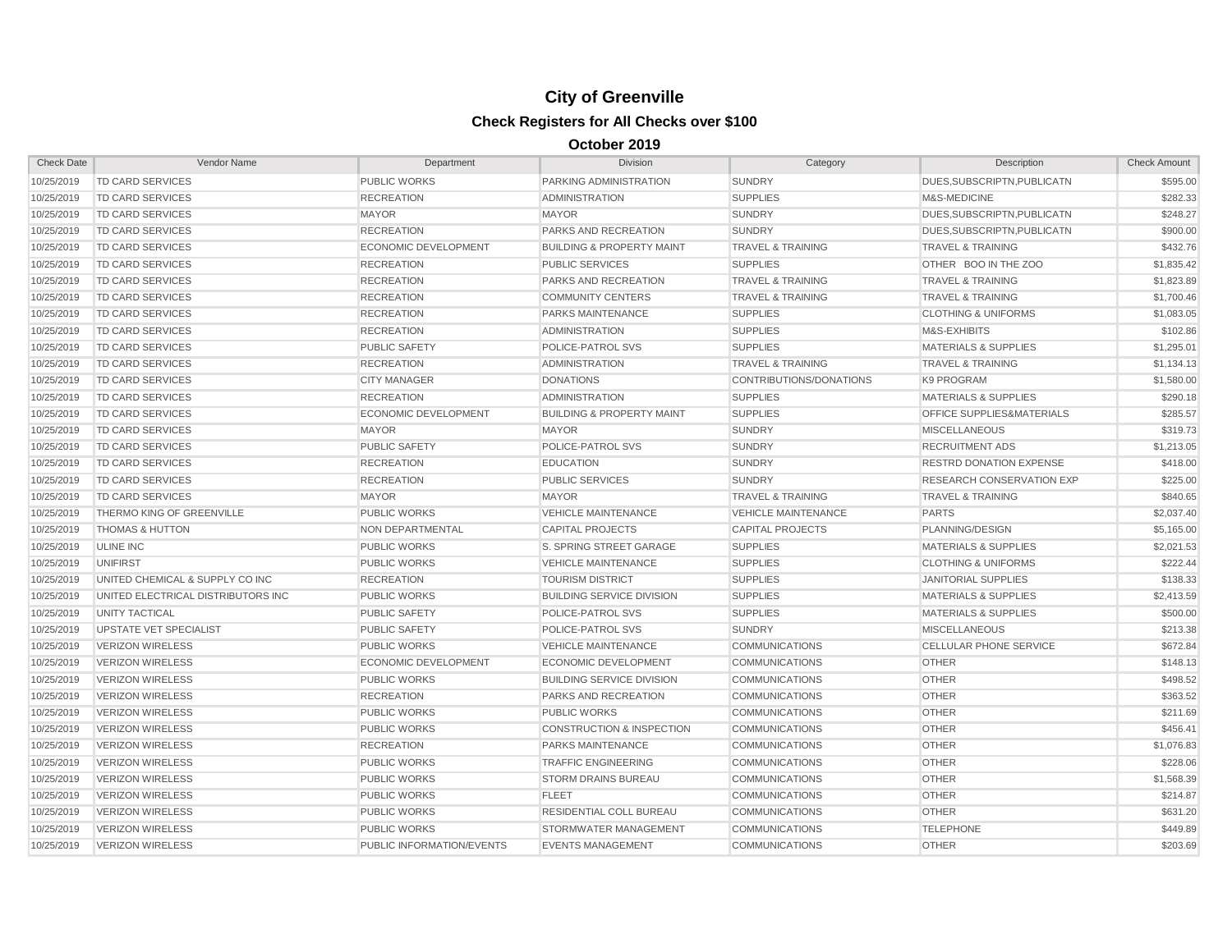| <b>Check Date</b> | Vendor Name                        | Department                  | <b>Division</b>                      | Category                     | Description                          | <b>Check Amount</b> |
|-------------------|------------------------------------|-----------------------------|--------------------------------------|------------------------------|--------------------------------------|---------------------|
| 10/25/2019        | <b>TD CARD SERVICES</b>            | <b>PUBLIC WORKS</b>         | PARKING ADMINISTRATION               | <b>SUNDRY</b>                | DUES, SUBSCRIPTN, PUBLICATN          | \$595.00            |
| 10/25/2019        | <b>TD CARD SERVICES</b>            | <b>RECREATION</b>           | <b>ADMINISTRATION</b>                | <b>SUPPLIES</b>              | M&S-MEDICINE                         | \$282.33            |
| 10/25/2019        | <b>TD CARD SERVICES</b>            | <b>MAYOR</b>                | <b>MAYOR</b>                         | <b>SUNDRY</b>                | DUES, SUBSCRIPTN, PUBLICATN          | \$248.27            |
| 10/25/2019        | <b>TD CARD SERVICES</b>            | <b>RECREATION</b>           | PARKS AND RECREATION                 | <b>SUNDRY</b>                | DUES, SUBSCRIPTN, PUBLICATN          | \$900.00            |
| 10/25/2019        | <b>TD CARD SERVICES</b>            | ECONOMIC DEVELOPMENT        | <b>BUILDING &amp; PROPERTY MAINT</b> | <b>TRAVEL &amp; TRAINING</b> | <b>TRAVEL &amp; TRAINING</b>         | \$432.76            |
| 10/25/2019        | <b>TD CARD SERVICES</b>            | <b>RECREATION</b>           | <b>PUBLIC SERVICES</b>               | <b>SUPPLIES</b>              | OTHER BOO IN THE ZOO                 | \$1,835.42          |
| 10/25/2019        | <b>TD CARD SERVICES</b>            | <b>RECREATION</b>           | PARKS AND RECREATION                 | <b>TRAVEL &amp; TRAINING</b> | <b>TRAVEL &amp; TRAINING</b>         | \$1,823.89          |
| 10/25/2019        | <b>TD CARD SERVICES</b>            | <b>RECREATION</b>           | <b>COMMUNITY CENTERS</b>             | <b>TRAVEL &amp; TRAINING</b> | TRAVEL & TRAINING                    | \$1,700.46          |
| 10/25/2019        | <b>TD CARD SERVICES</b>            | <b>RECREATION</b>           | PARKS MAINTENANCE                    | <b>SUPPLIES</b>              | <b>CLOTHING &amp; UNIFORMS</b>       | \$1,083.05          |
| 10/25/2019        | <b>TD CARD SERVICES</b>            | <b>RECREATION</b>           | <b>ADMINISTRATION</b>                | <b>SUPPLIES</b>              | M&S-EXHIBITS                         | \$102.86            |
| 10/25/2019        | <b>TD CARD SERVICES</b>            | <b>PUBLIC SAFETY</b>        | POLICE-PATROL SVS                    | <b>SUPPLIES</b>              | <b>MATERIALS &amp; SUPPLIES</b>      | \$1,295.01          |
| 10/25/2019        | <b>TD CARD SERVICES</b>            | <b>RECREATION</b>           | <b>ADMINISTRATION</b>                | <b>TRAVEL &amp; TRAINING</b> | <b>TRAVEL &amp; TRAINING</b>         | \$1,134.13          |
| 10/25/2019        | <b>TD CARD SERVICES</b>            | <b>CITY MANAGER</b>         | <b>DONATIONS</b>                     | CONTRIBUTIONS/DONATIONS      | K9 PROGRAM                           | \$1,580.00          |
| 10/25/2019        | <b>TD CARD SERVICES</b>            | <b>RECREATION</b>           | <b>ADMINISTRATION</b>                | <b>SUPPLIES</b>              | <b>MATERIALS &amp; SUPPLIES</b>      | \$290.18            |
| 10/25/2019        | <b>TD CARD SERVICES</b>            | <b>ECONOMIC DEVELOPMENT</b> | <b>BUILDING &amp; PROPERTY MAINT</b> | <b>SUPPLIES</b>              | <b>OFFICE SUPPLIES&amp;MATERIALS</b> | \$285.57            |
| 10/25/2019        | <b>TD CARD SERVICES</b>            | <b>MAYOR</b>                | <b>MAYOR</b>                         | <b>SUNDRY</b>                | <b>MISCELLANEOUS</b>                 | \$319.73            |
| 10/25/2019        | <b>TD CARD SERVICES</b>            | <b>PUBLIC SAFETY</b>        | POLICE-PATROL SVS                    | <b>SUNDRY</b>                | <b>RECRUITMENT ADS</b>               | \$1,213.05          |
| 10/25/2019        | <b>TD CARD SERVICES</b>            | <b>RECREATION</b>           | <b>EDUCATION</b>                     | <b>SUNDRY</b>                | <b>RESTRD DONATION EXPENSE</b>       | \$418.00            |
| 10/25/2019        | <b>TD CARD SERVICES</b>            | <b>RECREATION</b>           | <b>PUBLIC SERVICES</b>               | <b>SUNDRY</b>                | RESEARCH CONSERVATION EXP            | \$225.00            |
| 10/25/2019        | <b>TD CARD SERVICES</b>            | <b>MAYOR</b>                | <b>MAYOR</b>                         | <b>TRAVEL &amp; TRAINING</b> | TRAVEL & TRAINING                    | \$840.65            |
| 10/25/2019        | THERMO KING OF GREENVILLE          | <b>PUBLIC WORKS</b>         | <b>VEHICLE MAINTENANCE</b>           | <b>VEHICLE MAINTENANCE</b>   | <b>PARTS</b>                         | \$2,037.40          |
| 10/25/2019        | <b>THOMAS &amp; HUTTON</b>         | <b>NON DEPARTMENTAL</b>     | <b>CAPITAL PROJECTS</b>              | <b>CAPITAL PROJECTS</b>      | PLANNING/DESIGN                      | \$5,165.00          |
| 10/25/2019        | <b>ULINE INC</b>                   | <b>PUBLIC WORKS</b>         | <b>S. SPRING STREET GARAGE</b>       | <b>SUPPLIES</b>              | <b>MATERIALS &amp; SUPPLIES</b>      | \$2,021.53          |
| 10/25/2019        | <b>UNIFIRST</b>                    | <b>PUBLIC WORKS</b>         | <b>VEHICLE MAINTENANCE</b>           | <b>SUPPLIES</b>              | <b>CLOTHING &amp; UNIFORMS</b>       | \$222.44            |
| 10/25/2019        | UNITED CHEMICAL & SUPPLY CO INC    | <b>RECREATION</b>           | <b>TOURISM DISTRICT</b>              | <b>SUPPLIES</b>              | <b>JANITORIAL SUPPLIES</b>           | \$138.33            |
| 10/25/2019        | UNITED ELECTRICAL DISTRIBUTORS INC | <b>PUBLIC WORKS</b>         | <b>BUILDING SERVICE DIVISION</b>     | <b>SUPPLIES</b>              | <b>MATERIALS &amp; SUPPLIES</b>      | \$2,413.59          |
| 10/25/2019        | <b>UNITY TACTICAL</b>              | <b>PUBLIC SAFETY</b>        | POLICE-PATROL SVS                    | <b>SUPPLIES</b>              | <b>MATERIALS &amp; SUPPLIES</b>      | \$500.00            |
| 10/25/2019        | <b>UPSTATE VET SPECIALIST</b>      | <b>PUBLIC SAFETY</b>        | POLICE-PATROL SVS                    | <b>SUNDRY</b>                | <b>MISCELLANEOUS</b>                 | \$213.38            |
| 10/25/2019        | <b>VERIZON WIRELESS</b>            | <b>PUBLIC WORKS</b>         | <b>VEHICLE MAINTENANCE</b>           | <b>COMMUNICATIONS</b>        | <b>CELLULAR PHONE SERVICE</b>        | \$672.84            |
| 10/25/2019        | <b>VERIZON WIRELESS</b>            | <b>ECONOMIC DEVELOPMENT</b> | <b>ECONOMIC DEVELOPMENT</b>          | <b>COMMUNICATIONS</b>        | <b>OTHER</b>                         | \$148.13            |
| 10/25/2019        | <b>VERIZON WIRELESS</b>            | <b>PUBLIC WORKS</b>         | <b>BUILDING SERVICE DIVISION</b>     | <b>COMMUNICATIONS</b>        | <b>OTHER</b>                         | \$498.52            |
| 10/25/2019        | <b>VERIZON WIRELESS</b>            | <b>RECREATION</b>           | <b>PARKS AND RECREATION</b>          | <b>COMMUNICATIONS</b>        | <b>OTHER</b>                         | \$363.52            |
| 10/25/2019        | <b>VERIZON WIRELESS</b>            | <b>PUBLIC WORKS</b>         | <b>PUBLIC WORKS</b>                  | <b>COMMUNICATIONS</b>        | <b>OTHER</b>                         | \$211.69            |
| 10/25/2019        | <b>VERIZON WIRELESS</b>            | <b>PUBLIC WORKS</b>         | <b>CONSTRUCTION &amp; INSPECTION</b> | <b>COMMUNICATIONS</b>        | <b>OTHER</b>                         | \$456.41            |
| 10/25/2019        | <b>VERIZON WIRELESS</b>            | <b>RECREATION</b>           | PARKS MAINTENANCE                    | <b>COMMUNICATIONS</b>        | <b>OTHER</b>                         | \$1,076.83          |
| 10/25/2019        | <b>VERIZON WIRELESS</b>            | <b>PUBLIC WORKS</b>         | <b>TRAFFIC ENGINEERING</b>           | <b>COMMUNICATIONS</b>        | <b>OTHER</b>                         | \$228.06            |
| 10/25/2019        | <b>VERIZON WIRELESS</b>            | <b>PUBLIC WORKS</b>         | <b>STORM DRAINS BUREAU</b>           | <b>COMMUNICATIONS</b>        | <b>OTHER</b>                         | \$1,568.39          |
| 10/25/2019        | <b>VERIZON WIRELESS</b>            | <b>PUBLIC WORKS</b>         | <b>FLEET</b>                         | <b>COMMUNICATIONS</b>        | <b>OTHER</b>                         | \$214.87            |
| 10/25/2019        | <b>VERIZON WIRELESS</b>            | <b>PUBLIC WORKS</b>         | RESIDENTIAL COLL BUREAU              | <b>COMMUNICATIONS</b>        | <b>OTHER</b>                         | \$631.20            |
| 10/25/2019        | <b>VERIZON WIRELESS</b>            | <b>PUBLIC WORKS</b>         | STORMWATER MANAGEMENT                | <b>COMMUNICATIONS</b>        | <b>TELEPHONE</b>                     | \$449.89            |
| 10/25/2019        | <b>VERIZON WIRELESS</b>            | PUBLIC INFORMATION/EVENTS   | <b>EVENTS MANAGEMENT</b>             | <b>COMMUNICATIONS</b>        | <b>OTHER</b>                         | \$203.69            |